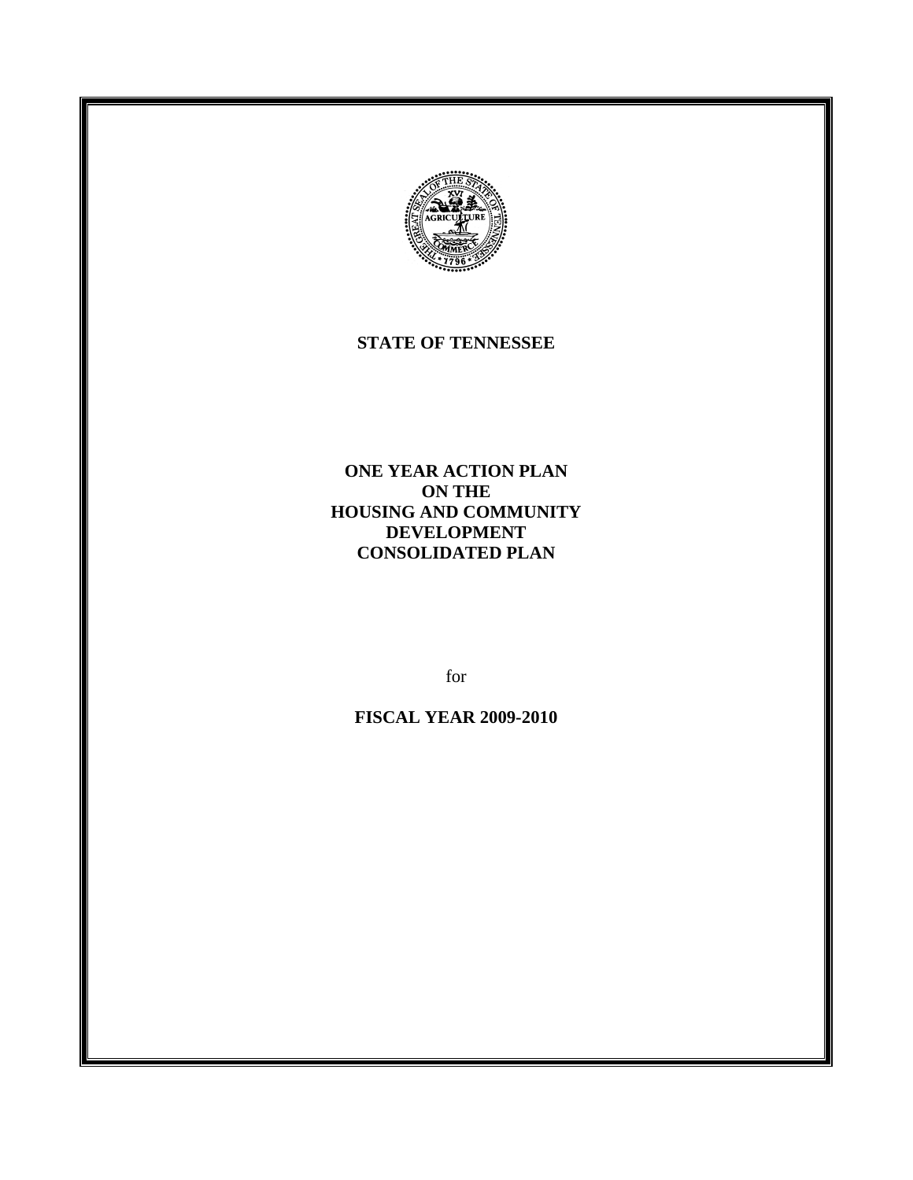

#### **STATE OF TENNESSEE**

**ONE YEAR ACTION PLAN ON THE HOUSING AND COMMUNITY DEVELOPMENT CONSOLIDATED PLAN** 

for

**FISCAL YEAR 2009-2010**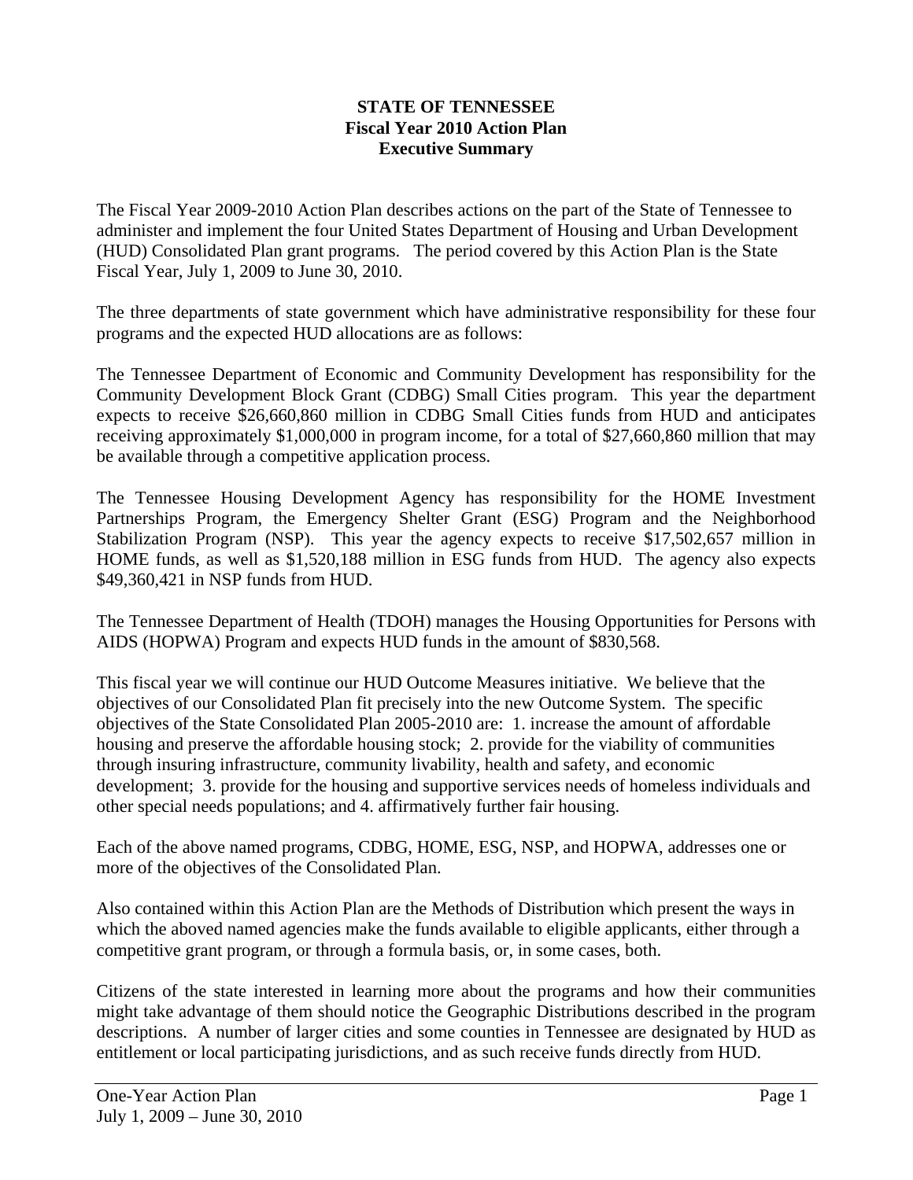#### **STATE OF TENNESSEE Fiscal Year 2010 Action Plan Executive Summary**

The Fiscal Year 2009-2010 Action Plan describes actions on the part of the State of Tennessee to administer and implement the four United States Department of Housing and Urban Development (HUD) Consolidated Plan grant programs. The period covered by this Action Plan is the State Fiscal Year, July 1, 2009 to June 30, 2010.

The three departments of state government which have administrative responsibility for these four programs and the expected HUD allocations are as follows:

The Tennessee Department of Economic and Community Development has responsibility for the Community Development Block Grant (CDBG) Small Cities program. This year the department expects to receive \$26,660,860 million in CDBG Small Cities funds from HUD and anticipates receiving approximately \$1,000,000 in program income, for a total of \$27,660,860 million that may be available through a competitive application process.

The Tennessee Housing Development Agency has responsibility for the HOME Investment Partnerships Program, the Emergency Shelter Grant (ESG) Program and the Neighborhood Stabilization Program (NSP). This year the agency expects to receive \$17,502,657 million in HOME funds, as well as \$1,520,188 million in ESG funds from HUD. The agency also expects \$49,360,421 in NSP funds from HUD.

The Tennessee Department of Health (TDOH) manages the Housing Opportunities for Persons with AIDS (HOPWA) Program and expects HUD funds in the amount of \$830,568.

This fiscal year we will continue our HUD Outcome Measures initiative. We believe that the objectives of our Consolidated Plan fit precisely into the new Outcome System. The specific objectives of the State Consolidated Plan 2005-2010 are: 1. increase the amount of affordable housing and preserve the affordable housing stock; 2. provide for the viability of communities through insuring infrastructure, community livability, health and safety, and economic development; 3. provide for the housing and supportive services needs of homeless individuals and other special needs populations; and 4. affirmatively further fair housing.

Each of the above named programs, CDBG, HOME, ESG, NSP, and HOPWA, addresses one or more of the objectives of the Consolidated Plan.

Also contained within this Action Plan are the Methods of Distribution which present the ways in which the aboved named agencies make the funds available to eligible applicants, either through a competitive grant program, or through a formula basis, or, in some cases, both.

Citizens of the state interested in learning more about the programs and how their communities might take advantage of them should notice the Geographic Distributions described in the program descriptions. A number of larger cities and some counties in Tennessee are designated by HUD as entitlement or local participating jurisdictions, and as such receive funds directly from HUD.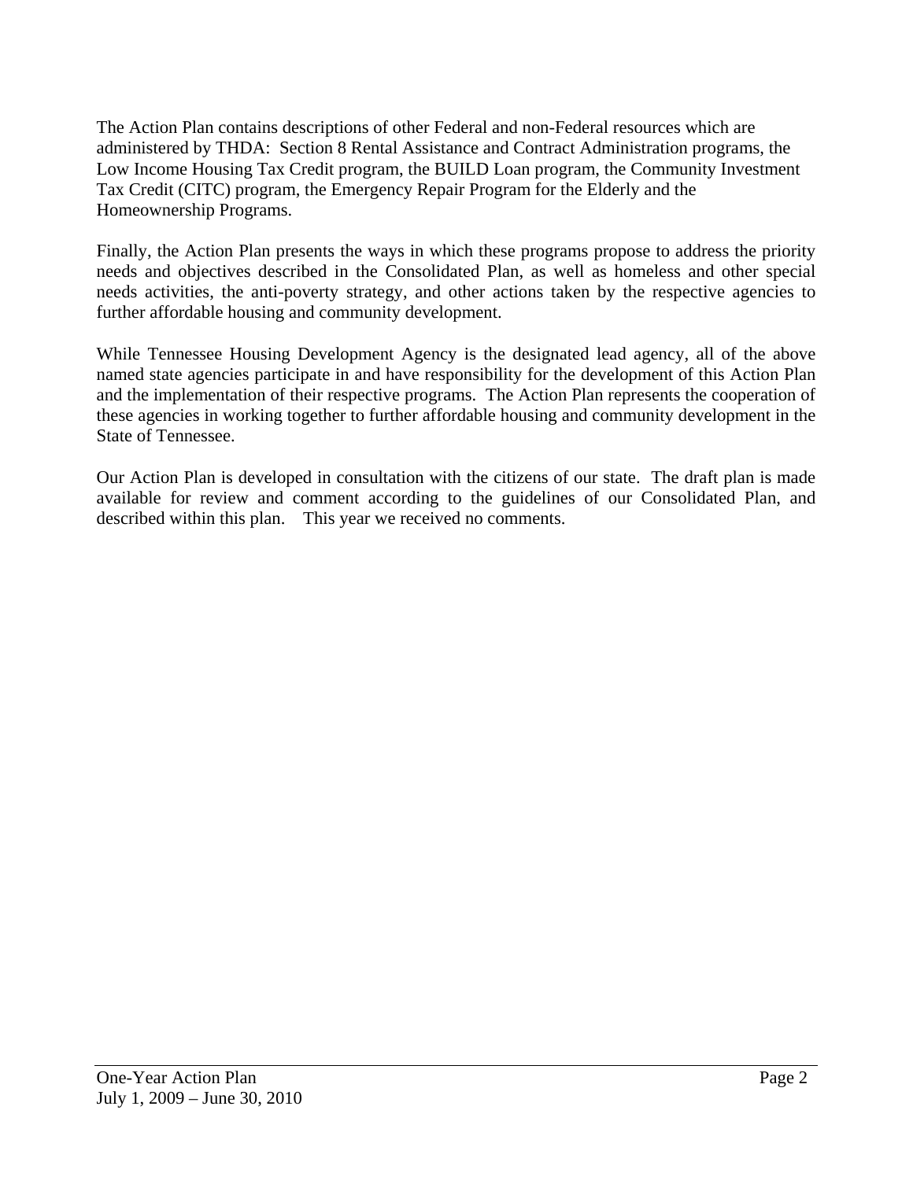The Action Plan contains descriptions of other Federal and non-Federal resources which are administered by THDA: Section 8 Rental Assistance and Contract Administration programs, the Low Income Housing Tax Credit program, the BUILD Loan program, the Community Investment Tax Credit (CITC) program, the Emergency Repair Program for the Elderly and the Homeownership Programs.

Finally, the Action Plan presents the ways in which these programs propose to address the priority needs and objectives described in the Consolidated Plan, as well as homeless and other special needs activities, the anti-poverty strategy, and other actions taken by the respective agencies to further affordable housing and community development.

While Tennessee Housing Development Agency is the designated lead agency, all of the above named state agencies participate in and have responsibility for the development of this Action Plan and the implementation of their respective programs. The Action Plan represents the cooperation of these agencies in working together to further affordable housing and community development in the State of Tennessee.

Our Action Plan is developed in consultation with the citizens of our state. The draft plan is made available for review and comment according to the guidelines of our Consolidated Plan, and described within this plan. This year we received no comments.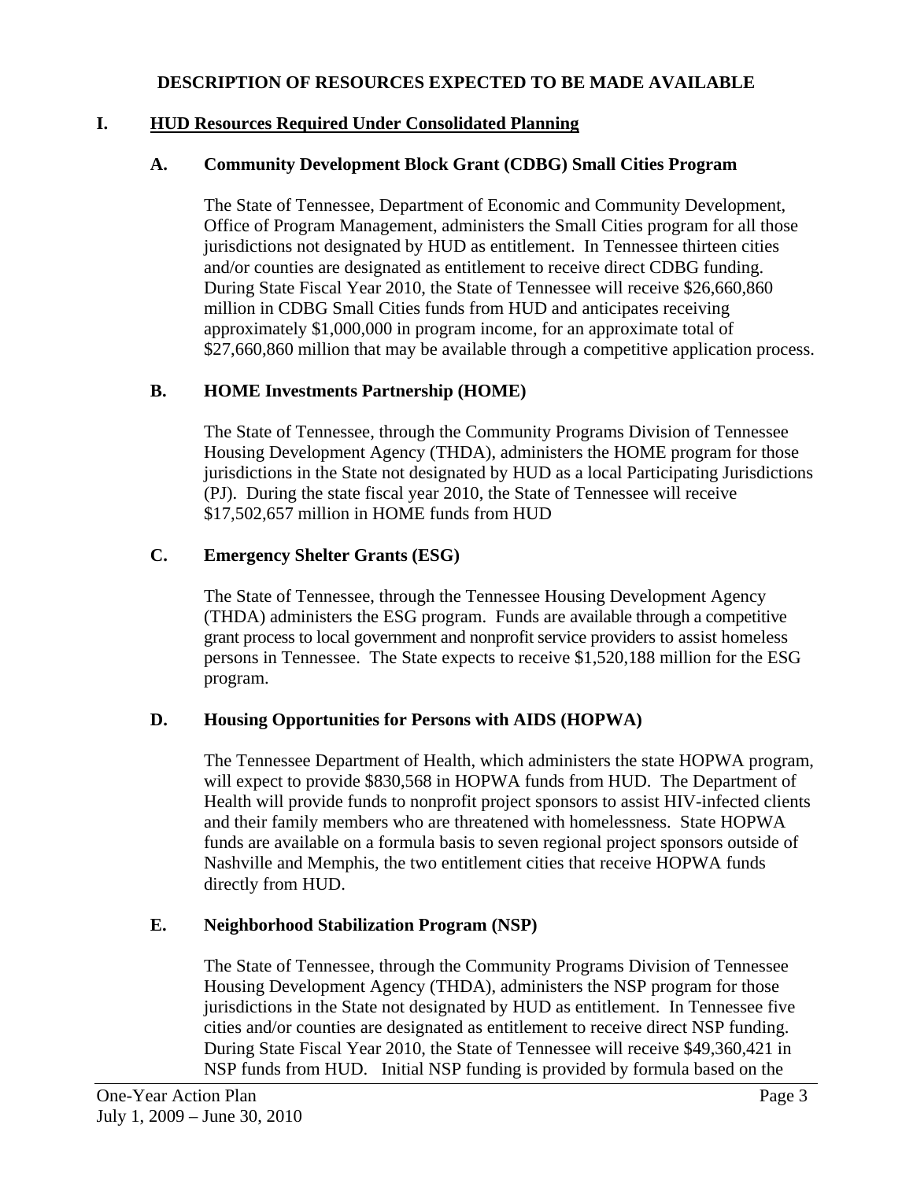### **DESCRIPTION OF RESOURCES EXPECTED TO BE MADE AVAILABLE**

# **I. HUD Resources Required Under Consolidated Planning**

### **A. Community Development Block Grant (CDBG) Small Cities Program**

The State of Tennessee, Department of Economic and Community Development, Office of Program Management, administers the Small Cities program for all those jurisdictions not designated by HUD as entitlement. In Tennessee thirteen cities and/or counties are designated as entitlement to receive direct CDBG funding. During State Fiscal Year 2010, the State of Tennessee will receive \$26,660,860 million in CDBG Small Cities funds from HUD and anticipates receiving approximately \$1,000,000 in program income, for an approximate total of \$27,660,860 million that may be available through a competitive application process.

# **B. HOME Investments Partnership (HOME)**

The State of Tennessee, through the Community Programs Division of Tennessee Housing Development Agency (THDA), administers the HOME program for those jurisdictions in the State not designated by HUD as a local Participating Jurisdictions (PJ). During the state fiscal year 2010, the State of Tennessee will receive \$17,502,657 million in HOME funds from HUD

# **C. Emergency Shelter Grants (ESG)**

The State of Tennessee, through the Tennessee Housing Development Agency (THDA) administers the ESG program. Funds are available through a competitive grant process to local government and nonprofit service providers to assist homeless persons in Tennessee. The State expects to receive \$1,520,188 million for the ESG program.

### **D. Housing Opportunities for Persons with AIDS (HOPWA)**

The Tennessee Department of Health, which administers the state HOPWA program, will expect to provide \$830,568 in HOPWA funds from HUD. The Department of Health will provide funds to nonprofit project sponsors to assist HIV-infected clients and their family members who are threatened with homelessness. State HOPWA funds are available on a formula basis to seven regional project sponsors outside of Nashville and Memphis, the two entitlement cities that receive HOPWA funds directly from HUD.

# **E. Neighborhood Stabilization Program (NSP)**

The State of Tennessee, through the Community Programs Division of Tennessee Housing Development Agency (THDA), administers the NSP program for those jurisdictions in the State not designated by HUD as entitlement. In Tennessee five cities and/or counties are designated as entitlement to receive direct NSP funding. During State Fiscal Year 2010, the State of Tennessee will receive \$49,360,421 in NSP funds from HUD. Initial NSP funding is provided by formula based on the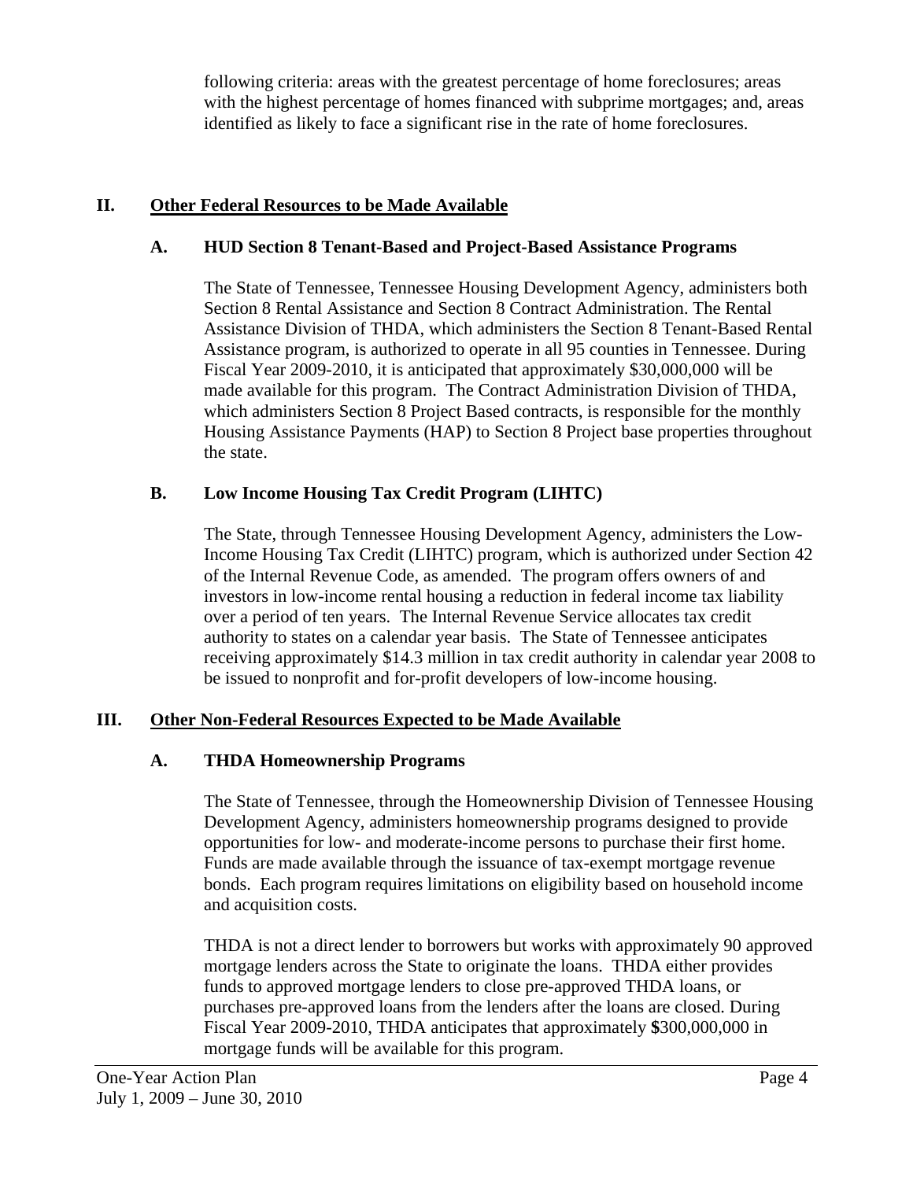following criteria: areas with the greatest percentage of home foreclosures; areas with the highest percentage of homes financed with subprime mortgages; and, areas identified as likely to face a significant rise in the rate of home foreclosures.

# **II. Other Federal Resources to be Made Available**

# **A. HUD Section 8 Tenant-Based and Project-Based Assistance Programs**

The State of Tennessee, Tennessee Housing Development Agency, administers both Section 8 Rental Assistance and Section 8 Contract Administration. The Rental Assistance Division of THDA, which administers the Section 8 Tenant-Based Rental Assistance program, is authorized to operate in all 95 counties in Tennessee. During Fiscal Year 2009-2010, it is anticipated that approximately \$30,000,000 will be made available for this program. The Contract Administration Division of THDA, which administers Section 8 Project Based contracts, is responsible for the monthly Housing Assistance Payments (HAP) to Section 8 Project base properties throughout the state.

# **B. Low Income Housing Tax Credit Program (LIHTC)**

The State, through Tennessee Housing Development Agency, administers the Low-Income Housing Tax Credit (LIHTC) program, which is authorized under Section 42 of the Internal Revenue Code, as amended. The program offers owners of and investors in low-income rental housing a reduction in federal income tax liability over a period of ten years. The Internal Revenue Service allocates tax credit authority to states on a calendar year basis. The State of Tennessee anticipates receiving approximately \$14.3 million in tax credit authority in calendar year 2008 to be issued to nonprofit and for-profit developers of low-income housing.

### **III. Other Non-Federal Resources Expected to be Made Available**

### **A. THDA Homeownership Programs**

The State of Tennessee, through the Homeownership Division of Tennessee Housing Development Agency, administers homeownership programs designed to provide opportunities for low- and moderate-income persons to purchase their first home. Funds are made available through the issuance of tax-exempt mortgage revenue bonds. Each program requires limitations on eligibility based on household income and acquisition costs.

THDA is not a direct lender to borrowers but works with approximately 90 approved mortgage lenders across the State to originate the loans. THDA either provides funds to approved mortgage lenders to close pre-approved THDA loans, or purchases pre-approved loans from the lenders after the loans are closed. During Fiscal Year 2009-2010, THDA anticipates that approximately **\$**300,000,000 in mortgage funds will be available for this program.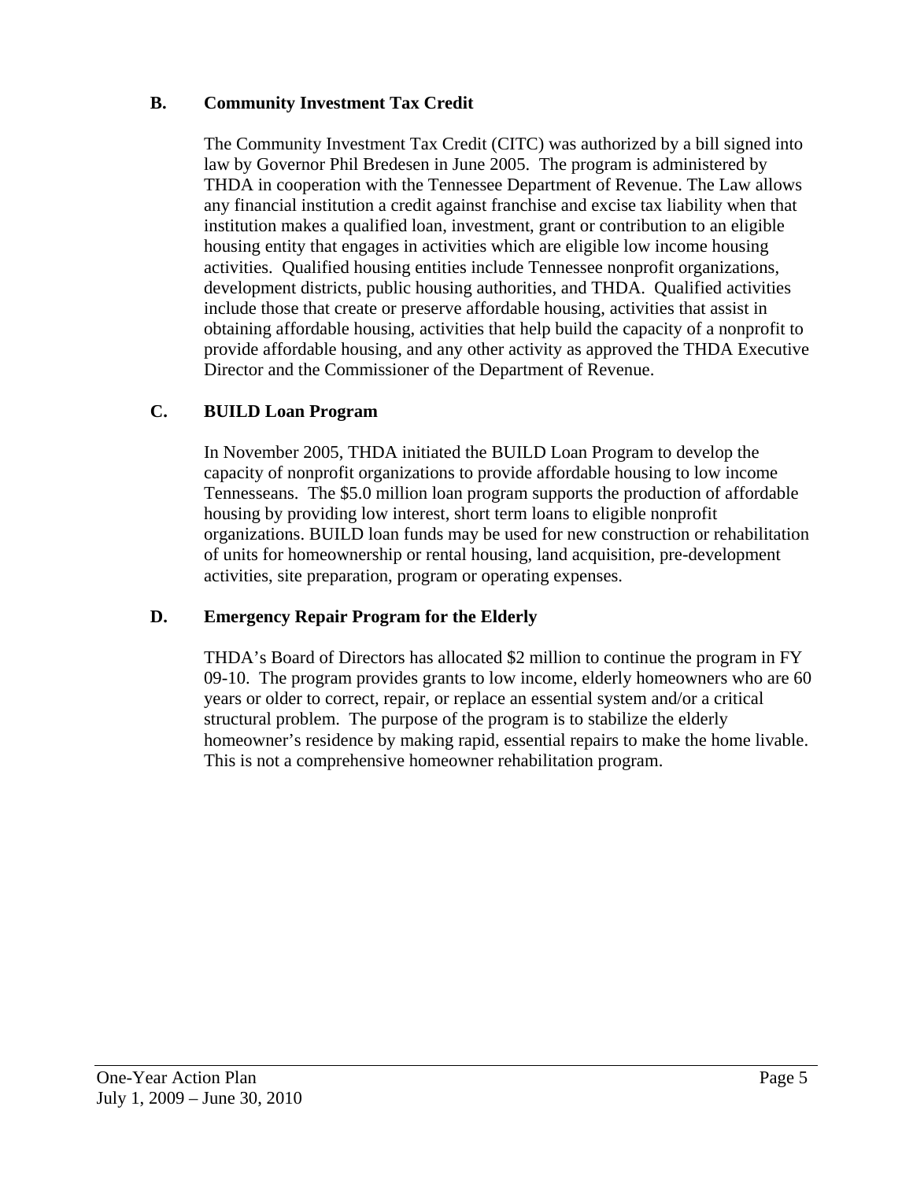# **B. Community Investment Tax Credit**

The Community Investment Tax Credit (CITC) was authorized by a bill signed into law by Governor Phil Bredesen in June 2005. The program is administered by THDA in cooperation with the Tennessee Department of Revenue. The Law allows any financial institution a credit against franchise and excise tax liability when that institution makes a qualified loan, investment, grant or contribution to an eligible housing entity that engages in activities which are eligible low income housing activities. Qualified housing entities include Tennessee nonprofit organizations, development districts, public housing authorities, and THDA. Qualified activities include those that create or preserve affordable housing, activities that assist in obtaining affordable housing, activities that help build the capacity of a nonprofit to provide affordable housing, and any other activity as approved the THDA Executive Director and the Commissioner of the Department of Revenue.

# **C. BUILD Loan Program**

In November 2005, THDA initiated the BUILD Loan Program to develop the capacity of nonprofit organizations to provide affordable housing to low income Tennesseans. The \$5.0 million loan program supports the production of affordable housing by providing low interest, short term loans to eligible nonprofit organizations. BUILD loan funds may be used for new construction or rehabilitation of units for homeownership or rental housing, land acquisition, pre-development activities, site preparation, program or operating expenses.

### **D. Emergency Repair Program for the Elderly**

THDA's Board of Directors has allocated \$2 million to continue the program in FY 09-10. The program provides grants to low income, elderly homeowners who are 60 years or older to correct, repair, or replace an essential system and/or a critical structural problem. The purpose of the program is to stabilize the elderly homeowner's residence by making rapid, essential repairs to make the home livable. This is not a comprehensive homeowner rehabilitation program.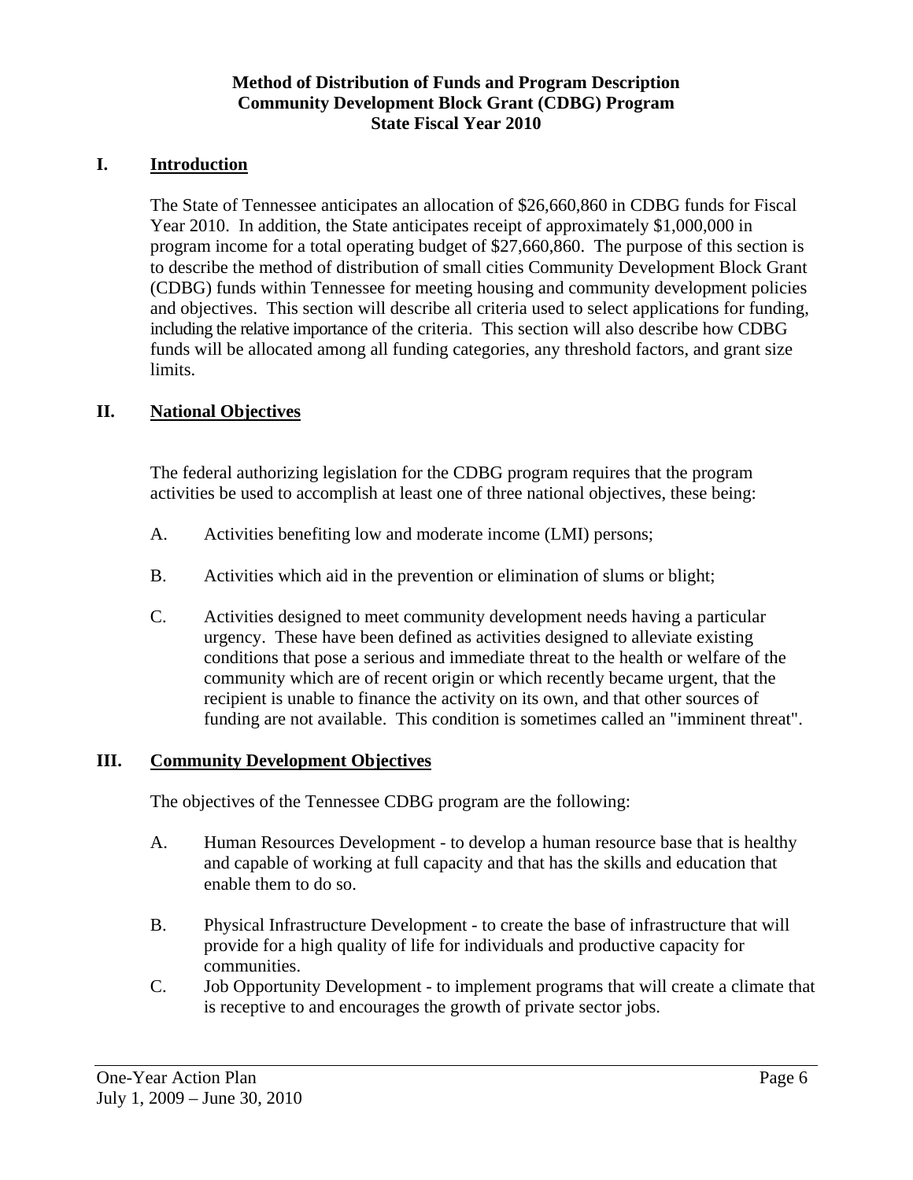### **Method of Distribution of Funds and Program Description Community Development Block Grant (CDBG) Program State Fiscal Year 2010**

### **I. Introduction**

The State of Tennessee anticipates an allocation of \$26,660,860 in CDBG funds for Fiscal Year 2010. In addition, the State anticipates receipt of approximately \$1,000,000 in program income for a total operating budget of \$27,660,860. The purpose of this section is to describe the method of distribution of small cities Community Development Block Grant (CDBG) funds within Tennessee for meeting housing and community development policies and objectives. This section will describe all criteria used to select applications for funding, including the relative importance of the criteria. This section will also describe how CDBG funds will be allocated among all funding categories, any threshold factors, and grant size limits.

### **II. National Objectives**

The federal authorizing legislation for the CDBG program requires that the program activities be used to accomplish at least one of three national objectives, these being:

- A. Activities benefiting low and moderate income (LMI) persons;
- B. Activities which aid in the prevention or elimination of slums or blight;
- C. Activities designed to meet community development needs having a particular urgency. These have been defined as activities designed to alleviate existing conditions that pose a serious and immediate threat to the health or welfare of the community which are of recent origin or which recently became urgent, that the recipient is unable to finance the activity on its own, and that other sources of funding are not available. This condition is sometimes called an "imminent threat".

#### **III. Community Development Objectives**

The objectives of the Tennessee CDBG program are the following:

- A. Human Resources Development to develop a human resource base that is healthy and capable of working at full capacity and that has the skills and education that enable them to do so.
- B. Physical Infrastructure Development to create the base of infrastructure that will provide for a high quality of life for individuals and productive capacity for communities.
- C. Job Opportunity Development to implement programs that will create a climate that is receptive to and encourages the growth of private sector jobs.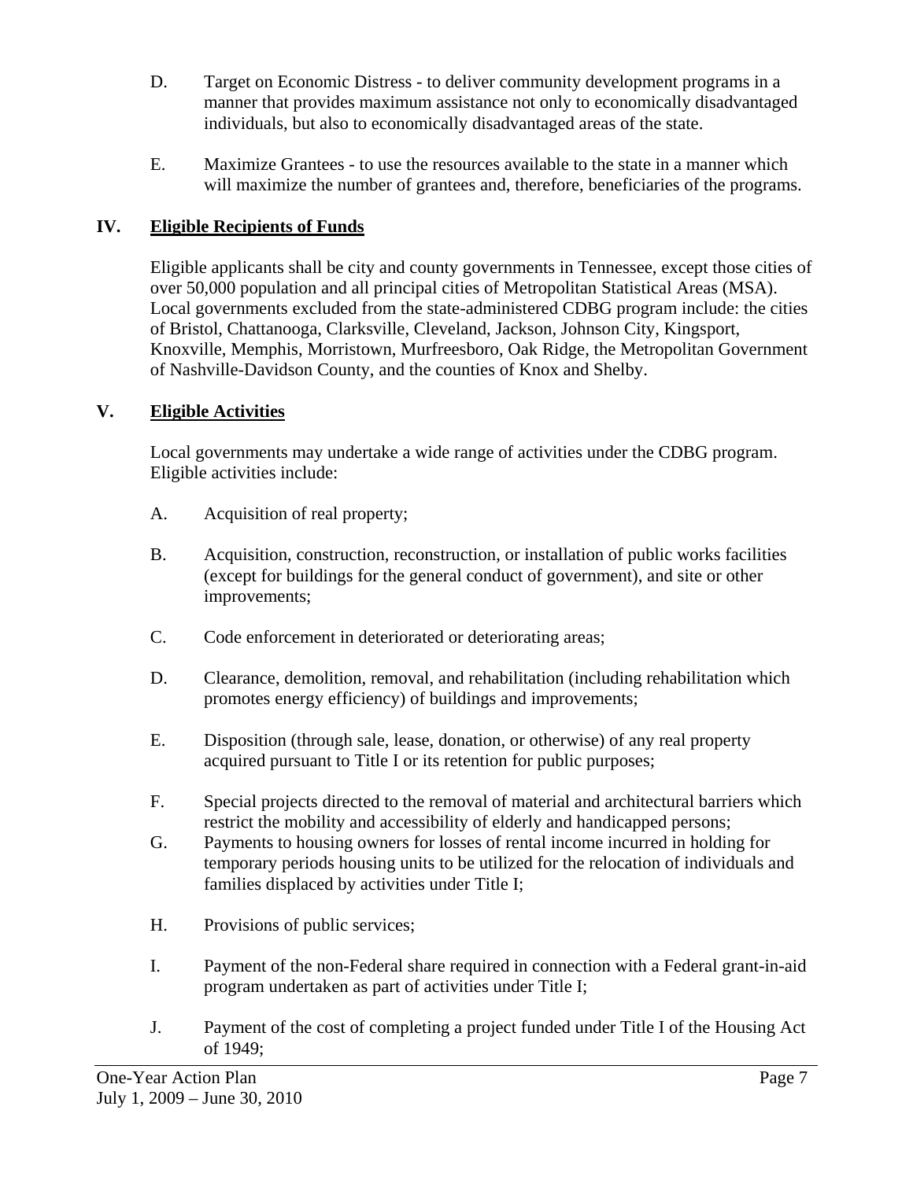- D. Target on Economic Distress to deliver community development programs in a manner that provides maximum assistance not only to economically disadvantaged individuals, but also to economically disadvantaged areas of the state.
- E. Maximize Grantees to use the resources available to the state in a manner which will maximize the number of grantees and, therefore, beneficiaries of the programs.

# **IV. Eligible Recipients of Funds**

Eligible applicants shall be city and county governments in Tennessee, except those cities of over 50,000 population and all principal cities of Metropolitan Statistical Areas (MSA). Local governments excluded from the state-administered CDBG program include: the cities of Bristol, Chattanooga, Clarksville, Cleveland, Jackson, Johnson City, Kingsport, Knoxville, Memphis, Morristown, Murfreesboro, Oak Ridge, the Metropolitan Government of Nashville-Davidson County, and the counties of Knox and Shelby.

# **V. Eligible Activities**

Local governments may undertake a wide range of activities under the CDBG program. Eligible activities include:

- A. Acquisition of real property;
- B. Acquisition, construction, reconstruction, or installation of public works facilities (except for buildings for the general conduct of government), and site or other improvements;
- C. Code enforcement in deteriorated or deteriorating areas;
- D. Clearance, demolition, removal, and rehabilitation (including rehabilitation which promotes energy efficiency) of buildings and improvements;
- E. Disposition (through sale, lease, donation, or otherwise) of any real property acquired pursuant to Title I or its retention for public purposes;
- F. Special projects directed to the removal of material and architectural barriers which restrict the mobility and accessibility of elderly and handicapped persons;
- G. Payments to housing owners for losses of rental income incurred in holding for temporary periods housing units to be utilized for the relocation of individuals and families displaced by activities under Title I;
- H. Provisions of public services;
- I. Payment of the non-Federal share required in connection with a Federal grant-in-aid program undertaken as part of activities under Title I;
- J. Payment of the cost of completing a project funded under Title I of the Housing Act of 1949;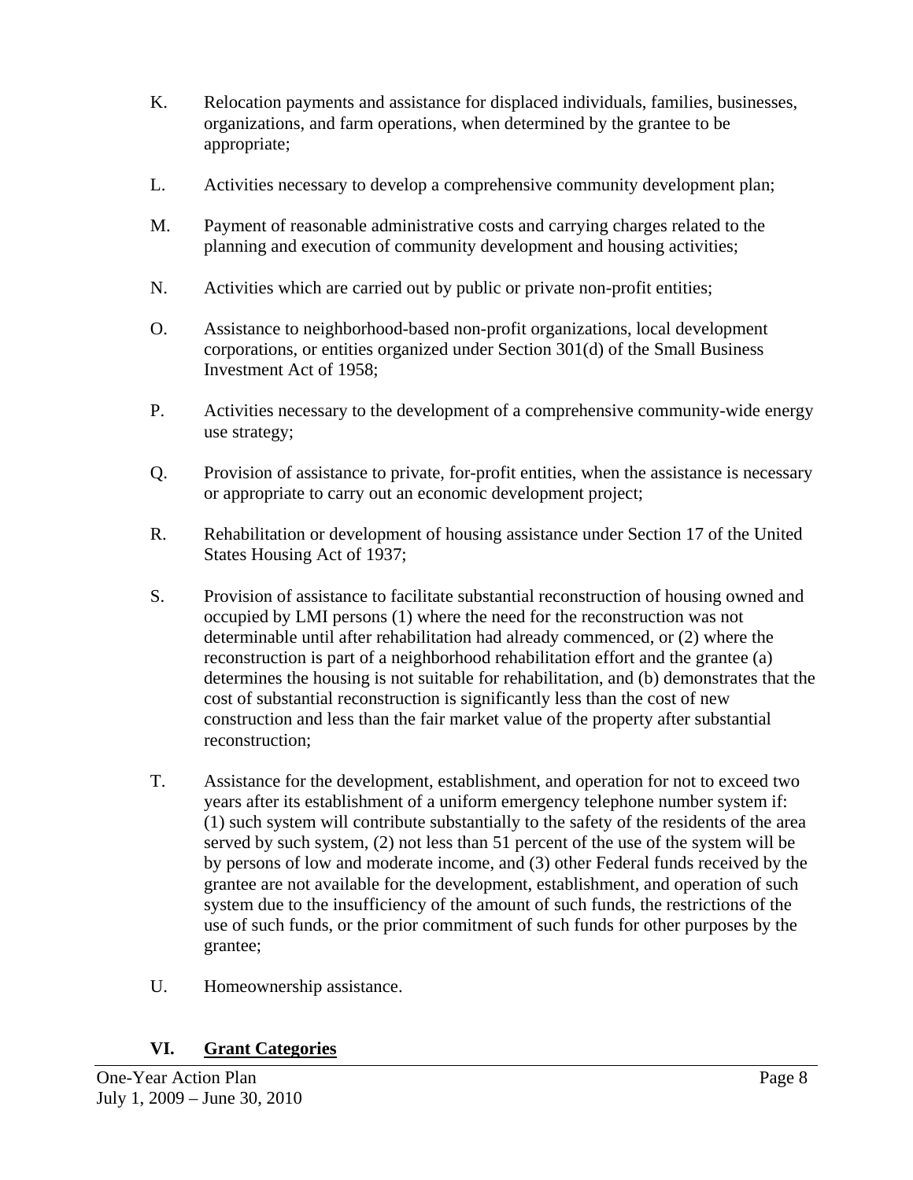- K. Relocation payments and assistance for displaced individuals, families, businesses, organizations, and farm operations, when determined by the grantee to be appropriate;
- L. Activities necessary to develop a comprehensive community development plan;
- M. Payment of reasonable administrative costs and carrying charges related to the planning and execution of community development and housing activities;
- N. Activities which are carried out by public or private non-profit entities;
- O. Assistance to neighborhood-based non-profit organizations, local development corporations, or entities organized under Section 301(d) of the Small Business Investment Act of 1958;
- P. Activities necessary to the development of a comprehensive community-wide energy use strategy;
- Q. Provision of assistance to private, for-profit entities, when the assistance is necessary or appropriate to carry out an economic development project;
- R. Rehabilitation or development of housing assistance under Section 17 of the United States Housing Act of 1937;
- S. Provision of assistance to facilitate substantial reconstruction of housing owned and occupied by LMI persons (1) where the need for the reconstruction was not determinable until after rehabilitation had already commenced, or (2) where the reconstruction is part of a neighborhood rehabilitation effort and the grantee (a) determines the housing is not suitable for rehabilitation, and (b) demonstrates that the cost of substantial reconstruction is significantly less than the cost of new construction and less than the fair market value of the property after substantial reconstruction;
- T. Assistance for the development, establishment, and operation for not to exceed two years after its establishment of a uniform emergency telephone number system if: (1) such system will contribute substantially to the safety of the residents of the area served by such system, (2) not less than 51 percent of the use of the system will be by persons of low and moderate income, and (3) other Federal funds received by the grantee are not available for the development, establishment, and operation of such system due to the insufficiency of the amount of such funds, the restrictions of the use of such funds, or the prior commitment of such funds for other purposes by the grantee;
- U. Homeownership assistance.

### **VI. Grant Categories**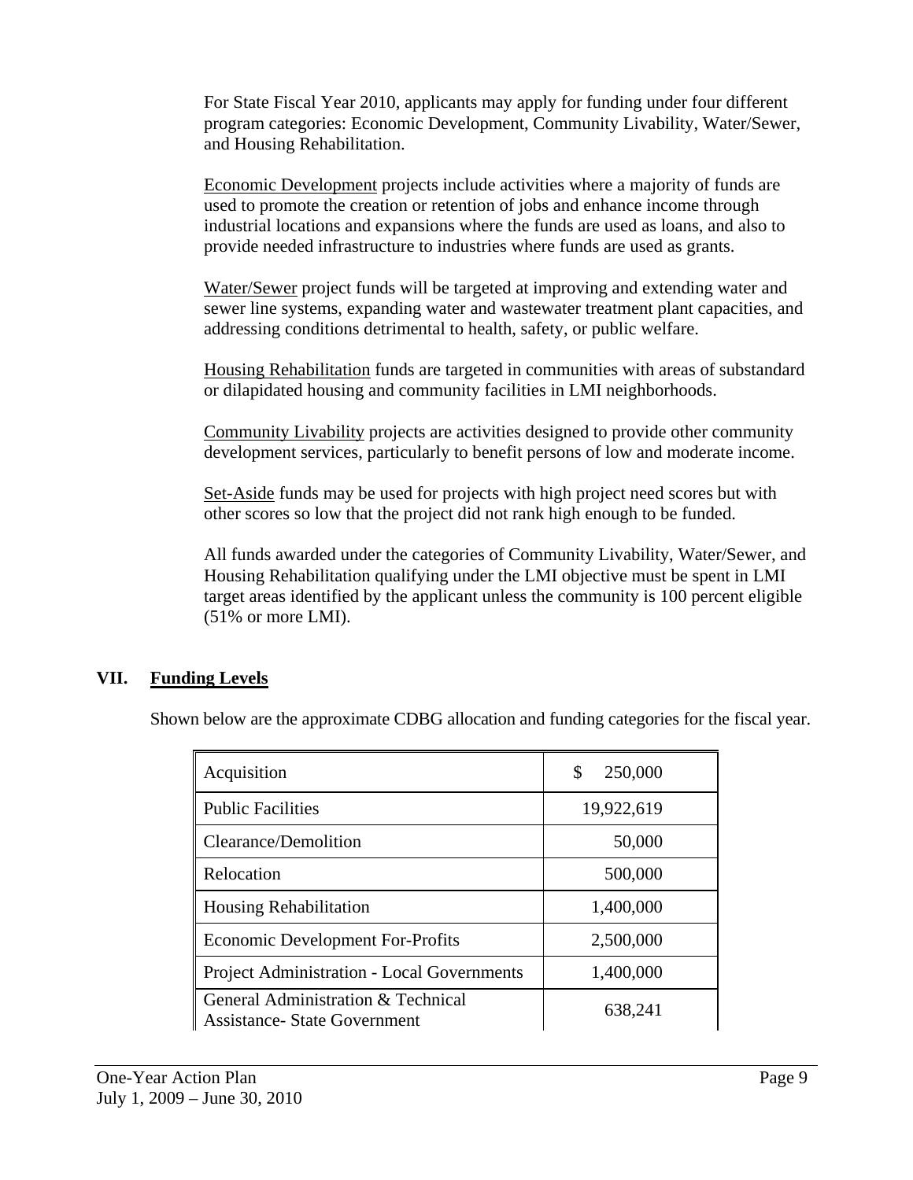For State Fiscal Year 2010, applicants may apply for funding under four different program categories: Economic Development, Community Livability, Water/Sewer, and Housing Rehabilitation.

Economic Development projects include activities where a majority of funds are used to promote the creation or retention of jobs and enhance income through industrial locations and expansions where the funds are used as loans, and also to provide needed infrastructure to industries where funds are used as grants.

Water/Sewer project funds will be targeted at improving and extending water and sewer line systems, expanding water and wastewater treatment plant capacities, and addressing conditions detrimental to health, safety, or public welfare.

Housing Rehabilitation funds are targeted in communities with areas of substandard or dilapidated housing and community facilities in LMI neighborhoods.

Community Livability projects are activities designed to provide other community development services, particularly to benefit persons of low and moderate income.

Set-Aside funds may be used for projects with high project need scores but with other scores so low that the project did not rank high enough to be funded.

All funds awarded under the categories of Community Livability, Water/Sewer, and Housing Rehabilitation qualifying under the LMI objective must be spent in LMI target areas identified by the applicant unless the community is 100 percent eligible (51% or more LMI).

# **VII. Funding Levels**

Shown below are the approximate CDBG allocation and funding categories for the fiscal year.

| Acquisition                                                               | 250,000<br>\$ |
|---------------------------------------------------------------------------|---------------|
| <b>Public Facilities</b>                                                  | 19,922,619    |
| Clearance/Demolition                                                      | 50,000        |
| Relocation                                                                | 500,000       |
| Housing Rehabilitation                                                    | 1,400,000     |
| <b>Economic Development For-Profits</b>                                   | 2,500,000     |
| <b>Project Administration - Local Governments</b>                         | 1,400,000     |
| General Administration & Technical<br><b>Assistance- State Government</b> | 638,241       |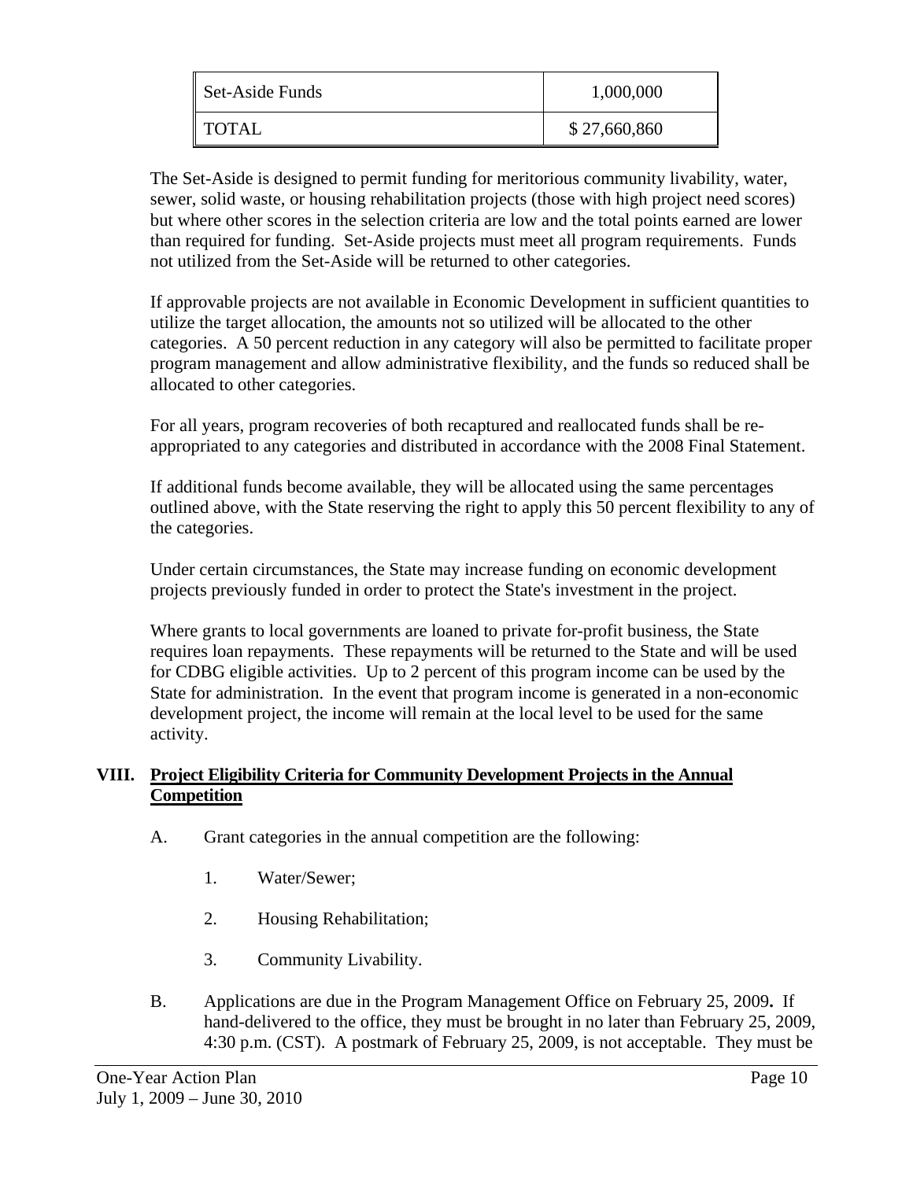| Set-Aside Funds | 1,000,000    |
|-----------------|--------------|
| TOTAL           | \$27,660,860 |

The Set-Aside is designed to permit funding for meritorious community livability, water, sewer, solid waste, or housing rehabilitation projects (those with high project need scores) but where other scores in the selection criteria are low and the total points earned are lower than required for funding. Set-Aside projects must meet all program requirements. Funds not utilized from the Set-Aside will be returned to other categories.

If approvable projects are not available in Economic Development in sufficient quantities to utilize the target allocation, the amounts not so utilized will be allocated to the other categories. A 50 percent reduction in any category will also be permitted to facilitate proper program management and allow administrative flexibility, and the funds so reduced shall be allocated to other categories.

For all years, program recoveries of both recaptured and reallocated funds shall be reappropriated to any categories and distributed in accordance with the 2008 Final Statement.

If additional funds become available, they will be allocated using the same percentages outlined above, with the State reserving the right to apply this 50 percent flexibility to any of the categories.

Under certain circumstances, the State may increase funding on economic development projects previously funded in order to protect the State's investment in the project.

Where grants to local governments are loaned to private for-profit business, the State requires loan repayments. These repayments will be returned to the State and will be used for CDBG eligible activities. Up to 2 percent of this program income can be used by the State for administration. In the event that program income is generated in a non-economic development project, the income will remain at the local level to be used for the same activity.

# **VIII. Project Eligibility Criteria for Community Development Projects in the Annual Competition**

- A. Grant categories in the annual competition are the following:
	- 1. Water/Sewer;
	- 2. Housing Rehabilitation;
	- 3. Community Livability.
- B. Applications are due in the Program Management Office on February 25, 2009**.** If hand-delivered to the office, they must be brought in no later than February 25, 2009, 4:30 p.m. (CST). A postmark of February 25, 2009, is not acceptable. They must be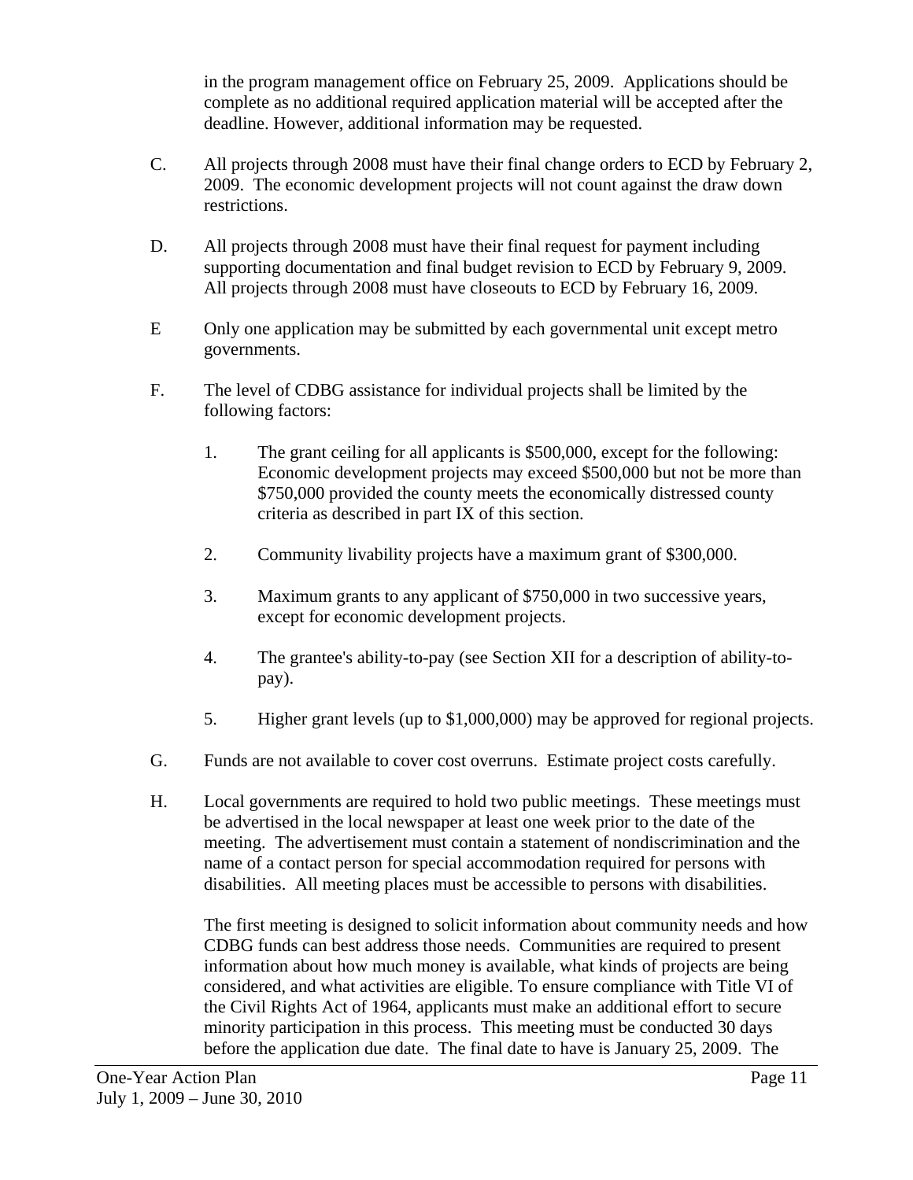in the program management office on February 25, 2009. Applications should be complete as no additional required application material will be accepted after the deadline. However, additional information may be requested.

- C. All projects through 2008 must have their final change orders to ECD by February 2, 2009. The economic development projects will not count against the draw down restrictions.
- D. All projects through 2008 must have their final request for payment including supporting documentation and final budget revision to ECD by February 9, 2009. All projects through 2008 must have closeouts to ECD by February 16, 2009.
- E Only one application may be submitted by each governmental unit except metro governments.
- F. The level of CDBG assistance for individual projects shall be limited by the following factors:
	- 1. The grant ceiling for all applicants is \$500,000, except for the following: Economic development projects may exceed \$500,000 but not be more than \$750,000 provided the county meets the economically distressed county criteria as described in part IX of this section.
	- 2. Community livability projects have a maximum grant of \$300,000.
	- 3. Maximum grants to any applicant of \$750,000 in two successive years, except for economic development projects.
	- 4. The grantee's ability-to-pay (see Section XII for a description of ability-topay).
	- 5. Higher grant levels (up to \$1,000,000) may be approved for regional projects.
- G. Funds are not available to cover cost overruns. Estimate project costs carefully.
- H. Local governments are required to hold two public meetings. These meetings must be advertised in the local newspaper at least one week prior to the date of the meeting. The advertisement must contain a statement of nondiscrimination and the name of a contact person for special accommodation required for persons with disabilities. All meeting places must be accessible to persons with disabilities.

 The first meeting is designed to solicit information about community needs and how CDBG funds can best address those needs. Communities are required to present information about how much money is available, what kinds of projects are being considered, and what activities are eligible. To ensure compliance with Title VI of the Civil Rights Act of 1964, applicants must make an additional effort to secure minority participation in this process. This meeting must be conducted 30 days before the application due date. The final date to have is January 25, 2009. The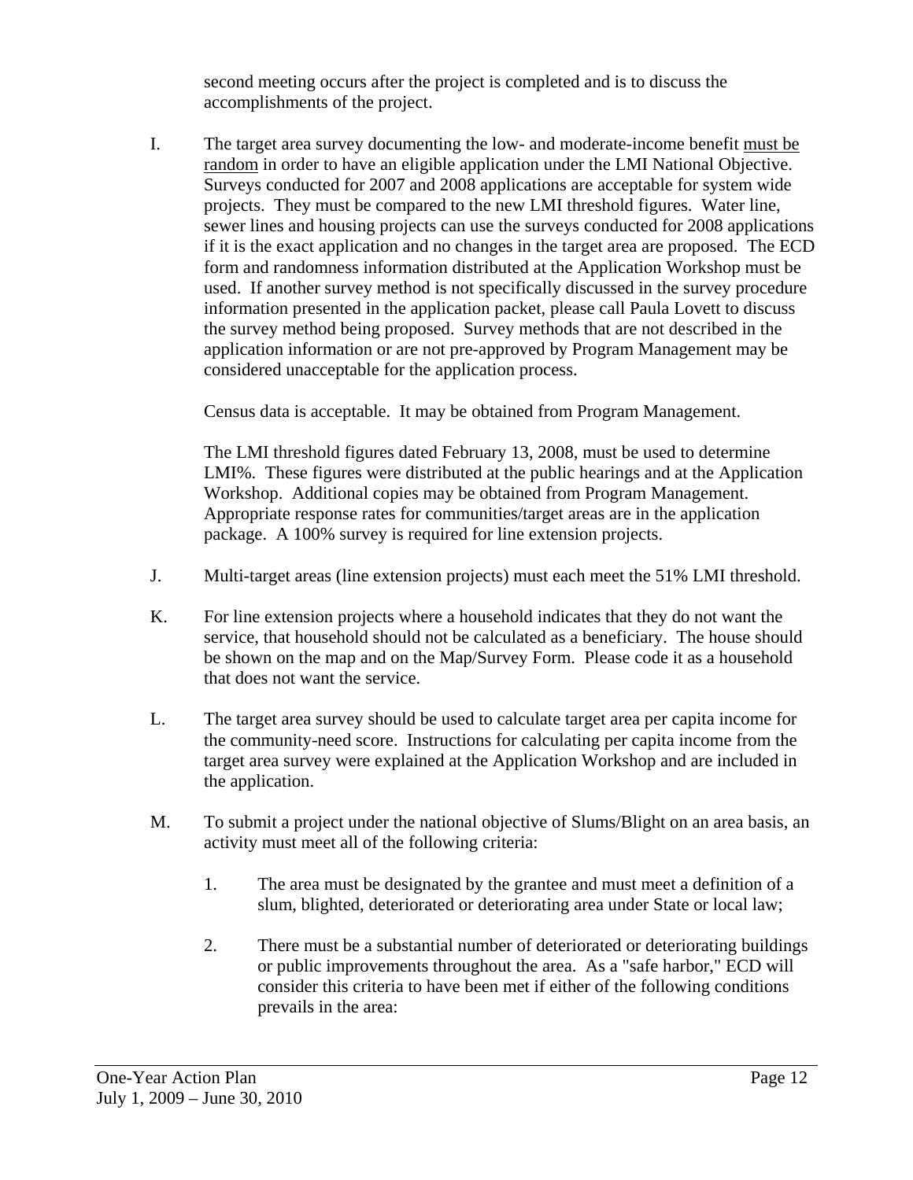second meeting occurs after the project is completed and is to discuss the accomplishments of the project.

I. The target area survey documenting the low- and moderate-income benefit must be random in order to have an eligible application under the LMI National Objective. Surveys conducted for 2007 and 2008 applications are acceptable for system wide projects. They must be compared to the new LMI threshold figures. Water line, sewer lines and housing projects can use the surveys conducted for 2008 applications if it is the exact application and no changes in the target area are proposed. The ECD form and randomness information distributed at the Application Workshop must be used. If another survey method is not specifically discussed in the survey procedure information presented in the application packet, please call Paula Lovett to discuss the survey method being proposed. Survey methods that are not described in the application information or are not pre-approved by Program Management may be considered unacceptable for the application process.

Census data is acceptable. It may be obtained from Program Management.

 The LMI threshold figures dated February 13, 2008, must be used to determine LMI%. These figures were distributed at the public hearings and at the Application Workshop. Additional copies may be obtained from Program Management. Appropriate response rates for communities/target areas are in the application package. A 100% survey is required for line extension projects.

- J. Multi-target areas (line extension projects) must each meet the 51% LMI threshold.
- K. For line extension projects where a household indicates that they do not want the service, that household should not be calculated as a beneficiary. The house should be shown on the map and on the Map/Survey Form. Please code it as a household that does not want the service.
- L. The target area survey should be used to calculate target area per capita income for the community-need score. Instructions for calculating per capita income from the target area survey were explained at the Application Workshop and are included in the application.
- M. To submit a project under the national objective of Slums/Blight on an area basis, an activity must meet all of the following criteria:
	- 1. The area must be designated by the grantee and must meet a definition of a slum, blighted, deteriorated or deteriorating area under State or local law;
	- 2. There must be a substantial number of deteriorated or deteriorating buildings or public improvements throughout the area. As a "safe harbor," ECD will consider this criteria to have been met if either of the following conditions prevails in the area: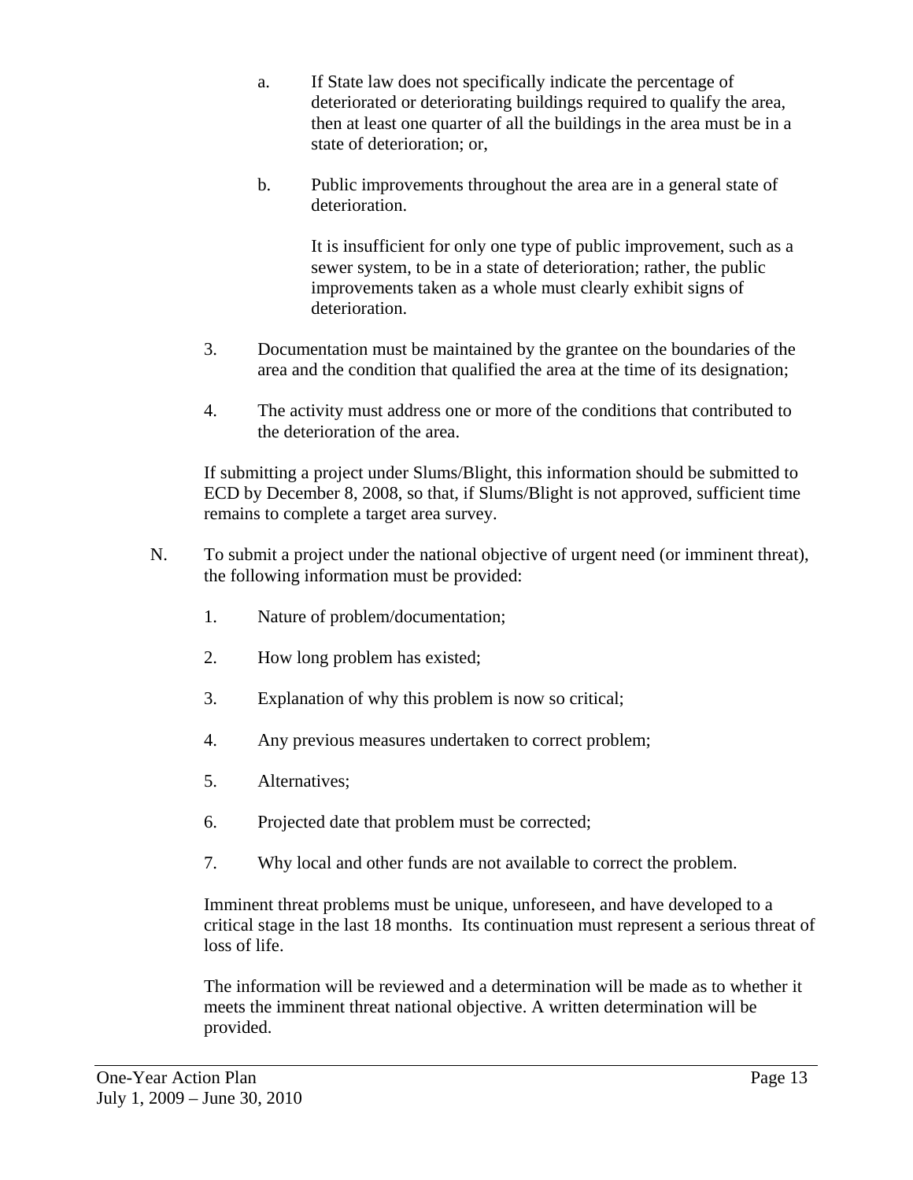- a. If State law does not specifically indicate the percentage of deteriorated or deteriorating buildings required to qualify the area, then at least one quarter of all the buildings in the area must be in a state of deterioration; or,
- b. Public improvements throughout the area are in a general state of deterioration.

 It is insufficient for only one type of public improvement, such as a sewer system, to be in a state of deterioration; rather, the public improvements taken as a whole must clearly exhibit signs of deterioration.

- 3. Documentation must be maintained by the grantee on the boundaries of the area and the condition that qualified the area at the time of its designation;
- 4. The activity must address one or more of the conditions that contributed to the deterioration of the area.

If submitting a project under Slums/Blight, this information should be submitted to ECD by December 8, 2008, so that, if Slums/Blight is not approved, sufficient time remains to complete a target area survey.

- N. To submit a project under the national objective of urgent need (or imminent threat), the following information must be provided:
	- 1. Nature of problem/documentation;
	- 2. How long problem has existed;
	- 3. Explanation of why this problem is now so critical;
	- 4. Any previous measures undertaken to correct problem;
	- 5. Alternatives;
	- 6. Projected date that problem must be corrected;
	- 7. Why local and other funds are not available to correct the problem.

Imminent threat problems must be unique, unforeseen, and have developed to a critical stage in the last 18 months. Its continuation must represent a serious threat of loss of life.

The information will be reviewed and a determination will be made as to whether it meets the imminent threat national objective. A written determination will be provided.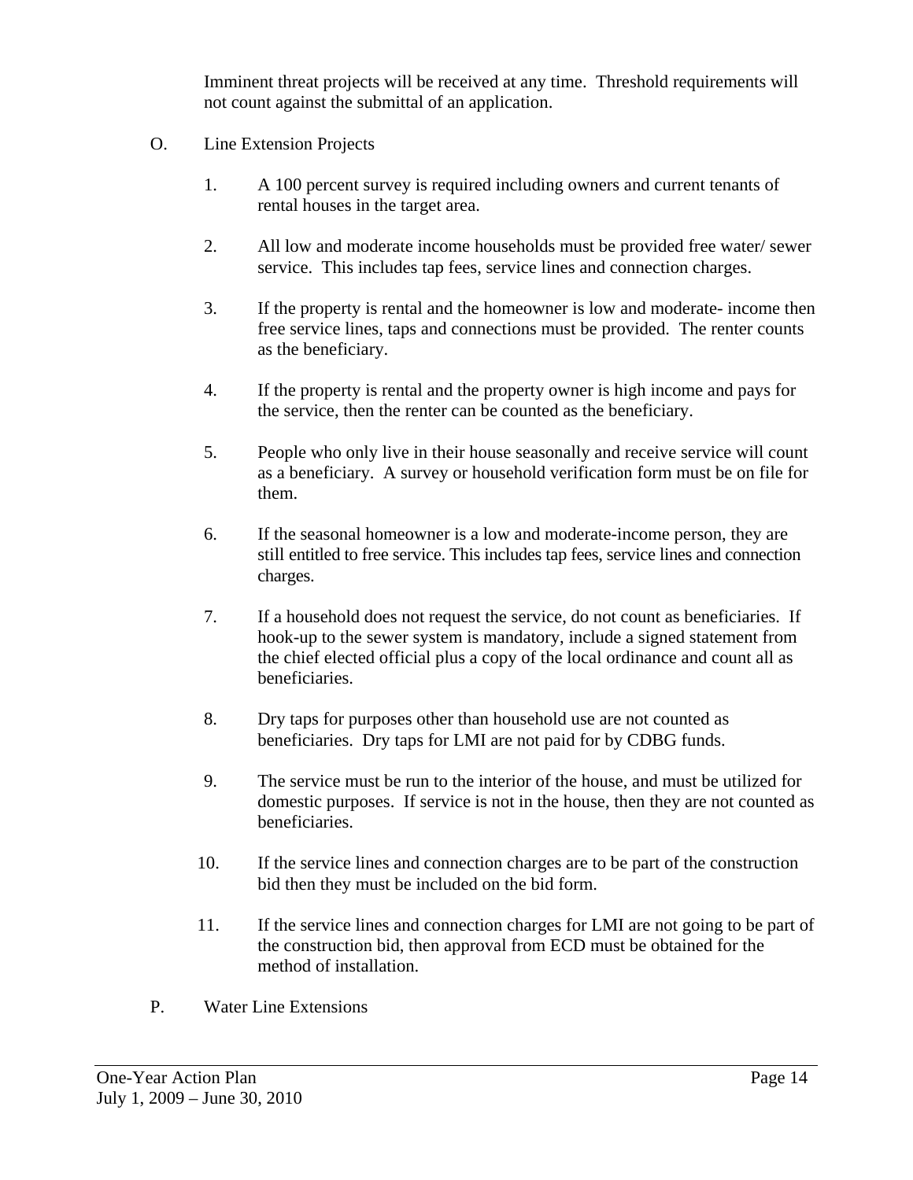Imminent threat projects will be received at any time. Threshold requirements will not count against the submittal of an application.

- O. Line Extension Projects
	- 1. A 100 percent survey is required including owners and current tenants of rental houses in the target area.
	- 2. All low and moderate income households must be provided free water/ sewer service. This includes tap fees, service lines and connection charges.
	- 3. If the property is rental and the homeowner is low and moderate- income then free service lines, taps and connections must be provided. The renter counts as the beneficiary.
	- 4. If the property is rental and the property owner is high income and pays for the service, then the renter can be counted as the beneficiary.
	- 5. People who only live in their house seasonally and receive service will count as a beneficiary. A survey or household verification form must be on file for them.
	- 6. If the seasonal homeowner is a low and moderate-income person, they are still entitled to free service. This includes tap fees, service lines and connection charges.
	- 7. If a household does not request the service, do not count as beneficiaries. If hook-up to the sewer system is mandatory, include a signed statement from the chief elected official plus a copy of the local ordinance and count all as beneficiaries.
	- 8. Dry taps for purposes other than household use are not counted as beneficiaries. Dry taps for LMI are not paid for by CDBG funds.
	- 9. The service must be run to the interior of the house, and must be utilized for domestic purposes. If service is not in the house, then they are not counted as beneficiaries.
	- 10. If the service lines and connection charges are to be part of the construction bid then they must be included on the bid form.
	- 11. If the service lines and connection charges for LMI are not going to be part of the construction bid, then approval from ECD must be obtained for the method of installation.
- P. Water Line Extensions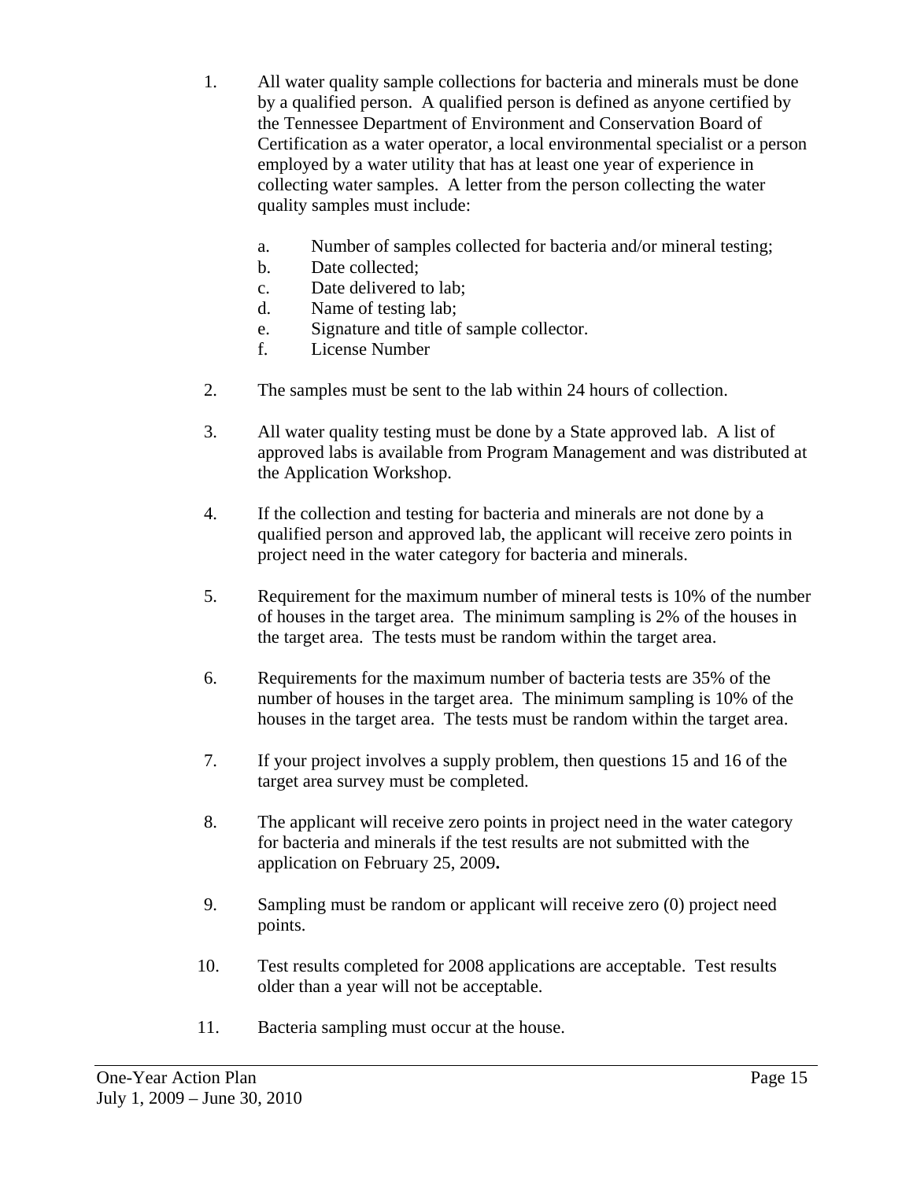- 1. All water quality sample collections for bacteria and minerals must be done by a qualified person. A qualified person is defined as anyone certified by the Tennessee Department of Environment and Conservation Board of Certification as a water operator, a local environmental specialist or a person employed by a water utility that has at least one year of experience in collecting water samples. A letter from the person collecting the water quality samples must include:
	- a. Number of samples collected for bacteria and/or mineral testing;
	- b. Date collected;
	- c. Date delivered to lab;
	- d. Name of testing lab;
	- e. Signature and title of sample collector.
	- f. License Number
- 2. The samples must be sent to the lab within 24 hours of collection.
- 3. All water quality testing must be done by a State approved lab. A list of approved labs is available from Program Management and was distributed at the Application Workshop.
- 4. If the collection and testing for bacteria and minerals are not done by a qualified person and approved lab, the applicant will receive zero points in project need in the water category for bacteria and minerals.
- 5. Requirement for the maximum number of mineral tests is 10% of the number of houses in the target area. The minimum sampling is 2% of the houses in the target area. The tests must be random within the target area.
- 6. Requirements for the maximum number of bacteria tests are 35% of the number of houses in the target area. The minimum sampling is 10% of the houses in the target area. The tests must be random within the target area.
- 7. If your project involves a supply problem, then questions 15 and 16 of the target area survey must be completed.
- 8. The applicant will receive zero points in project need in the water category for bacteria and minerals if the test results are not submitted with the application on February 25, 2009**.**
- 9. Sampling must be random or applicant will receive zero (0) project need points.
- 10. Test results completed for 2008 applications are acceptable. Test results older than a year will not be acceptable.
- 11. Bacteria sampling must occur at the house.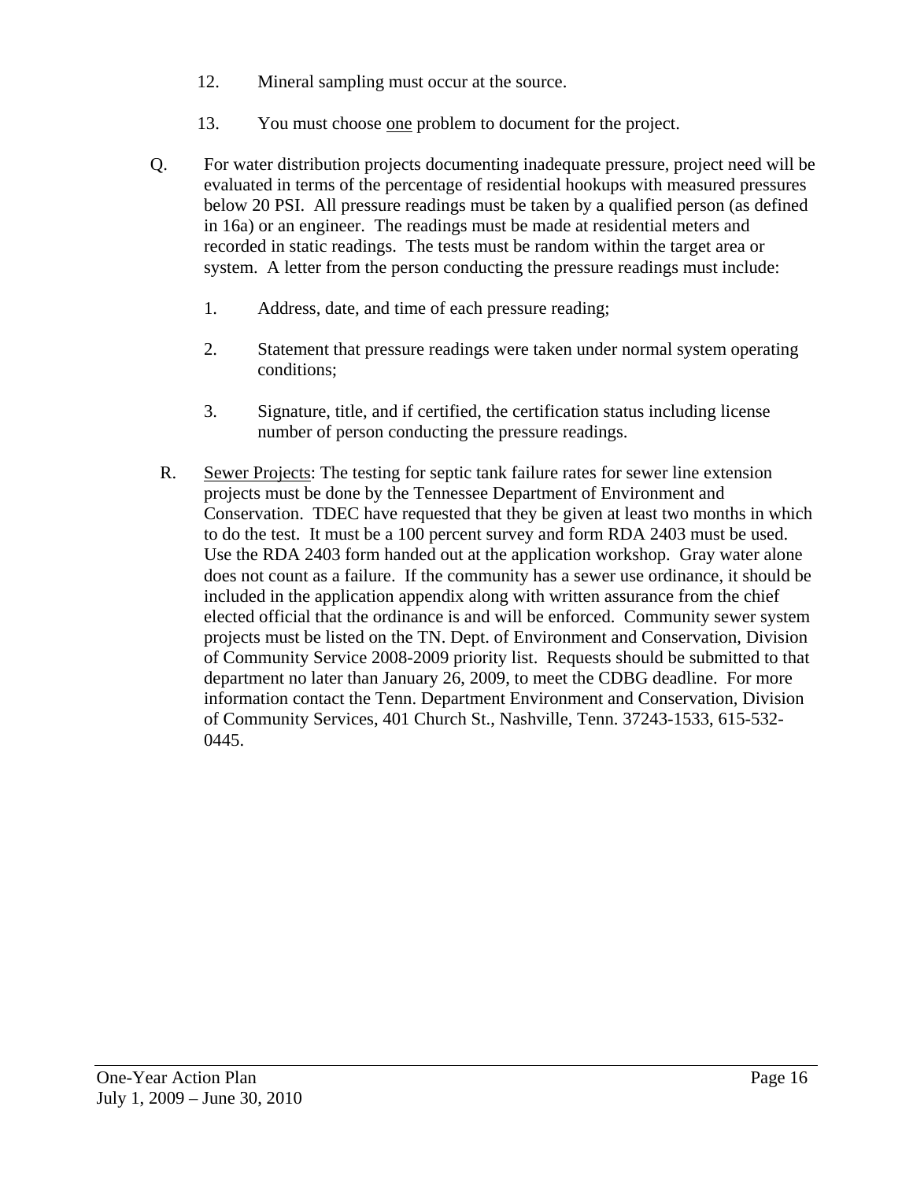- 12. Mineral sampling must occur at the source.
- 13. You must choose one problem to document for the project.
- Q. For water distribution projects documenting inadequate pressure, project need will be evaluated in terms of the percentage of residential hookups with measured pressures below 20 PSI. All pressure readings must be taken by a qualified person (as defined in 16a) or an engineer. The readings must be made at residential meters and recorded in static readings. The tests must be random within the target area or system. A letter from the person conducting the pressure readings must include:
	- 1. Address, date, and time of each pressure reading;
	- 2. Statement that pressure readings were taken under normal system operating conditions;
	- 3. Signature, title, and if certified, the certification status including license number of person conducting the pressure readings.
- R. Sewer Projects: The testing for septic tank failure rates for sewer line extension projects must be done by the Tennessee Department of Environment and Conservation. TDEC have requested that they be given at least two months in which to do the test. It must be a 100 percent survey and form RDA 2403 must be used. Use the RDA 2403 form handed out at the application workshop. Gray water alone does not count as a failure. If the community has a sewer use ordinance, it should be included in the application appendix along with written assurance from the chief elected official that the ordinance is and will be enforced. Community sewer system projects must be listed on the TN. Dept. of Environment and Conservation, Division of Community Service 2008-2009 priority list. Requests should be submitted to that department no later than January 26, 2009, to meet the CDBG deadline. For more information contact the Tenn. Department Environment and Conservation, Division of Community Services, 401 Church St., Nashville, Tenn. 37243-1533, 615-532- 0445.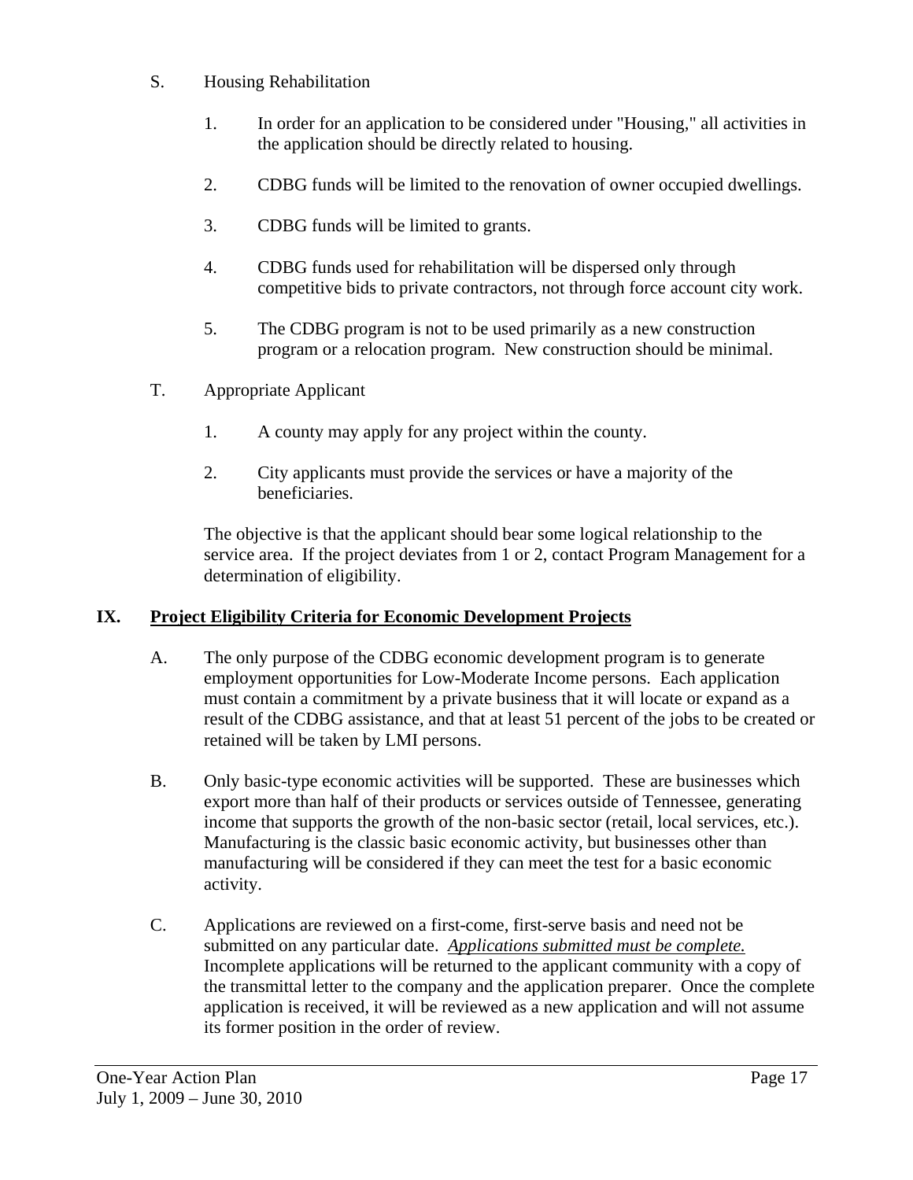- S. Housing Rehabilitation
	- 1. In order for an application to be considered under "Housing," all activities in the application should be directly related to housing.
	- 2. CDBG funds will be limited to the renovation of owner occupied dwellings.
	- 3. CDBG funds will be limited to grants.
	- 4. CDBG funds used for rehabilitation will be dispersed only through competitive bids to private contractors, not through force account city work.
	- 5. The CDBG program is not to be used primarily as a new construction program or a relocation program. New construction should be minimal.
- T. Appropriate Applicant
	- 1. A county may apply for any project within the county.
	- 2. City applicants must provide the services or have a majority of the beneficiaries.

The objective is that the applicant should bear some logical relationship to the service area. If the project deviates from 1 or 2, contact Program Management for a determination of eligibility.

# **IX. Project Eligibility Criteria for Economic Development Projects**

- A. The only purpose of the CDBG economic development program is to generate employment opportunities for Low-Moderate Income persons. Each application must contain a commitment by a private business that it will locate or expand as a result of the CDBG assistance, and that at least 51 percent of the jobs to be created or retained will be taken by LMI persons.
- B. Only basic-type economic activities will be supported. These are businesses which export more than half of their products or services outside of Tennessee, generating income that supports the growth of the non-basic sector (retail, local services, etc.). Manufacturing is the classic basic economic activity, but businesses other than manufacturing will be considered if they can meet the test for a basic economic activity.
- C. Applications are reviewed on a first-come, first-serve basis and need not be submitted on any particular date. *Applications submitted must be complete.* Incomplete applications will be returned to the applicant community with a copy of the transmittal letter to the company and the application preparer. Once the complete application is received, it will be reviewed as a new application and will not assume its former position in the order of review.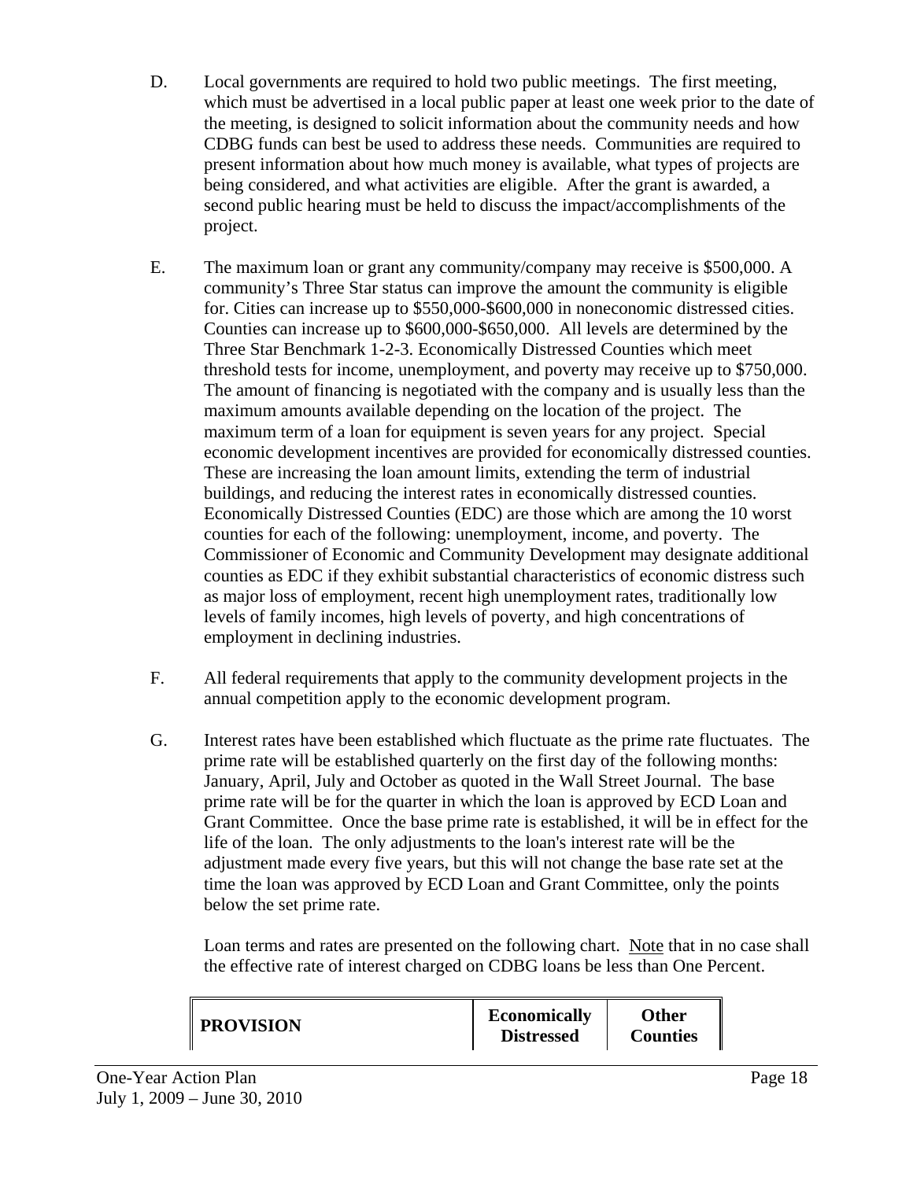- D. Local governments are required to hold two public meetings. The first meeting, which must be advertised in a local public paper at least one week prior to the date of the meeting, is designed to solicit information about the community needs and how CDBG funds can best be used to address these needs. Communities are required to present information about how much money is available, what types of projects are being considered, and what activities are eligible. After the grant is awarded, a second public hearing must be held to discuss the impact/accomplishments of the project.
- E. The maximum loan or grant any community/company may receive is \$500,000. A community's Three Star status can improve the amount the community is eligible for. Cities can increase up to \$550,000-\$600,000 in noneconomic distressed cities. Counties can increase up to \$600,000-\$650,000. All levels are determined by the Three Star Benchmark 1-2-3. Economically Distressed Counties which meet threshold tests for income, unemployment, and poverty may receive up to \$750,000. The amount of financing is negotiated with the company and is usually less than the maximum amounts available depending on the location of the project. The maximum term of a loan for equipment is seven years for any project. Special economic development incentives are provided for economically distressed counties. These are increasing the loan amount limits, extending the term of industrial buildings, and reducing the interest rates in economically distressed counties. Economically Distressed Counties (EDC) are those which are among the 10 worst counties for each of the following: unemployment, income, and poverty. The Commissioner of Economic and Community Development may designate additional counties as EDC if they exhibit substantial characteristics of economic distress such as major loss of employment, recent high unemployment rates, traditionally low levels of family incomes, high levels of poverty, and high concentrations of employment in declining industries.
- F. All federal requirements that apply to the community development projects in the annual competition apply to the economic development program.
- G. Interest rates have been established which fluctuate as the prime rate fluctuates. The prime rate will be established quarterly on the first day of the following months: January, April, July and October as quoted in the Wall Street Journal. The base prime rate will be for the quarter in which the loan is approved by ECD Loan and Grant Committee. Once the base prime rate is established, it will be in effect for the life of the loan. The only adjustments to the loan's interest rate will be the adjustment made every five years, but this will not change the base rate set at the time the loan was approved by ECD Loan and Grant Committee, only the points below the set prime rate.

Loan terms and rates are presented on the following chart. Note that in no case shall the effective rate of interest charged on CDBG loans be less than One Percent.

| <b>PROVISION</b> | <b>Economically</b><br><b>Distressed</b> | <b>Other</b><br><b>Counties</b> |
|------------------|------------------------------------------|---------------------------------|
|------------------|------------------------------------------|---------------------------------|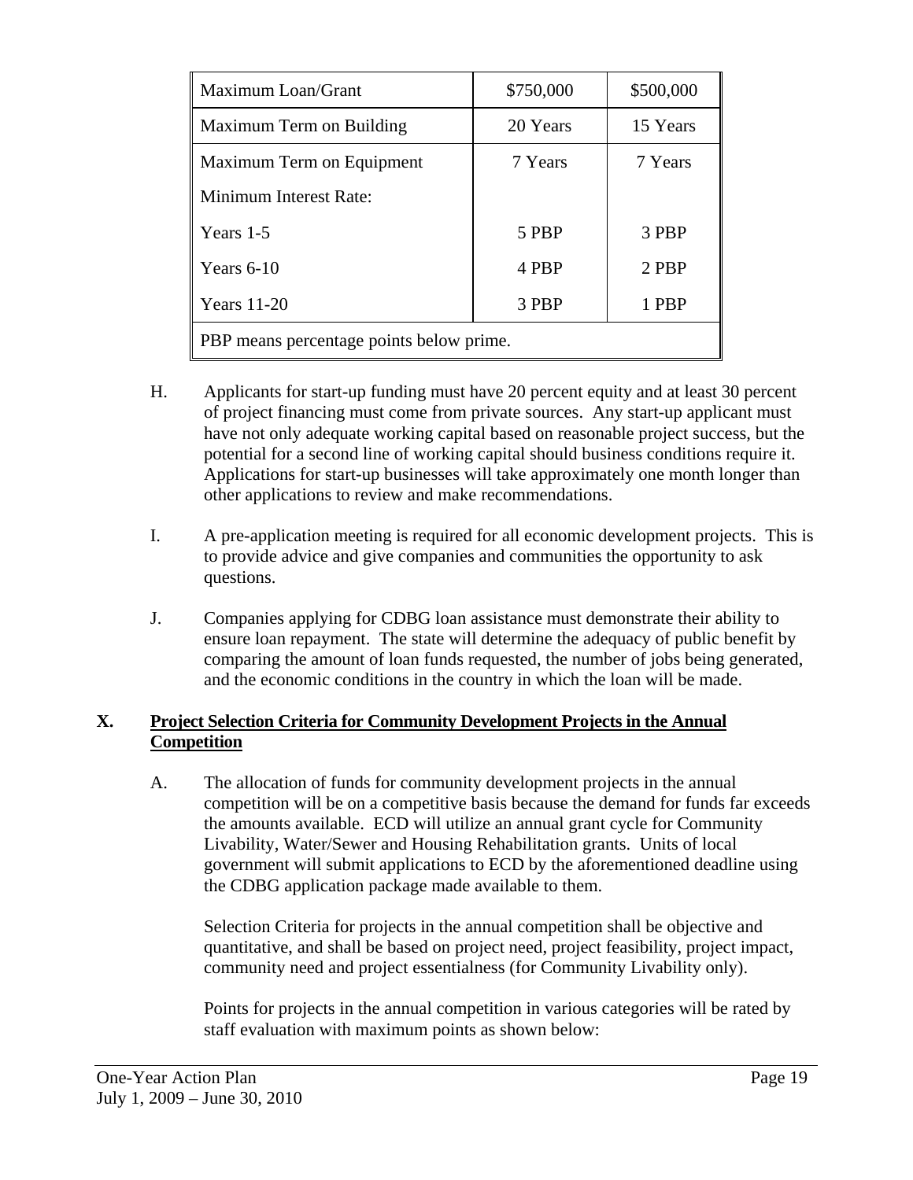| Maximum Loan/Grant                       | \$750,000 | \$500,000 |  |
|------------------------------------------|-----------|-----------|--|
| Maximum Term on Building                 | 20 Years  | 15 Years  |  |
| Maximum Term on Equipment                | 7 Years   | 7 Years   |  |
| Minimum Interest Rate:                   |           |           |  |
| Years 1-5                                | 5 PBP     | 3 PBP     |  |
| 4 PBP<br>Years $6-10$                    |           | 2 PBP     |  |
| <b>Years</b> 11-20<br>3 PBP              |           | 1 PBP     |  |
| PBP means percentage points below prime. |           |           |  |

- H. Applicants for start-up funding must have 20 percent equity and at least 30 percent of project financing must come from private sources. Any start-up applicant must have not only adequate working capital based on reasonable project success, but the potential for a second line of working capital should business conditions require it. Applications for start-up businesses will take approximately one month longer than other applications to review and make recommendations.
- I. A pre-application meeting is required for all economic development projects. This is to provide advice and give companies and communities the opportunity to ask questions.
- J. Companies applying for CDBG loan assistance must demonstrate their ability to ensure loan repayment. The state will determine the adequacy of public benefit by comparing the amount of loan funds requested, the number of jobs being generated, and the economic conditions in the country in which the loan will be made.

# **X. Project Selection Criteria for Community Development Projects in the Annual Competition**

A. The allocation of funds for community development projects in the annual competition will be on a competitive basis because the demand for funds far exceeds the amounts available. ECD will utilize an annual grant cycle for Community Livability, Water/Sewer and Housing Rehabilitation grants. Units of local government will submit applications to ECD by the aforementioned deadline using the CDBG application package made available to them.

Selection Criteria for projects in the annual competition shall be objective and quantitative, and shall be based on project need, project feasibility, project impact, community need and project essentialness (for Community Livability only).

Points for projects in the annual competition in various categories will be rated by staff evaluation with maximum points as shown below: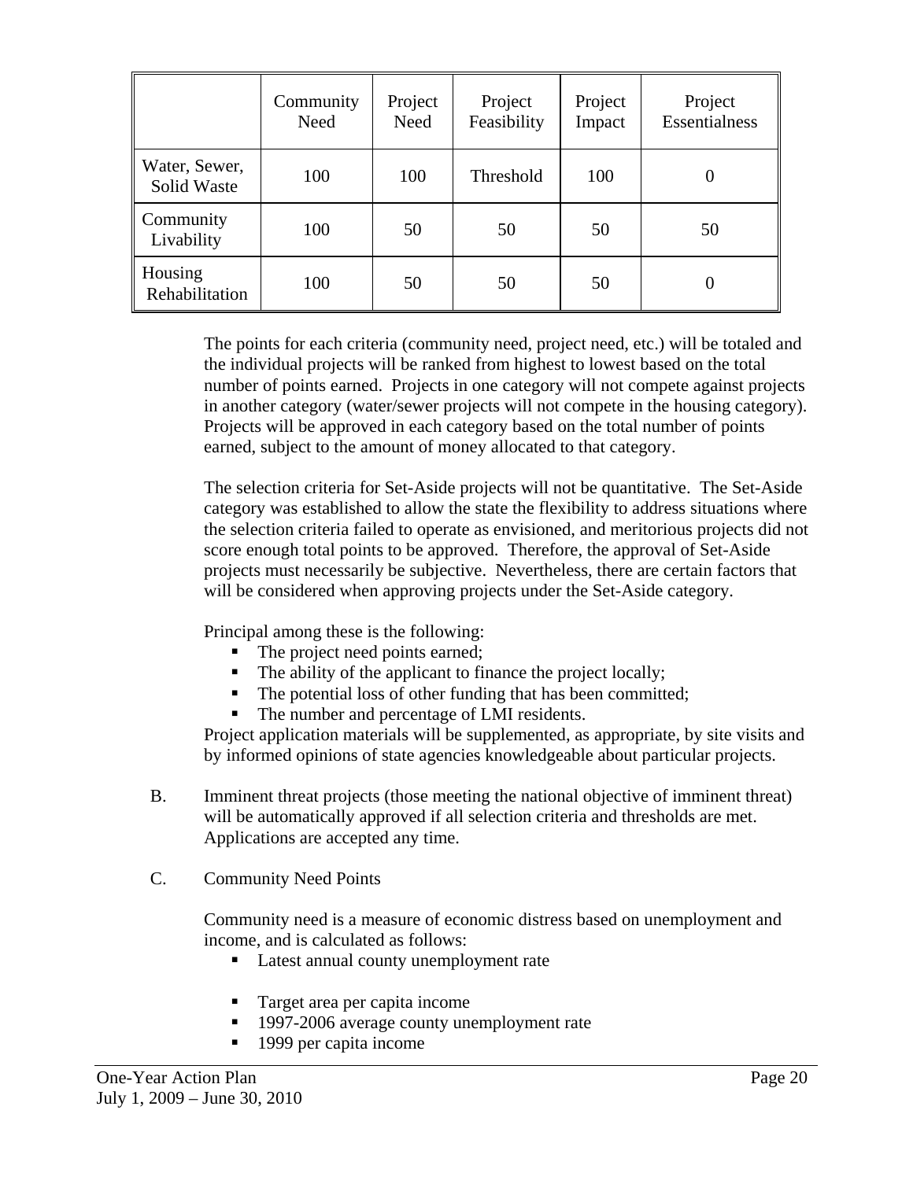|                              | Community<br>Need | Project<br>Need | Project<br>Feasibility | Project<br>Impact | Project<br>Essentialness |
|------------------------------|-------------------|-----------------|------------------------|-------------------|--------------------------|
| Water, Sewer,<br>Solid Waste | 100               | 100             | Threshold              | 100               |                          |
| Community<br>Livability      | 100               | 50              | 50                     | 50                | 50                       |
| Housing<br>Rehabilitation    | 100               | 50              | 50                     | 50                |                          |

The points for each criteria (community need, project need, etc.) will be totaled and the individual projects will be ranked from highest to lowest based on the total number of points earned. Projects in one category will not compete against projects in another category (water/sewer projects will not compete in the housing category). Projects will be approved in each category based on the total number of points earned, subject to the amount of money allocated to that category.

The selection criteria for Set-Aside projects will not be quantitative. The Set-Aside category was established to allow the state the flexibility to address situations where the selection criteria failed to operate as envisioned, and meritorious projects did not score enough total points to be approved. Therefore, the approval of Set-Aside projects must necessarily be subjective. Nevertheless, there are certain factors that will be considered when approving projects under the Set-Aside category.

Principal among these is the following:

- The project need points earned;
- The ability of the applicant to finance the project locally;
- The potential loss of other funding that has been committed;
- The number and percentage of LMI residents.

Project application materials will be supplemented, as appropriate, by site visits and by informed opinions of state agencies knowledgeable about particular projects.

- B. Imminent threat projects (those meeting the national objective of imminent threat) will be automatically approved if all selection criteria and thresholds are met. Applications are accepted any time.
- C. Community Need Points

Community need is a measure of economic distress based on unemployment and income, and is calculated as follows:

- Latest annual county unemployment rate
- Target area per capita income
- <sup>1997-2006</sup> average county unemployment rate
- 1999 per capita income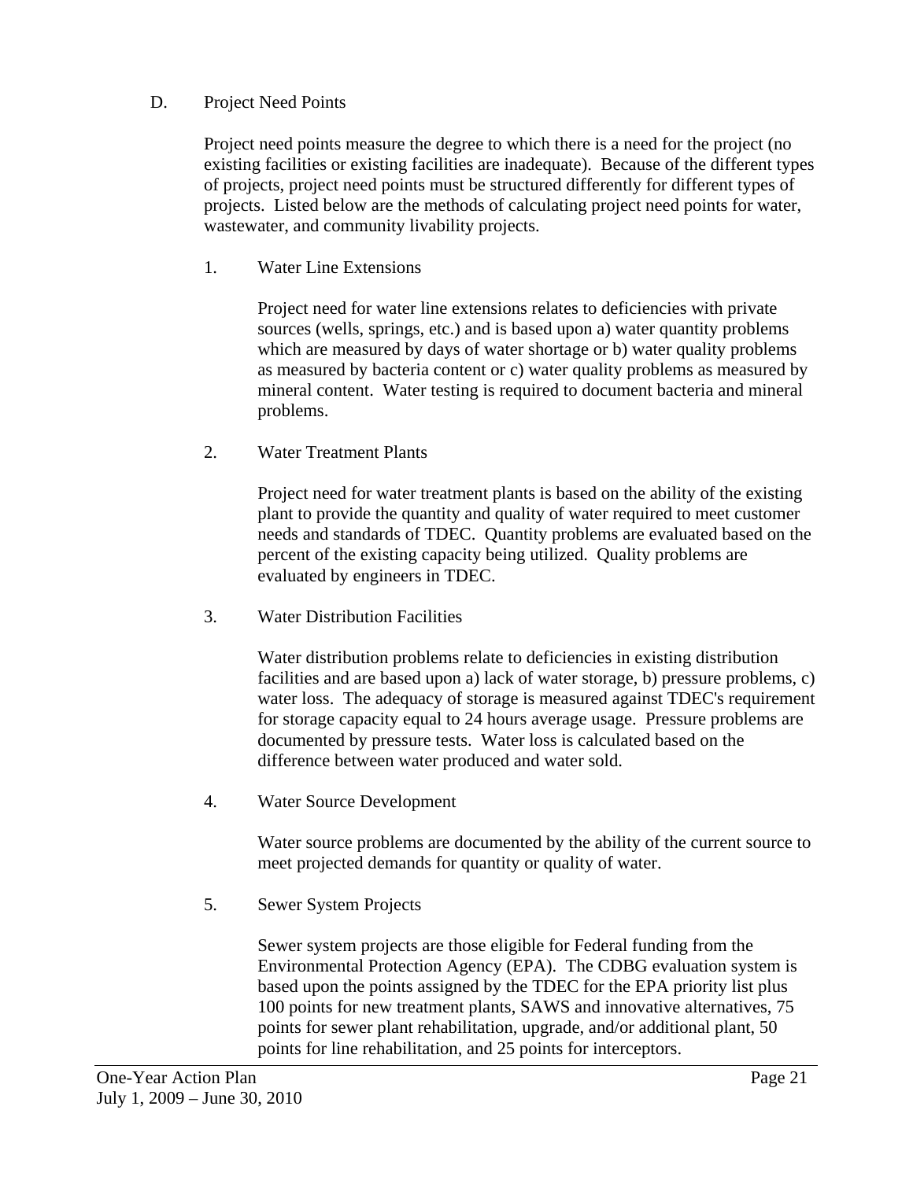# D. Project Need Points

Project need points measure the degree to which there is a need for the project (no existing facilities or existing facilities are inadequate). Because of the different types of projects, project need points must be structured differently for different types of projects. Listed below are the methods of calculating project need points for water, wastewater, and community livability projects.

1. Water Line Extensions

Project need for water line extensions relates to deficiencies with private sources (wells, springs, etc.) and is based upon a) water quantity problems which are measured by days of water shortage or b) water quality problems as measured by bacteria content or c) water quality problems as measured by mineral content. Water testing is required to document bacteria and mineral problems.

2. Water Treatment Plants

Project need for water treatment plants is based on the ability of the existing plant to provide the quantity and quality of water required to meet customer needs and standards of TDEC. Quantity problems are evaluated based on the percent of the existing capacity being utilized. Quality problems are evaluated by engineers in TDEC.

3. Water Distribution Facilities

Water distribution problems relate to deficiencies in existing distribution facilities and are based upon a) lack of water storage, b) pressure problems, c) water loss. The adequacy of storage is measured against TDEC's requirement for storage capacity equal to 24 hours average usage. Pressure problems are documented by pressure tests. Water loss is calculated based on the difference between water produced and water sold.

4. Water Source Development

Water source problems are documented by the ability of the current source to meet projected demands for quantity or quality of water.

5. Sewer System Projects

Sewer system projects are those eligible for Federal funding from the Environmental Protection Agency (EPA). The CDBG evaluation system is based upon the points assigned by the TDEC for the EPA priority list plus 100 points for new treatment plants, SAWS and innovative alternatives, 75 points for sewer plant rehabilitation, upgrade, and/or additional plant, 50 points for line rehabilitation, and 25 points for interceptors.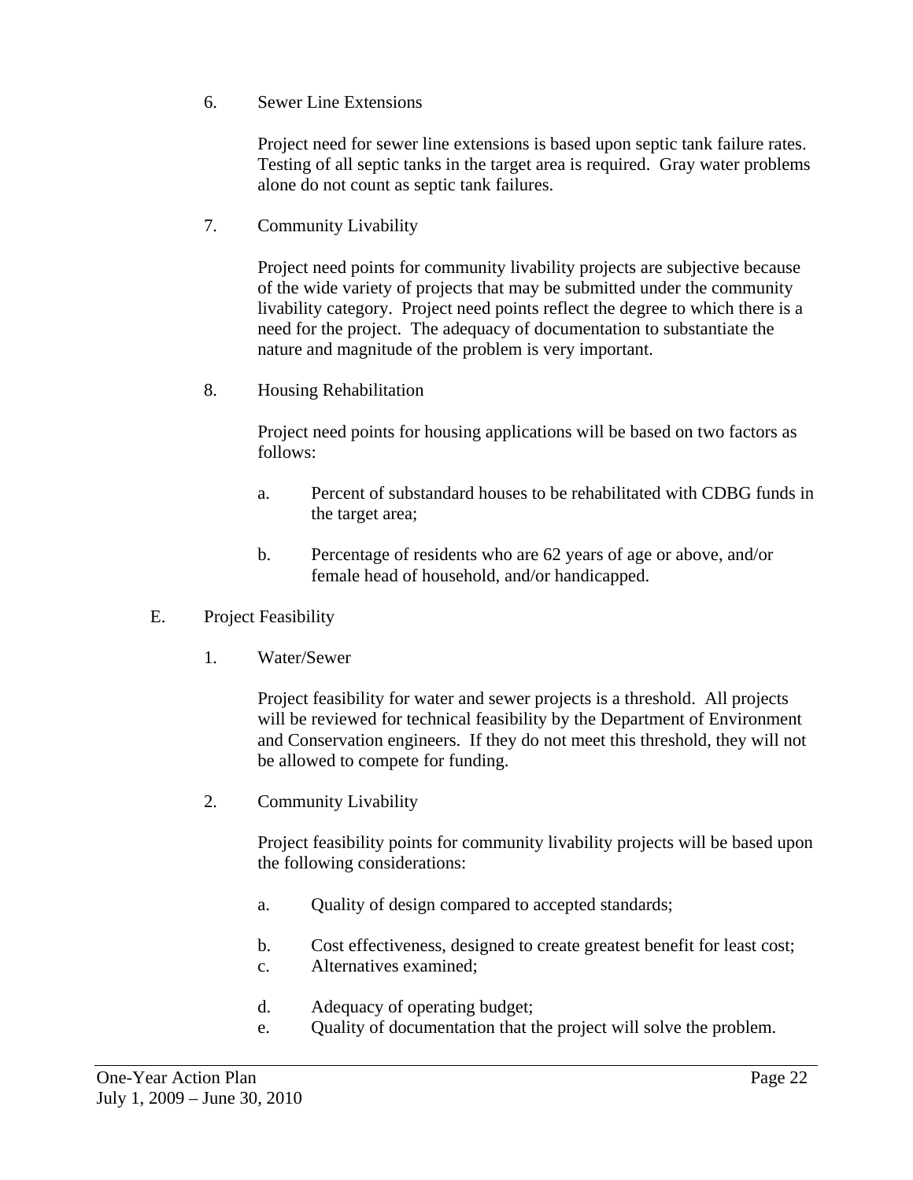6. Sewer Line Extensions

Project need for sewer line extensions is based upon septic tank failure rates. Testing of all septic tanks in the target area is required. Gray water problems alone do not count as septic tank failures.

7. Community Livability

Project need points for community livability projects are subjective because of the wide variety of projects that may be submitted under the community livability category. Project need points reflect the degree to which there is a need for the project. The adequacy of documentation to substantiate the nature and magnitude of the problem is very important.

8. Housing Rehabilitation

Project need points for housing applications will be based on two factors as follows:

- a. Percent of substandard houses to be rehabilitated with CDBG funds in the target area;
- b. Percentage of residents who are 62 years of age or above, and/or female head of household, and/or handicapped.
- E. Project Feasibility
	- 1. Water/Sewer

Project feasibility for water and sewer projects is a threshold. All projects will be reviewed for technical feasibility by the Department of Environment and Conservation engineers. If they do not meet this threshold, they will not be allowed to compete for funding.

2. Community Livability

Project feasibility points for community livability projects will be based upon the following considerations:

- a. Quality of design compared to accepted standards;
- b. Cost effectiveness, designed to create greatest benefit for least cost;
- c. Alternatives examined;
- d. Adequacy of operating budget;
- e. Quality of documentation that the project will solve the problem.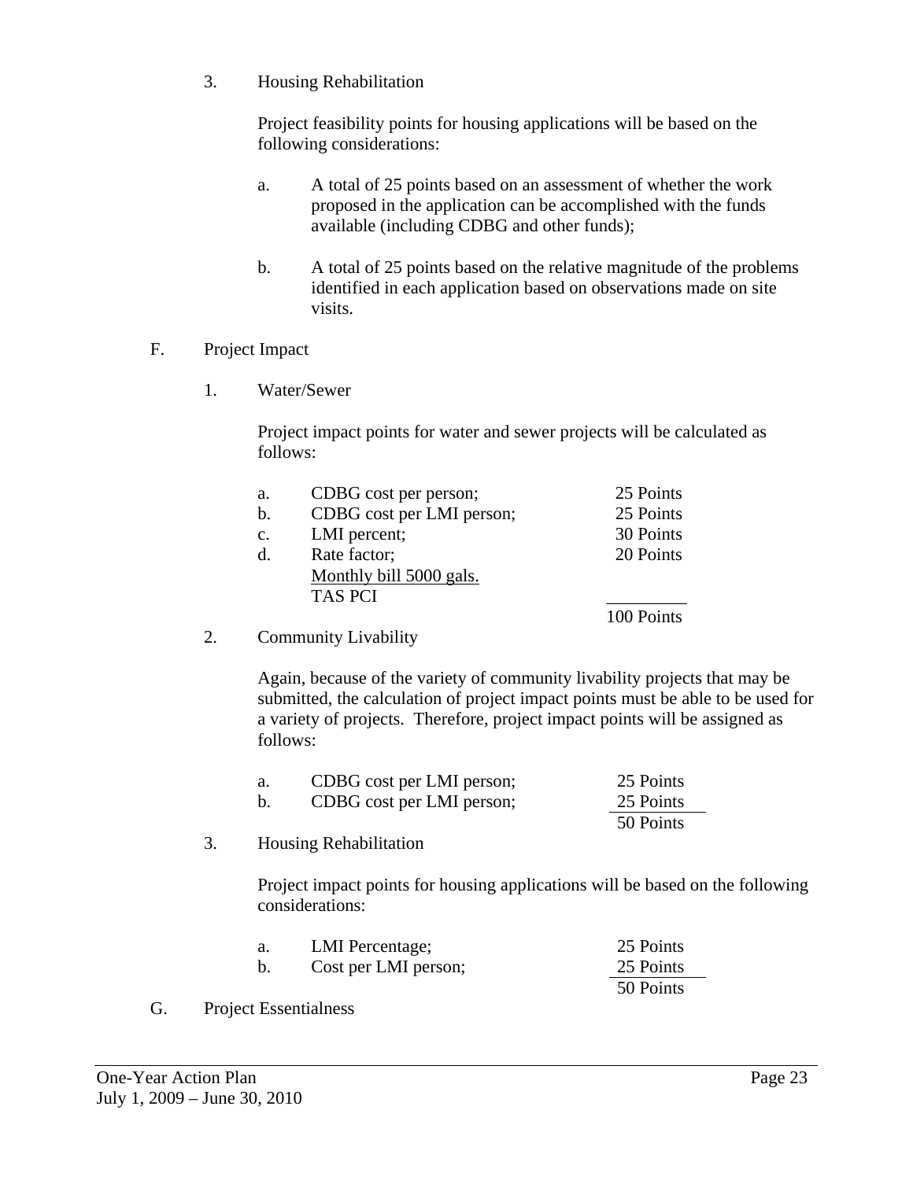3. Housing Rehabilitation

Project feasibility points for housing applications will be based on the following considerations:

- a. A total of 25 points based on an assessment of whether the work proposed in the application can be accomplished with the funds available (including CDBG and other funds);
- b. A total of 25 points based on the relative magnitude of the problems identified in each application based on observations made on site visits.
- F. Project Impact
	- 1. Water/Sewer

Project impact points for water and sewer projects will be calculated as follows:

| a.             | CDBG cost per person;     | 25 Points  |
|----------------|---------------------------|------------|
| $\mathbf b$ .  | CDBG cost per LMI person; | 25 Points  |
| $\mathbf{c}$ . | LMI percent;              | 30 Points  |
| $d$ .          | Rate factor;              | 20 Points  |
|                | Monthly bill 5000 gals.   |            |
|                | <b>TAS PCI</b>            |            |
|                |                           | 100 Points |

2. Community Livability

Again, because of the variety of community livability projects that may be submitted, the calculation of project impact points must be able to be used for a variety of projects. Therefore, project impact points will be assigned as follows:

| a. | CDBG cost per LMI person; | 25 Points |
|----|---------------------------|-----------|
|    | CDBG cost per LMI person; | 25 Points |
|    |                           | 50 Points |

3. Housing Rehabilitation

Project impact points for housing applications will be based on the following considerations:

| a. | LMI Percentage;      | 25 Points |
|----|----------------------|-----------|
|    | Cost per LMI person; | 25 Points |
|    |                      | 50 Points |

G. Project Essentialness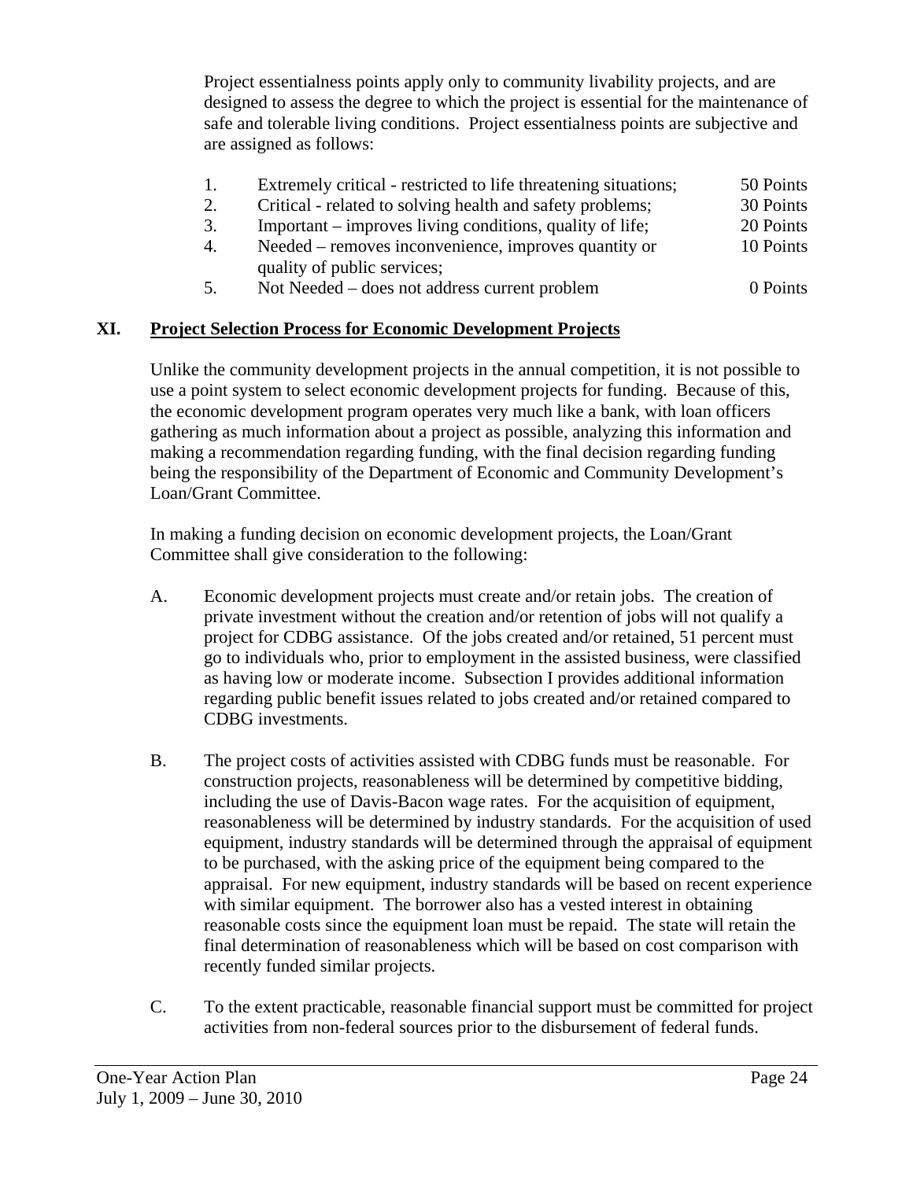Project essentialness points apply only to community livability projects, and are designed to assess the degree to which the project is essential for the maintenance of safe and tolerable living conditions. Project essentialness points are subjective and are assigned as follows:

- 1. Extremely critical restricted to life threatening situations; 50 Points 2. Critical - related to solving health and safety problems; 30 Points 3. Important – improves living conditions, quality of life; 20 Points
- 4. Needed removes inconvenience, improves quantity or 10 Points quality of public services;
- 5. Not Needed does not address current problem 0 Points

# **XI. Project Selection Process for Economic Development Projects**

Unlike the community development projects in the annual competition, it is not possible to use a point system to select economic development projects for funding. Because of this, the economic development program operates very much like a bank, with loan officers gathering as much information about a project as possible, analyzing this information and making a recommendation regarding funding, with the final decision regarding funding being the responsibility of the Department of Economic and Community Development's Loan/Grant Committee.

In making a funding decision on economic development projects, the Loan/Grant Committee shall give consideration to the following:

- A. Economic development projects must create and/or retain jobs. The creation of private investment without the creation and/or retention of jobs will not qualify a project for CDBG assistance. Of the jobs created and/or retained, 51 percent must go to individuals who, prior to employment in the assisted business, were classified as having low or moderate income. Subsection I provides additional information regarding public benefit issues related to jobs created and/or retained compared to CDBG investments.
- B. The project costs of activities assisted with CDBG funds must be reasonable. For construction projects, reasonableness will be determined by competitive bidding, including the use of Davis-Bacon wage rates. For the acquisition of equipment, reasonableness will be determined by industry standards. For the acquisition of used equipment, industry standards will be determined through the appraisal of equipment to be purchased, with the asking price of the equipment being compared to the appraisal. For new equipment, industry standards will be based on recent experience with similar equipment. The borrower also has a vested interest in obtaining reasonable costs since the equipment loan must be repaid. The state will retain the final determination of reasonableness which will be based on cost comparison with recently funded similar projects.
- C. To the extent practicable, reasonable financial support must be committed for project activities from non-federal sources prior to the disbursement of federal funds.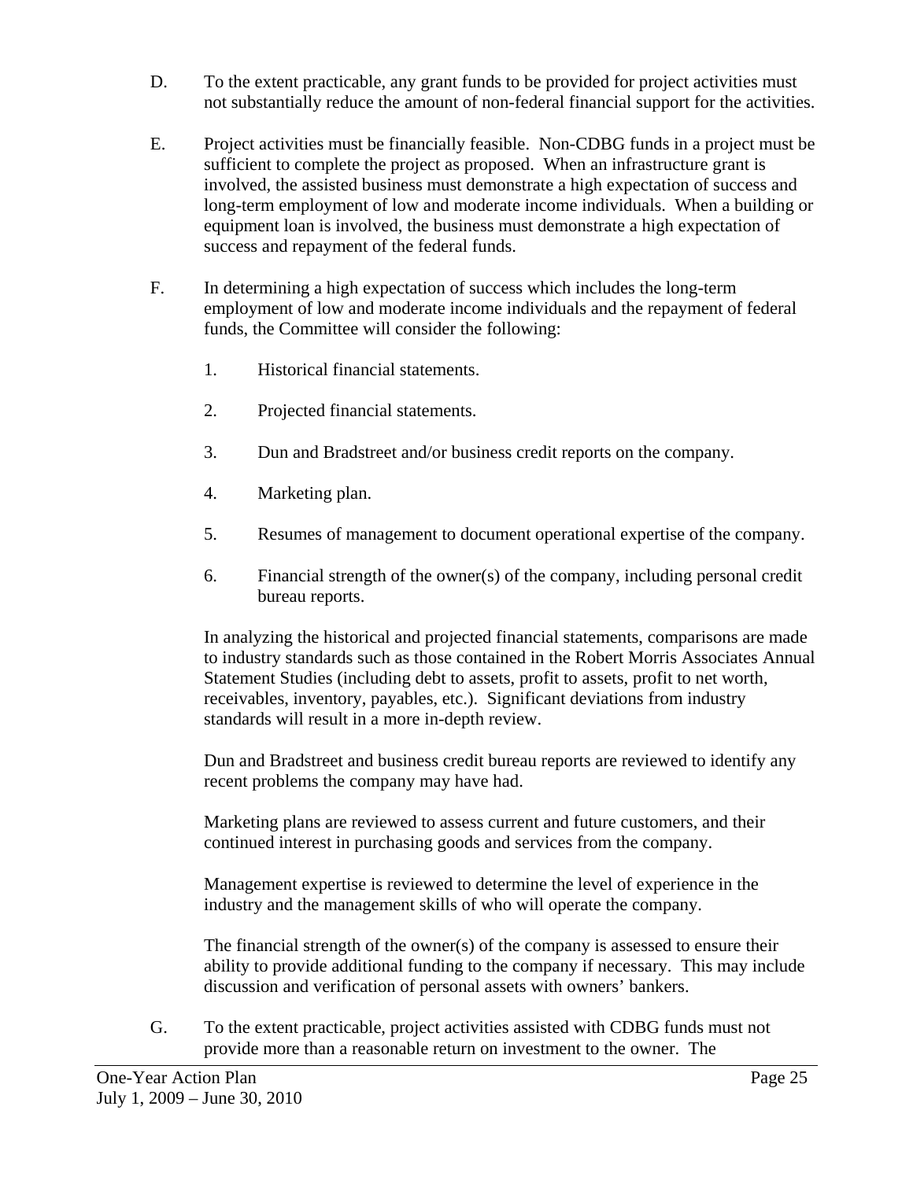- D. To the extent practicable, any grant funds to be provided for project activities must not substantially reduce the amount of non-federal financial support for the activities.
- E. Project activities must be financially feasible. Non-CDBG funds in a project must be sufficient to complete the project as proposed. When an infrastructure grant is involved, the assisted business must demonstrate a high expectation of success and long-term employment of low and moderate income individuals. When a building or equipment loan is involved, the business must demonstrate a high expectation of success and repayment of the federal funds.
- F. In determining a high expectation of success which includes the long-term employment of low and moderate income individuals and the repayment of federal funds, the Committee will consider the following:
	- 1. Historical financial statements.
	- 2. Projected financial statements.
	- 3. Dun and Bradstreet and/or business credit reports on the company.
	- 4. Marketing plan.
	- 5. Resumes of management to document operational expertise of the company.
	- 6. Financial strength of the owner(s) of the company, including personal credit bureau reports.

 In analyzing the historical and projected financial statements, comparisons are made to industry standards such as those contained in the Robert Morris Associates Annual Statement Studies (including debt to assets, profit to assets, profit to net worth, receivables, inventory, payables, etc.). Significant deviations from industry standards will result in a more in-depth review.

 Dun and Bradstreet and business credit bureau reports are reviewed to identify any recent problems the company may have had.

 Marketing plans are reviewed to assess current and future customers, and their continued interest in purchasing goods and services from the company.

 Management expertise is reviewed to determine the level of experience in the industry and the management skills of who will operate the company.

 The financial strength of the owner(s) of the company is assessed to ensure their ability to provide additional funding to the company if necessary. This may include discussion and verification of personal assets with owners' bankers.

G. To the extent practicable, project activities assisted with CDBG funds must not provide more than a reasonable return on investment to the owner. The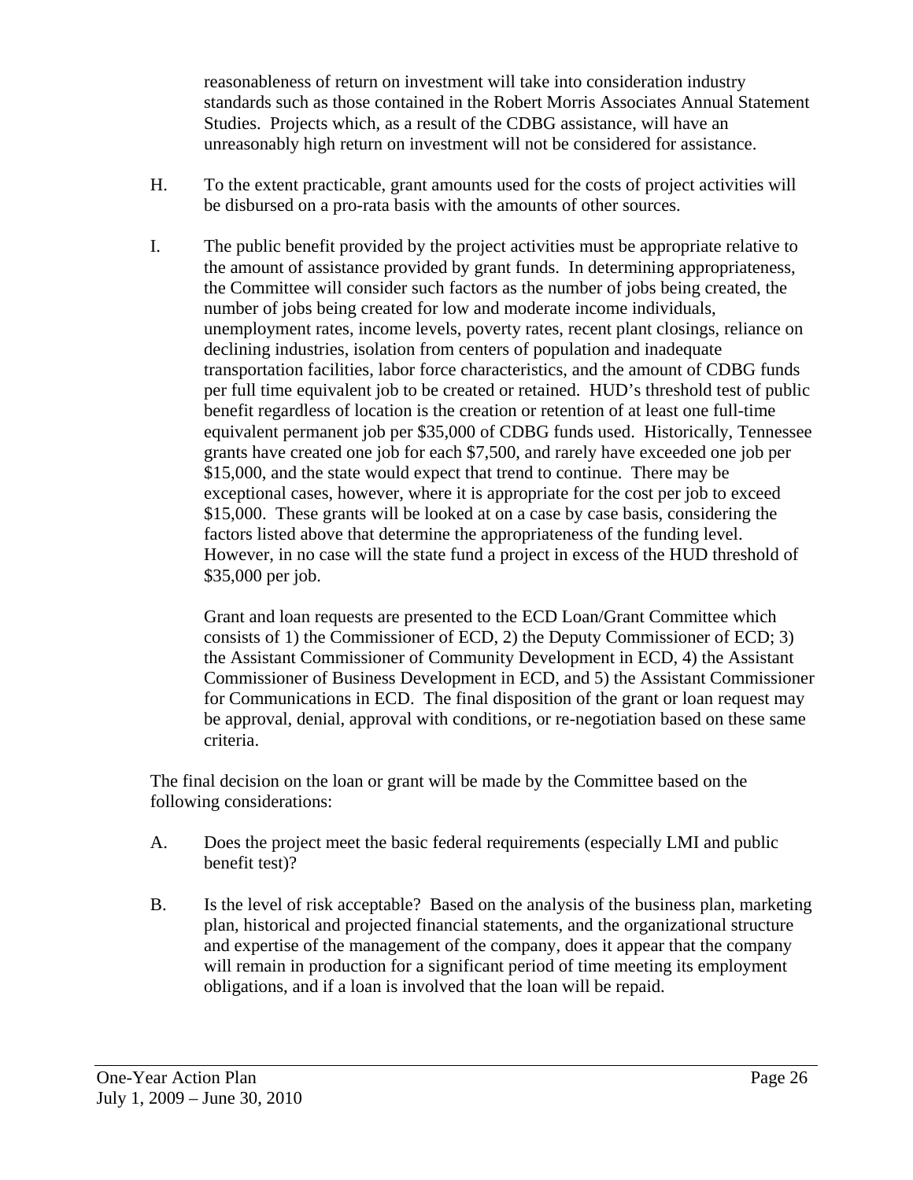reasonableness of return on investment will take into consideration industry standards such as those contained in the Robert Morris Associates Annual Statement Studies. Projects which, as a result of the CDBG assistance, will have an unreasonably high return on investment will not be considered for assistance.

- H. To the extent practicable, grant amounts used for the costs of project activities will be disbursed on a pro-rata basis with the amounts of other sources.
- I. The public benefit provided by the project activities must be appropriate relative to the amount of assistance provided by grant funds. In determining appropriateness, the Committee will consider such factors as the number of jobs being created, the number of jobs being created for low and moderate income individuals, unemployment rates, income levels, poverty rates, recent plant closings, reliance on declining industries, isolation from centers of population and inadequate transportation facilities, labor force characteristics, and the amount of CDBG funds per full time equivalent job to be created or retained. HUD's threshold test of public benefit regardless of location is the creation or retention of at least one full-time equivalent permanent job per \$35,000 of CDBG funds used. Historically, Tennessee grants have created one job for each \$7,500, and rarely have exceeded one job per \$15,000, and the state would expect that trend to continue. There may be exceptional cases, however, where it is appropriate for the cost per job to exceed \$15,000. These grants will be looked at on a case by case basis, considering the factors listed above that determine the appropriateness of the funding level. However, in no case will the state fund a project in excess of the HUD threshold of \$35,000 per job.

Grant and loan requests are presented to the ECD Loan/Grant Committee which consists of 1) the Commissioner of ECD, 2) the Deputy Commissioner of ECD; 3) the Assistant Commissioner of Community Development in ECD, 4) the Assistant Commissioner of Business Development in ECD, and 5) the Assistant Commissioner for Communications in ECD. The final disposition of the grant or loan request may be approval, denial, approval with conditions, or re-negotiation based on these same criteria.

The final decision on the loan or grant will be made by the Committee based on the following considerations:

- A. Does the project meet the basic federal requirements (especially LMI and public benefit test)?
- B. Is the level of risk acceptable? Based on the analysis of the business plan, marketing plan, historical and projected financial statements, and the organizational structure and expertise of the management of the company, does it appear that the company will remain in production for a significant period of time meeting its employment obligations, and if a loan is involved that the loan will be repaid.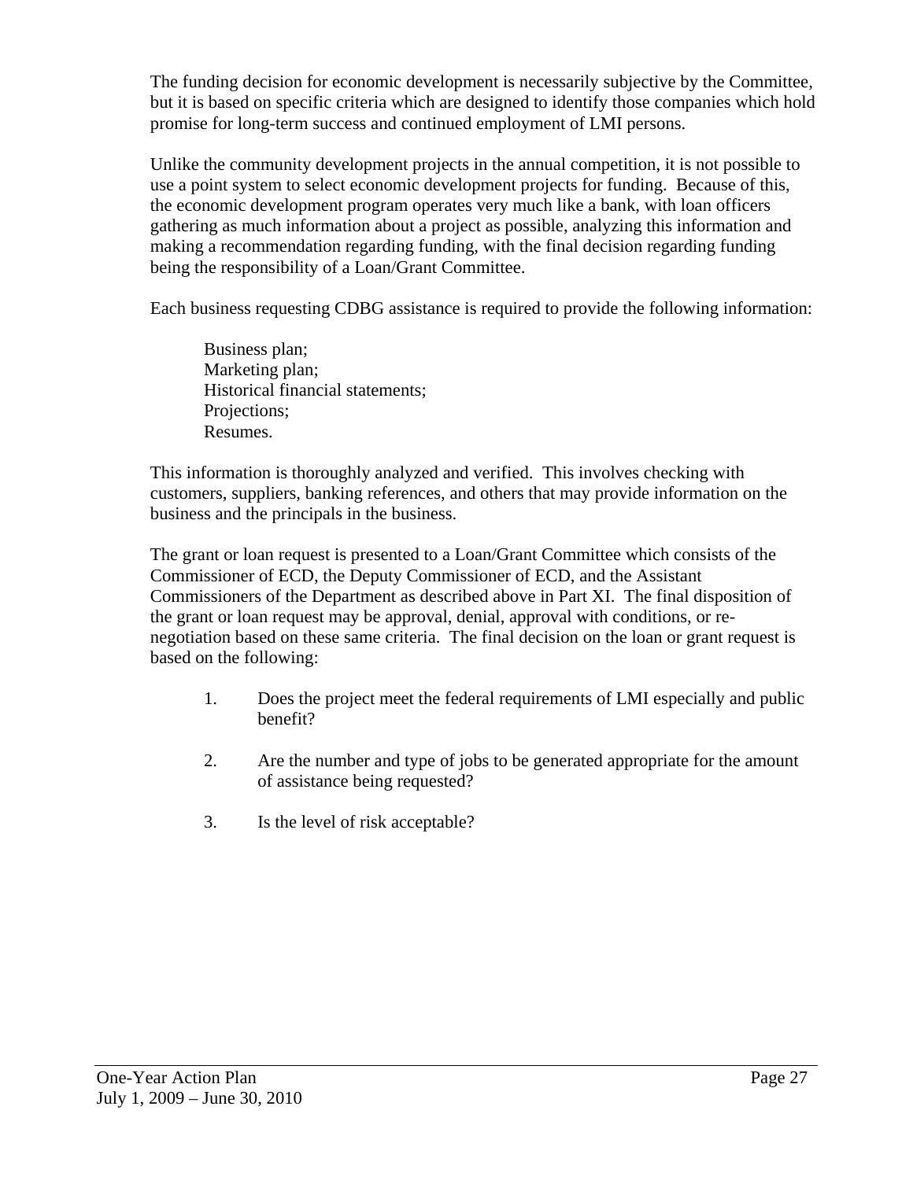The funding decision for economic development is necessarily subjective by the Committee, but it is based on specific criteria which are designed to identify those companies which hold promise for long-term success and continued employment of LMI persons.

Unlike the community development projects in the annual competition, it is not possible to use a point system to select economic development projects for funding. Because of this, the economic development program operates very much like a bank, with loan officers gathering as much information about a project as possible, analyzing this information and making a recommendation regarding funding, with the final decision regarding funding being the responsibility of a Loan/Grant Committee.

Each business requesting CDBG assistance is required to provide the following information:

Business plan; Marketing plan; Historical financial statements; Projections; Resumes.

This information is thoroughly analyzed and verified. This involves checking with customers, suppliers, banking references, and others that may provide information on the business and the principals in the business.

The grant or loan request is presented to a Loan/Grant Committee which consists of the Commissioner of ECD, the Deputy Commissioner of ECD, and the Assistant Commissioners of the Department as described above in Part XI. The final disposition of the grant or loan request may be approval, denial, approval with conditions, or renegotiation based on these same criteria. The final decision on the loan or grant request is based on the following:

- 1. Does the project meet the federal requirements of LMI especially and public benefit?
- 2. Are the number and type of jobs to be generated appropriate for the amount of assistance being requested?
- 3. Is the level of risk acceptable?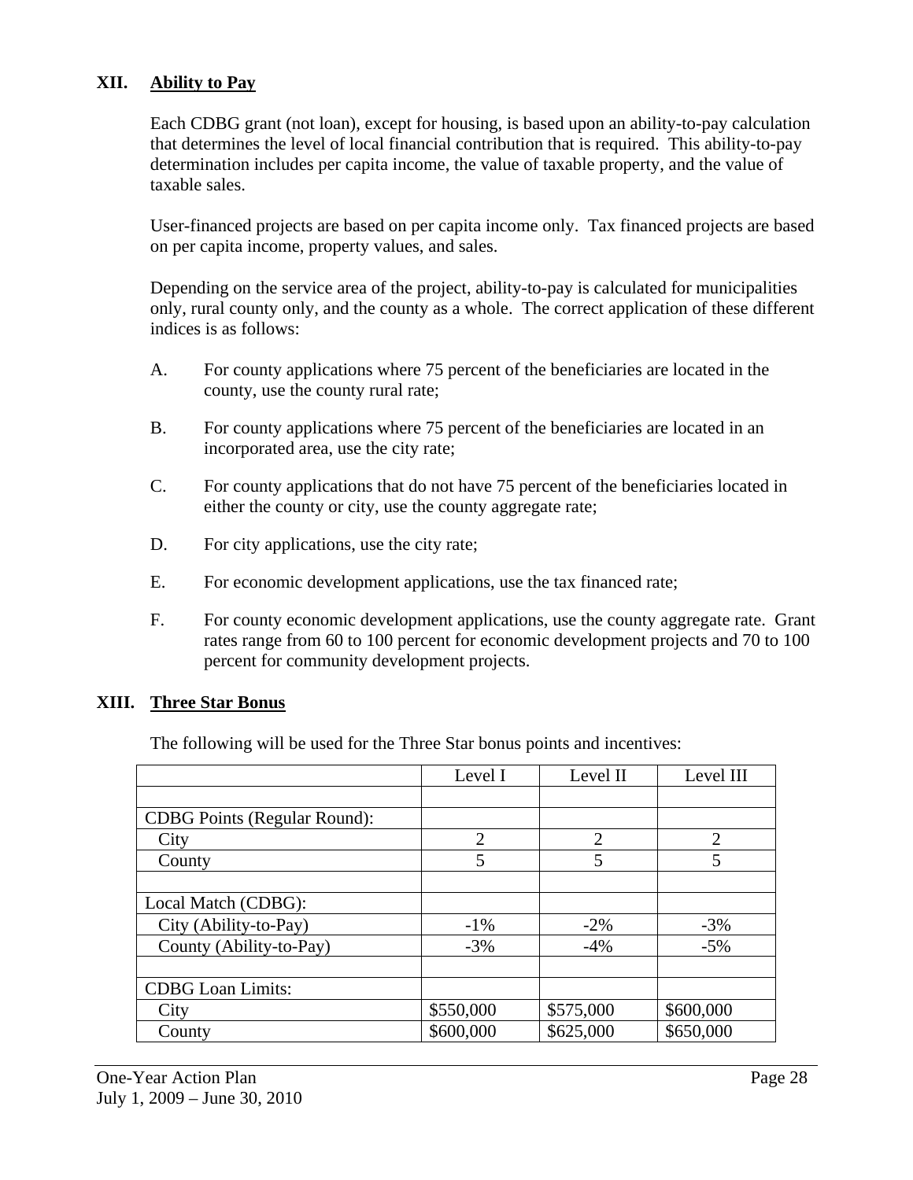### **XII. Ability to Pay**

Each CDBG grant (not loan), except for housing, is based upon an ability-to-pay calculation that determines the level of local financial contribution that is required. This ability-to-pay determination includes per capita income, the value of taxable property, and the value of taxable sales.

User-financed projects are based on per capita income only. Tax financed projects are based on per capita income, property values, and sales.

Depending on the service area of the project, ability-to-pay is calculated for municipalities only, rural county only, and the county as a whole. The correct application of these different indices is as follows:

- A. For county applications where 75 percent of the beneficiaries are located in the county, use the county rural rate;
- B. For county applications where 75 percent of the beneficiaries are located in an incorporated area, use the city rate;
- C. For county applications that do not have 75 percent of the beneficiaries located in either the county or city, use the county aggregate rate;
- D. For city applications, use the city rate;
- E. For economic development applications, use the tax financed rate;
- F. For county economic development applications, use the county aggregate rate. Grant rates range from 60 to 100 percent for economic development projects and 70 to 100 percent for community development projects.

### **XIII. Three Star Bonus**

The following will be used for the Three Star bonus points and incentives:

|                                     | Level I        | Level II       | Level III      |
|-------------------------------------|----------------|----------------|----------------|
|                                     |                |                |                |
| <b>CDBG</b> Points (Regular Round): |                |                |                |
| City                                | $\overline{2}$ | $\overline{2}$ | $\overline{2}$ |
| County                              | 5              | 5              | 5              |
|                                     |                |                |                |
| Local Match (CDBG):                 |                |                |                |
| City (Ability-to-Pay)               | $-1\%$         | $-2\%$         | $-3%$          |
| County (Ability-to-Pay)             | $-3%$          | $-4%$          | $-5%$          |
|                                     |                |                |                |
| <b>CDBG</b> Loan Limits:            |                |                |                |
| City                                | \$550,000      | \$575,000      | \$600,000      |
| County                              | \$600,000      | \$625,000      | \$650,000      |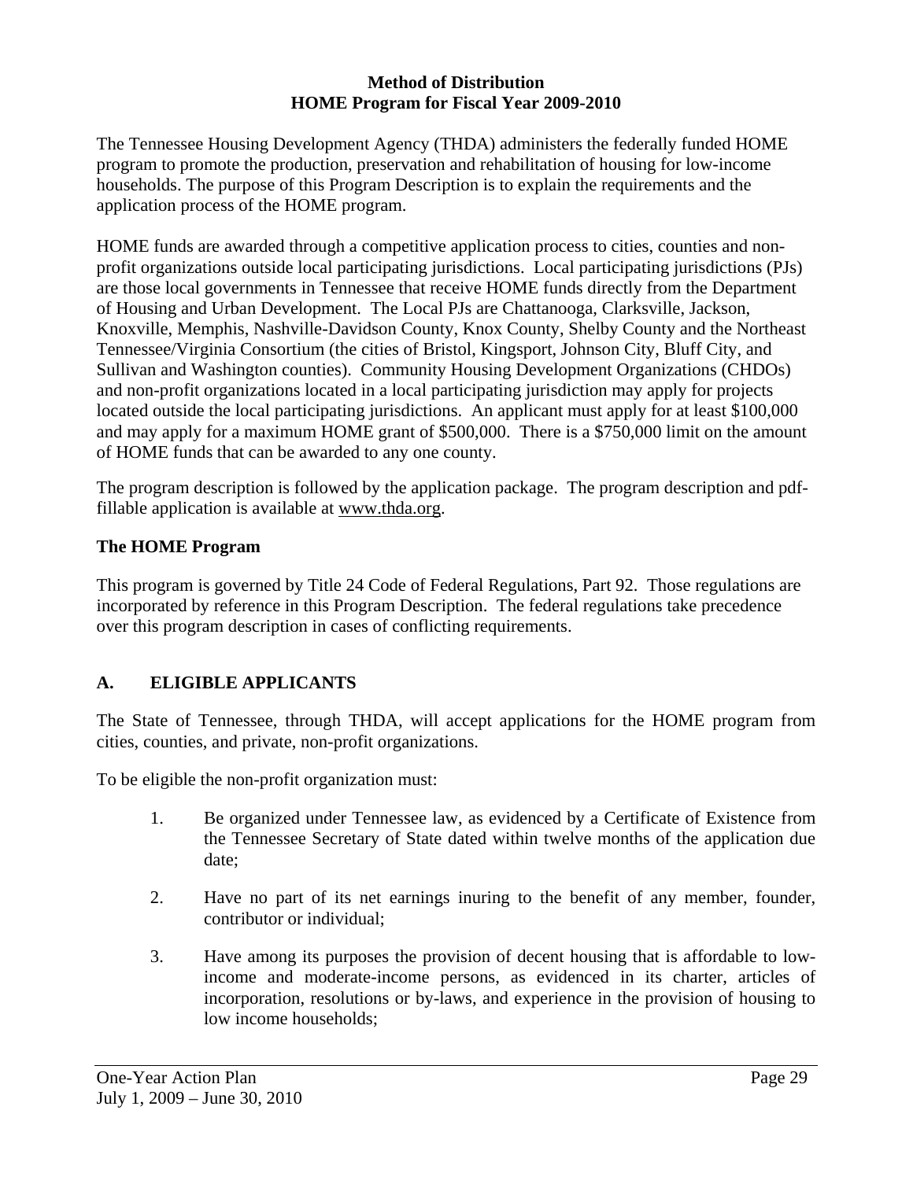#### **Method of Distribution HOME Program for Fiscal Year 2009-2010**

The Tennessee Housing Development Agency (THDA) administers the federally funded HOME program to promote the production, preservation and rehabilitation of housing for low-income households. The purpose of this Program Description is to explain the requirements and the application process of the HOME program.

HOME funds are awarded through a competitive application process to cities, counties and nonprofit organizations outside local participating jurisdictions. Local participating jurisdictions (PJs) are those local governments in Tennessee that receive HOME funds directly from the Department of Housing and Urban Development. The Local PJs are Chattanooga, Clarksville, Jackson, Knoxville, Memphis, Nashville-Davidson County, Knox County, Shelby County and the Northeast Tennessee/Virginia Consortium (the cities of Bristol, Kingsport, Johnson City, Bluff City, and Sullivan and Washington counties). Community Housing Development Organizations (CHDOs) and non-profit organizations located in a local participating jurisdiction may apply for projects located outside the local participating jurisdictions. An applicant must apply for at least \$100,000 and may apply for a maximum HOME grant of \$500,000. There is a \$750,000 limit on the amount of HOME funds that can be awarded to any one county.

The program description is followed by the application package. The program description and pdffillable application is available at www.thda.org.

# **The HOME Program**

This program is governed by Title 24 Code of Federal Regulations, Part 92. Those regulations are incorporated by reference in this Program Description. The federal regulations take precedence over this program description in cases of conflicting requirements.

# **A. ELIGIBLE APPLICANTS**

The State of Tennessee, through THDA, will accept applications for the HOME program from cities, counties, and private, non-profit organizations.

To be eligible the non-profit organization must:

- 1. Be organized under Tennessee law, as evidenced by a Certificate of Existence from the Tennessee Secretary of State dated within twelve months of the application due date;
- 2. Have no part of its net earnings inuring to the benefit of any member, founder, contributor or individual;
- 3. Have among its purposes the provision of decent housing that is affordable to lowincome and moderate-income persons, as evidenced in its charter, articles of incorporation, resolutions or by-laws, and experience in the provision of housing to low income households;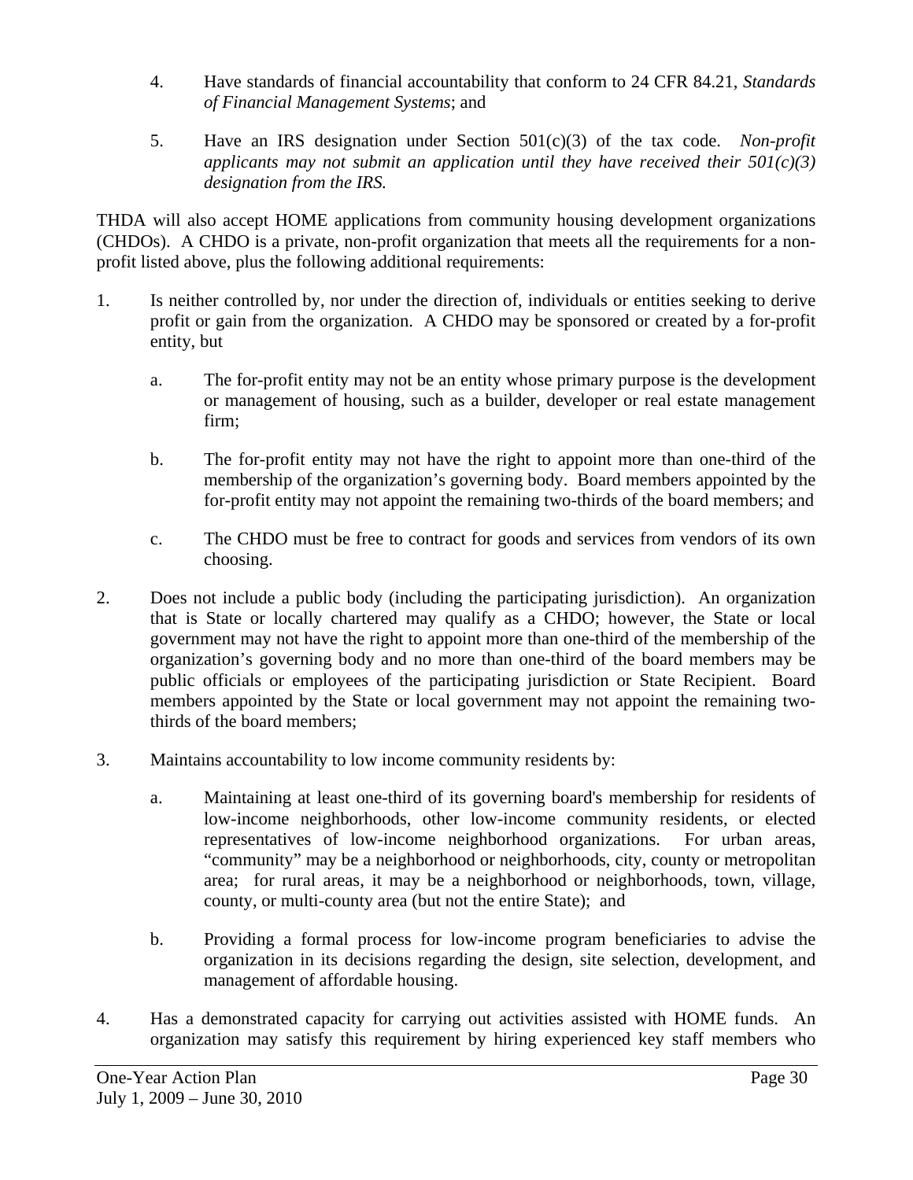- 4. Have standards of financial accountability that conform to 24 CFR 84.21, *Standards of Financial Management Systems*; and
- 5. Have an IRS designation under Section 501(c)(3) of the tax code. *Non-profit applicants may not submit an application until they have received their 501(c)(3) designation from the IRS.*

THDA will also accept HOME applications from community housing development organizations (CHDOs). A CHDO is a private, non-profit organization that meets all the requirements for a nonprofit listed above, plus the following additional requirements:

- 1. Is neither controlled by, nor under the direction of, individuals or entities seeking to derive profit or gain from the organization. A CHDO may be sponsored or created by a for-profit entity, but
	- a. The for-profit entity may not be an entity whose primary purpose is the development or management of housing, such as a builder, developer or real estate management firm;
	- b. The for-profit entity may not have the right to appoint more than one-third of the membership of the organization's governing body. Board members appointed by the for-profit entity may not appoint the remaining two-thirds of the board members; and
	- c. The CHDO must be free to contract for goods and services from vendors of its own choosing.
- 2. Does not include a public body (including the participating jurisdiction). An organization that is State or locally chartered may qualify as a CHDO; however, the State or local government may not have the right to appoint more than one-third of the membership of the organization's governing body and no more than one-third of the board members may be public officials or employees of the participating jurisdiction or State Recipient. Board members appointed by the State or local government may not appoint the remaining twothirds of the board members;
- 3. Maintains accountability to low income community residents by:
	- a. Maintaining at least one-third of its governing board's membership for residents of low-income neighborhoods, other low-income community residents, or elected representatives of low-income neighborhood organizations. For urban areas, "community" may be a neighborhood or neighborhoods, city, county or metropolitan area; for rural areas, it may be a neighborhood or neighborhoods, town, village, county, or multi-county area (but not the entire State); and
	- b. Providing a formal process for low-income program beneficiaries to advise the organization in its decisions regarding the design, site selection, development, and management of affordable housing.
- 4. Has a demonstrated capacity for carrying out activities assisted with HOME funds. An organization may satisfy this requirement by hiring experienced key staff members who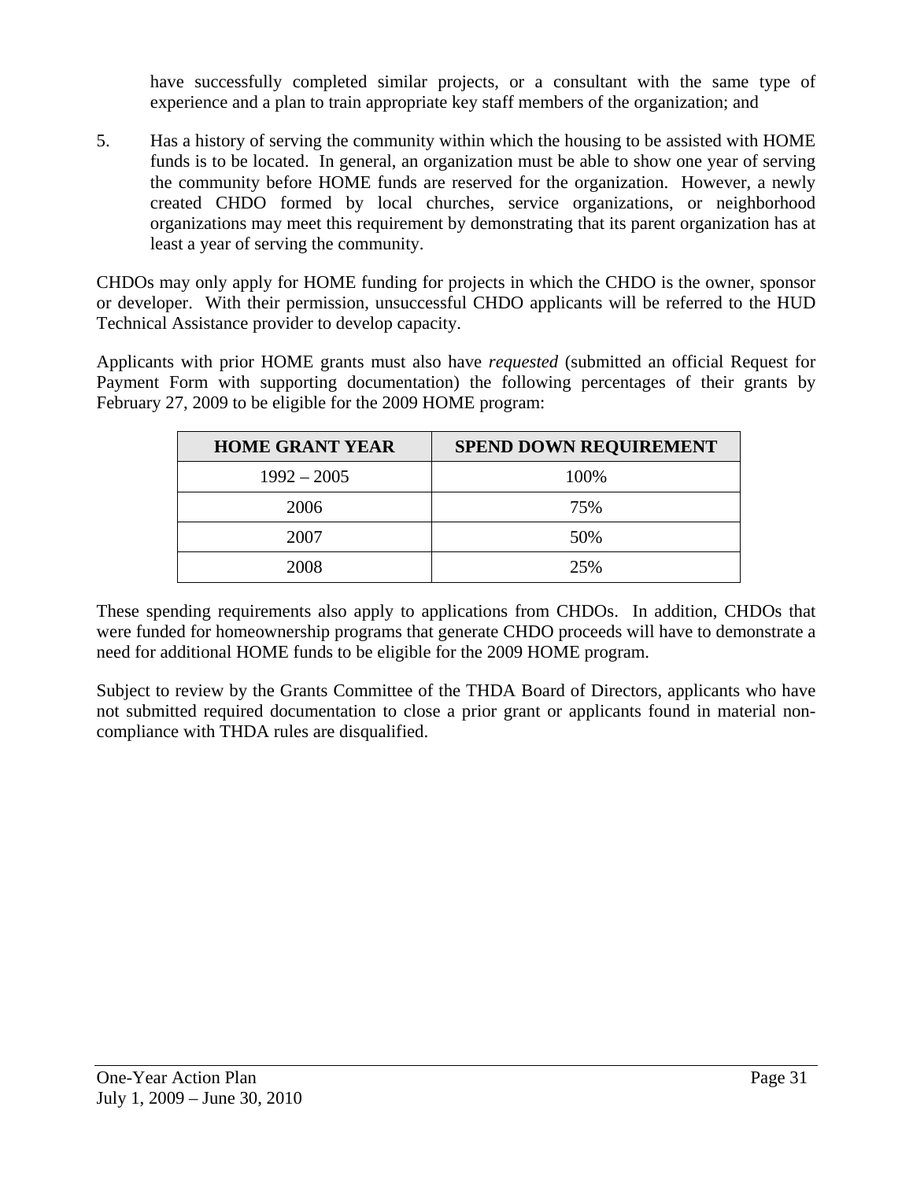have successfully completed similar projects, or a consultant with the same type of experience and a plan to train appropriate key staff members of the organization; and

5. Has a history of serving the community within which the housing to be assisted with HOME funds is to be located. In general, an organization must be able to show one year of serving the community before HOME funds are reserved for the organization. However, a newly created CHDO formed by local churches, service organizations, or neighborhood organizations may meet this requirement by demonstrating that its parent organization has at least a year of serving the community.

CHDOs may only apply for HOME funding for projects in which the CHDO is the owner, sponsor or developer. With their permission, unsuccessful CHDO applicants will be referred to the HUD Technical Assistance provider to develop capacity.

Applicants with prior HOME grants must also have *requested* (submitted an official Request for Payment Form with supporting documentation) the following percentages of their grants by February 27, 2009 to be eligible for the 2009 HOME program:

| <b>HOME GRANT YEAR</b> | <b>SPEND DOWN REQUIREMENT</b> |
|------------------------|-------------------------------|
| $1992 - 2005$          | 100%                          |
| 2006                   | 75%                           |
| 2007                   | 50%                           |
| 2008                   | 25%                           |

These spending requirements also apply to applications from CHDOs. In addition, CHDOs that were funded for homeownership programs that generate CHDO proceeds will have to demonstrate a need for additional HOME funds to be eligible for the 2009 HOME program.

Subject to review by the Grants Committee of the THDA Board of Directors, applicants who have not submitted required documentation to close a prior grant or applicants found in material noncompliance with THDA rules are disqualified.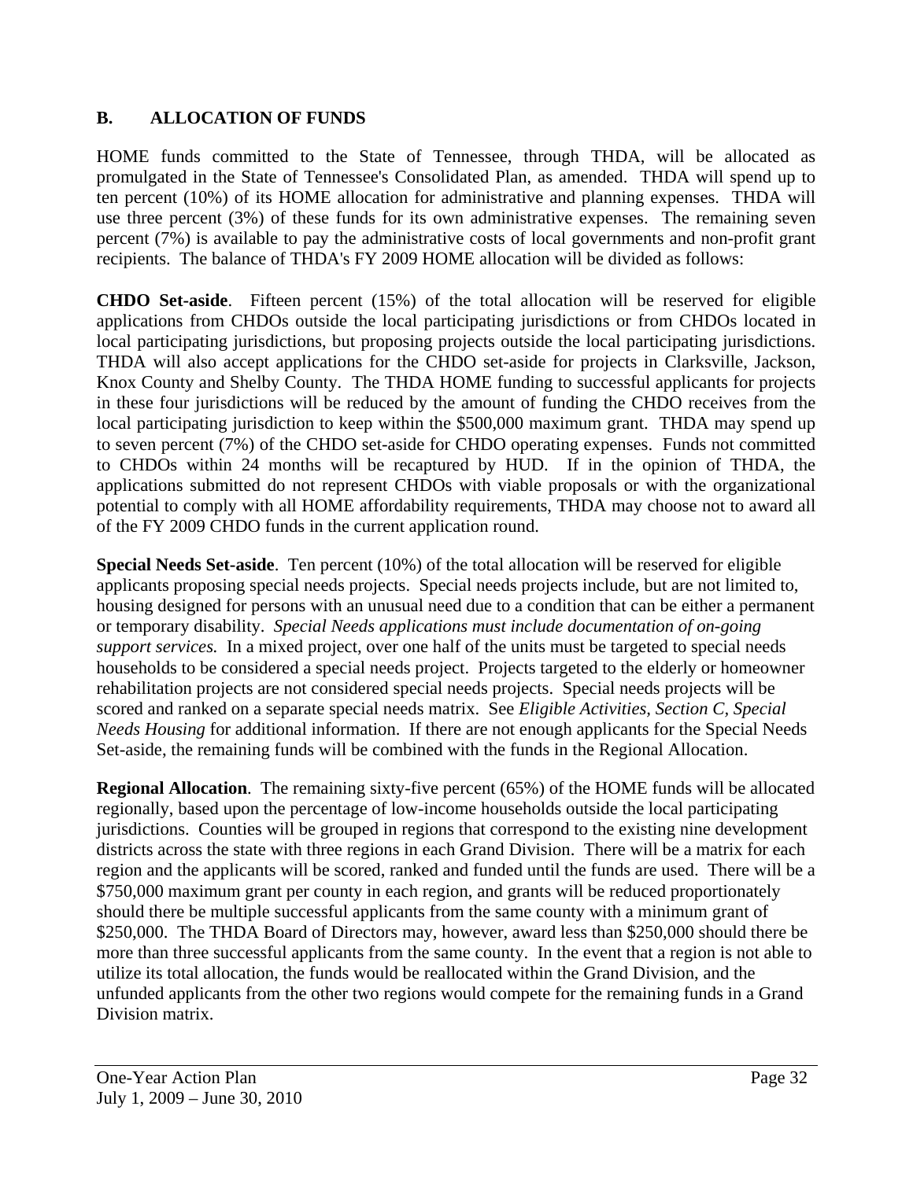# **B. ALLOCATION OF FUNDS**

HOME funds committed to the State of Tennessee, through THDA, will be allocated as promulgated in the State of Tennessee's Consolidated Plan, as amended. THDA will spend up to ten percent (10%) of its HOME allocation for administrative and planning expenses. THDA will use three percent (3%) of these funds for its own administrative expenses. The remaining seven percent (7%) is available to pay the administrative costs of local governments and non-profit grant recipients. The balance of THDA's FY 2009 HOME allocation will be divided as follows:

**CHDO Set-aside**. Fifteen percent (15%) of the total allocation will be reserved for eligible applications from CHDOs outside the local participating jurisdictions or from CHDOs located in local participating jurisdictions, but proposing projects outside the local participating jurisdictions. THDA will also accept applications for the CHDO set-aside for projects in Clarksville, Jackson, Knox County and Shelby County. The THDA HOME funding to successful applicants for projects in these four jurisdictions will be reduced by the amount of funding the CHDO receives from the local participating jurisdiction to keep within the \$500,000 maximum grant. THDA may spend up to seven percent (7%) of the CHDO set-aside for CHDO operating expenses. Funds not committed to CHDOs within 24 months will be recaptured by HUD. If in the opinion of THDA, the applications submitted do not represent CHDOs with viable proposals or with the organizational potential to comply with all HOME affordability requirements, THDA may choose not to award all of the FY 2009 CHDO funds in the current application round.

**Special Needs Set-aside**. Ten percent (10%) of the total allocation will be reserved for eligible applicants proposing special needs projects. Special needs projects include, but are not limited to, housing designed for persons with an unusual need due to a condition that can be either a permanent or temporary disability. *Special Needs applications must include documentation of on-going support services.* In a mixed project, over one half of the units must be targeted to special needs households to be considered a special needs project. Projects targeted to the elderly or homeowner rehabilitation projects are not considered special needs projects. Special needs projects will be scored and ranked on a separate special needs matrix. See *Eligible Activities, Section C, Special Needs Housing* for additional information. If there are not enough applicants for the Special Needs Set-aside, the remaining funds will be combined with the funds in the Regional Allocation.

**Regional Allocation**. The remaining sixty-five percent (65%) of the HOME funds will be allocated regionally, based upon the percentage of low-income households outside the local participating jurisdictions. Counties will be grouped in regions that correspond to the existing nine development districts across the state with three regions in each Grand Division. There will be a matrix for each region and the applicants will be scored, ranked and funded until the funds are used. There will be a \$750,000 maximum grant per county in each region, and grants will be reduced proportionately should there be multiple successful applicants from the same county with a minimum grant of \$250,000. The THDA Board of Directors may, however, award less than \$250,000 should there be more than three successful applicants from the same county. In the event that a region is not able to utilize its total allocation, the funds would be reallocated within the Grand Division, and the unfunded applicants from the other two regions would compete for the remaining funds in a Grand Division matrix.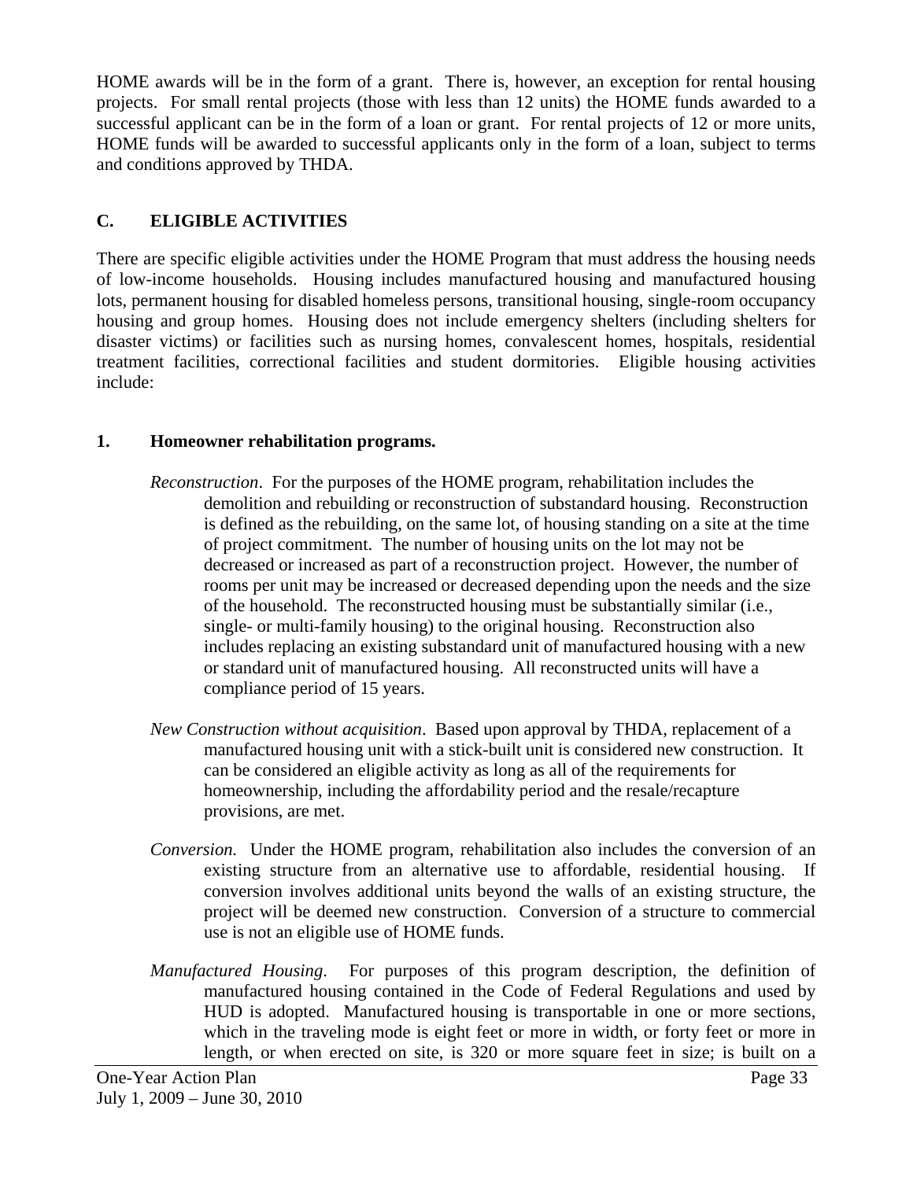HOME awards will be in the form of a grant. There is, however, an exception for rental housing projects. For small rental projects (those with less than 12 units) the HOME funds awarded to a successful applicant can be in the form of a loan or grant. For rental projects of 12 or more units, HOME funds will be awarded to successful applicants only in the form of a loan, subject to terms and conditions approved by THDA.

# **C. ELIGIBLE ACTIVITIES**

There are specific eligible activities under the HOME Program that must address the housing needs of low-income households. Housing includes manufactured housing and manufactured housing lots, permanent housing for disabled homeless persons, transitional housing, single-room occupancy housing and group homes. Housing does not include emergency shelters (including shelters for disaster victims) or facilities such as nursing homes, convalescent homes, hospitals, residential treatment facilities, correctional facilities and student dormitories. Eligible housing activities include:

# **1. Homeowner rehabilitation programs.**

- *Reconstruction*. For the purposes of the HOME program, rehabilitation includes the demolition and rebuilding or reconstruction of substandard housing. Reconstruction is defined as the rebuilding, on the same lot, of housing standing on a site at the time of project commitment. The number of housing units on the lot may not be decreased or increased as part of a reconstruction project. However, the number of rooms per unit may be increased or decreased depending upon the needs and the size of the household. The reconstructed housing must be substantially similar (i.e., single- or multi-family housing) to the original housing. Reconstruction also includes replacing an existing substandard unit of manufactured housing with a new or standard unit of manufactured housing. All reconstructed units will have a compliance period of 15 years.
- *New Construction without acquisition*. Based upon approval by THDA, replacement of a manufactured housing unit with a stick-built unit is considered new construction. It can be considered an eligible activity as long as all of the requirements for homeownership, including the affordability period and the resale/recapture provisions, are met.
- *Conversion.* Under the HOME program, rehabilitation also includes the conversion of an existing structure from an alternative use to affordable, residential housing. If conversion involves additional units beyond the walls of an existing structure, the project will be deemed new construction. Conversion of a structure to commercial use is not an eligible use of HOME funds.
- *Manufactured Housing*. For purposes of this program description, the definition of manufactured housing contained in the Code of Federal Regulations and used by HUD is adopted. Manufactured housing is transportable in one or more sections, which in the traveling mode is eight feet or more in width, or forty feet or more in length, or when erected on site, is 320 or more square feet in size; is built on a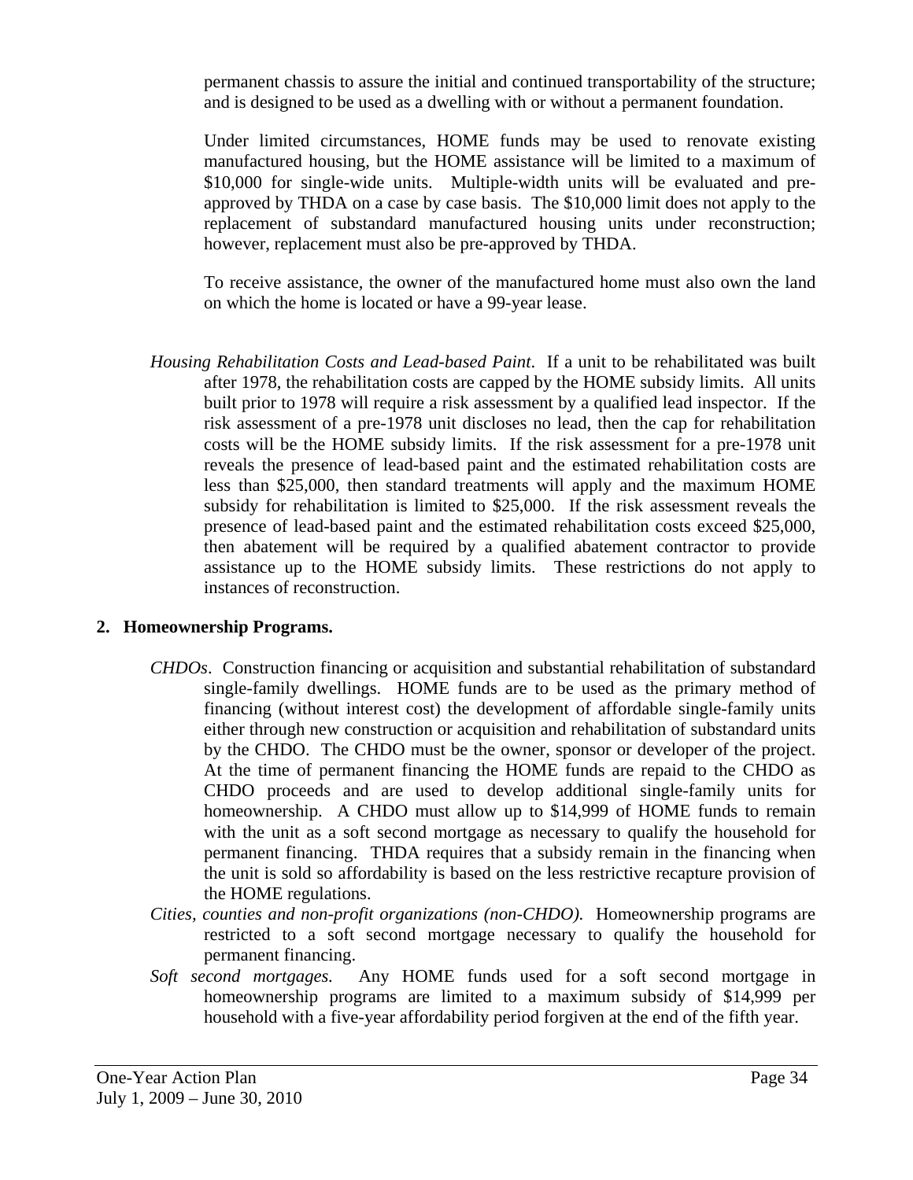permanent chassis to assure the initial and continued transportability of the structure; and is designed to be used as a dwelling with or without a permanent foundation.

Under limited circumstances, HOME funds may be used to renovate existing manufactured housing, but the HOME assistance will be limited to a maximum of \$10,000 for single-wide units. Multiple-width units will be evaluated and preapproved by THDA on a case by case basis. The \$10,000 limit does not apply to the replacement of substandard manufactured housing units under reconstruction; however, replacement must also be pre-approved by THDA.

To receive assistance, the owner of the manufactured home must also own the land on which the home is located or have a 99-year lease.

*Housing Rehabilitation Costs and Lead-based Paint*. If a unit to be rehabilitated was built after 1978, the rehabilitation costs are capped by the HOME subsidy limits. All units built prior to 1978 will require a risk assessment by a qualified lead inspector. If the risk assessment of a pre-1978 unit discloses no lead, then the cap for rehabilitation costs will be the HOME subsidy limits. If the risk assessment for a pre-1978 unit reveals the presence of lead-based paint and the estimated rehabilitation costs are less than \$25,000, then standard treatments will apply and the maximum HOME subsidy for rehabilitation is limited to \$25,000. If the risk assessment reveals the presence of lead-based paint and the estimated rehabilitation costs exceed \$25,000, then abatement will be required by a qualified abatement contractor to provide assistance up to the HOME subsidy limits. These restrictions do not apply to instances of reconstruction.

#### **2. Homeownership Programs.**

- *CHDOs*. Construction financing or acquisition and substantial rehabilitation of substandard single-family dwellings. HOME funds are to be used as the primary method of financing (without interest cost) the development of affordable single-family units either through new construction or acquisition and rehabilitation of substandard units by the CHDO. The CHDO must be the owner, sponsor or developer of the project. At the time of permanent financing the HOME funds are repaid to the CHDO as CHDO proceeds and are used to develop additional single-family units for homeownership. A CHDO must allow up to \$14,999 of HOME funds to remain with the unit as a soft second mortgage as necessary to qualify the household for permanent financing. THDA requires that a subsidy remain in the financing when the unit is sold so affordability is based on the less restrictive recapture provision of the HOME regulations.
- *Cities, counties and non-profit organizations (non-CHDO).* Homeownership programs are restricted to a soft second mortgage necessary to qualify the household for permanent financing.
- *Soft second mortgages.* Any HOME funds used for a soft second mortgage in homeownership programs are limited to a maximum subsidy of \$14,999 per household with a five-year affordability period forgiven at the end of the fifth year.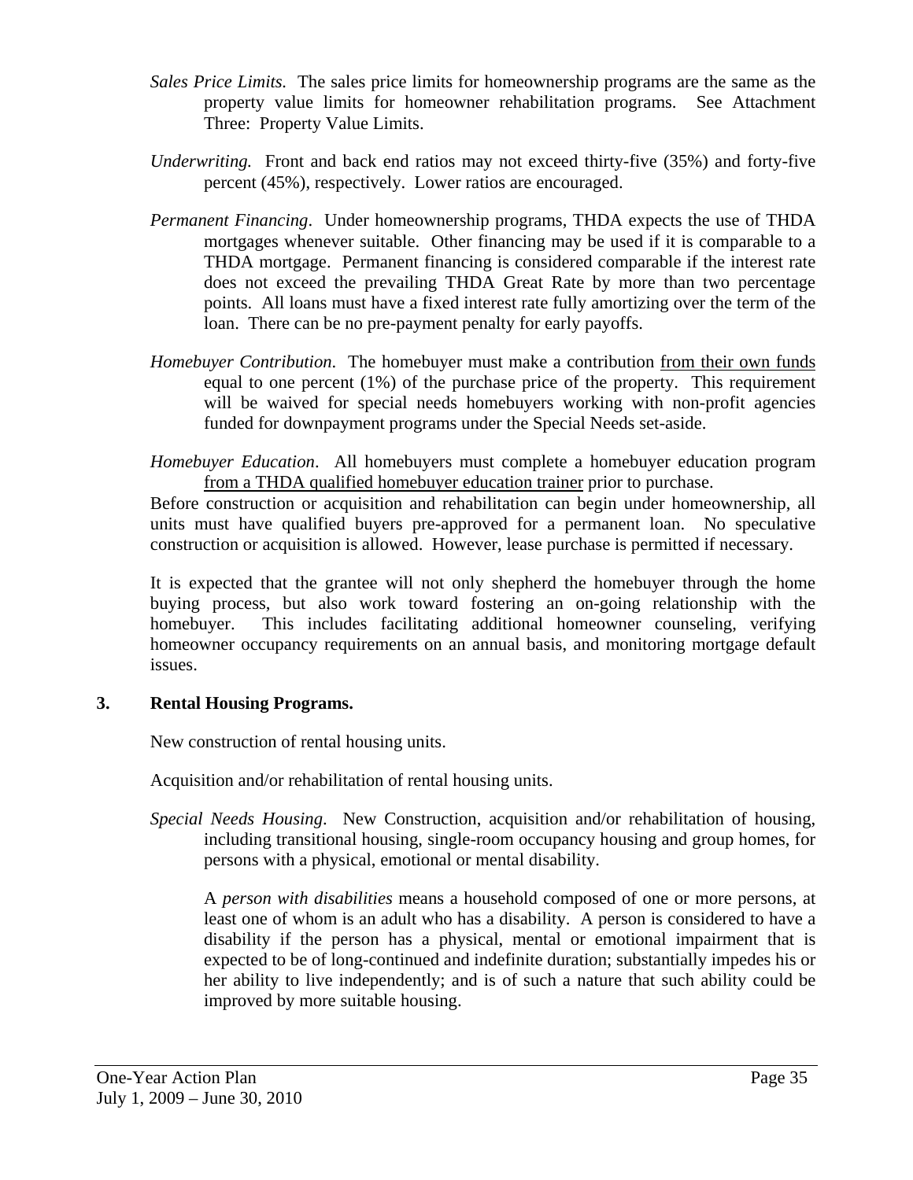- *Sales Price Limits.* The sales price limits for homeownership programs are the same as the property value limits for homeowner rehabilitation programs. See Attachment Three: Property Value Limits.
- *Underwriting.* Front and back end ratios may not exceed thirty-five (35%) and forty-five percent (45%), respectively. Lower ratios are encouraged.
- *Permanent Financing*. Under homeownership programs, THDA expects the use of THDA mortgages whenever suitable. Other financing may be used if it is comparable to a THDA mortgage. Permanent financing is considered comparable if the interest rate does not exceed the prevailing THDA Great Rate by more than two percentage points. All loans must have a fixed interest rate fully amortizing over the term of the loan. There can be no pre-payment penalty for early payoffs.
- *Homebuyer Contribution*. The homebuyer must make a contribution from their own funds equal to one percent (1%) of the purchase price of the property. This requirement will be waived for special needs homebuyers working with non-profit agencies funded for downpayment programs under the Special Needs set-aside.
- *Homebuyer Education*. All homebuyers must complete a homebuyer education program from a THDA qualified homebuyer education trainer prior to purchase.

Before construction or acquisition and rehabilitation can begin under homeownership, all units must have qualified buyers pre-approved for a permanent loan. No speculative construction or acquisition is allowed. However, lease purchase is permitted if necessary.

It is expected that the grantee will not only shepherd the homebuyer through the home buying process, but also work toward fostering an on-going relationship with the homebuyer. This includes facilitating additional homeowner counseling, verifying homeowner occupancy requirements on an annual basis, and monitoring mortgage default issues.

### **3. Rental Housing Programs.**

New construction of rental housing units.

Acquisition and/or rehabilitation of rental housing units.

*Special Needs Housing*. New Construction, acquisition and/or rehabilitation of housing, including transitional housing, single-room occupancy housing and group homes, for persons with a physical, emotional or mental disability.

A *person with disabilities* means a household composed of one or more persons, at least one of whom is an adult who has a disability. A person is considered to have a disability if the person has a physical, mental or emotional impairment that is expected to be of long-continued and indefinite duration; substantially impedes his or her ability to live independently; and is of such a nature that such ability could be improved by more suitable housing.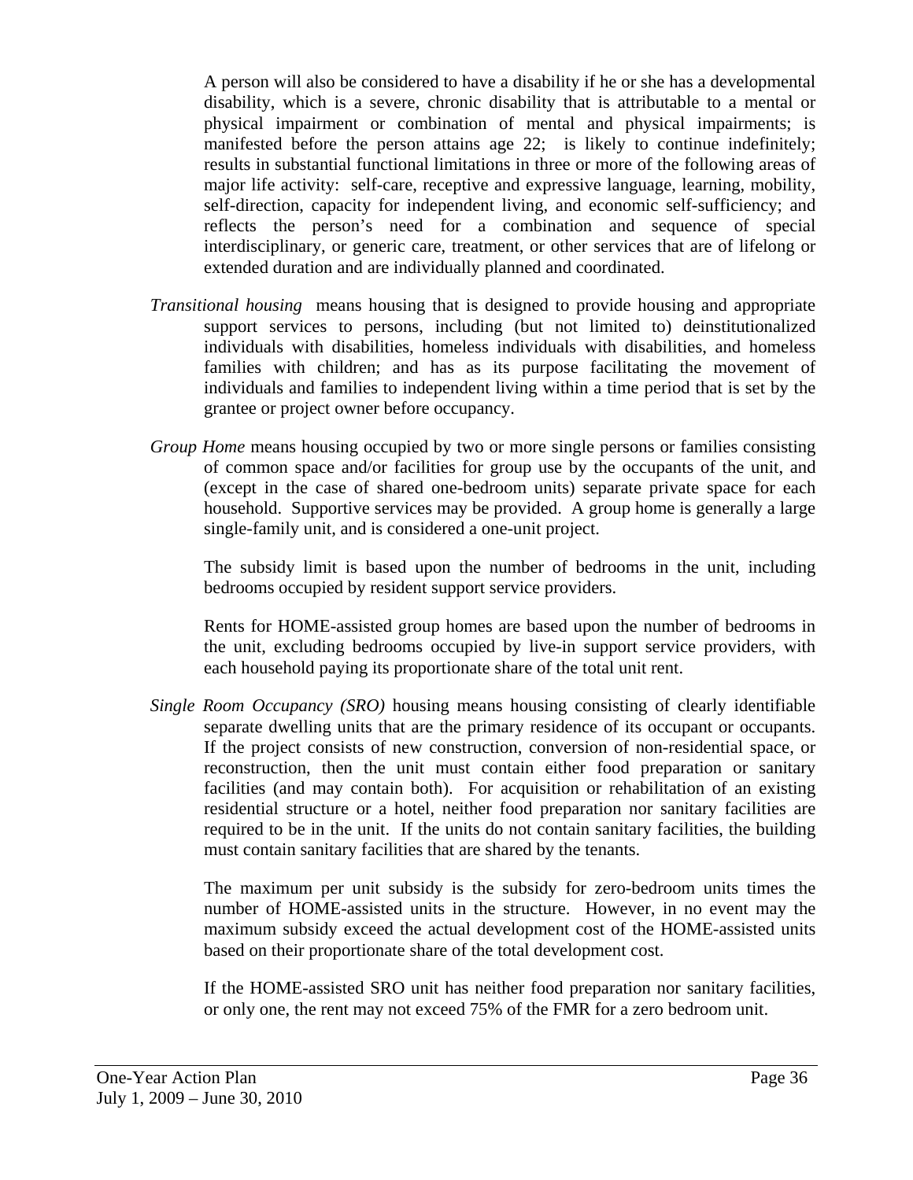A person will also be considered to have a disability if he or she has a developmental disability, which is a severe, chronic disability that is attributable to a mental or physical impairment or combination of mental and physical impairments; is manifested before the person attains age 22; is likely to continue indefinitely; results in substantial functional limitations in three or more of the following areas of major life activity: self-care, receptive and expressive language, learning, mobility, self-direction, capacity for independent living, and economic self-sufficiency; and reflects the person's need for a combination and sequence of special interdisciplinary, or generic care, treatment, or other services that are of lifelong or extended duration and are individually planned and coordinated.

- *Transitional housing* means housing that is designed to provide housing and appropriate support services to persons, including (but not limited to) deinstitutionalized individuals with disabilities, homeless individuals with disabilities, and homeless families with children; and has as its purpose facilitating the movement of individuals and families to independent living within a time period that is set by the grantee or project owner before occupancy.
- *Group Home* means housing occupied by two or more single persons or families consisting of common space and/or facilities for group use by the occupants of the unit, and (except in the case of shared one-bedroom units) separate private space for each household. Supportive services may be provided. A group home is generally a large single-family unit, and is considered a one-unit project.

The subsidy limit is based upon the number of bedrooms in the unit, including bedrooms occupied by resident support service providers.

Rents for HOME-assisted group homes are based upon the number of bedrooms in the unit, excluding bedrooms occupied by live-in support service providers, with each household paying its proportionate share of the total unit rent.

*Single Room Occupancy (SRO)* housing means housing consisting of clearly identifiable separate dwelling units that are the primary residence of its occupant or occupants. If the project consists of new construction, conversion of non-residential space, or reconstruction, then the unit must contain either food preparation or sanitary facilities (and may contain both). For acquisition or rehabilitation of an existing residential structure or a hotel, neither food preparation nor sanitary facilities are required to be in the unit. If the units do not contain sanitary facilities, the building must contain sanitary facilities that are shared by the tenants.

The maximum per unit subsidy is the subsidy for zero-bedroom units times the number of HOME-assisted units in the structure. However, in no event may the maximum subsidy exceed the actual development cost of the HOME-assisted units based on their proportionate share of the total development cost.

If the HOME-assisted SRO unit has neither food preparation nor sanitary facilities, or only one, the rent may not exceed 75% of the FMR for a zero bedroom unit.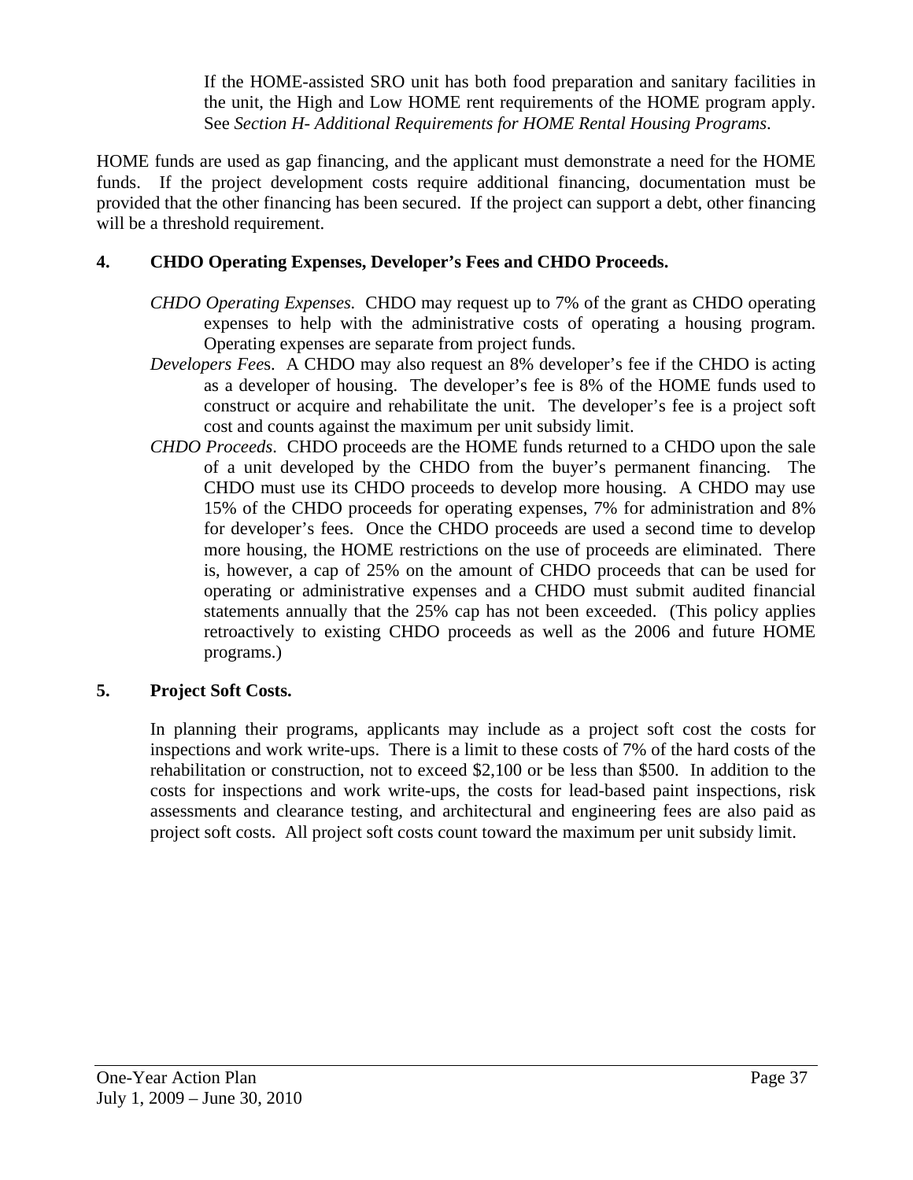If the HOME-assisted SRO unit has both food preparation and sanitary facilities in the unit, the High and Low HOME rent requirements of the HOME program apply. See *Section H- Additional Requirements for HOME Rental Housing Programs*.

HOME funds are used as gap financing, and the applicant must demonstrate a need for the HOME funds. If the project development costs require additional financing, documentation must be provided that the other financing has been secured. If the project can support a debt, other financing will be a threshold requirement.

# **4. CHDO Operating Expenses, Developer's Fees and CHDO Proceeds.**

- *CHDO Operating Expenses.* CHDO may request up to 7% of the grant as CHDO operating expenses to help with the administrative costs of operating a housing program. Operating expenses are separate from project funds.
- *Developers Fee*s. A CHDO may also request an 8% developer's fee if the CHDO is acting as a developer of housing. The developer's fee is 8% of the HOME funds used to construct or acquire and rehabilitate the unit. The developer's fee is a project soft cost and counts against the maximum per unit subsidy limit.
- *CHDO Proceeds*. CHDO proceeds are the HOME funds returned to a CHDO upon the sale of a unit developed by the CHDO from the buyer's permanent financing. The CHDO must use its CHDO proceeds to develop more housing. A CHDO may use 15% of the CHDO proceeds for operating expenses, 7% for administration and 8% for developer's fees. Once the CHDO proceeds are used a second time to develop more housing, the HOME restrictions on the use of proceeds are eliminated. There is, however, a cap of 25% on the amount of CHDO proceeds that can be used for operating or administrative expenses and a CHDO must submit audited financial statements annually that the 25% cap has not been exceeded. (This policy applies retroactively to existing CHDO proceeds as well as the 2006 and future HOME programs.)

### **5. Project Soft Costs.**

In planning their programs, applicants may include as a project soft cost the costs for inspections and work write-ups. There is a limit to these costs of 7% of the hard costs of the rehabilitation or construction, not to exceed \$2,100 or be less than \$500. In addition to the costs for inspections and work write-ups, the costs for lead-based paint inspections, risk assessments and clearance testing, and architectural and engineering fees are also paid as project soft costs. All project soft costs count toward the maximum per unit subsidy limit.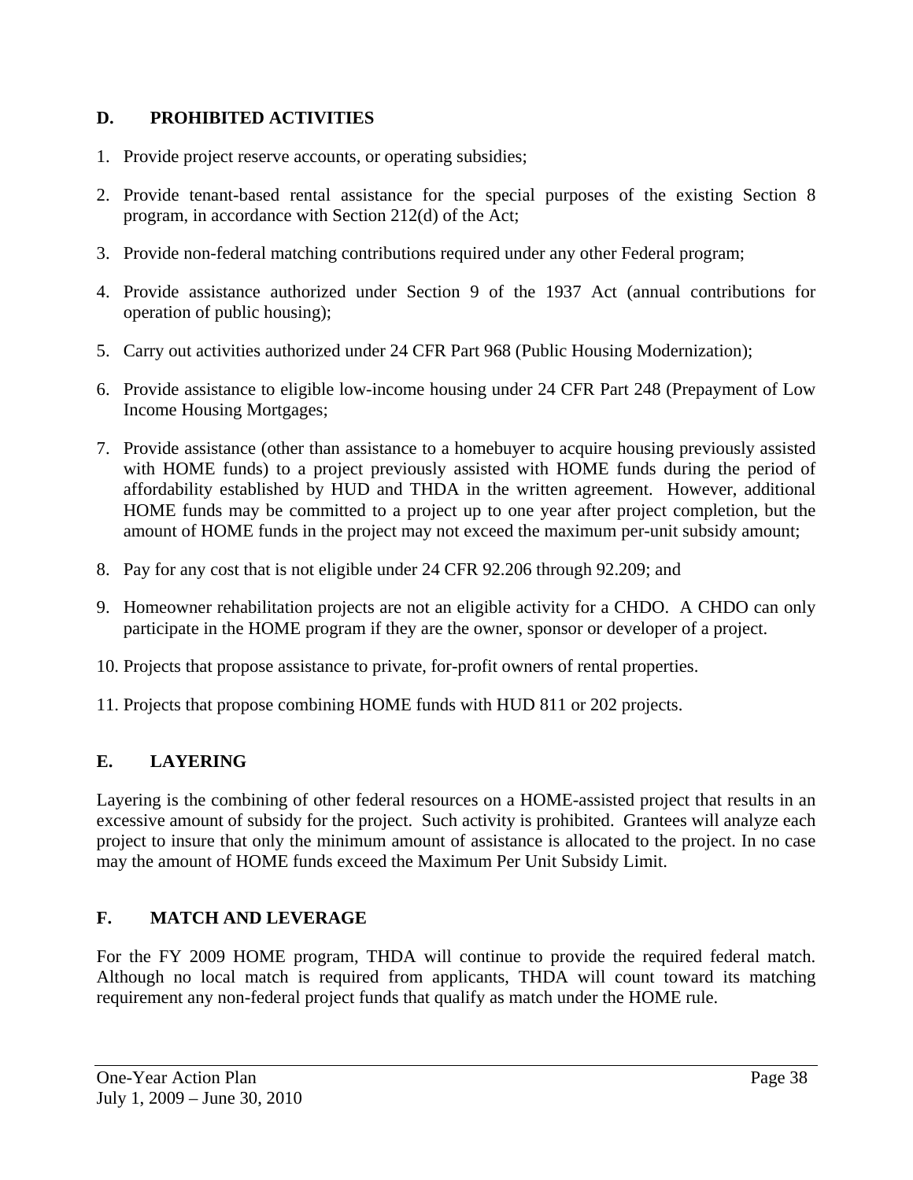# **D. PROHIBITED ACTIVITIES**

- 1. Provide project reserve accounts, or operating subsidies;
- 2. Provide tenant-based rental assistance for the special purposes of the existing Section 8 program, in accordance with Section 212(d) of the Act;
- 3. Provide non-federal matching contributions required under any other Federal program;
- 4. Provide assistance authorized under Section 9 of the 1937 Act (annual contributions for operation of public housing);
- 5. Carry out activities authorized under 24 CFR Part 968 (Public Housing Modernization);
- 6. Provide assistance to eligible low-income housing under 24 CFR Part 248 (Prepayment of Low Income Housing Mortgages;
- 7. Provide assistance (other than assistance to a homebuyer to acquire housing previously assisted with HOME funds) to a project previously assisted with HOME funds during the period of affordability established by HUD and THDA in the written agreement. However, additional HOME funds may be committed to a project up to one year after project completion, but the amount of HOME funds in the project may not exceed the maximum per-unit subsidy amount;
- 8. Pay for any cost that is not eligible under 24 CFR 92.206 through 92.209; and
- 9. Homeowner rehabilitation projects are not an eligible activity for a CHDO. A CHDO can only participate in the HOME program if they are the owner, sponsor or developer of a project.
- 10. Projects that propose assistance to private, for-profit owners of rental properties.
- 11. Projects that propose combining HOME funds with HUD 811 or 202 projects.

# **E. LAYERING**

Layering is the combining of other federal resources on a HOME-assisted project that results in an excessive amount of subsidy for the project. Such activity is prohibited. Grantees will analyze each project to insure that only the minimum amount of assistance is allocated to the project. In no case may the amount of HOME funds exceed the Maximum Per Unit Subsidy Limit.

# **F. MATCH AND LEVERAGE**

For the FY 2009 HOME program, THDA will continue to provide the required federal match. Although no local match is required from applicants, THDA will count toward its matching requirement any non-federal project funds that qualify as match under the HOME rule.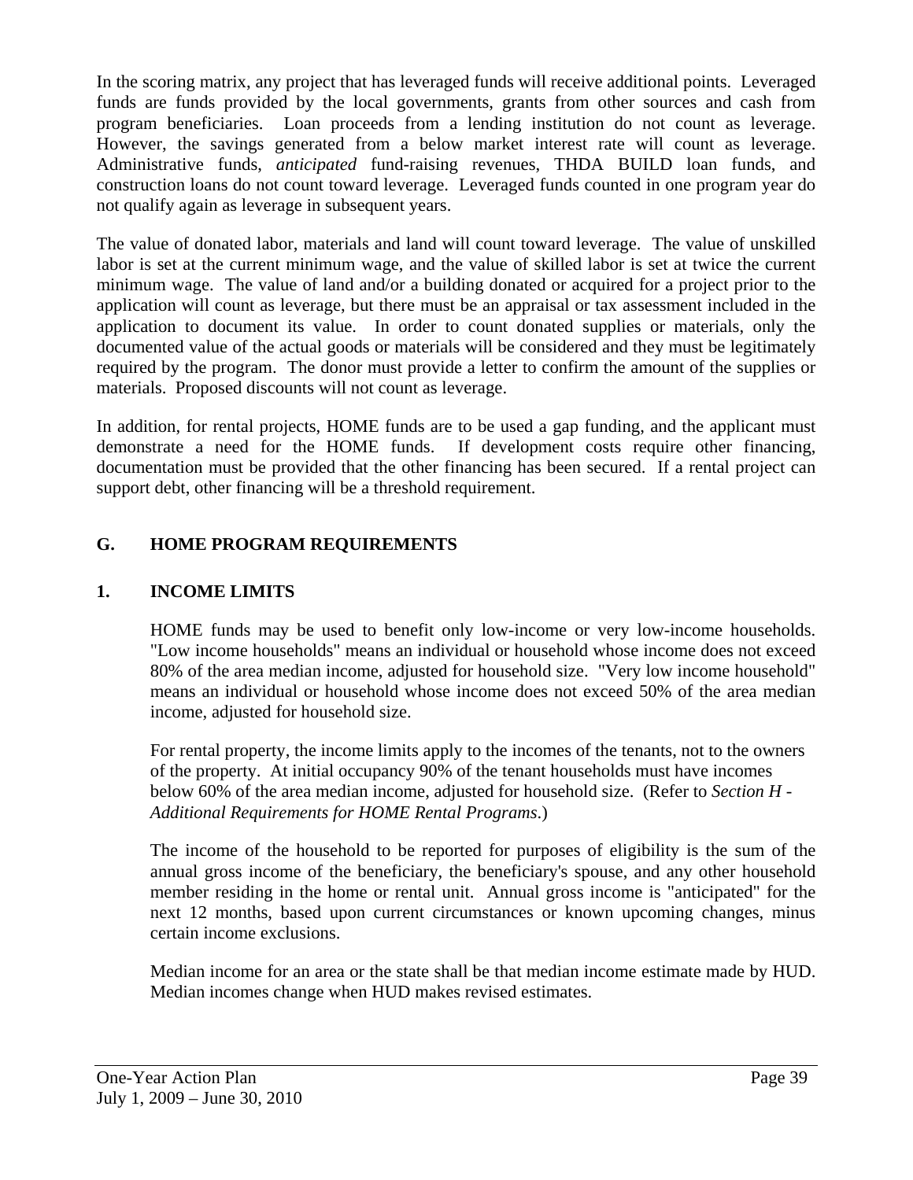In the scoring matrix, any project that has leveraged funds will receive additional points. Leveraged funds are funds provided by the local governments, grants from other sources and cash from program beneficiaries. Loan proceeds from a lending institution do not count as leverage. However, the savings generated from a below market interest rate will count as leverage. Administrative funds, *anticipated* fund-raising revenues, THDA BUILD loan funds, and construction loans do not count toward leverage. Leveraged funds counted in one program year do not qualify again as leverage in subsequent years.

The value of donated labor, materials and land will count toward leverage. The value of unskilled labor is set at the current minimum wage, and the value of skilled labor is set at twice the current minimum wage. The value of land and/or a building donated or acquired for a project prior to the application will count as leverage, but there must be an appraisal or tax assessment included in the application to document its value. In order to count donated supplies or materials, only the documented value of the actual goods or materials will be considered and they must be legitimately required by the program. The donor must provide a letter to confirm the amount of the supplies or materials. Proposed discounts will not count as leverage.

In addition, for rental projects, HOME funds are to be used a gap funding, and the applicant must demonstrate a need for the HOME funds. If development costs require other financing, documentation must be provided that the other financing has been secured. If a rental project can support debt, other financing will be a threshold requirement.

# **G. HOME PROGRAM REQUIREMENTS**

# **1. INCOME LIMITS**

HOME funds may be used to benefit only low-income or very low-income households. "Low income households" means an individual or household whose income does not exceed 80% of the area median income, adjusted for household size. "Very low income household" means an individual or household whose income does not exceed 50% of the area median income, adjusted for household size.

For rental property, the income limits apply to the incomes of the tenants, not to the owners of the property. At initial occupancy 90% of the tenant households must have incomes below 60% of the area median income, adjusted for household size. (Refer to *Section H - Additional Requirements for HOME Rental Programs*.)

The income of the household to be reported for purposes of eligibility is the sum of the annual gross income of the beneficiary, the beneficiary's spouse, and any other household member residing in the home or rental unit. Annual gross income is "anticipated" for the next 12 months, based upon current circumstances or known upcoming changes, minus certain income exclusions.

Median income for an area or the state shall be that median income estimate made by HUD. Median incomes change when HUD makes revised estimates.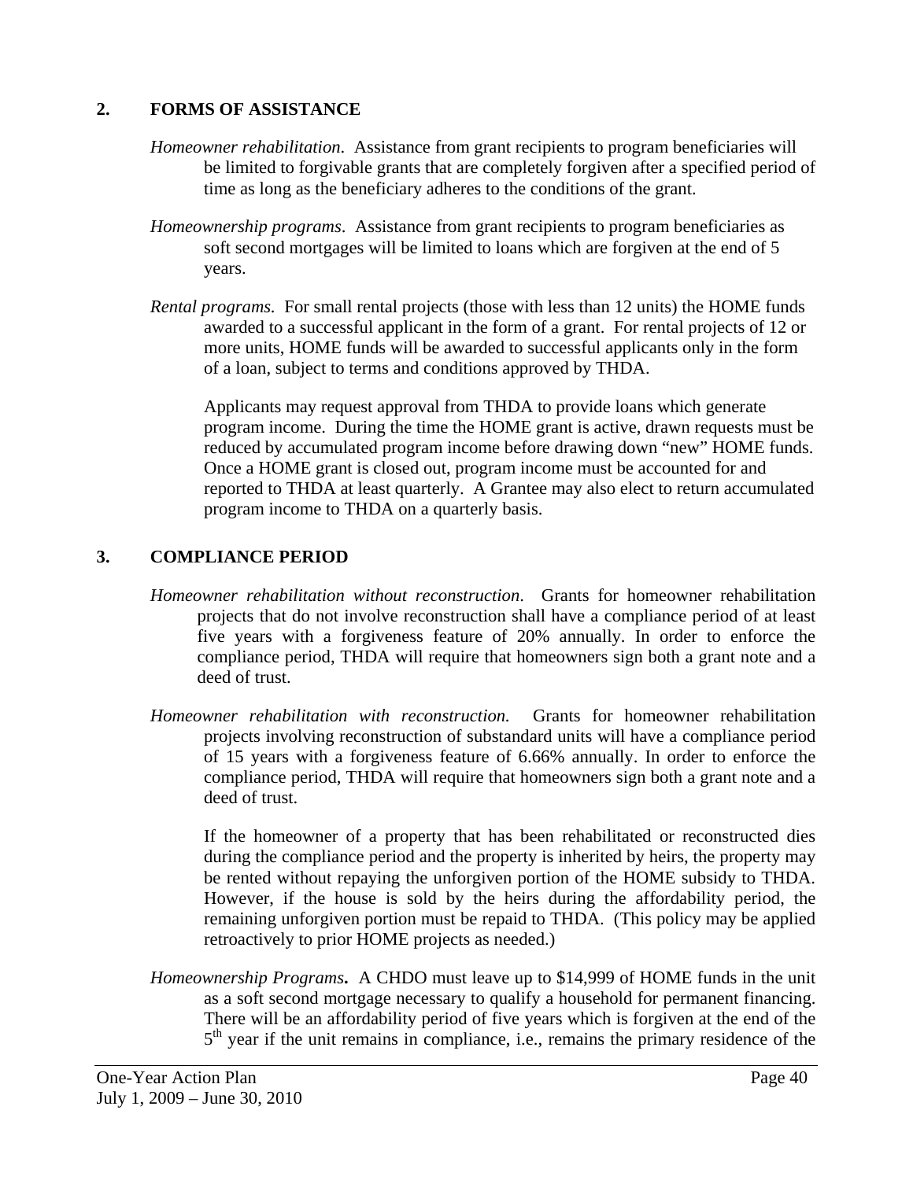### **2. FORMS OF ASSISTANCE**

- *Homeowner rehabilitation*. Assistance from grant recipients to program beneficiaries will be limited to forgivable grants that are completely forgiven after a specified period of time as long as the beneficiary adheres to the conditions of the grant.
- *Homeownership programs*. Assistance from grant recipients to program beneficiaries as soft second mortgages will be limited to loans which are forgiven at the end of 5 years.
- *Rental programs.* For small rental projects (those with less than 12 units) the HOME funds awarded to a successful applicant in the form of a grant. For rental projects of 12 or more units, HOME funds will be awarded to successful applicants only in the form of a loan, subject to terms and conditions approved by THDA.

Applicants may request approval from THDA to provide loans which generate program income. During the time the HOME grant is active, drawn requests must be reduced by accumulated program income before drawing down "new" HOME funds. Once a HOME grant is closed out, program income must be accounted for and reported to THDA at least quarterly. A Grantee may also elect to return accumulated program income to THDA on a quarterly basis.

# **3. COMPLIANCE PERIOD**

- *Homeowner rehabilitation without reconstruction*.Grants for homeowner rehabilitation projects that do not involve reconstruction shall have a compliance period of at least five years with a forgiveness feature of 20% annually. In order to enforce the compliance period, THDA will require that homeowners sign both a grant note and a deed of trust.
- *Homeowner rehabilitation with reconstruction.* Grants for homeowner rehabilitation projects involving reconstruction of substandard units will have a compliance period of 15 years with a forgiveness feature of 6.66% annually. In order to enforce the compliance period, THDA will require that homeowners sign both a grant note and a deed of trust.

If the homeowner of a property that has been rehabilitated or reconstructed dies during the compliance period and the property is inherited by heirs, the property may be rented without repaying the unforgiven portion of the HOME subsidy to THDA. However, if the house is sold by the heirs during the affordability period, the remaining unforgiven portion must be repaid to THDA. (This policy may be applied retroactively to prior HOME projects as needed.)

*Homeownership Programs***.** A CHDO must leave up to \$14,999 of HOME funds in the unit as a soft second mortgage necessary to qualify a household for permanent financing. There will be an affordability period of five years which is forgiven at the end of the  $5<sup>th</sup>$  year if the unit remains in compliance, i.e., remains the primary residence of the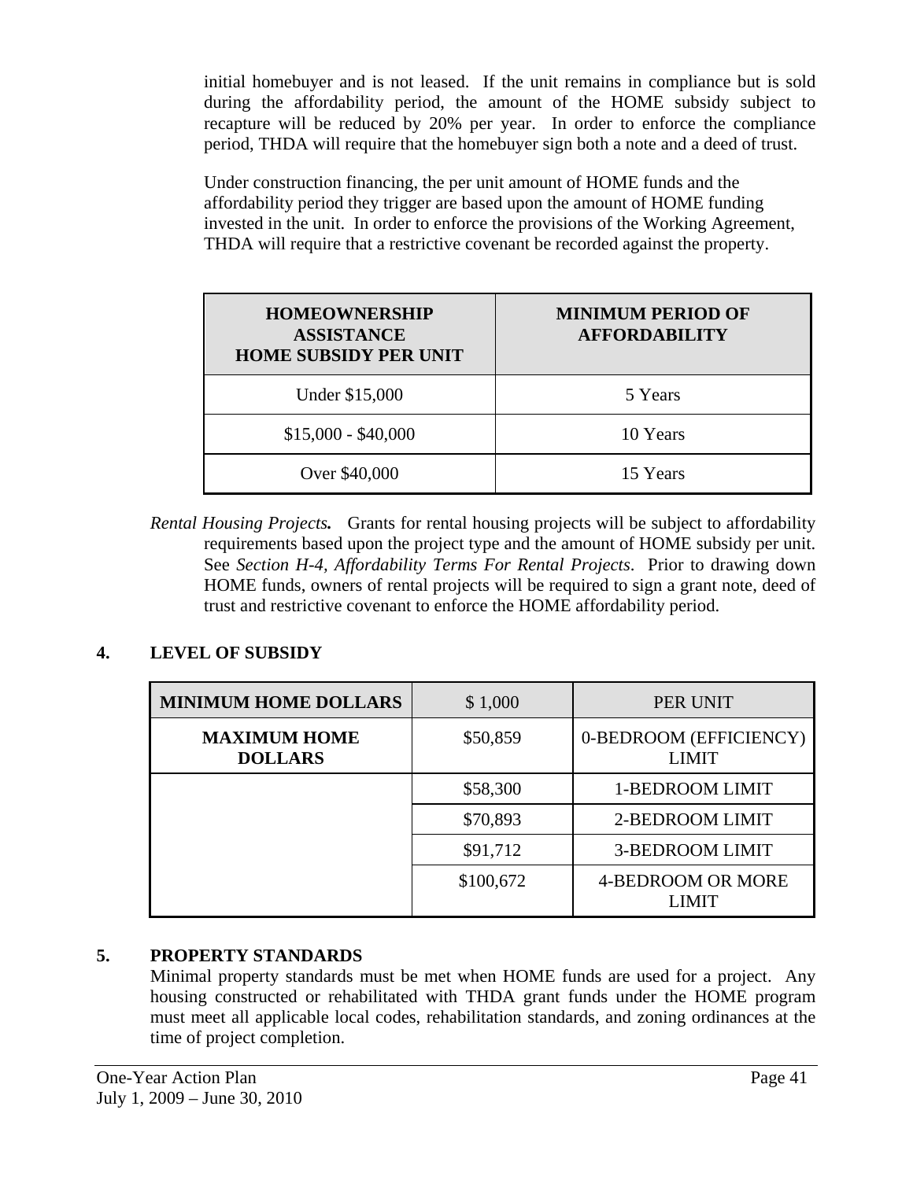initial homebuyer and is not leased. If the unit remains in compliance but is sold during the affordability period, the amount of the HOME subsidy subject to recapture will be reduced by 20% per year. In order to enforce the compliance period, THDA will require that the homebuyer sign both a note and a deed of trust.

Under construction financing, the per unit amount of HOME funds and the affordability period they trigger are based upon the amount of HOME funding invested in the unit. In order to enforce the provisions of the Working Agreement, THDA will require that a restrictive covenant be recorded against the property.

| <b>HOMEOWNERSHIP</b><br><b>ASSISTANCE</b><br><b>HOME SUBSIDY PER UNIT</b> | <b>MINIMUM PERIOD OF</b><br><b>AFFORDABILITY</b> |
|---------------------------------------------------------------------------|--------------------------------------------------|
| Under \$15,000                                                            | 5 Years                                          |
| $$15,000 - $40,000$                                                       | 10 Years                                         |
| Over \$40,000                                                             | 15 Years                                         |

*Rental Housing Projects.* Grants for rental housing projects will be subject to affordability requirements based upon the project type and the amount of HOME subsidy per unit. See *Section H-4, Affordability Terms For Rental Projects*. Prior to drawing down HOME funds, owners of rental projects will be required to sign a grant note, deed of trust and restrictive covenant to enforce the HOME affordability period.

# **4. LEVEL OF SUBSIDY**

| <b>MINIMUM HOME DOLLARS</b>           | \$1,000   | PER UNIT                               |
|---------------------------------------|-----------|----------------------------------------|
| <b>MAXIMUM HOME</b><br><b>DOLLARS</b> | \$50,859  | 0-BEDROOM (EFFICIENCY)<br><b>LIMIT</b> |
|                                       | \$58,300  | 1-BEDROOM LIMIT                        |
|                                       | \$70,893  | 2-BEDROOM LIMIT                        |
|                                       | \$91,712  | <b>3-BEDROOM LIMIT</b>                 |
|                                       | \$100,672 | 4-BEDROOM OR MORE<br><b>LIMIT</b>      |

# **5. PROPERTY STANDARDS**

Minimal property standards must be met when HOME funds are used for a project. Any housing constructed or rehabilitated with THDA grant funds under the HOME program must meet all applicable local codes, rehabilitation standards, and zoning ordinances at the time of project completion.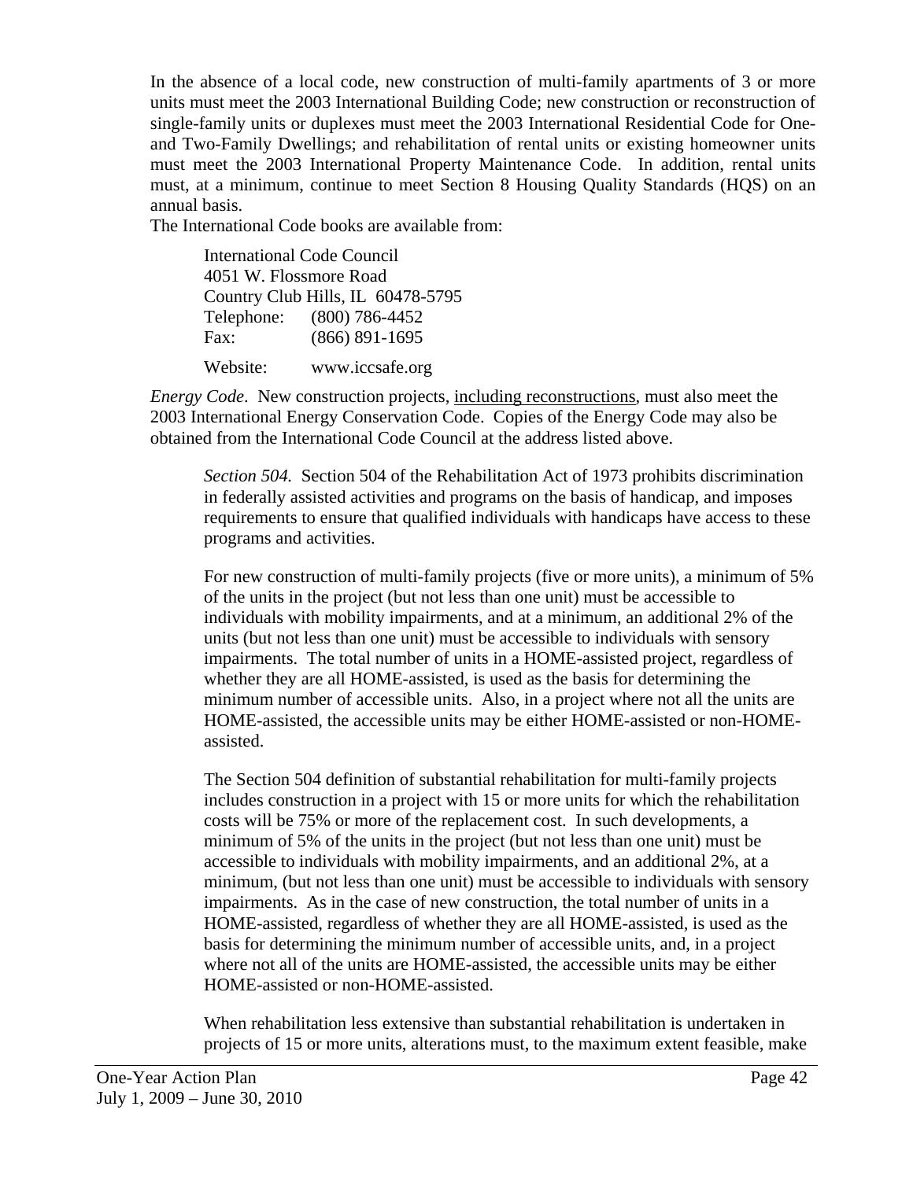In the absence of a local code, new construction of multi-family apartments of 3 or more units must meet the 2003 International Building Code; new construction or reconstruction of single-family units or duplexes must meet the 2003 International Residential Code for Oneand Two-Family Dwellings; and rehabilitation of rental units or existing homeowner units must meet the 2003 International Property Maintenance Code. In addition, rental units must, at a minimum, continue to meet Section 8 Housing Quality Standards (HQS) on an annual basis.

The International Code books are available from:

| <b>International Code Council</b> |                                   |  |
|-----------------------------------|-----------------------------------|--|
| 4051 W. Flossmore Road            |                                   |  |
|                                   | Country Club Hills, IL 60478-5795 |  |
|                                   | Telephone: (800) 786-4452         |  |
| Fax:                              | $(866) 891 - 1695$                |  |
| Website:                          | www.iccsafe.org                   |  |

*Energy Code*. New construction projects, including reconstructions, must also meet the 2003 International Energy Conservation Code. Copies of the Energy Code may also be obtained from the International Code Council at the address listed above.

*Section 504.* Section 504 of the Rehabilitation Act of 1973 prohibits discrimination in federally assisted activities and programs on the basis of handicap, and imposes requirements to ensure that qualified individuals with handicaps have access to these programs and activities.

For new construction of multi-family projects (five or more units), a minimum of 5% of the units in the project (but not less than one unit) must be accessible to individuals with mobility impairments, and at a minimum, an additional 2% of the units (but not less than one unit) must be accessible to individuals with sensory impairments. The total number of units in a HOME-assisted project, regardless of whether they are all HOME-assisted, is used as the basis for determining the minimum number of accessible units. Also, in a project where not all the units are HOME-assisted, the accessible units may be either HOME-assisted or non-HOMEassisted.

The Section 504 definition of substantial rehabilitation for multi-family projects includes construction in a project with 15 or more units for which the rehabilitation costs will be 75% or more of the replacement cost. In such developments, a minimum of 5% of the units in the project (but not less than one unit) must be accessible to individuals with mobility impairments, and an additional 2%, at a minimum, (but not less than one unit) must be accessible to individuals with sensory impairments. As in the case of new construction, the total number of units in a HOME-assisted, regardless of whether they are all HOME-assisted, is used as the basis for determining the minimum number of accessible units, and, in a project where not all of the units are HOME-assisted, the accessible units may be either HOME-assisted or non-HOME-assisted.

When rehabilitation less extensive than substantial rehabilitation is undertaken in projects of 15 or more units, alterations must, to the maximum extent feasible, make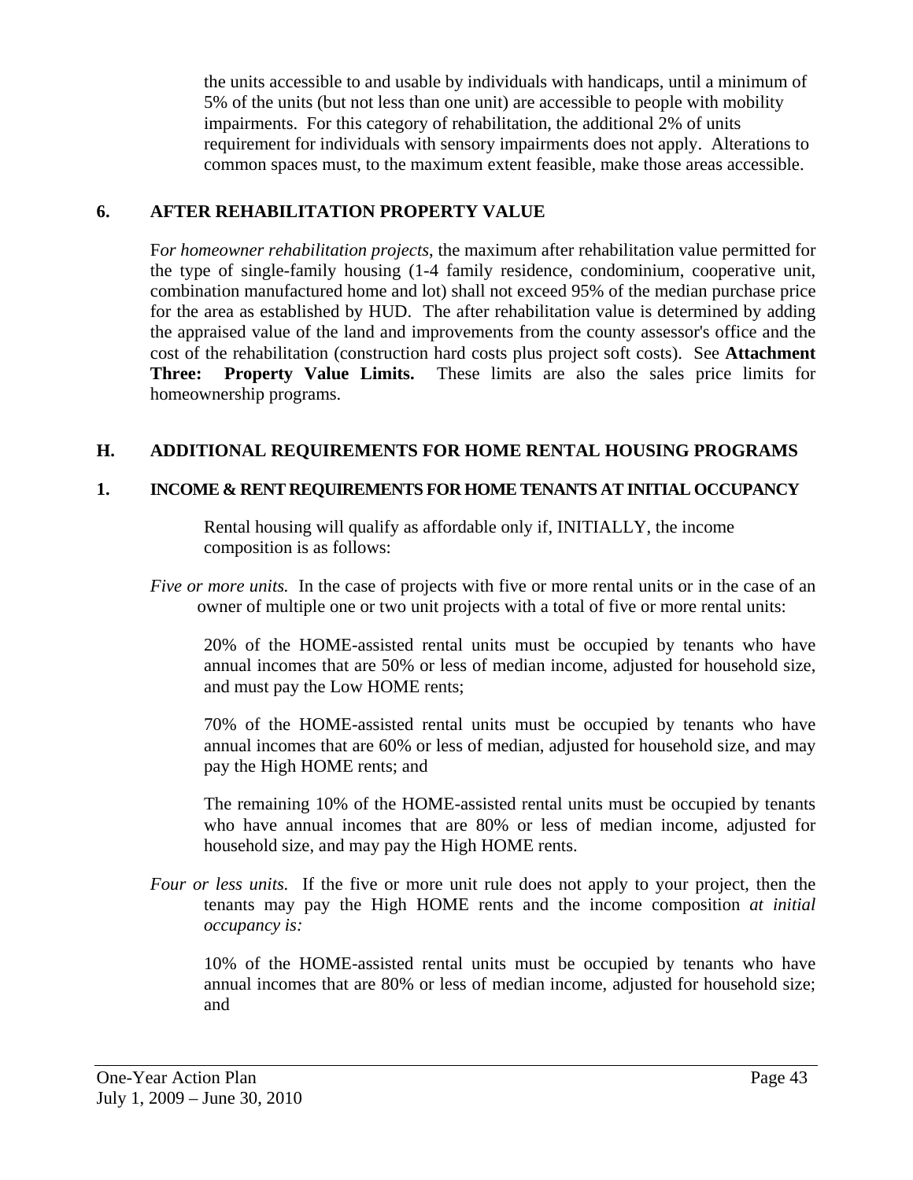the units accessible to and usable by individuals with handicaps, until a minimum of 5% of the units (but not less than one unit) are accessible to people with mobility impairments. For this category of rehabilitation, the additional 2% of units requirement for individuals with sensory impairments does not apply. Alterations to common spaces must, to the maximum extent feasible, make those areas accessible.

### **6. AFTER REHABILITATION PROPERTY VALUE**

F*or homeowner rehabilitation projects*, the maximum after rehabilitation value permitted for the type of single-family housing (1-4 family residence, condominium, cooperative unit, combination manufactured home and lot) shall not exceed 95% of the median purchase price for the area as established by HUD. The after rehabilitation value is determined by adding the appraised value of the land and improvements from the county assessor's office and the cost of the rehabilitation (construction hard costs plus project soft costs). See **Attachment Three: Property Value Limits.** These limits are also the sales price limits for homeownership programs.

## **H. ADDITIONAL REQUIREMENTS FOR HOME RENTAL HOUSING PROGRAMS**

### **1. INCOME & RENT REQUIREMENTS FOR HOME TENANTS AT INITIAL OCCUPANCY**

Rental housing will qualify as affordable only if, INITIALLY, the income composition is as follows:

*Five or more units.* In the case of projects with five or more rental units or in the case of an owner of multiple one or two unit projects with a total of five or more rental units:

20% of the HOME-assisted rental units must be occupied by tenants who have annual incomes that are 50% or less of median income, adjusted for household size, and must pay the Low HOME rents;

70% of the HOME-assisted rental units must be occupied by tenants who have annual incomes that are 60% or less of median, adjusted for household size, and may pay the High HOME rents; and

The remaining 10% of the HOME-assisted rental units must be occupied by tenants who have annual incomes that are 80% or less of median income, adjusted for household size, and may pay the High HOME rents.

*Four or less units.* If the five or more unit rule does not apply to your project, then the tenants may pay the High HOME rents and the income composition *at initial occupancy is:* 

10% of the HOME-assisted rental units must be occupied by tenants who have annual incomes that are 80% or less of median income, adjusted for household size; and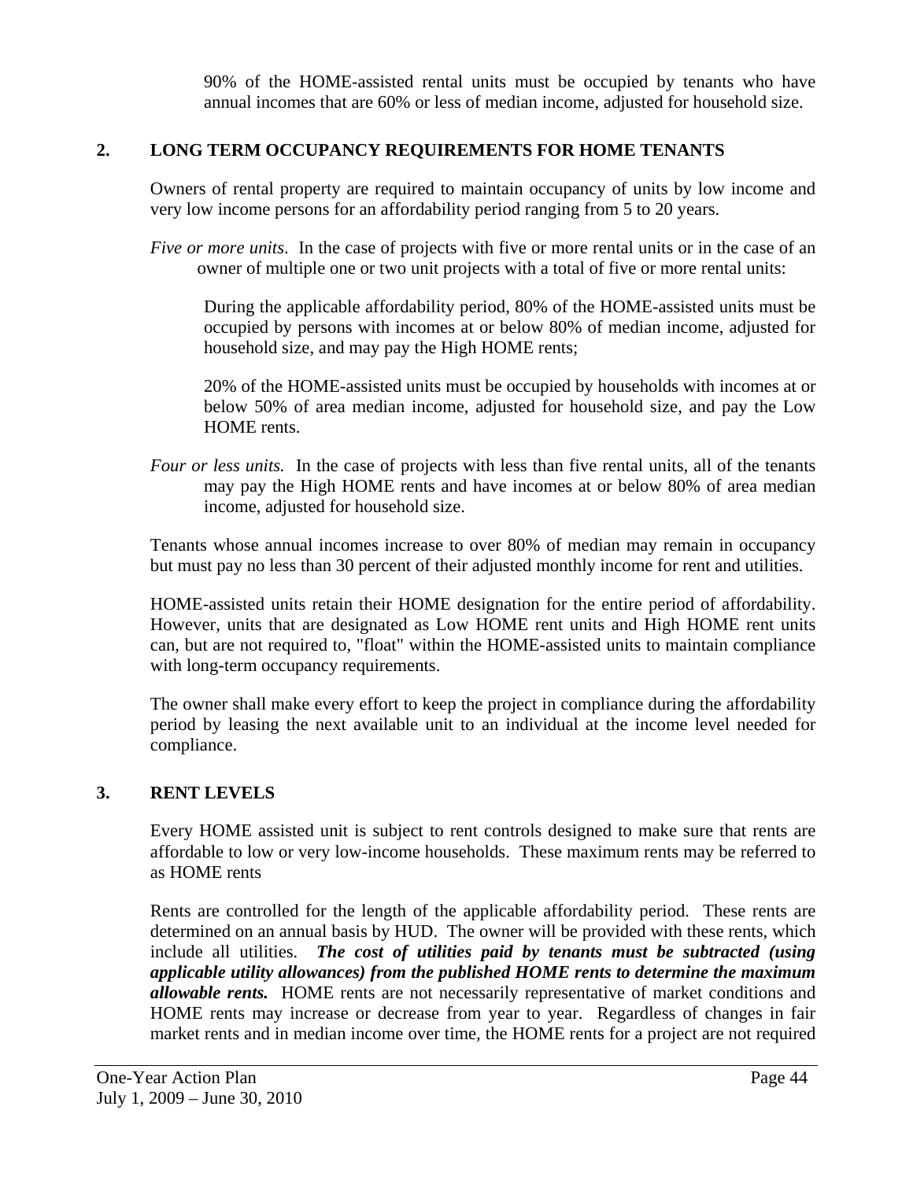90% of the HOME-assisted rental units must be occupied by tenants who have annual incomes that are 60% or less of median income, adjusted for household size.

### **2. LONG TERM OCCUPANCY REQUIREMENTS FOR HOME TENANTS**

Owners of rental property are required to maintain occupancy of units by low income and very low income persons for an affordability period ranging from 5 to 20 years.

*Five or more units*. In the case of projects with five or more rental units or in the case of an owner of multiple one or two unit projects with a total of five or more rental units:

During the applicable affordability period, 80% of the HOME-assisted units must be occupied by persons with incomes at or below 80% of median income, adjusted for household size, and may pay the High HOME rents;

20% of the HOME-assisted units must be occupied by households with incomes at or below 50% of area median income, adjusted for household size, and pay the Low HOME rents.

*Four or less units.* In the case of projects with less than five rental units, all of the tenants may pay the High HOME rents and have incomes at or below 80% of area median income, adjusted for household size.

Tenants whose annual incomes increase to over 80% of median may remain in occupancy but must pay no less than 30 percent of their adjusted monthly income for rent and utilities.

HOME-assisted units retain their HOME designation for the entire period of affordability. However, units that are designated as Low HOME rent units and High HOME rent units can, but are not required to, "float" within the HOME-assisted units to maintain compliance with long-term occupancy requirements.

The owner shall make every effort to keep the project in compliance during the affordability period by leasing the next available unit to an individual at the income level needed for compliance.

### **3. RENT LEVELS**

Every HOME assisted unit is subject to rent controls designed to make sure that rents are affordable to low or very low-income households. These maximum rents may be referred to as HOME rents

Rents are controlled for the length of the applicable affordability period. These rents are determined on an annual basis by HUD. The owner will be provided with these rents, which include all utilities. *The cost of utilities paid by tenants must be subtracted (using applicable utility allowances) from the published HOME rents to determine the maximum allowable rents.* HOME rents are not necessarily representative of market conditions and HOME rents may increase or decrease from year to year. Regardless of changes in fair market rents and in median income over time, the HOME rents for a project are not required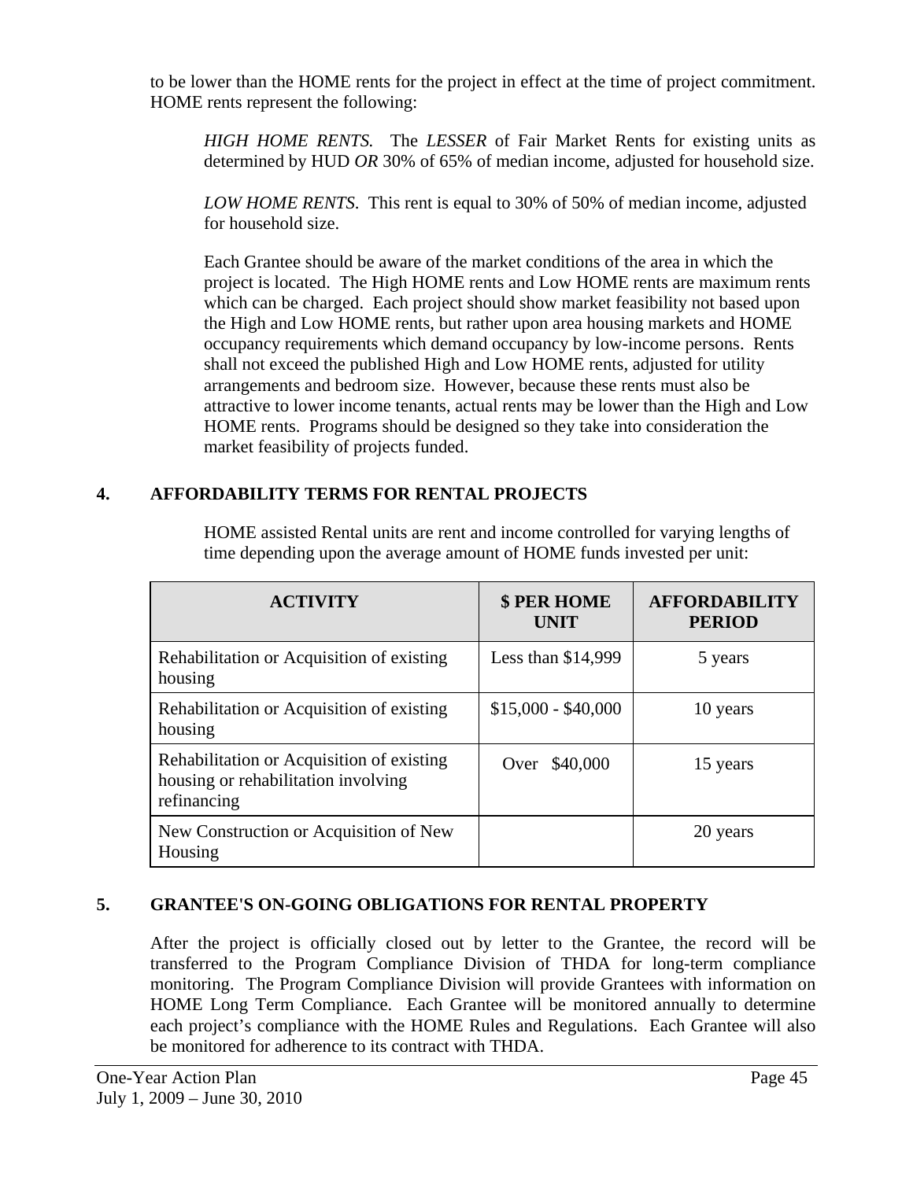to be lower than the HOME rents for the project in effect at the time of project commitment. HOME rents represent the following:

*HIGH HOME RENTS.* The *LESSER* of Fair Market Rents for existing units as determined by HUD *OR* 30% of 65% of median income, adjusted for household size.

*LOW HOME RENTS*. This rent is equal to 30% of 50% of median income, adjusted for household size.

 Each Grantee should be aware of the market conditions of the area in which the project is located. The High HOME rents and Low HOME rents are maximum rents which can be charged. Each project should show market feasibility not based upon the High and Low HOME rents, but rather upon area housing markets and HOME occupancy requirements which demand occupancy by low-income persons. Rents shall not exceed the published High and Low HOME rents, adjusted for utility arrangements and bedroom size. However, because these rents must also be attractive to lower income tenants, actual rents may be lower than the High and Low HOME rents. Programs should be designed so they take into consideration the market feasibility of projects funded.

# **4. AFFORDABILITY TERMS FOR RENTAL PROJECTS**

| <b>ACTIVITY</b>                                                                                 | \$ PER HOME<br><b>UNIT</b> | <b>AFFORDABILITY</b><br><b>PERIOD</b> |
|-------------------------------------------------------------------------------------------------|----------------------------|---------------------------------------|
| Rehabilitation or Acquisition of existing<br>housing                                            | Less than $$14,999$        | 5 years                               |
| Rehabilitation or Acquisition of existing<br>housing                                            | $$15,000 - $40,000$        | 10 years                              |
| Rehabilitation or Acquisition of existing<br>housing or rehabilitation involving<br>refinancing | Over \$40,000              | 15 years                              |
| New Construction or Acquisition of New<br>Housing                                               |                            | 20 years                              |

 HOME assisted Rental units are rent and income controlled for varying lengths of time depending upon the average amount of HOME funds invested per unit:

# **5. GRANTEE'S ON-GOING OBLIGATIONS FOR RENTAL PROPERTY**

 After the project is officially closed out by letter to the Grantee, the record will be transferred to the Program Compliance Division of THDA for long-term compliance monitoring. The Program Compliance Division will provide Grantees with information on HOME Long Term Compliance. Each Grantee will be monitored annually to determine each project's compliance with the HOME Rules and Regulations. Each Grantee will also be monitored for adherence to its contract with THDA.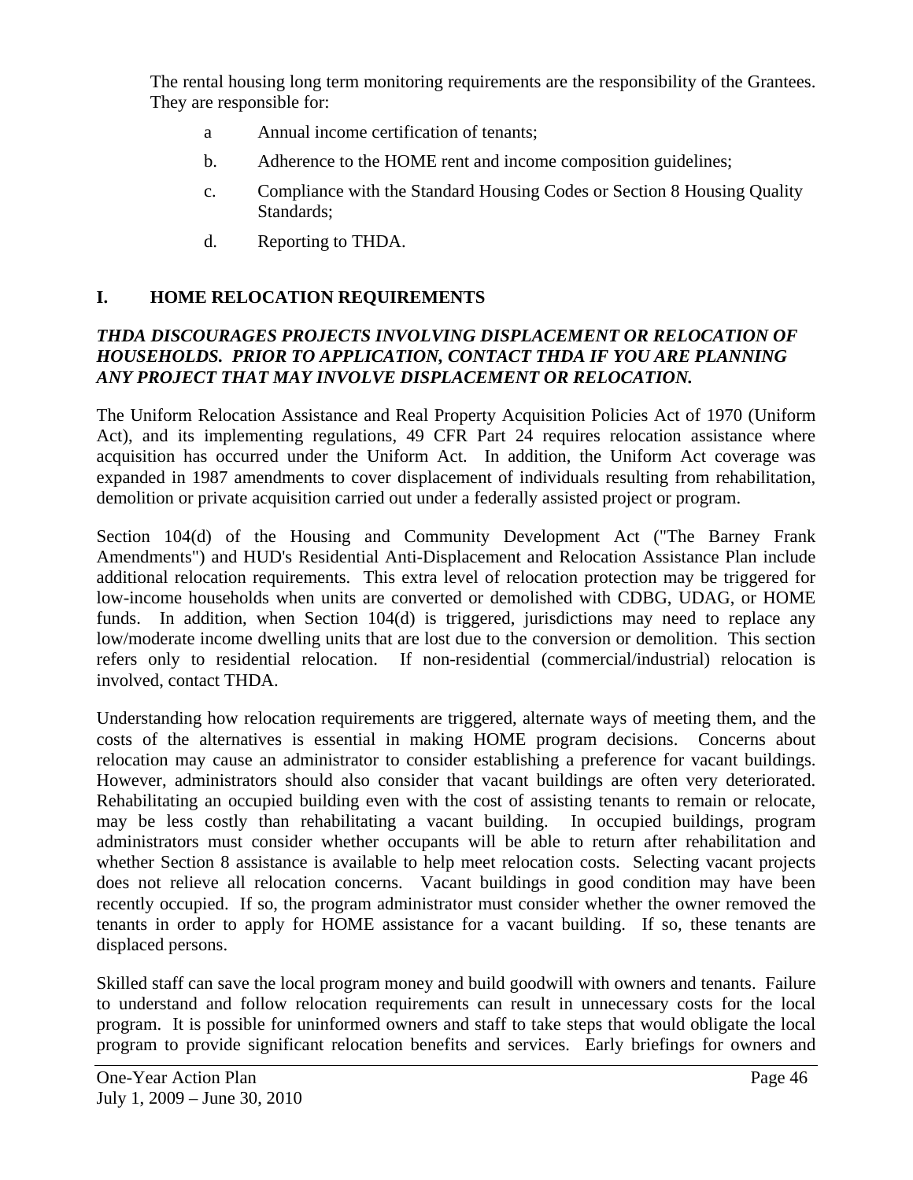The rental housing long term monitoring requirements are the responsibility of the Grantees. They are responsible for:

- a Annual income certification of tenants;
- b. Adherence to the HOME rent and income composition guidelines;
- c. Compliance with the Standard Housing Codes or Section 8 Housing Quality Standards;
- d. Reporting to THDA.

# **I. HOME RELOCATION REQUIREMENTS**

## *THDA DISCOURAGES PROJECTS INVOLVING DISPLACEMENT OR RELOCATION OF HOUSEHOLDS. PRIOR TO APPLICATION, CONTACT THDA IF YOU ARE PLANNING ANY PROJECT THAT MAY INVOLVE DISPLACEMENT OR RELOCATION.*

The Uniform Relocation Assistance and Real Property Acquisition Policies Act of 1970 (Uniform Act), and its implementing regulations, 49 CFR Part 24 requires relocation assistance where acquisition has occurred under the Uniform Act. In addition, the Uniform Act coverage was expanded in 1987 amendments to cover displacement of individuals resulting from rehabilitation, demolition or private acquisition carried out under a federally assisted project or program.

Section 104(d) of the Housing and Community Development Act ("The Barney Frank Amendments") and HUD's Residential Anti-Displacement and Relocation Assistance Plan include additional relocation requirements. This extra level of relocation protection may be triggered for low-income households when units are converted or demolished with CDBG, UDAG, or HOME funds. In addition, when Section 104(d) is triggered, jurisdictions may need to replace any low/moderate income dwelling units that are lost due to the conversion or demolition. This section refers only to residential relocation. If non-residential (commercial/industrial) relocation is involved, contact THDA.

Understanding how relocation requirements are triggered, alternate ways of meeting them, and the costs of the alternatives is essential in making HOME program decisions. Concerns about relocation may cause an administrator to consider establishing a preference for vacant buildings. However, administrators should also consider that vacant buildings are often very deteriorated. Rehabilitating an occupied building even with the cost of assisting tenants to remain or relocate, may be less costly than rehabilitating a vacant building. In occupied buildings, program administrators must consider whether occupants will be able to return after rehabilitation and whether Section 8 assistance is available to help meet relocation costs. Selecting vacant projects does not relieve all relocation concerns. Vacant buildings in good condition may have been recently occupied. If so, the program administrator must consider whether the owner removed the tenants in order to apply for HOME assistance for a vacant building. If so, these tenants are displaced persons.

Skilled staff can save the local program money and build goodwill with owners and tenants. Failure to understand and follow relocation requirements can result in unnecessary costs for the local program. It is possible for uninformed owners and staff to take steps that would obligate the local program to provide significant relocation benefits and services. Early briefings for owners and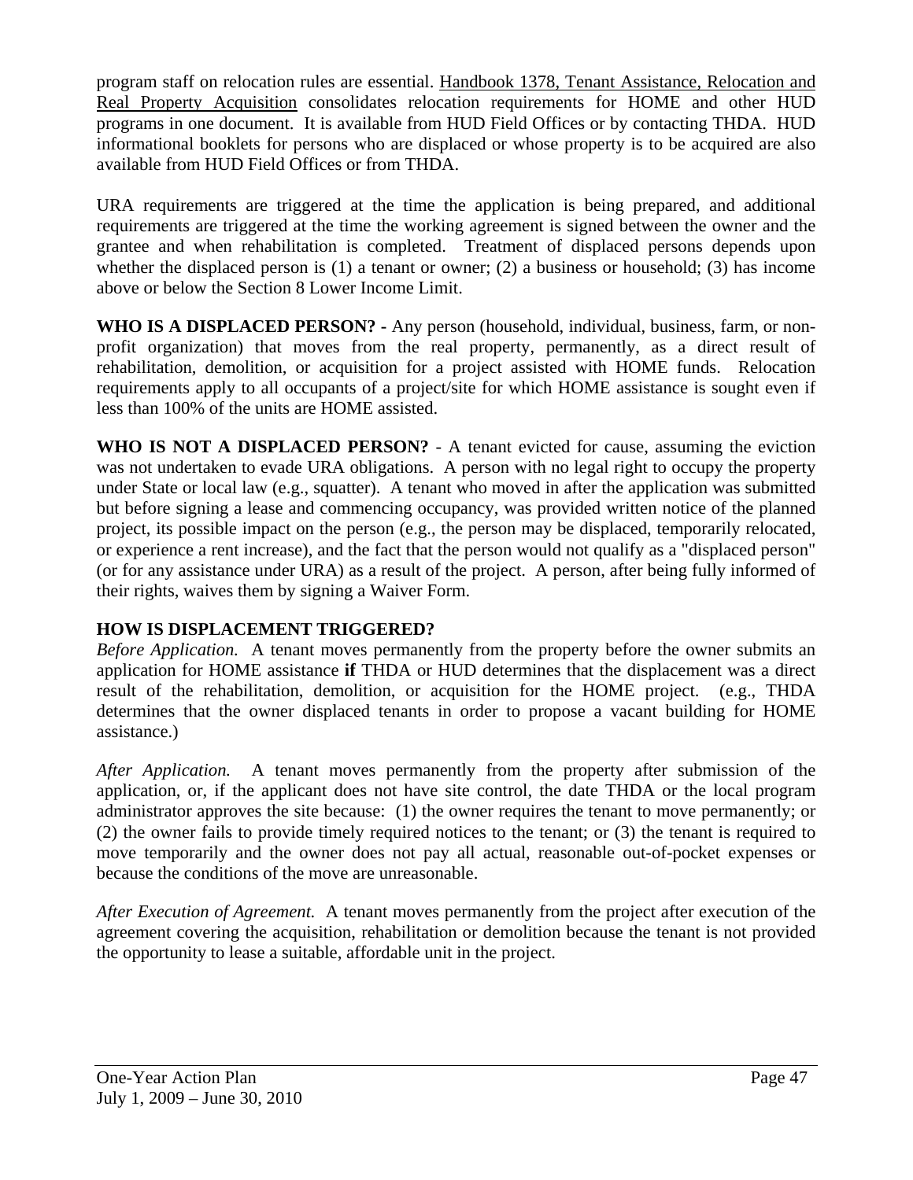program staff on relocation rules are essential. Handbook 1378, Tenant Assistance, Relocation and Real Property Acquisition consolidates relocation requirements for HOME and other HUD programs in one document. It is available from HUD Field Offices or by contacting THDA. HUD informational booklets for persons who are displaced or whose property is to be acquired are also available from HUD Field Offices or from THDA.

URA requirements are triggered at the time the application is being prepared, and additional requirements are triggered at the time the working agreement is signed between the owner and the grantee and when rehabilitation is completed. Treatment of displaced persons depends upon whether the displaced person is (1) a tenant or owner; (2) a business or household; (3) has income above or below the Section 8 Lower Income Limit.

**WHO IS A DISPLACED PERSON? -** Any person (household, individual, business, farm, or nonprofit organization) that moves from the real property, permanently, as a direct result of rehabilitation, demolition, or acquisition for a project assisted with HOME funds. Relocation requirements apply to all occupants of a project/site for which HOME assistance is sought even if less than 100% of the units are HOME assisted.

**WHO IS NOT A DISPLACED PERSON?** - A tenant evicted for cause, assuming the eviction was not undertaken to evade URA obligations. A person with no legal right to occupy the property under State or local law (e.g., squatter). A tenant who moved in after the application was submitted but before signing a lease and commencing occupancy, was provided written notice of the planned project, its possible impact on the person (e.g., the person may be displaced, temporarily relocated, or experience a rent increase), and the fact that the person would not qualify as a "displaced person" (or for any assistance under URA) as a result of the project. A person, after being fully informed of their rights, waives them by signing a Waiver Form.

# **HOW IS DISPLACEMENT TRIGGERED?**

*Before Application.* A tenant moves permanently from the property before the owner submits an application for HOME assistance **if** THDA or HUD determines that the displacement was a direct result of the rehabilitation, demolition, or acquisition for the HOME project. (e.g., THDA determines that the owner displaced tenants in order to propose a vacant building for HOME assistance.)

*After Application.* A tenant moves permanently from the property after submission of the application, or, if the applicant does not have site control, the date THDA or the local program administrator approves the site because: (1) the owner requires the tenant to move permanently; or (2) the owner fails to provide timely required notices to the tenant; or (3) the tenant is required to move temporarily and the owner does not pay all actual, reasonable out-of-pocket expenses or because the conditions of the move are unreasonable.

*After Execution of Agreement.* A tenant moves permanently from the project after execution of the agreement covering the acquisition, rehabilitation or demolition because the tenant is not provided the opportunity to lease a suitable, affordable unit in the project.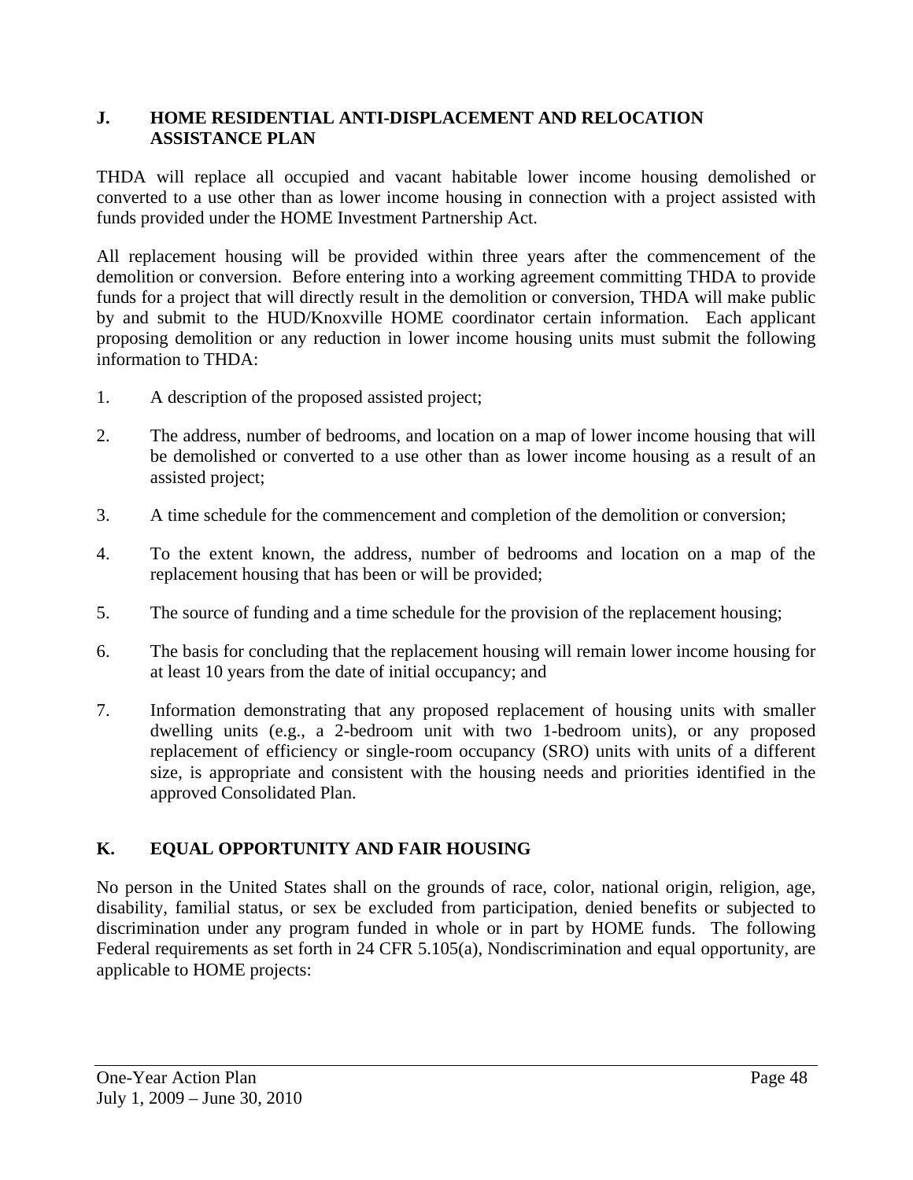### **J. HOME RESIDENTIAL ANTI-DISPLACEMENT AND RELOCATION ASSISTANCE PLAN**

THDA will replace all occupied and vacant habitable lower income housing demolished or converted to a use other than as lower income housing in connection with a project assisted with funds provided under the HOME Investment Partnership Act.

All replacement housing will be provided within three years after the commencement of the demolition or conversion. Before entering into a working agreement committing THDA to provide funds for a project that will directly result in the demolition or conversion, THDA will make public by and submit to the HUD/Knoxville HOME coordinator certain information. Each applicant proposing demolition or any reduction in lower income housing units must submit the following information to THDA:

- 1. A description of the proposed assisted project;
- 2. The address, number of bedrooms, and location on a map of lower income housing that will be demolished or converted to a use other than as lower income housing as a result of an assisted project;
- 3. A time schedule for the commencement and completion of the demolition or conversion;
- 4. To the extent known, the address, number of bedrooms and location on a map of the replacement housing that has been or will be provided;
- 5. The source of funding and a time schedule for the provision of the replacement housing;
- 6. The basis for concluding that the replacement housing will remain lower income housing for at least 10 years from the date of initial occupancy; and
- 7. Information demonstrating that any proposed replacement of housing units with smaller dwelling units (e.g., a 2-bedroom unit with two 1-bedroom units), or any proposed replacement of efficiency or single-room occupancy (SRO) units with units of a different size, is appropriate and consistent with the housing needs and priorities identified in the approved Consolidated Plan.

# **K. EQUAL OPPORTUNITY AND FAIR HOUSING**

No person in the United States shall on the grounds of race, color, national origin, religion, age, disability, familial status, or sex be excluded from participation, denied benefits or subjected to discrimination under any program funded in whole or in part by HOME funds. The following Federal requirements as set forth in 24 CFR 5.105(a), Nondiscrimination and equal opportunity, are applicable to HOME projects: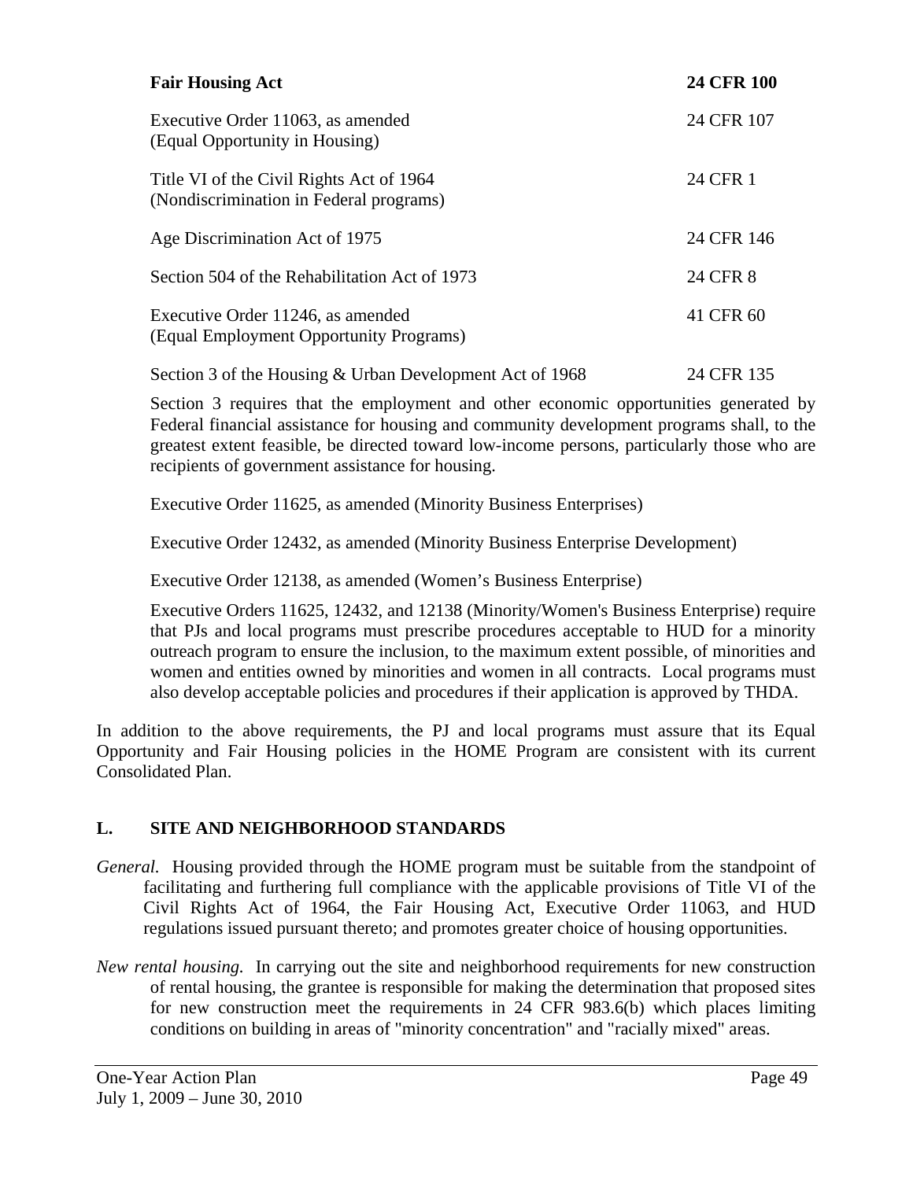| <b>Fair Housing Act</b>                                                             | <b>24 CFR 100</b> |
|-------------------------------------------------------------------------------------|-------------------|
| Executive Order 11063, as amended<br>(Equal Opportunity in Housing)                 | 24 CFR 107        |
| Title VI of the Civil Rights Act of 1964<br>(Nondiscrimination in Federal programs) | 24 CFR 1          |
| Age Discrimination Act of 1975                                                      | 24 CFR 146        |
| Section 504 of the Rehabilitation Act of 1973                                       | 24 CFR 8          |
| Executive Order 11246, as amended<br>(Equal Employment Opportunity Programs)        | 41 CFR 60         |
| Section 3 of the Housing & Urban Development Act of 1968                            | 24 CFR 135        |

 Section 3 requires that the employment and other economic opportunities generated by Federal financial assistance for housing and community development programs shall, to the greatest extent feasible, be directed toward low-income persons, particularly those who are recipients of government assistance for housing.

Executive Order 11625, as amended (Minority Business Enterprises)

Executive Order 12432, as amended (Minority Business Enterprise Development)

Executive Order 12138, as amended (Women's Business Enterprise)

 Executive Orders 11625, 12432, and 12138 (Minority/Women's Business Enterprise) require that PJs and local programs must prescribe procedures acceptable to HUD for a minority outreach program to ensure the inclusion, to the maximum extent possible, of minorities and women and entities owned by minorities and women in all contracts. Local programs must also develop acceptable policies and procedures if their application is approved by THDA.

In addition to the above requirements, the PJ and local programs must assure that its Equal Opportunity and Fair Housing policies in the HOME Program are consistent with its current Consolidated Plan.

# **L. SITE AND NEIGHBORHOOD STANDARDS**

- *General.* Housing provided through the HOME program must be suitable from the standpoint of facilitating and furthering full compliance with the applicable provisions of Title VI of the Civil Rights Act of 1964, the Fair Housing Act, Executive Order 11063, and HUD regulations issued pursuant thereto; and promotes greater choice of housing opportunities.
- *New rental housing.* In carrying out the site and neighborhood requirements for new construction of rental housing, the grantee is responsible for making the determination that proposed sites for new construction meet the requirements in 24 CFR 983.6(b) which places limiting conditions on building in areas of "minority concentration" and "racially mixed" areas.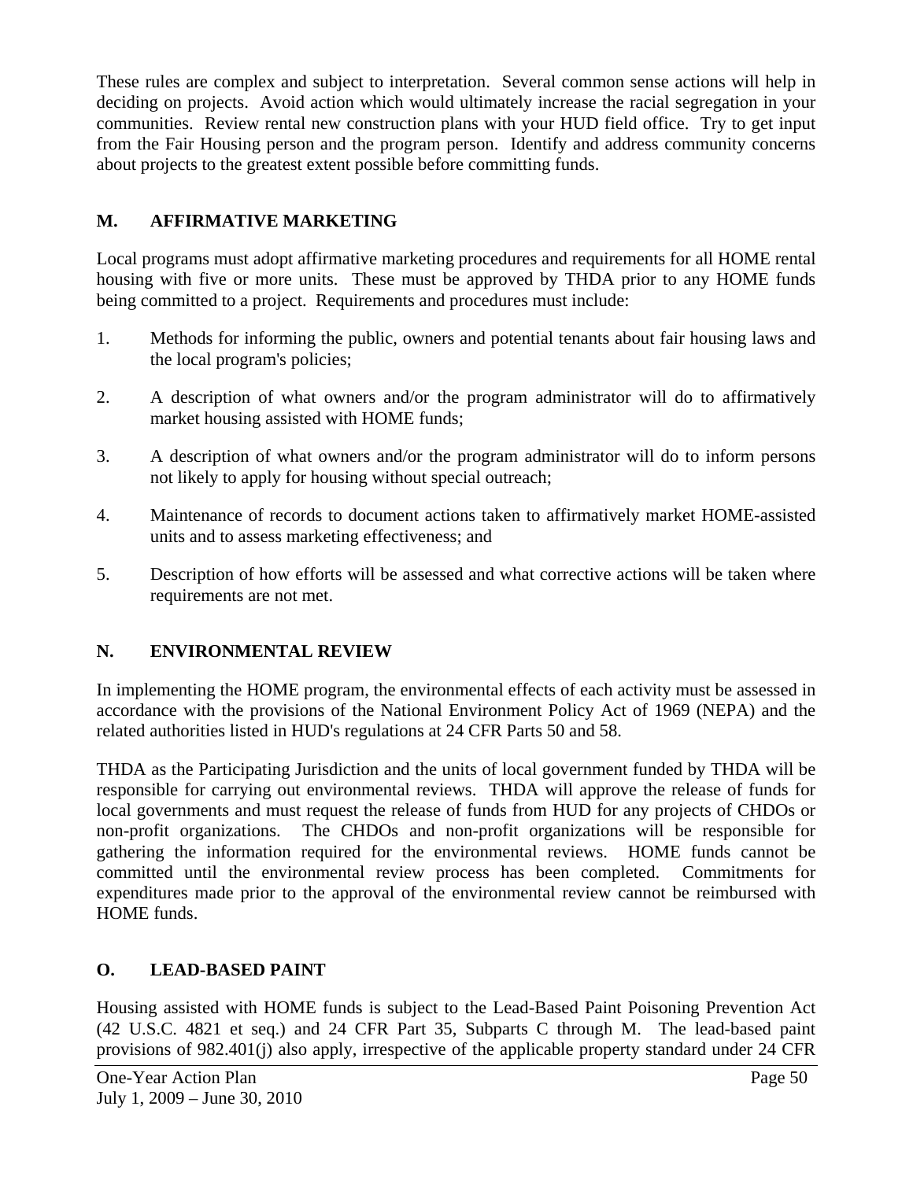These rules are complex and subject to interpretation. Several common sense actions will help in deciding on projects. Avoid action which would ultimately increase the racial segregation in your communities. Review rental new construction plans with your HUD field office. Try to get input from the Fair Housing person and the program person. Identify and address community concerns about projects to the greatest extent possible before committing funds.

# **M. AFFIRMATIVE MARKETING**

Local programs must adopt affirmative marketing procedures and requirements for all HOME rental housing with five or more units. These must be approved by THDA prior to any HOME funds being committed to a project. Requirements and procedures must include:

- 1. Methods for informing the public, owners and potential tenants about fair housing laws and the local program's policies;
- 2. A description of what owners and/or the program administrator will do to affirmatively market housing assisted with HOME funds;
- 3. A description of what owners and/or the program administrator will do to inform persons not likely to apply for housing without special outreach;
- 4. Maintenance of records to document actions taken to affirmatively market HOME-assisted units and to assess marketing effectiveness; and
- 5. Description of how efforts will be assessed and what corrective actions will be taken where requirements are not met.

# **N. ENVIRONMENTAL REVIEW**

In implementing the HOME program, the environmental effects of each activity must be assessed in accordance with the provisions of the National Environment Policy Act of 1969 (NEPA) and the related authorities listed in HUD's regulations at 24 CFR Parts 50 and 58.

THDA as the Participating Jurisdiction and the units of local government funded by THDA will be responsible for carrying out environmental reviews. THDA will approve the release of funds for local governments and must request the release of funds from HUD for any projects of CHDOs or non-profit organizations. The CHDOs and non-profit organizations will be responsible for gathering the information required for the environmental reviews. HOME funds cannot be committed until the environmental review process has been completed. Commitments for expenditures made prior to the approval of the environmental review cannot be reimbursed with HOME funds.

# **O. LEAD-BASED PAINT**

Housing assisted with HOME funds is subject to the Lead-Based Paint Poisoning Prevention Act (42 U.S.C. 4821 et seq.) and 24 CFR Part 35, Subparts C through M. The lead-based paint provisions of 982.401(j) also apply, irrespective of the applicable property standard under 24 CFR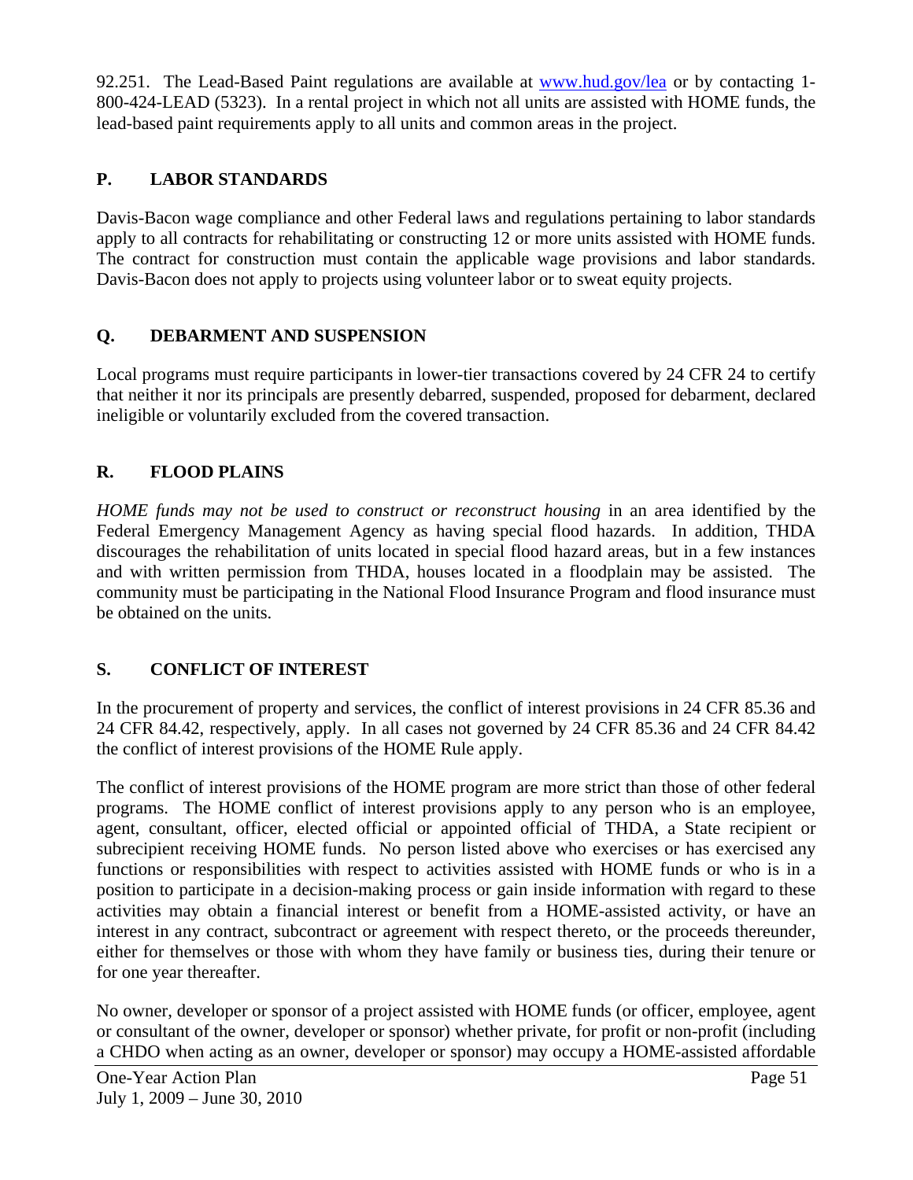92.251. The Lead-Based Paint regulations are available at www.hud.gov/lea or by contacting 1- 800-424-LEAD (5323). In a rental project in which not all units are assisted with HOME funds, the lead-based paint requirements apply to all units and common areas in the project.

# **P. LABOR STANDARDS**

Davis-Bacon wage compliance and other Federal laws and regulations pertaining to labor standards apply to all contracts for rehabilitating or constructing 12 or more units assisted with HOME funds. The contract for construction must contain the applicable wage provisions and labor standards. Davis-Bacon does not apply to projects using volunteer labor or to sweat equity projects.

# **Q. DEBARMENT AND SUSPENSION**

Local programs must require participants in lower-tier transactions covered by 24 CFR 24 to certify that neither it nor its principals are presently debarred, suspended, proposed for debarment, declared ineligible or voluntarily excluded from the covered transaction.

# **R. FLOOD PLAINS**

*HOME funds may not be used to construct or reconstruct housing* in an area identified by the Federal Emergency Management Agency as having special flood hazards. In addition, THDA discourages the rehabilitation of units located in special flood hazard areas, but in a few instances and with written permission from THDA, houses located in a floodplain may be assisted. The community must be participating in the National Flood Insurance Program and flood insurance must be obtained on the units.

# **S. CONFLICT OF INTEREST**

In the procurement of property and services, the conflict of interest provisions in 24 CFR 85.36 and 24 CFR 84.42, respectively, apply. In all cases not governed by 24 CFR 85.36 and 24 CFR 84.42 the conflict of interest provisions of the HOME Rule apply.

The conflict of interest provisions of the HOME program are more strict than those of other federal programs. The HOME conflict of interest provisions apply to any person who is an employee, agent, consultant, officer, elected official or appointed official of THDA, a State recipient or subrecipient receiving HOME funds. No person listed above who exercises or has exercised any functions or responsibilities with respect to activities assisted with HOME funds or who is in a position to participate in a decision-making process or gain inside information with regard to these activities may obtain a financial interest or benefit from a HOME-assisted activity, or have an interest in any contract, subcontract or agreement with respect thereto, or the proceeds thereunder, either for themselves or those with whom they have family or business ties, during their tenure or for one year thereafter.

No owner, developer or sponsor of a project assisted with HOME funds (or officer, employee, agent or consultant of the owner, developer or sponsor) whether private, for profit or non-profit (including a CHDO when acting as an owner, developer or sponsor) may occupy a HOME-assisted affordable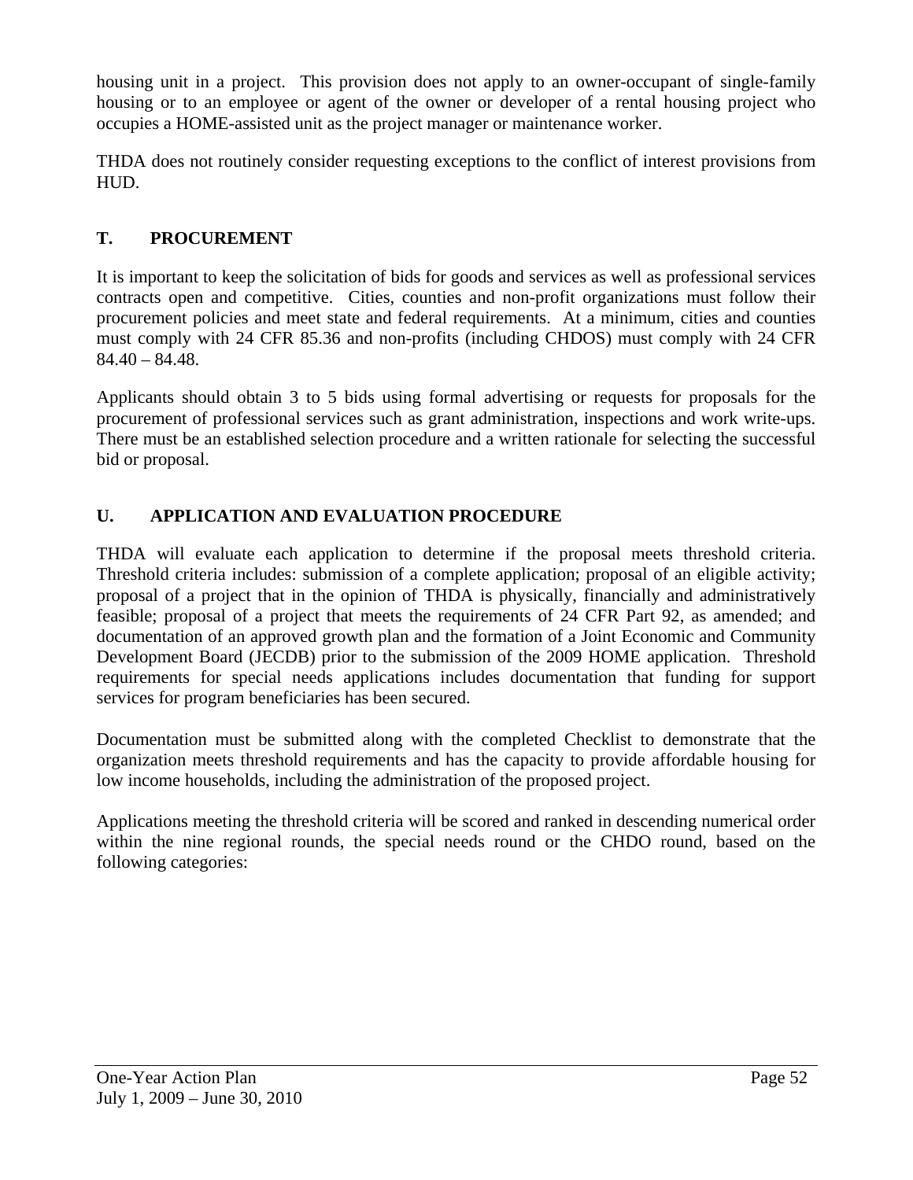housing unit in a project. This provision does not apply to an owner-occupant of single-family housing or to an employee or agent of the owner or developer of a rental housing project who occupies a HOME-assisted unit as the project manager or maintenance worker.

THDA does not routinely consider requesting exceptions to the conflict of interest provisions from HUD.

# **T. PROCUREMENT**

It is important to keep the solicitation of bids for goods and services as well as professional services contracts open and competitive. Cities, counties and non-profit organizations must follow their procurement policies and meet state and federal requirements. At a minimum, cities and counties must comply with 24 CFR 85.36 and non-profits (including CHDOS) must comply with 24 CFR 84.40 – 84.48.

Applicants should obtain 3 to 5 bids using formal advertising or requests for proposals for the procurement of professional services such as grant administration, inspections and work write-ups. There must be an established selection procedure and a written rationale for selecting the successful bid or proposal.

# **U. APPLICATION AND EVALUATION PROCEDURE**

THDA will evaluate each application to determine if the proposal meets threshold criteria. Threshold criteria includes: submission of a complete application; proposal of an eligible activity; proposal of a project that in the opinion of THDA is physically, financially and administratively feasible; proposal of a project that meets the requirements of 24 CFR Part 92, as amended; and documentation of an approved growth plan and the formation of a Joint Economic and Community Development Board (JECDB) prior to the submission of the 2009 HOME application. Threshold requirements for special needs applications includes documentation that funding for support services for program beneficiaries has been secured.

Documentation must be submitted along with the completed Checklist to demonstrate that the organization meets threshold requirements and has the capacity to provide affordable housing for low income households, including the administration of the proposed project.

Applications meeting the threshold criteria will be scored and ranked in descending numerical order within the nine regional rounds, the special needs round or the CHDO round, based on the following categories: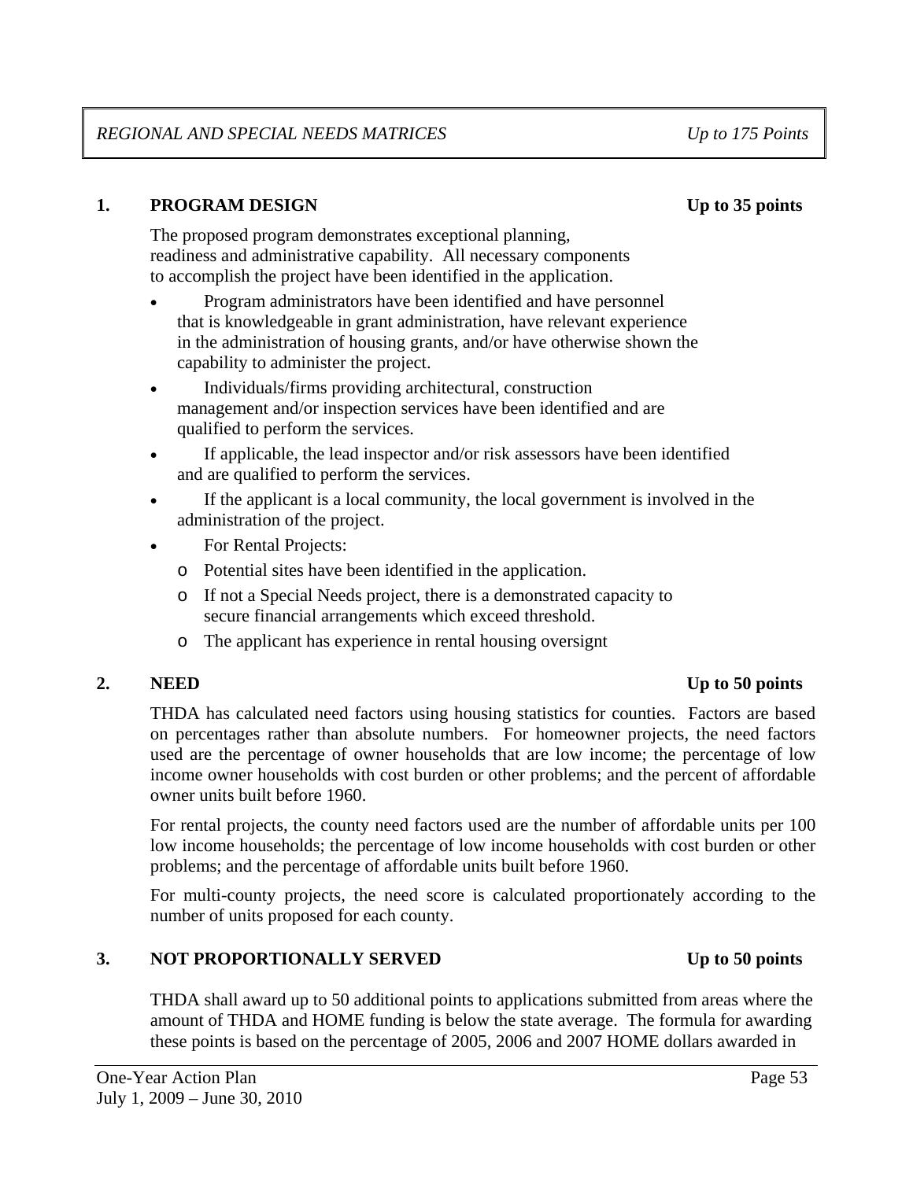# **1.** PROGRAM DESIGN Up to 35 points

The proposed program demonstrates exceptional planning, readiness and administrative capability. All necessary components to accomplish the project have been identified in the application.

- Program administrators have been identified and have personnel that is knowledgeable in grant administration, have relevant experience in the administration of housing grants, and/or have otherwise shown the capability to administer the project.
- Individuals/firms providing architectural, construction management and/or inspection services have been identified and are qualified to perform the services.
- If applicable, the lead inspector and/or risk assessors have been identified and are qualified to perform the services.
- If the applicant is a local community, the local government is involved in the administration of the project.
- For Rental Projects:
	- o Potential sites have been identified in the application.
	- o If not a Special Needs project, there is a demonstrated capacity to secure financial arrangements which exceed threshold.
	- o The applicant has experience in rental housing oversignt

 THDA has calculated need factors using housing statistics for counties. Factors are based on percentages rather than absolute numbers. For homeowner projects, the need factors used are the percentage of owner households that are low income; the percentage of low income owner households with cost burden or other problems; and the percent of affordable owner units built before 1960.

For rental projects, the county need factors used are the number of affordable units per 100 low income households; the percentage of low income households with cost burden or other problems; and the percentage of affordable units built before 1960.

For multi-county projects, the need score is calculated proportionately according to the number of units proposed for each county.

# 3. NOT PROPORTIONALLY SERVED Up to 50 points

THDA shall award up to 50 additional points to applications submitted from areas where the amount of THDA and HOME funding is below the state average. The formula for awarding these points is based on the percentage of 2005, 2006 and 2007 HOME dollars awarded in

# **2. NEED Up to 50 points**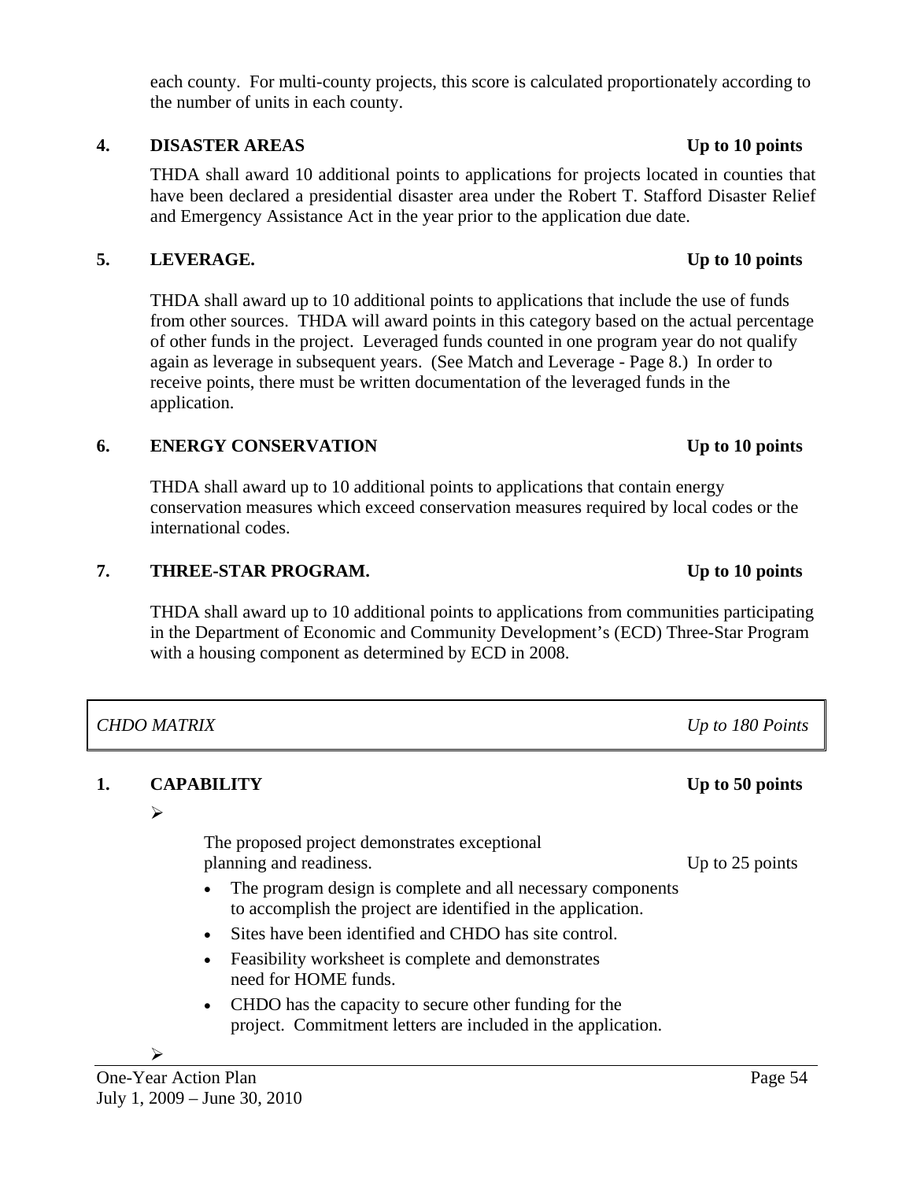each county. For multi-county projects, this score is calculated proportionately according to the number of units in each county.

# **4. DISASTER AREAS** Up to 10 points

 THDA shall award 10 additional points to applications for projects located in counties that have been declared a presidential disaster area under the Robert T. Stafford Disaster Relief and Emergency Assistance Act in the year prior to the application due date.

# **5. LEVERAGE. Up to 10 points**

THDA shall award up to 10 additional points to applications that include the use of funds from other sources. THDA will award points in this category based on the actual percentage of other funds in the project. Leveraged funds counted in one program year do not qualify again as leverage in subsequent years. (See Match and Leverage - Page 8.) In order to receive points, there must be written documentation of the leveraged funds in the application.

# **6. ENERGY CONSERVATION Up to 10 points**

THDA shall award up to 10 additional points to applications that contain energy conservation measures which exceed conservation measures required by local codes or the international codes.

### **7. THREE-STAR PROGRAM. Up to 10 points**

THDA shall award up to 10 additional points to applications from communities participating in the Department of Economic and Community Development's (ECD) Three-Star Program with a housing component as determined by ECD in 2008.

|    | <b>CHDO MATRIX</b>                                                                                                                                                                                                                                                                                                                                                                                                                                                                        | Up to 180 Points |
|----|-------------------------------------------------------------------------------------------------------------------------------------------------------------------------------------------------------------------------------------------------------------------------------------------------------------------------------------------------------------------------------------------------------------------------------------------------------------------------------------------|------------------|
| 1. | <b>CAPABILITY</b><br>$\blacktriangleright$                                                                                                                                                                                                                                                                                                                                                                                                                                                | Up to 50 points  |
|    | The proposed project demonstrates exceptional<br>planning and readiness.<br>The program design is complete and all necessary components<br>to accomplish the project are identified in the application.<br>Sites have been identified and CHDO has site control.<br>Feasibility worksheet is complete and demonstrates<br>need for HOME funds.<br>CHDO has the capacity to secure other funding for the<br>$\bullet$<br>project. Commitment letters are included in the application.<br>↘ | Up to 25 points  |
|    | One-Year Action Plan                                                                                                                                                                                                                                                                                                                                                                                                                                                                      | Page 54          |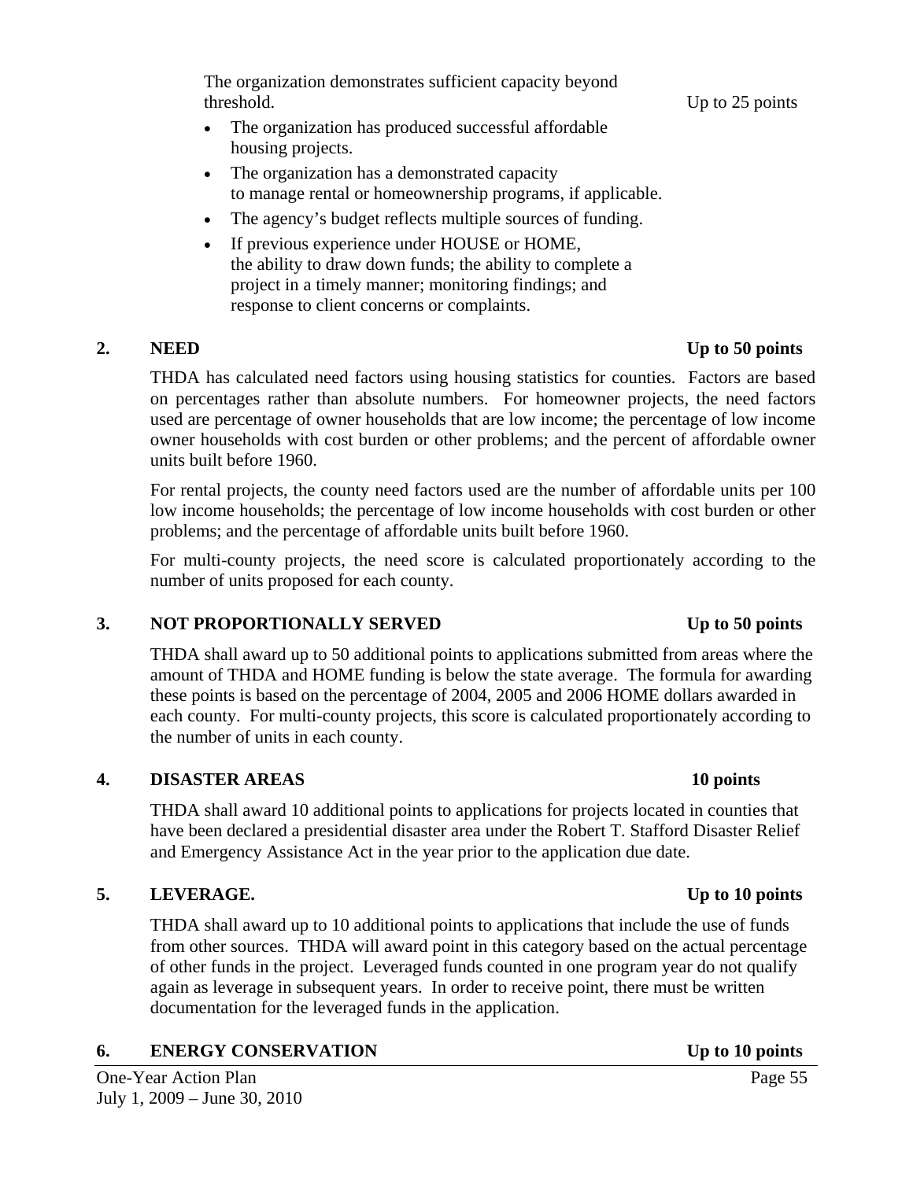The organization demonstrates sufficient capacity beyond threshold. Up to 25 points

- The organization has produced successful affordable housing projects.
- The organization has a demonstrated capacity to manage rental or homeownership programs, if applicable.
- The agency's budget reflects multiple sources of funding.
- If previous experience under HOUSE or HOME, the ability to draw down funds; the ability to complete a project in a timely manner; monitoring findings; and response to client concerns or complaints.

### **2. NEED Up to 50 points**

 THDA has calculated need factors using housing statistics for counties. Factors are based on percentages rather than absolute numbers. For homeowner projects, the need factors used are percentage of owner households that are low income; the percentage of low income owner households with cost burden or other problems; and the percent of affordable owner units built before 1960.

For rental projects, the county need factors used are the number of affordable units per 100 low income households; the percentage of low income households with cost burden or other problems; and the percentage of affordable units built before 1960.

For multi-county projects, the need score is calculated proportionately according to the number of units proposed for each county.

### 3. NOT PROPORTIONALLY SERVED Up to 50 points

THDA shall award up to 50 additional points to applications submitted from areas where the amount of THDA and HOME funding is below the state average. The formula for awarding these points is based on the percentage of 2004, 2005 and 2006 HOME dollars awarded in each county. For multi-county projects, this score is calculated proportionately according to the number of units in each county.

### **4. DISASTER AREAS 10 points**

THDA shall award 10 additional points to applications for projects located in counties that have been declared a presidential disaster area under the Robert T. Stafford Disaster Relief and Emergency Assistance Act in the year prior to the application due date.

### **5. LEVERAGE. Up to 10 points**

THDA shall award up to 10 additional points to applications that include the use of funds from other sources. THDA will award point in this category based on the actual percentage of other funds in the project. Leveraged funds counted in one program year do not qualify again as leverage in subsequent years. In order to receive point, there must be written documentation for the leveraged funds in the application.

#### **6. ENERGY CONSERVATION Up to 10 points**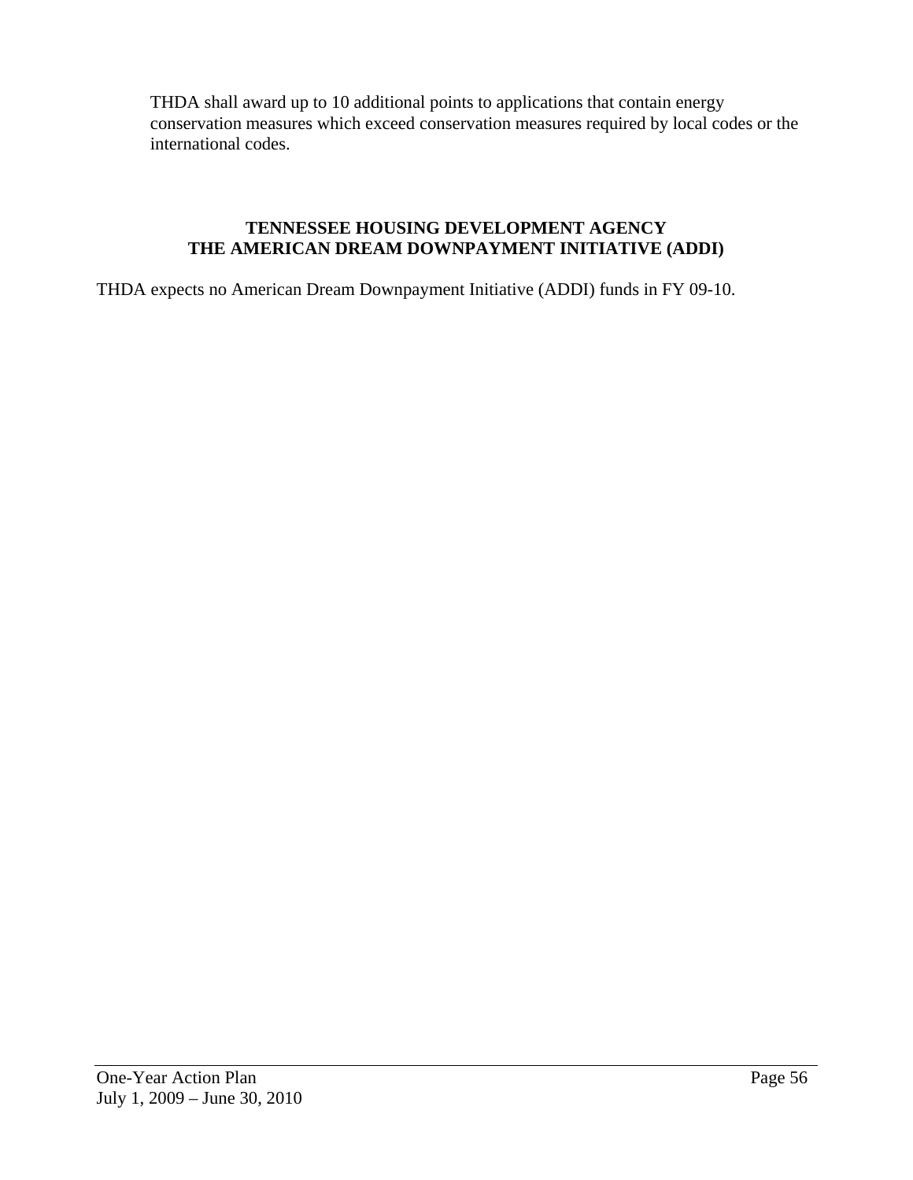THDA shall award up to 10 additional points to applications that contain energy conservation measures which exceed conservation measures required by local codes or the international codes.

### **TENNESSEE HOUSING DEVELOPMENT AGENCY THE AMERICAN DREAM DOWNPAYMENT INITIATIVE (ADDI)**

THDA expects no American Dream Downpayment Initiative (ADDI) funds in FY 09-10.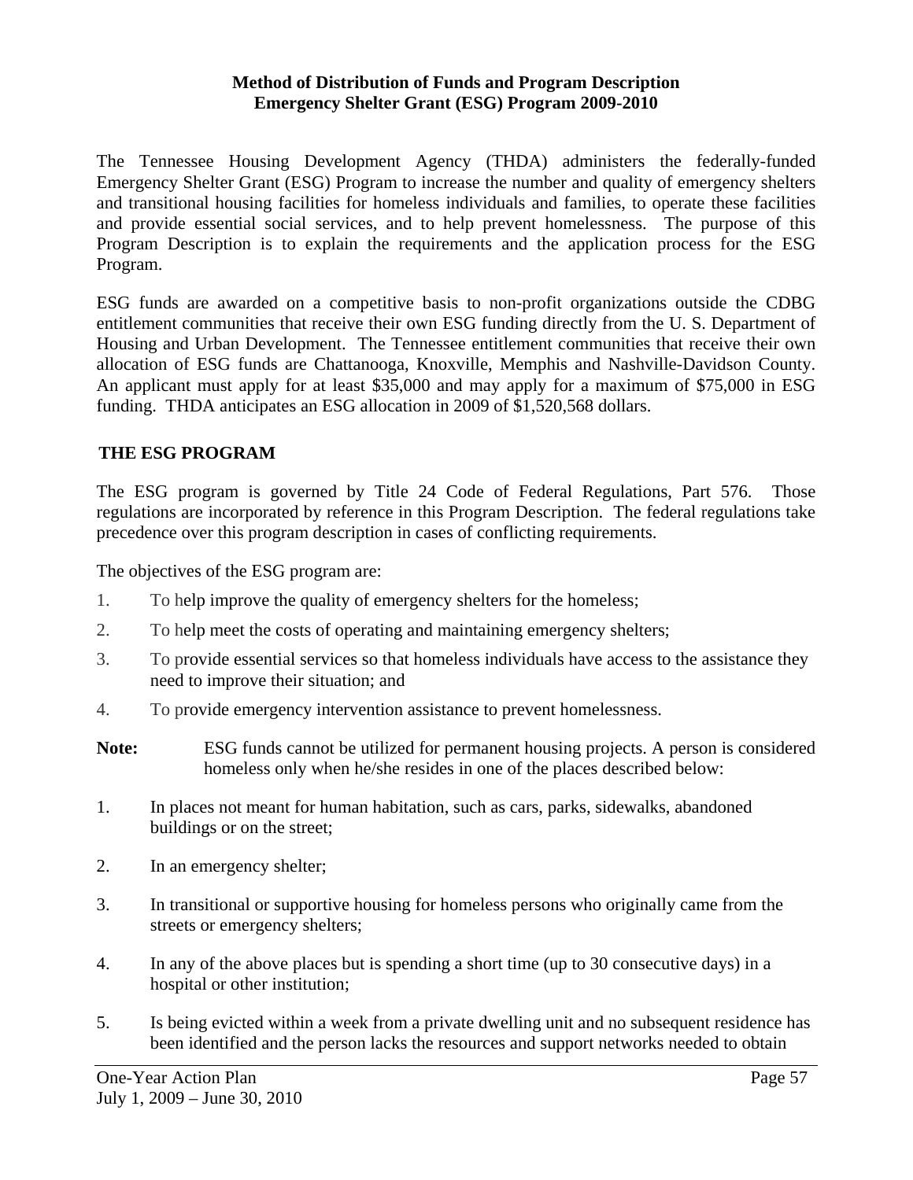#### **Method of Distribution of Funds and Program Description Emergency Shelter Grant (ESG) Program 2009-2010**

The Tennessee Housing Development Agency (THDA) administers the federally-funded Emergency Shelter Grant (ESG) Program to increase the number and quality of emergency shelters and transitional housing facilities for homeless individuals and families, to operate these facilities and provide essential social services, and to help prevent homelessness. The purpose of this Program Description is to explain the requirements and the application process for the ESG Program.

ESG funds are awarded on a competitive basis to non-profit organizations outside the CDBG entitlement communities that receive their own ESG funding directly from the U. S. Department of Housing and Urban Development. The Tennessee entitlement communities that receive their own allocation of ESG funds are Chattanooga, Knoxville, Memphis and Nashville-Davidson County. An applicant must apply for at least \$35,000 and may apply for a maximum of \$75,000 in ESG funding. THDA anticipates an ESG allocation in 2009 of \$1,520,568 dollars.

## **THE ESG PROGRAM**

The ESG program is governed by Title 24 Code of Federal Regulations, Part 576. Those regulations are incorporated by reference in this Program Description. The federal regulations take precedence over this program description in cases of conflicting requirements.

The objectives of the ESG program are:

- 1. To help improve the quality of emergency shelters for the homeless;
- 2. To help meet the costs of operating and maintaining emergency shelters;
- 3. To provide essential services so that homeless individuals have access to the assistance they need to improve their situation; and
- 4. To provide emergency intervention assistance to prevent homelessness.
- **Note:** ESG funds cannot be utilized for permanent housing projects. A person is considered homeless only when he/she resides in one of the places described below:
- 1. In places not meant for human habitation, such as cars, parks, sidewalks, abandoned buildings or on the street;
- 2. In an emergency shelter;
- 3. In transitional or supportive housing for homeless persons who originally came from the streets or emergency shelters;
- 4. In any of the above places but is spending a short time (up to 30 consecutive days) in a hospital or other institution;
- 5. Is being evicted within a week from a private dwelling unit and no subsequent residence has been identified and the person lacks the resources and support networks needed to obtain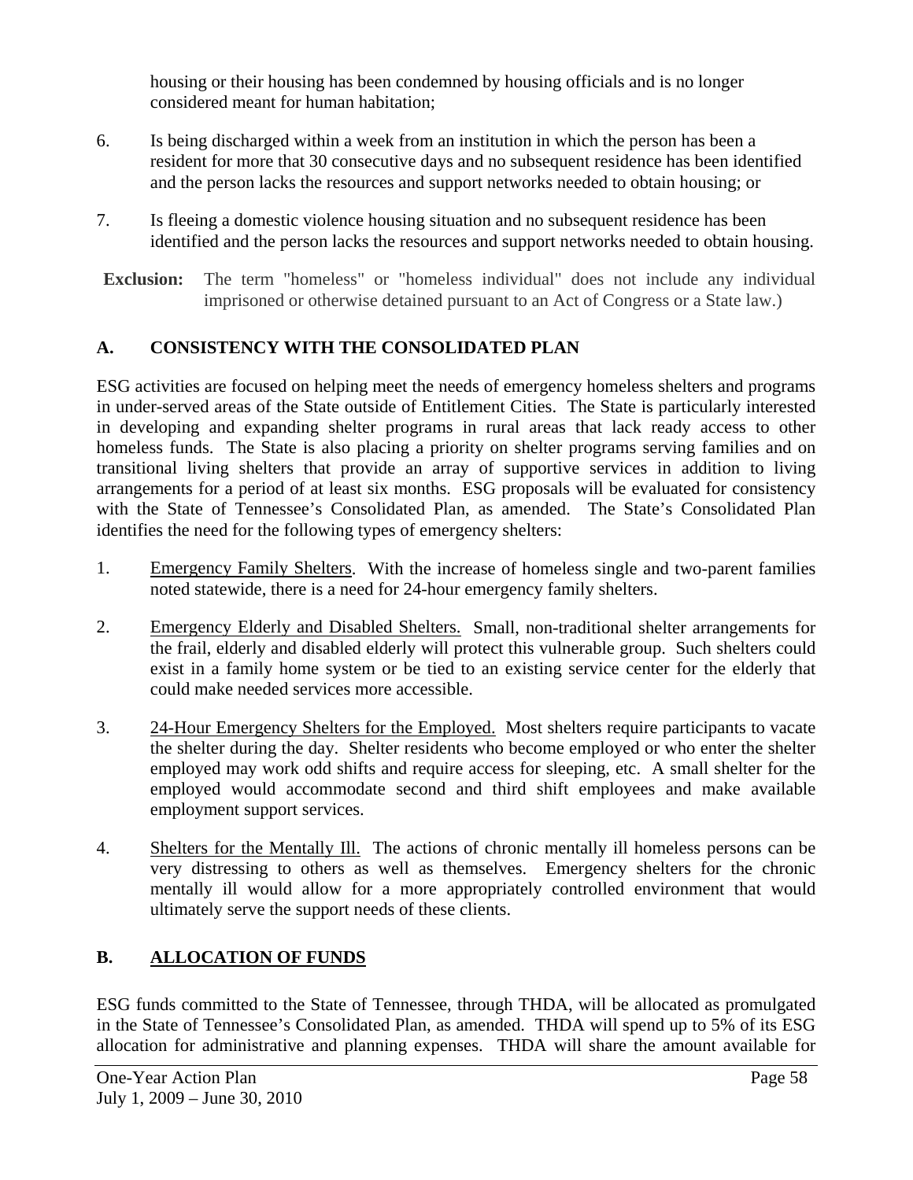housing or their housing has been condemned by housing officials and is no longer considered meant for human habitation;

- 6. Is being discharged within a week from an institution in which the person has been a resident for more that 30 consecutive days and no subsequent residence has been identified and the person lacks the resources and support networks needed to obtain housing; or
- 7. Is fleeing a domestic violence housing situation and no subsequent residence has been identified and the person lacks the resources and support networks needed to obtain housing.
- **Exclusion:** The term "homeless" or "homeless individual" does not include any individual imprisoned or otherwise detained pursuant to an Act of Congress or a State law.)

# **A. CONSISTENCY WITH THE CONSOLIDATED PLAN**

ESG activities are focused on helping meet the needs of emergency homeless shelters and programs in under-served areas of the State outside of Entitlement Cities. The State is particularly interested in developing and expanding shelter programs in rural areas that lack ready access to other homeless funds. The State is also placing a priority on shelter programs serving families and on transitional living shelters that provide an array of supportive services in addition to living arrangements for a period of at least six months. ESG proposals will be evaluated for consistency with the State of Tennessee's Consolidated Plan, as amended. The State's Consolidated Plan identifies the need for the following types of emergency shelters:

- 1. Emergency Family Shelters. With the increase of homeless single and two-parent families noted statewide, there is a need for 24-hour emergency family shelters.
- 2. Emergency Elderly and Disabled Shelters. Small, non-traditional shelter arrangements for the frail, elderly and disabled elderly will protect this vulnerable group. Such shelters could exist in a family home system or be tied to an existing service center for the elderly that could make needed services more accessible.
- 3. 24-Hour Emergency Shelters for the Employed. Most shelters require participants to vacate the shelter during the day. Shelter residents who become employed or who enter the shelter employed may work odd shifts and require access for sleeping, etc. A small shelter for the employed would accommodate second and third shift employees and make available employment support services.
- 4. Shelters for the Mentally Ill. The actions of chronic mentally ill homeless persons can be very distressing to others as well as themselves. Emergency shelters for the chronic mentally ill would allow for a more appropriately controlled environment that would ultimately serve the support needs of these clients.

# **B. ALLOCATION OF FUNDS**

ESG funds committed to the State of Tennessee, through THDA, will be allocated as promulgated in the State of Tennessee's Consolidated Plan, as amended. THDA will spend up to 5% of its ESG allocation for administrative and planning expenses. THDA will share the amount available for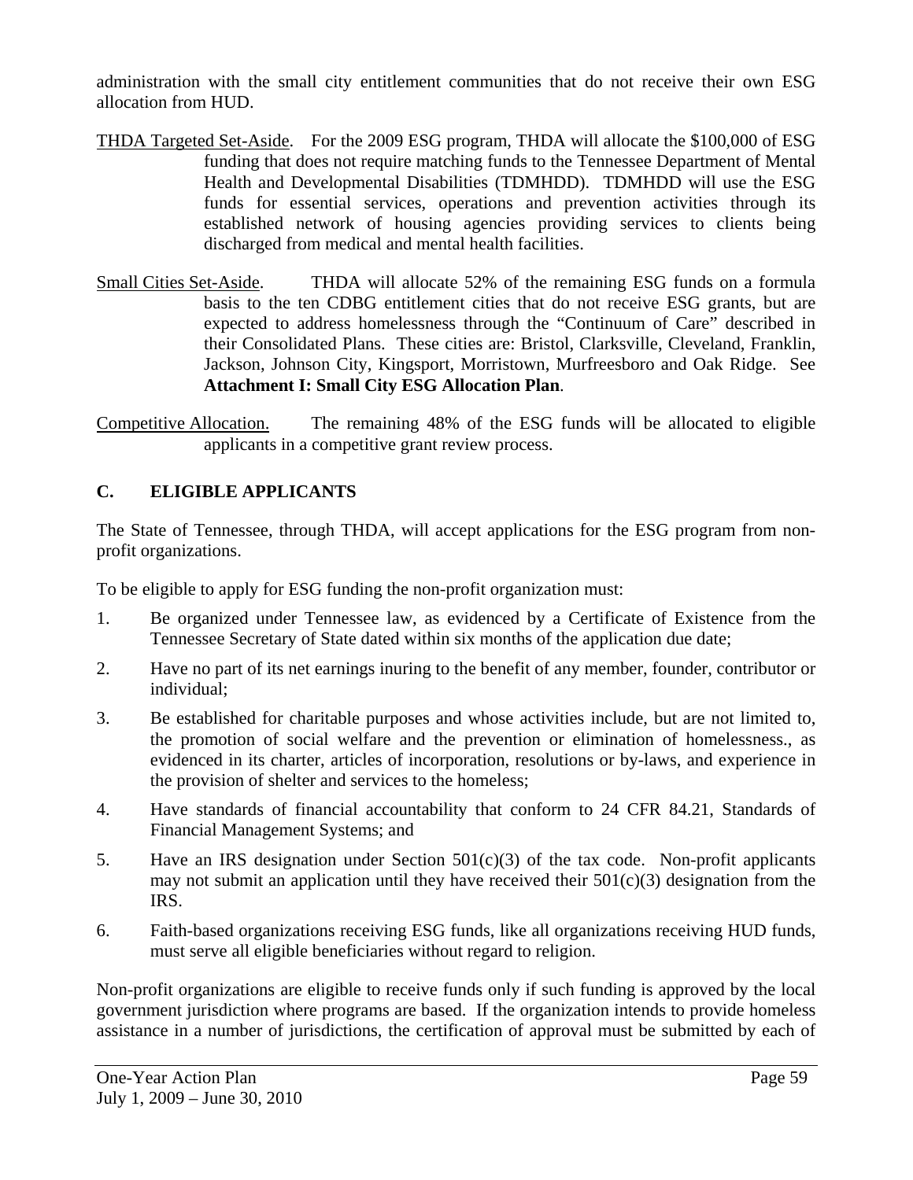administration with the small city entitlement communities that do not receive their own ESG allocation from HUD.

- THDA Targeted Set-Aside. For the 2009 ESG program, THDA will allocate the \$100,000 of ESG funding that does not require matching funds to the Tennessee Department of Mental Health and Developmental Disabilities (TDMHDD). TDMHDD will use the ESG funds for essential services, operations and prevention activities through its established network of housing agencies providing services to clients being discharged from medical and mental health facilities.
- Small Cities Set-Aside. THDA will allocate 52% of the remaining ESG funds on a formula basis to the ten CDBG entitlement cities that do not receive ESG grants, but are expected to address homelessness through the "Continuum of Care" described in their Consolidated Plans. These cities are: Bristol, Clarksville, Cleveland, Franklin, Jackson, Johnson City, Kingsport, Morristown, Murfreesboro and Oak Ridge. See **Attachment I: Small City ESG Allocation Plan**.

Competitive Allocation. The remaining 48% of the ESG funds will be allocated to eligible applicants in a competitive grant review process.

# **C. ELIGIBLE APPLICANTS**

The State of Tennessee, through THDA, will accept applications for the ESG program from nonprofit organizations.

To be eligible to apply for ESG funding the non-profit organization must:

- 1. Be organized under Tennessee law, as evidenced by a Certificate of Existence from the Tennessee Secretary of State dated within six months of the application due date;
- 2. Have no part of its net earnings inuring to the benefit of any member, founder, contributor or individual;
- 3. Be established for charitable purposes and whose activities include, but are not limited to, the promotion of social welfare and the prevention or elimination of homelessness., as evidenced in its charter, articles of incorporation, resolutions or by-laws, and experience in the provision of shelter and services to the homeless;
- 4. Have standards of financial accountability that conform to 24 CFR 84.21, Standards of Financial Management Systems; and
- 5. Have an IRS designation under Section  $501(c)(3)$  of the tax code. Non-profit applicants may not submit an application until they have received their  $501(c)(3)$  designation from the IRS.
- 6. Faith-based organizations receiving ESG funds, like all organizations receiving HUD funds, must serve all eligible beneficiaries without regard to religion.

Non-profit organizations are eligible to receive funds only if such funding is approved by the local government jurisdiction where programs are based. If the organization intends to provide homeless assistance in a number of jurisdictions, the certification of approval must be submitted by each of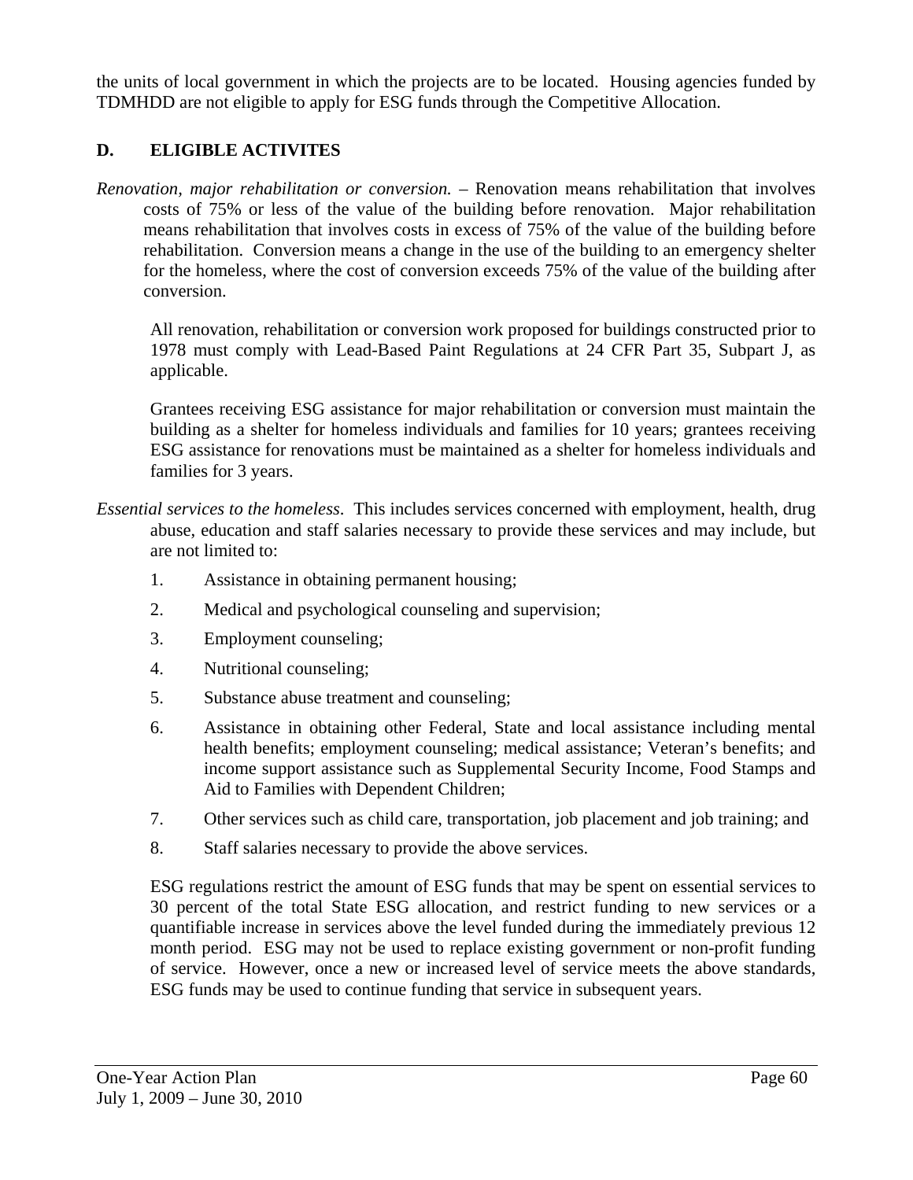the units of local government in which the projects are to be located. Housing agencies funded by TDMHDD are not eligible to apply for ESG funds through the Competitive Allocation.

# **D. ELIGIBLE ACTIVITES**

*Renovation, major rehabilitation or conversion.* – Renovation means rehabilitation that involves costs of 75% or less of the value of the building before renovation. Major rehabilitation means rehabilitation that involves costs in excess of 75% of the value of the building before rehabilitation. Conversion means a change in the use of the building to an emergency shelter for the homeless, where the cost of conversion exceeds 75% of the value of the building after conversion.

All renovation, rehabilitation or conversion work proposed for buildings constructed prior to 1978 must comply with Lead-Based Paint Regulations at 24 CFR Part 35, Subpart J, as applicable.

Grantees receiving ESG assistance for major rehabilitation or conversion must maintain the building as a shelter for homeless individuals and families for 10 years; grantees receiving ESG assistance for renovations must be maintained as a shelter for homeless individuals and families for 3 years.

- *Essential services to the homeless*. This includes services concerned with employment, health, drug abuse, education and staff salaries necessary to provide these services and may include, but are not limited to:
	- 1. Assistance in obtaining permanent housing;
	- 2. Medical and psychological counseling and supervision;
	- 3. Employment counseling;
	- 4. Nutritional counseling;
	- 5. Substance abuse treatment and counseling;
	- 6. Assistance in obtaining other Federal, State and local assistance including mental health benefits; employment counseling; medical assistance; Veteran's benefits; and income support assistance such as Supplemental Security Income, Food Stamps and Aid to Families with Dependent Children;
	- 7. Other services such as child care, transportation, job placement and job training; and
	- 8. Staff salaries necessary to provide the above services.

ESG regulations restrict the amount of ESG funds that may be spent on essential services to 30 percent of the total State ESG allocation, and restrict funding to new services or a quantifiable increase in services above the level funded during the immediately previous 12 month period. ESG may not be used to replace existing government or non-profit funding of service. However, once a new or increased level of service meets the above standards, ESG funds may be used to continue funding that service in subsequent years.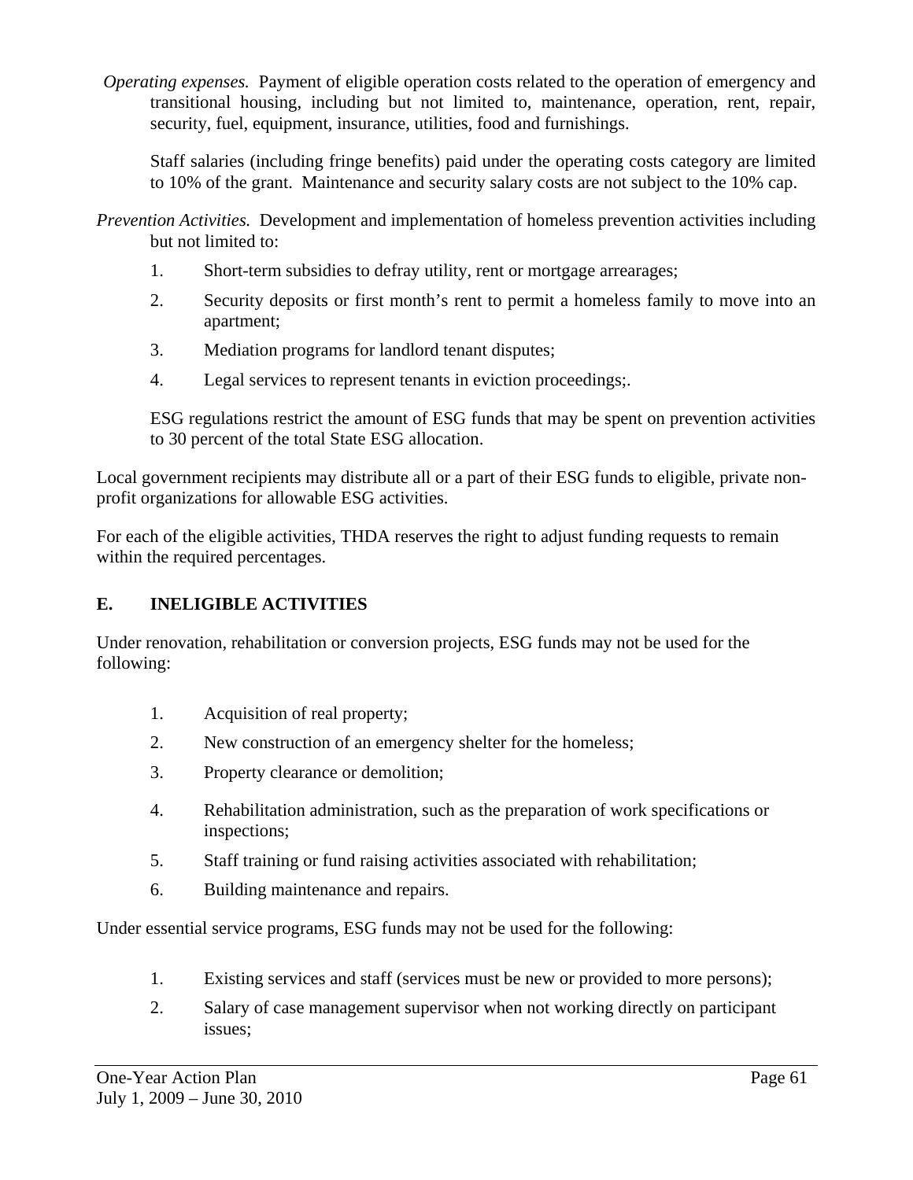*Operating expenses.* Payment of eligible operation costs related to the operation of emergency and transitional housing, including but not limited to, maintenance, operation, rent, repair, security, fuel, equipment, insurance, utilities, food and furnishings.

Staff salaries (including fringe benefits) paid under the operating costs category are limited to 10% of the grant. Maintenance and security salary costs are not subject to the 10% cap.

*Prevention Activities.* Development and implementation of homeless prevention activities including but not limited to:

- 1. Short-term subsidies to defray utility, rent or mortgage arrearages;
- 2. Security deposits or first month's rent to permit a homeless family to move into an apartment;
- 3. Mediation programs for landlord tenant disputes;
- 4. Legal services to represent tenants in eviction proceedings;.

ESG regulations restrict the amount of ESG funds that may be spent on prevention activities to 30 percent of the total State ESG allocation.

Local government recipients may distribute all or a part of their ESG funds to eligible, private nonprofit organizations for allowable ESG activities.

For each of the eligible activities, THDA reserves the right to adjust funding requests to remain within the required percentages.

# **E. INELIGIBLE ACTIVITIES**

Under renovation, rehabilitation or conversion projects, ESG funds may not be used for the following:

- 1. Acquisition of real property;
- 2. New construction of an emergency shelter for the homeless;
- 3. Property clearance or demolition;
- 4. Rehabilitation administration, such as the preparation of work specifications or inspections;
- 5. Staff training or fund raising activities associated with rehabilitation;
- 6. Building maintenance and repairs.

Under essential service programs, ESG funds may not be used for the following:

- 1. Existing services and staff (services must be new or provided to more persons);
- 2. Salary of case management supervisor when not working directly on participant issues;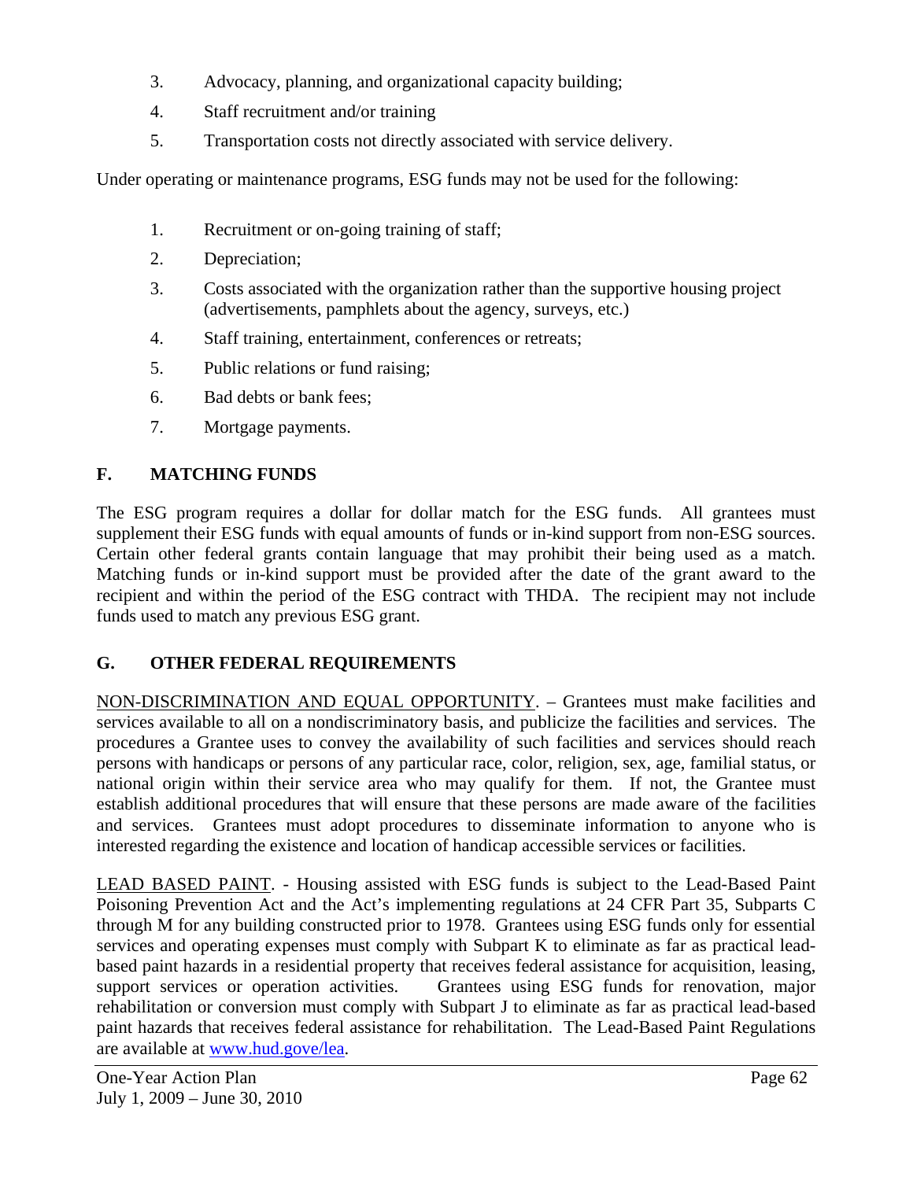- 3. Advocacy, planning, and organizational capacity building;
- 4. Staff recruitment and/or training
- 5. Transportation costs not directly associated with service delivery.

Under operating or maintenance programs, ESG funds may not be used for the following:

- 1. Recruitment or on-going training of staff;
- 2. Depreciation;
- 3. Costs associated with the organization rather than the supportive housing project (advertisements, pamphlets about the agency, surveys, etc.)
- 4. Staff training, entertainment, conferences or retreats;
- 5. Public relations or fund raising;
- 6. Bad debts or bank fees;
- 7. Mortgage payments.

# **F. MATCHING FUNDS**

The ESG program requires a dollar for dollar match for the ESG funds. All grantees must supplement their ESG funds with equal amounts of funds or in-kind support from non-ESG sources. Certain other federal grants contain language that may prohibit their being used as a match. Matching funds or in-kind support must be provided after the date of the grant award to the recipient and within the period of the ESG contract with THDA. The recipient may not include funds used to match any previous ESG grant.

# **G. OTHER FEDERAL REQUIREMENTS**

NON-DISCRIMINATION AND EQUAL OPPORTUNITY. – Grantees must make facilities and services available to all on a nondiscriminatory basis, and publicize the facilities and services. The procedures a Grantee uses to convey the availability of such facilities and services should reach persons with handicaps or persons of any particular race, color, religion, sex, age, familial status, or national origin within their service area who may qualify for them. If not, the Grantee must establish additional procedures that will ensure that these persons are made aware of the facilities and services. Grantees must adopt procedures to disseminate information to anyone who is interested regarding the existence and location of handicap accessible services or facilities.

LEAD BASED PAINT. - Housing assisted with ESG funds is subject to the Lead-Based Paint Poisoning Prevention Act and the Act's implementing regulations at 24 CFR Part 35, Subparts C through M for any building constructed prior to 1978. Grantees using ESG funds only for essential services and operating expenses must comply with Subpart K to eliminate as far as practical leadbased paint hazards in a residential property that receives federal assistance for acquisition, leasing, support services or operation activities. Grantees using ESG funds for renovation, major rehabilitation or conversion must comply with Subpart J to eliminate as far as practical lead-based paint hazards that receives federal assistance for rehabilitation. The Lead-Based Paint Regulations are available at www.hud.gove/lea.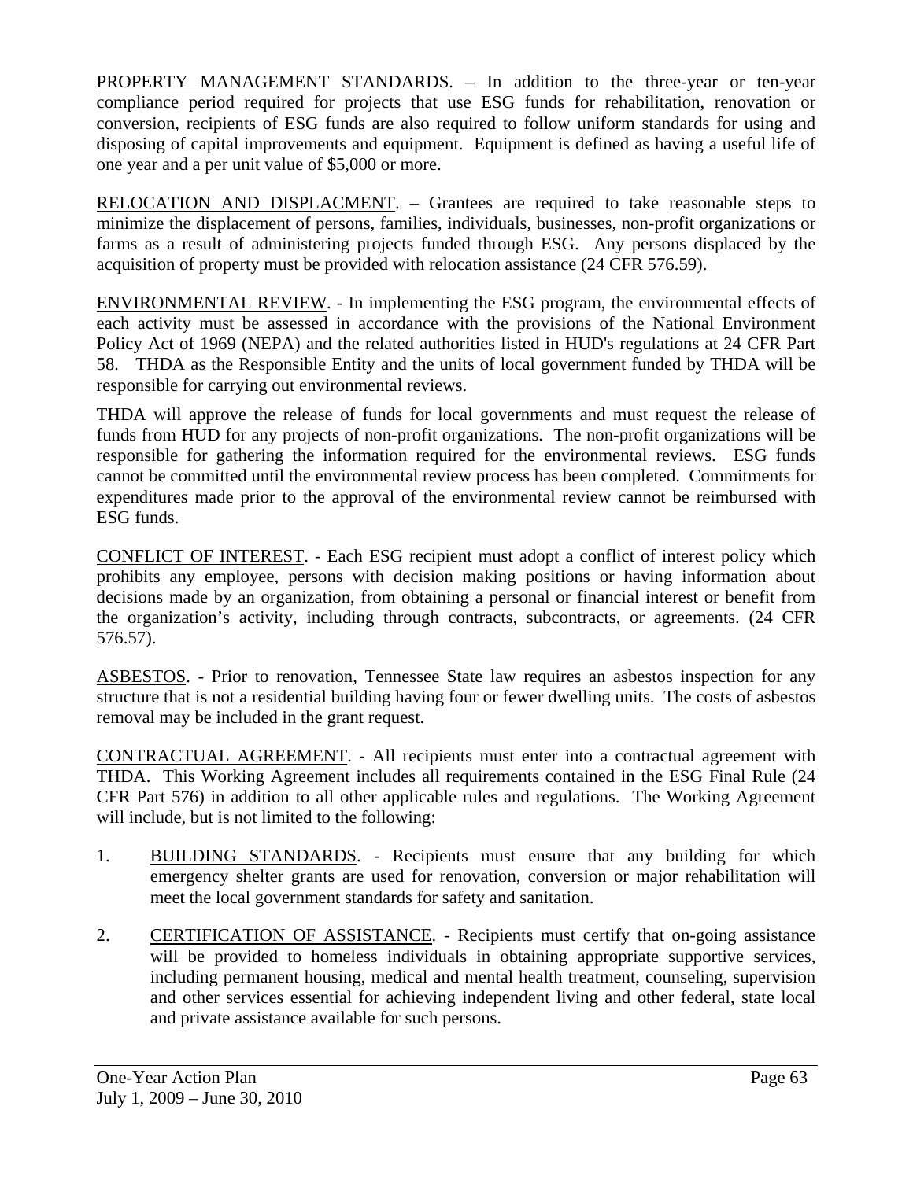PROPERTY MANAGEMENT STANDARDS. – In addition to the three-year or ten-year compliance period required for projects that use ESG funds for rehabilitation, renovation or conversion, recipients of ESG funds are also required to follow uniform standards for using and disposing of capital improvements and equipment. Equipment is defined as having a useful life of one year and a per unit value of \$5,000 or more.

RELOCATION AND DISPLACMENT. – Grantees are required to take reasonable steps to minimize the displacement of persons, families, individuals, businesses, non-profit organizations or farms as a result of administering projects funded through ESG. Any persons displaced by the acquisition of property must be provided with relocation assistance (24 CFR 576.59).

ENVIRONMENTAL REVIEW. - In implementing the ESG program, the environmental effects of each activity must be assessed in accordance with the provisions of the National Environment Policy Act of 1969 (NEPA) and the related authorities listed in HUD's regulations at 24 CFR Part 58. THDA as the Responsible Entity and the units of local government funded by THDA will be responsible for carrying out environmental reviews.

THDA will approve the release of funds for local governments and must request the release of funds from HUD for any projects of non-profit organizations. The non-profit organizations will be responsible for gathering the information required for the environmental reviews. ESG funds cannot be committed until the environmental review process has been completed. Commitments for expenditures made prior to the approval of the environmental review cannot be reimbursed with ESG funds.

CONFLICT OF INTEREST. - Each ESG recipient must adopt a conflict of interest policy which prohibits any employee, persons with decision making positions or having information about decisions made by an organization, from obtaining a personal or financial interest or benefit from the organization's activity, including through contracts, subcontracts, or agreements. (24 CFR 576.57).

ASBESTOS. - Prior to renovation, Tennessee State law requires an asbestos inspection for any structure that is not a residential building having four or fewer dwelling units. The costs of asbestos removal may be included in the grant request.

CONTRACTUAL AGREEMENT. - All recipients must enter into a contractual agreement with THDA. This Working Agreement includes all requirements contained in the ESG Final Rule (24 CFR Part 576) in addition to all other applicable rules and regulations. The Working Agreement will include, but is not limited to the following:

- 1. BUILDING STANDARDS. Recipients must ensure that any building for which emergency shelter grants are used for renovation, conversion or major rehabilitation will meet the local government standards for safety and sanitation.
- 2. CERTIFICATION OF ASSISTANCE. Recipients must certify that on-going assistance will be provided to homeless individuals in obtaining appropriate supportive services, including permanent housing, medical and mental health treatment, counseling, supervision and other services essential for achieving independent living and other federal, state local and private assistance available for such persons.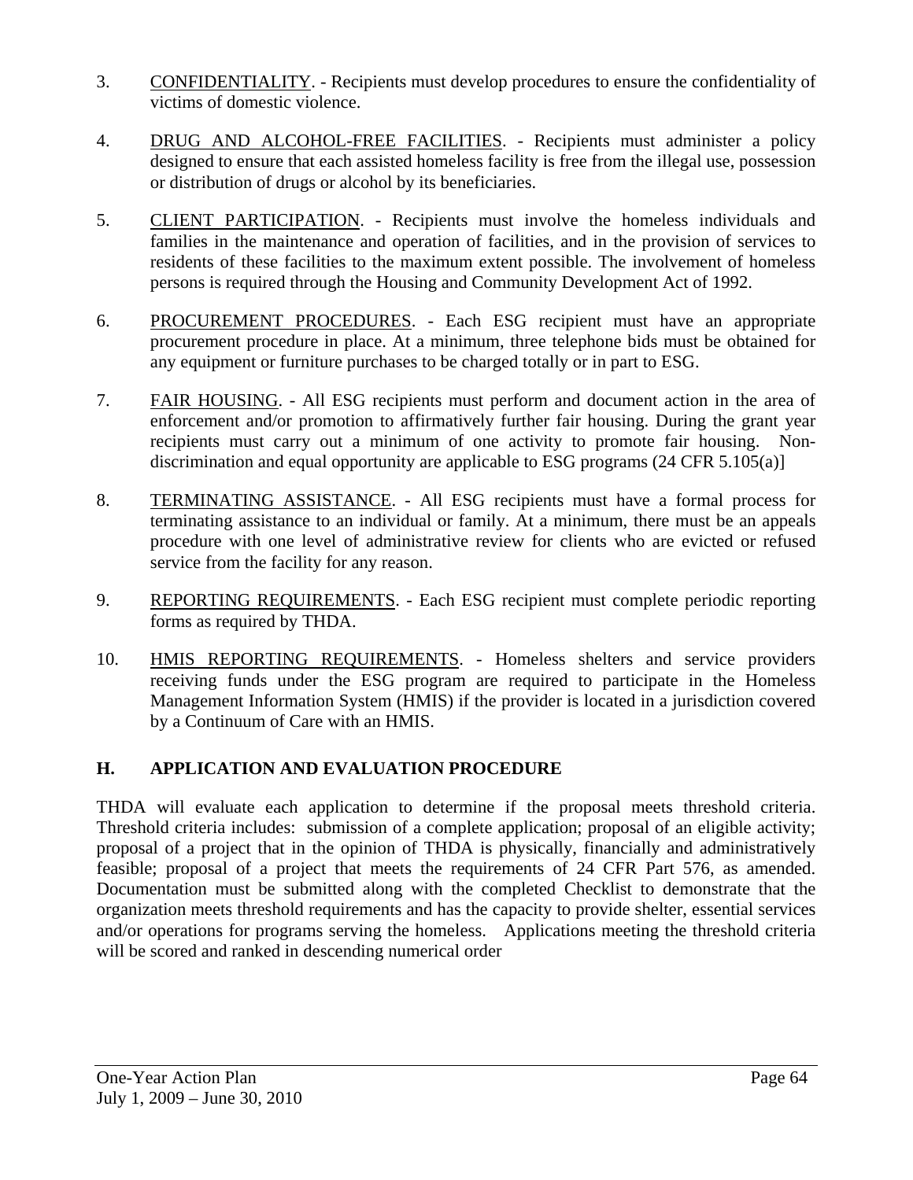- 3. CONFIDENTIALITY. Recipients must develop procedures to ensure the confidentiality of victims of domestic violence.
- 4. DRUG AND ALCOHOL-FREE FACILITIES. Recipients must administer a policy designed to ensure that each assisted homeless facility is free from the illegal use, possession or distribution of drugs or alcohol by its beneficiaries.
- 5. CLIENT PARTICIPATION. Recipients must involve the homeless individuals and families in the maintenance and operation of facilities, and in the provision of services to residents of these facilities to the maximum extent possible. The involvement of homeless persons is required through the Housing and Community Development Act of 1992.
- 6. PROCUREMENT PROCEDURES. Each ESG recipient must have an appropriate procurement procedure in place. At a minimum, three telephone bids must be obtained for any equipment or furniture purchases to be charged totally or in part to ESG.
- 7. FAIR HOUSING. All ESG recipients must perform and document action in the area of enforcement and/or promotion to affirmatively further fair housing. During the grant year recipients must carry out a minimum of one activity to promote fair housing. Nondiscrimination and equal opportunity are applicable to ESG programs (24 CFR 5.105(a)]
- 8. TERMINATING ASSISTANCE. All ESG recipients must have a formal process for terminating assistance to an individual or family. At a minimum, there must be an appeals procedure with one level of administrative review for clients who are evicted or refused service from the facility for any reason.
- 9. REPORTING REQUIREMENTS. Each ESG recipient must complete periodic reporting forms as required by THDA.
- 10. HMIS REPORTING REQUIREMENTS. Homeless shelters and service providers receiving funds under the ESG program are required to participate in the Homeless Management Information System (HMIS) if the provider is located in a jurisdiction covered by a Continuum of Care with an HMIS.

# **H. APPLICATION AND EVALUATION PROCEDURE**

THDA will evaluate each application to determine if the proposal meets threshold criteria. Threshold criteria includes: submission of a complete application; proposal of an eligible activity; proposal of a project that in the opinion of THDA is physically, financially and administratively feasible; proposal of a project that meets the requirements of 24 CFR Part 576, as amended. Documentation must be submitted along with the completed Checklist to demonstrate that the organization meets threshold requirements and has the capacity to provide shelter, essential services and/or operations for programs serving the homeless. Applications meeting the threshold criteria will be scored and ranked in descending numerical order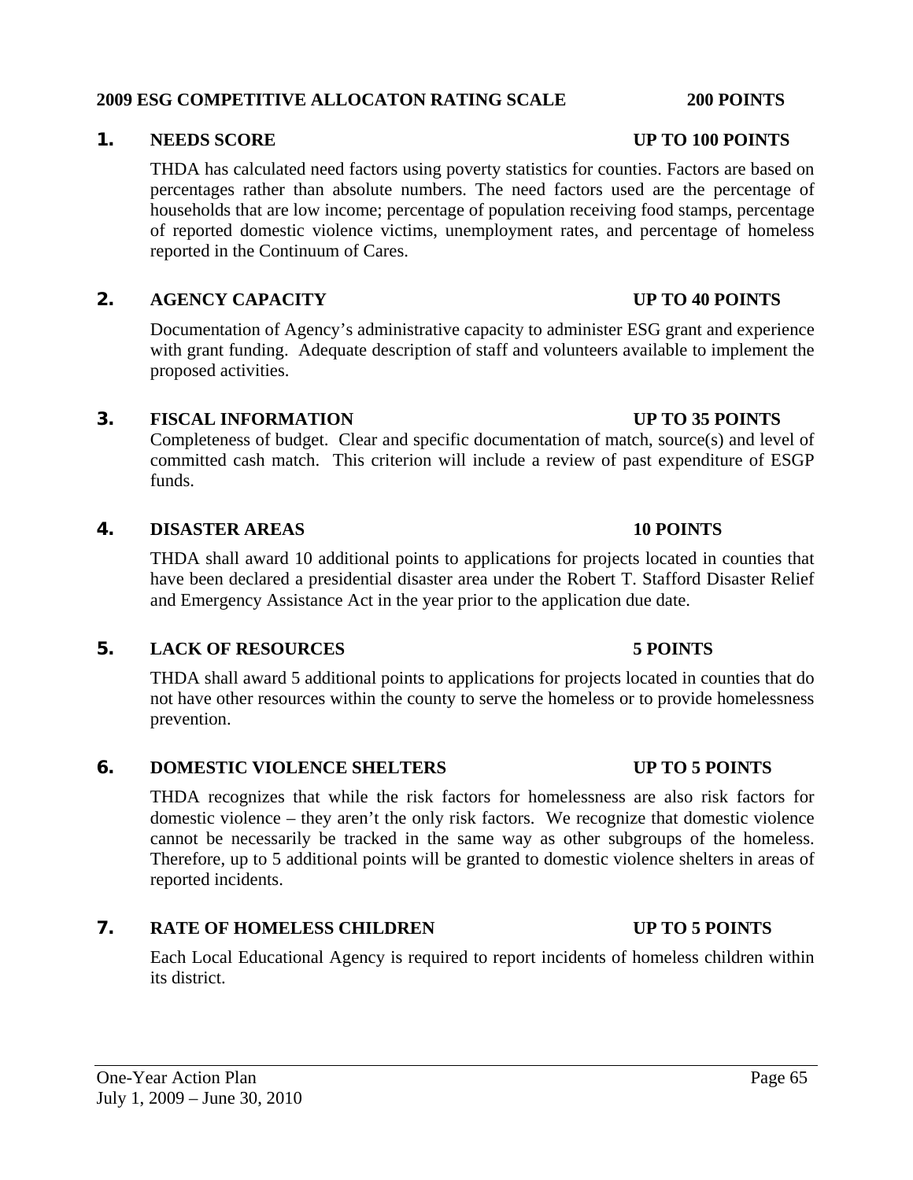#### **2009 ESG COMPETITIVE ALLOCATON RATING SCALE 200 POINTS**

#### **1. NEEDS SCORE UP TO 100 POINTS**

THDA has calculated need factors using poverty statistics for counties. Factors are based on percentages rather than absolute numbers. The need factors used are the percentage of households that are low income; percentage of population receiving food stamps, percentage of reported domestic violence victims, unemployment rates, and percentage of homeless reported in the Continuum of Cares.

#### **2. AGENCY CAPACITY UP TO 40 POINTS**

Documentation of Agency's administrative capacity to administer ESG grant and experience with grant funding. Adequate description of staff and volunteers available to implement the proposed activities.

#### **3. FISCAL INFORMATION UP TO 35 POINTS**

Completeness of budget. Clear and specific documentation of match, source(s) and level of committed cash match. This criterion will include a review of past expenditure of ESGP funds.

#### **4. DISASTER AREAS 10 POINTS**

THDA shall award 10 additional points to applications for projects located in counties that have been declared a presidential disaster area under the Robert T. Stafford Disaster Relief and Emergency Assistance Act in the year prior to the application due date.

#### **5. LACK OF RESOURCES 5 POINTS**

THDA shall award 5 additional points to applications for projects located in counties that do not have other resources within the county to serve the homeless or to provide homelessness prevention.

### **6. DOMESTIC VIOLENCE SHELTERS UP TO 5 POINTS**

THDA recognizes that while the risk factors for homelessness are also risk factors for domestic violence – they aren't the only risk factors. We recognize that domestic violence cannot be necessarily be tracked in the same way as other subgroups of the homeless. Therefore, up to 5 additional points will be granted to domestic violence shelters in areas of reported incidents.

# **7. RATE OF HOMELESS CHILDREN UP TO 5 POINTS**

Each Local Educational Agency is required to report incidents of homeless children within its district.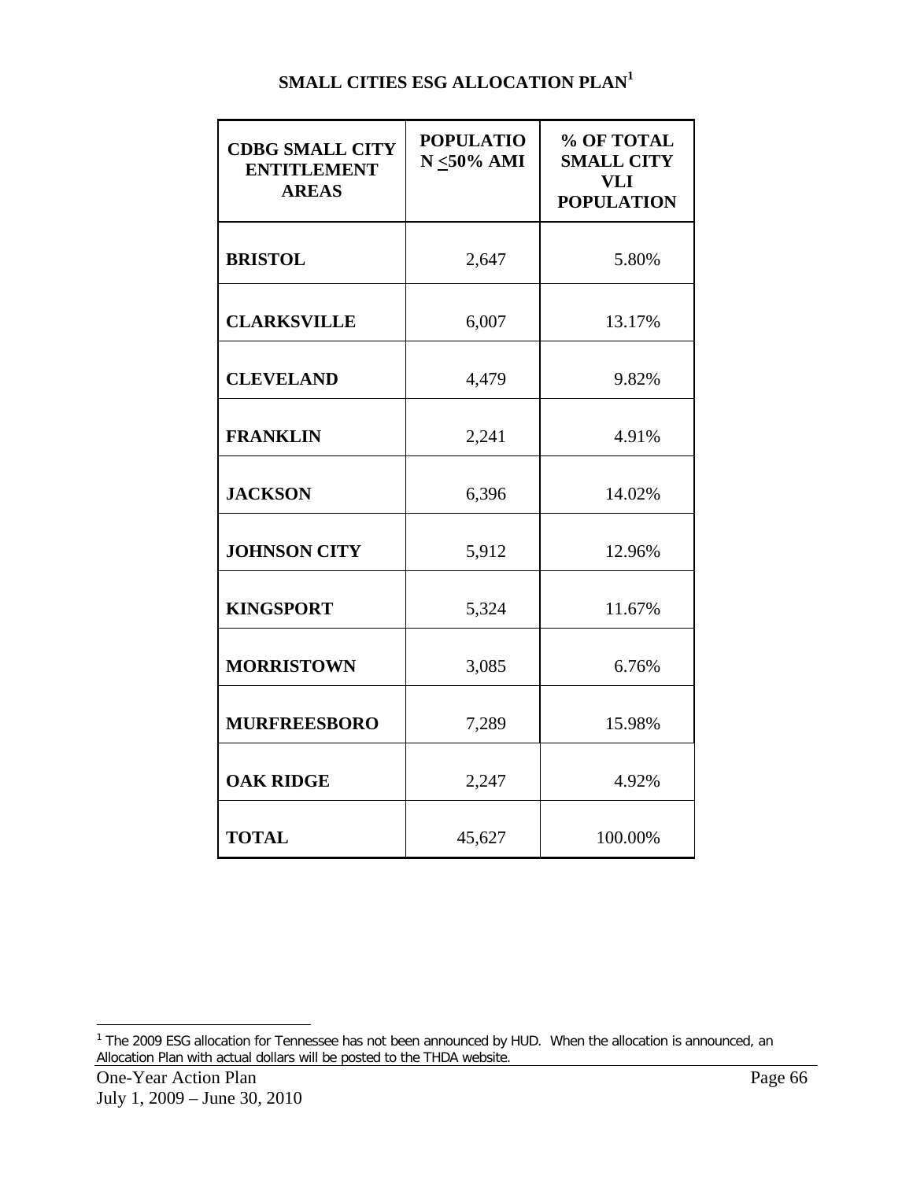# **SMALL CITIES ESG ALLOCATION PLAN<sup>1</sup>**

| <b>CDBG SMALL CITY</b><br><b>ENTITLEMENT</b><br><b>AREAS</b> | <b>POPULATIO</b><br>$N \leq 50\%$ AMI | % OF TOTAL<br><b>SMALL CITY</b><br><b>VLI</b><br><b>POPULATION</b> |
|--------------------------------------------------------------|---------------------------------------|--------------------------------------------------------------------|
| <b>BRISTOL</b>                                               | 2,647                                 | 5.80%                                                              |
| <b>CLARKSVILLE</b>                                           | 6,007                                 | 13.17%                                                             |
| <b>CLEVELAND</b>                                             | 4,479                                 | 9.82%                                                              |
| <b>FRANKLIN</b>                                              | 2,241                                 | 4.91%                                                              |
| <b>JACKSON</b>                                               | 6,396                                 | 14.02%                                                             |
| <b>JOHNSON CITY</b>                                          | 5,912                                 | 12.96%                                                             |
| <b>KINGSPORT</b>                                             | 5,324                                 | 11.67%                                                             |
| <b>MORRISTOWN</b>                                            | 3,085                                 | 6.76%                                                              |
| <b>MURFREESBORO</b>                                          | 7,289                                 | 15.98%                                                             |
| <b>OAK RIDGE</b>                                             | 2,247                                 | 4.92%                                                              |
| <b>TOTAL</b>                                                 | 45,627                                | 100.00%                                                            |

<sup>&</sup>lt;u>ness</u><br><sup>1</sup> The 2009 ESG allocation for Tennessee has not been announced by HUD. When the allocation is announced, an Allocation Plan with actual dollars will be posted to the THDA website.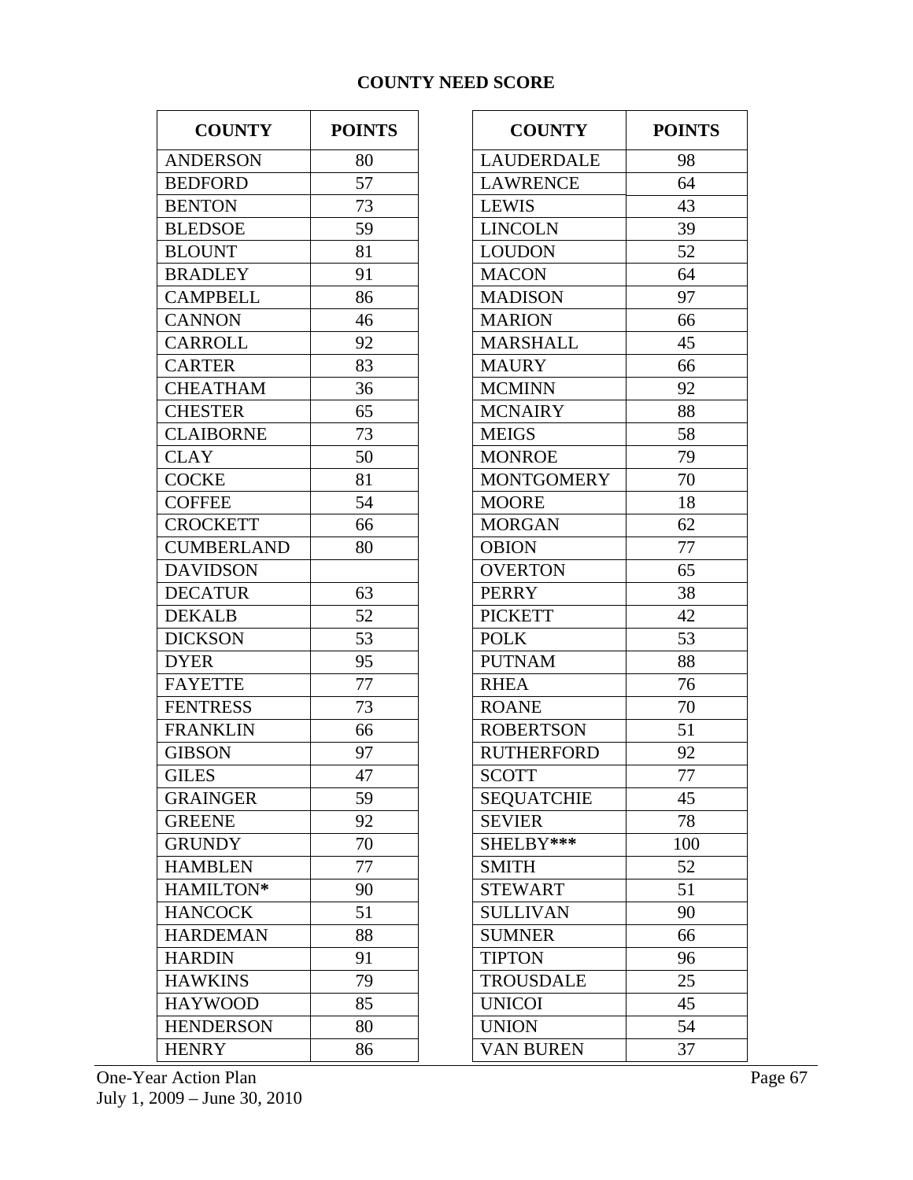# **COUNTY NEED SCORE**

| <b>COUNTY</b>     | <b>POINTS</b> | <b>COUNTY</b>     | <b>POINTS</b> |
|-------------------|---------------|-------------------|---------------|
| <b>ANDERSON</b>   | 80            | <b>LAUDERDALE</b> | 98            |
| <b>BEDFORD</b>    | 57            | <b>LAWRENCE</b>   | 64            |
| <b>BENTON</b>     | 73            | <b>LEWIS</b>      | 43            |
| <b>BLEDSOE</b>    | 59            | <b>LINCOLN</b>    | 39            |
| <b>BLOUNT</b>     | 81            | <b>LOUDON</b>     | 52            |
| <b>BRADLEY</b>    | 91            | <b>MACON</b>      | 64            |
| <b>CAMPBELL</b>   | 86            | <b>MADISON</b>    | 97            |
| <b>CANNON</b>     | 46            | <b>MARION</b>     | 66            |
| <b>CARROLL</b>    | 92            | <b>MARSHALL</b>   | 45            |
| <b>CARTER</b>     | 83            | <b>MAURY</b>      | 66            |
| <b>CHEATHAM</b>   | 36            | <b>MCMINN</b>     | 92            |
| <b>CHESTER</b>    | 65            | <b>MCNAIRY</b>    | 88            |
| <b>CLAIBORNE</b>  | 73            | <b>MEIGS</b>      | 58            |
| <b>CLAY</b>       | 50            | <b>MONROE</b>     | 79            |
| <b>COCKE</b>      | 81            | <b>MONTGOMERY</b> | 70            |
| <b>COFFEE</b>     | 54            | <b>MOORE</b>      | 18            |
| <b>CROCKETT</b>   | 66            | <b>MORGAN</b>     | 62            |
| <b>CUMBERLAND</b> | 80            | <b>OBION</b>      | 77            |
| <b>DAVIDSON</b>   |               | <b>OVERTON</b>    | 65            |
| <b>DECATUR</b>    | 63            | <b>PERRY</b>      | 38            |
| <b>DEKALB</b>     | 52            | <b>PICKETT</b>    | 42            |
| <b>DICKSON</b>    | 53            | <b>POLK</b>       | 53            |
| <b>DYER</b>       | 95            | <b>PUTNAM</b>     | 88            |
| <b>FAYETTE</b>    | 77            | <b>RHEA</b>       | 76            |
| <b>FENTRESS</b>   | 73            | <b>ROANE</b>      | 70            |
| <b>FRANKLIN</b>   | 66            | <b>ROBERTSON</b>  | 51            |
| <b>GIBSON</b>     | 97            | <b>RUTHERFORD</b> | 92            |
| <b>GILES</b>      | 47            | <b>SCOTT</b>      | 77            |
| <b>GRAINGER</b>   | 59            | <b>SEQUATCHIE</b> | 45            |
| <b>GREENE</b>     | 92            | <b>SEVIER</b>     | 78            |
| <b>GRUNDY</b>     | 70            | SHELBY***         | 100           |
| <b>HAMBLEN</b>    | 77            | <b>SMITH</b>      | 52            |
| HAMILTON*         | 90            | <b>STEWART</b>    | 51            |
| <b>HANCOCK</b>    | 51            | <b>SULLIVAN</b>   | 90            |
| <b>HARDEMAN</b>   | 88            | <b>SUMNER</b>     | 66            |
| <b>HARDIN</b>     | 91            | <b>TIPTON</b>     | 96            |
| <b>HAWKINS</b>    | 79            | <b>TROUSDALE</b>  | 25            |
| <b>HAYWOOD</b>    | 85            | <b>UNICOI</b>     | 45            |
| <b>HENDERSON</b>  | 80            | <b>UNION</b>      | 54            |
| <b>HENRY</b>      | 86            | <b>VAN BUREN</b>  | 37            |

| <b>COUNTY</b>     | <b>POINTS</b> |
|-------------------|---------------|
| LAUDERDALE        | 98            |
| <b>LAWRENCE</b>   | 64            |
| <b>LEWIS</b>      | 43            |
| <b>LINCOLN</b>    | 39            |
| <b>LOUDON</b>     | 52            |
| <b>MACON</b>      | 64            |
| <b>MADISON</b>    | 97            |
| <b>MARION</b>     | 66            |
| <b>MARSHALL</b>   | 45            |
| <b>MAURY</b>      | 66            |
| <b>MCMINN</b>     | 92            |
| <b>MCNAIRY</b>    | 88            |
| <b>MEIGS</b>      | 58            |
| <b>MONROE</b>     | 79            |
| <b>MONTGOMERY</b> | 70            |
| <b>MOORE</b>      | 18            |
| <b>MORGAN</b>     | 62            |
| <b>OBION</b>      | 77            |
| <b>OVERTON</b>    | 65            |
| <b>PERRY</b>      | 38            |
| <b>PICKETT</b>    | 42            |
| <b>POLK</b>       | 53            |
| <b>PUTNAM</b>     | 88            |
| <b>RHEA</b>       | 76            |
| <b>ROANE</b>      | 70            |
| <b>ROBERTSON</b>  | 51            |
| <b>RUTHERFORD</b> | 92            |
| <b>SCOTT</b>      | 77            |
| <b>SEQUATCHIE</b> | 45            |
| <b>SEVIER</b>     | 78            |
| SHELBY***         | 100           |
| <b>SMITH</b>      | 52            |
| <b>STEWART</b>    | 51            |
| <b>SULLIVAN</b>   | 90            |
| <b>SUMNER</b>     | 66            |
| <b>TIPTON</b>     | 96            |
| <b>TROUSDALE</b>  | 25            |
| <b>UNICOI</b>     | 45            |
| <b>UNION</b>      | 54            |
| <b>VAN BUREN</b>  | 37            |

One-Year Action Plan Page 67 July 1, 2009 – June 30, 2010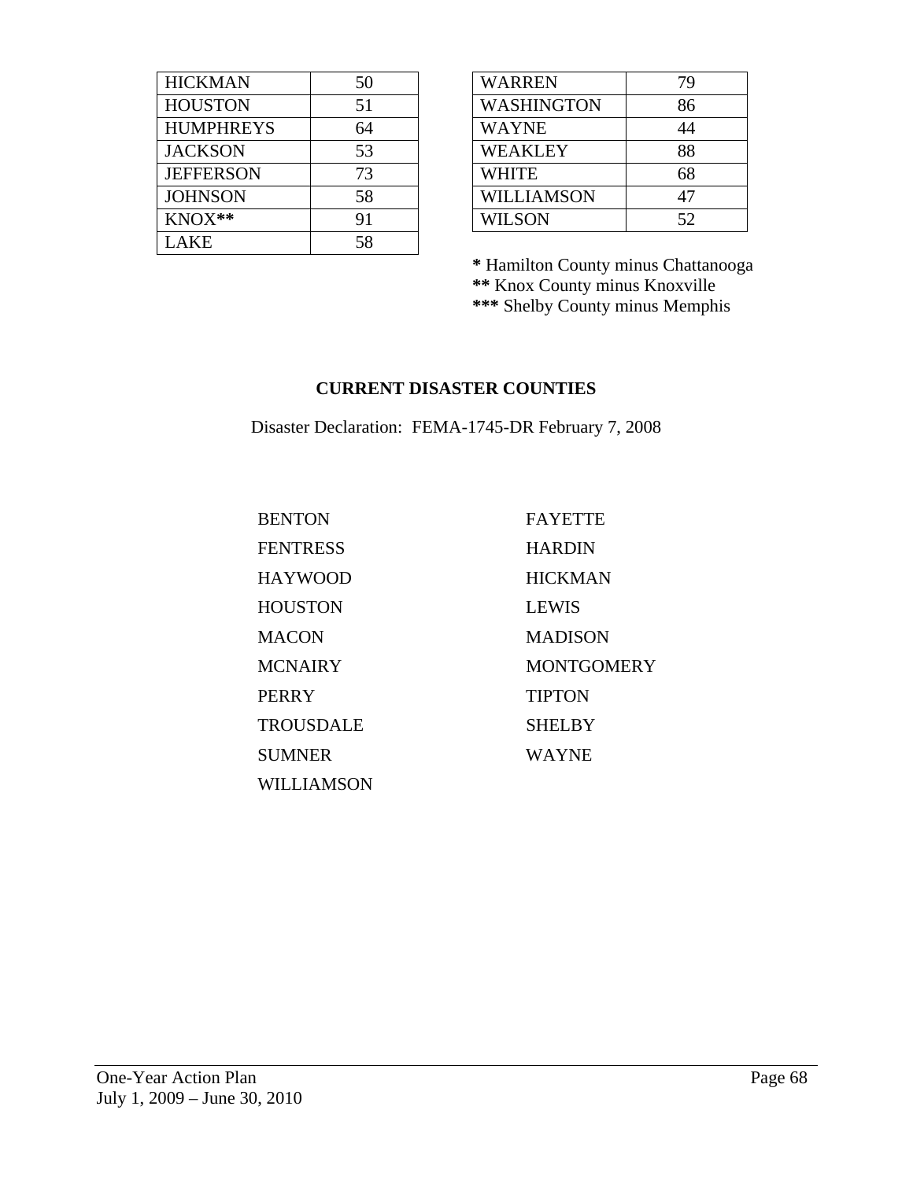| <b>HICKMAN</b>   | 50 | <b>WARREN</b>     | 79  |
|------------------|----|-------------------|-----|
| <b>HOUSTON</b>   | 51 | <b>WASHINGTON</b> | 86  |
| <b>HUMPHREYS</b> | 64 | <b>WAYNE</b>      | 44  |
| <b>JACKSON</b>   | 53 | <b>WEAKLEY</b>    | 88  |
| <b>JEFFERSON</b> | 73 | WHITE             | 68  |
| <b>JOHNSON</b>   | 58 | WILLIAMSON        | 47  |
| KNOX**           | 91 | <b>WILSON</b>     | 52. |
| LAKE             | 58 |                   |     |

| WARREN            | 79 |
|-------------------|----|
| <b>WASHINGTON</b> | 86 |
| <b>WAYNE</b>      | 44 |
| <b>WEAKLEY</b>    | 88 |
| WHITE             | 68 |
| <b>WILLIAMSON</b> | 47 |
| <b>WILSON</b>     | 52 |
|                   |    |

**\*** Hamilton County minus Chattanooga **\*\*** Knox County minus Knoxville **\*\*\*** Shelby County minus Memphis

## **CURRENT DISASTER COUNTIES**

Disaster Declaration: FEMA-1745-DR February 7, 2008

| <b>BENTON</b>   | <b>FAYETTE</b>    |
|-----------------|-------------------|
| <b>FENTRESS</b> | <b>HARDIN</b>     |
| HAYWOOD         | <b>HICKMAN</b>    |
| HOUSTON         | <b>LEWIS</b>      |
| MACON           | <b>MADISON</b>    |
| MCNAIRY         | <b>MONTGOMERY</b> |
| PERRY           | <b>TIPTON</b>     |
| TROUSDALE       | <b>SHELBY</b>     |
| <b>SUMNER</b>   | <b>WAYNE</b>      |
| WILLIAMSON      |                   |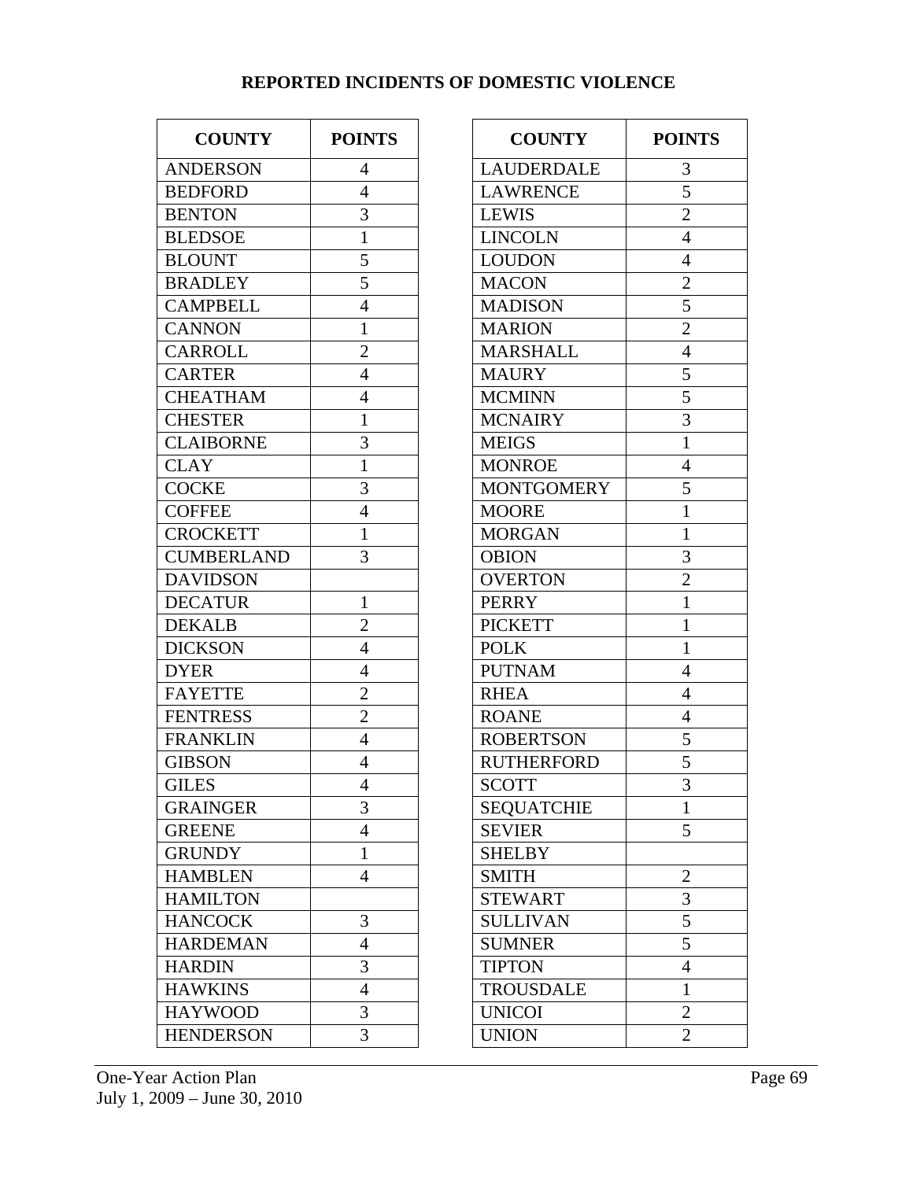## **REPORTED INCIDENTS OF DOMESTIC VIOLENCE**

| <b>COUNTY</b>     | <b>POINTS</b>  | <b>COUNTY</b>     | <b>POIN</b>             |
|-------------------|----------------|-------------------|-------------------------|
| <b>ANDERSON</b>   | 4              | <b>LAUDERDALE</b> | 3                       |
| <b>BEDFORD</b>    | $\overline{4}$ | <b>LAWRENCE</b>   | $\overline{5}$          |
| <b>BENTON</b>     | 3              | <b>LEWIS</b>      | $\overline{c}$          |
| <b>BLEDSOE</b>    | $\mathbf{1}$   | <b>LINCOLN</b>    | $\overline{4}$          |
| <b>BLOUNT</b>     | 5              | <b>LOUDON</b>     | $\overline{4}$          |
| <b>BRADLEY</b>    | 5              | <b>MACON</b>      | $\overline{2}$          |
| <b>CAMPBELL</b>   | $\overline{4}$ | <b>MADISON</b>    | 5                       |
| <b>CANNON</b>     | $\mathbf{1}$   | <b>MARION</b>     | $\overline{c}$          |
| <b>CARROLL</b>    | $\overline{2}$ | <b>MARSHALL</b>   | $\overline{4}$          |
| <b>CARTER</b>     | $\overline{4}$ | <b>MAURY</b>      | 5                       |
| <b>CHEATHAM</b>   | $\overline{4}$ | <b>MCMINN</b>     | $\overline{5}$          |
| <b>CHESTER</b>    | $\mathbf{1}$   | <b>MCNAIRY</b>    | $\overline{3}$          |
| <b>CLAIBORNE</b>  | 3              | <b>MEIGS</b>      | $\mathbf{1}$            |
| <b>CLAY</b>       | $\mathbf{1}$   | <b>MONROE</b>     | $\overline{4}$          |
| <b>COCKE</b>      | 3              | <b>MONTGOMERY</b> | $\overline{5}$          |
| <b>COFFEE</b>     | $\overline{4}$ | <b>MOORE</b>      | $\mathbf{1}$            |
| <b>CROCKETT</b>   | $\mathbf{1}$   | <b>MORGAN</b>     | $\mathbf{1}$            |
| <b>CUMBERLAND</b> | 3              | <b>OBION</b>      | $\mathfrak{Z}$          |
| <b>DAVIDSON</b>   |                | <b>OVERTON</b>    | $\overline{2}$          |
| <b>DECATUR</b>    | $\mathbf{1}$   | <b>PERRY</b>      | $\overline{1}$          |
| <b>DEKALB</b>     | $\overline{2}$ | <b>PICKETT</b>    | $\mathbf{1}$            |
| <b>DICKSON</b>    | $\overline{4}$ | <b>POLK</b>       | $\mathbf{1}$            |
| <b>DYER</b>       | $\overline{4}$ | <b>PUTNAM</b>     | $\overline{4}$          |
| <b>FAYETTE</b>    | $\overline{2}$ | <b>RHEA</b>       | $\overline{4}$          |
| <b>FENTRESS</b>   | $\overline{2}$ | <b>ROANE</b>      | $\overline{4}$          |
| <b>FRANKLIN</b>   | $\overline{4}$ | <b>ROBERTSON</b>  | 5                       |
| <b>GIBSON</b>     | $\overline{4}$ | <b>RUTHERFORD</b> | $\overline{5}$          |
| <b>GILES</b>      | $\overline{4}$ | <b>SCOTT</b>      | $\overline{\mathbf{3}}$ |
| <b>GRAINGER</b>   | 3              | <b>SEQUATCHIE</b> | $\mathbf{1}$            |
| <b>GREENE</b>     | $\overline{4}$ | <b>SEVIER</b>     | 5                       |
| <b>GRUNDY</b>     | $\mathbf{1}$   | <b>SHELBY</b>     |                         |
| <b>HAMBLEN</b>    | $\overline{4}$ | <b>SMITH</b>      | $\overline{2}$          |
| <b>HAMILTON</b>   |                | <b>STEWART</b>    | $\mathfrak{Z}$          |
| <b>HANCOCK</b>    | 3              | <b>SULLIVAN</b>   | $\overline{5}$          |
| <b>HARDEMAN</b>   | $\overline{4}$ | <b>SUMNER</b>     | $\overline{5}$          |
| <b>HARDIN</b>     | 3              | <b>TIPTON</b>     | $\overline{4}$          |
| <b>HAWKINS</b>    | $\overline{4}$ | <b>TROUSDALE</b>  | $\mathbf{1}$            |
| <b>HAYWOOD</b>    | 3              | <b>UNICOI</b>     | $\overline{c}$          |
| <b>HENDERSON</b>  | 3              | <b>UNION</b>      | $\overline{2}$          |

| <b>COUNTY</b>      | <b>POINTS</b>    | <b>COUNTY</b>     | <b>POINTS</b>  |
|--------------------|------------------|-------------------|----------------|
| <b>DERSON</b>      | $\overline{4}$   | <b>LAUDERDALE</b> | 3              |
| <b>PORD</b>        | $\overline{4}$   | <b>LAWRENCE</b>   | 5              |
| <b>NOTV</b>        | 3                | <b>LEWIS</b>      | $\overline{2}$ |
| <b>EDSOE</b>       | $\mathbf{1}$     | <b>LINCOLN</b>    | $\overline{4}$ |
| <b>JUNT</b>        | 5                | <b>LOUDON</b>     | $\overline{4}$ |
| <b>ADLEY</b>       | 5                | <b>MACON</b>      | $\overline{2}$ |
| <b>MPBELL</b>      | $\overline{4}$   | <b>MADISON</b>    | 5              |
| <b>NNON</b>        | $\mathbf{1}$     | <b>MARION</b>     | $\overline{2}$ |
| ROLL               | $\overline{2}$   | <b>MARSHALL</b>   | $\overline{4}$ |
| RTER               | $\overline{4}$   | <b>MAURY</b>      | 5              |
| <b>EATHAM</b>      | $\overline{4}$   | <b>MCMINN</b>     | 5              |
| <b>ESTER</b>       | $\mathbf{1}$     | <b>MCNAIRY</b>    | $\overline{3}$ |
| <b>MBORNE</b>      | 3                | <b>MEIGS</b>      | $\mathbf{1}$   |
| $\overline{\rm Y}$ | $\mathbf{1}$     | <b>MONROE</b>     | $\overline{4}$ |
| CKE                | 3                | <b>MONTGOMERY</b> | 5              |
| FFEE               | $\overline{4}$   | <b>MOORE</b>      | $\mathbf{1}$   |
| <b>CKETT</b>       | $\mathbf{1}$     | <b>MORGAN</b>     | $\mathbf{1}$   |
| MBERLAND           | 3                | <b>OBION</b>      | 3              |
| VIDSON             |                  | <b>OVERTON</b>    | $\overline{2}$ |
| CATUR              | $\mathbf{1}$     | <b>PERRY</b>      | $\mathbf{1}$   |
| <b>SALB</b>        | $\overline{2}$   | <b>PICKETT</b>    | $\mathbf{1}$   |
| <b>KSON</b>        | $\overline{4}$   | <b>POLK</b>       | $\mathbf{1}$   |
| ΞR                 | 4                | <b>PUTNAM</b>     | $\overline{4}$ |
| <b>ETTE</b>        | $\overline{2}$   | <b>RHEA</b>       | $\overline{4}$ |
| <b>ITRESS</b>      | $\boldsymbol{2}$ | <b>ROANE</b>      | $\overline{4}$ |
| <b>NKLIN</b>       | $\overline{4}$   | <b>ROBERTSON</b>  | 5              |
| SON                | $\overline{4}$   | <b>RUTHERFORD</b> | $\overline{5}$ |
| ES                 | 4                | <b>SCOTT</b>      | $\mathfrak{Z}$ |
| AINGER             | 3                | <b>SEQUATCHIE</b> | 1              |
| EENE               | $\overline{4}$   | <b>SEVIER</b>     | 5              |
| <b>JNDY</b>        | 1                | <b>SHELBY</b>     |                |
| <b>MBLEN</b>       | $\overline{4}$   | <b>SMITH</b>      | $\overline{2}$ |
| <b>MILTON</b>      |                  | <b>STEWART</b>    | 3              |
| <b>NCOCK</b>       | 3                | <b>SULLIVAN</b>   | 5              |
| RDEMAN             | $\overline{4}$   | <b>SUMNER</b>     | 5              |
| RDIN               | 3                | <b>TIPTON</b>     | $\overline{4}$ |
| WKINS              | $\overline{4}$   | <b>TROUSDALE</b>  | $\mathbf{1}$   |
| YWOOD              | 3                | <b>UNICOI</b>     | $\mathbf{2}$   |
| <b>NDERSON</b>     | 3                | <b>UNION</b>      | $\overline{2}$ |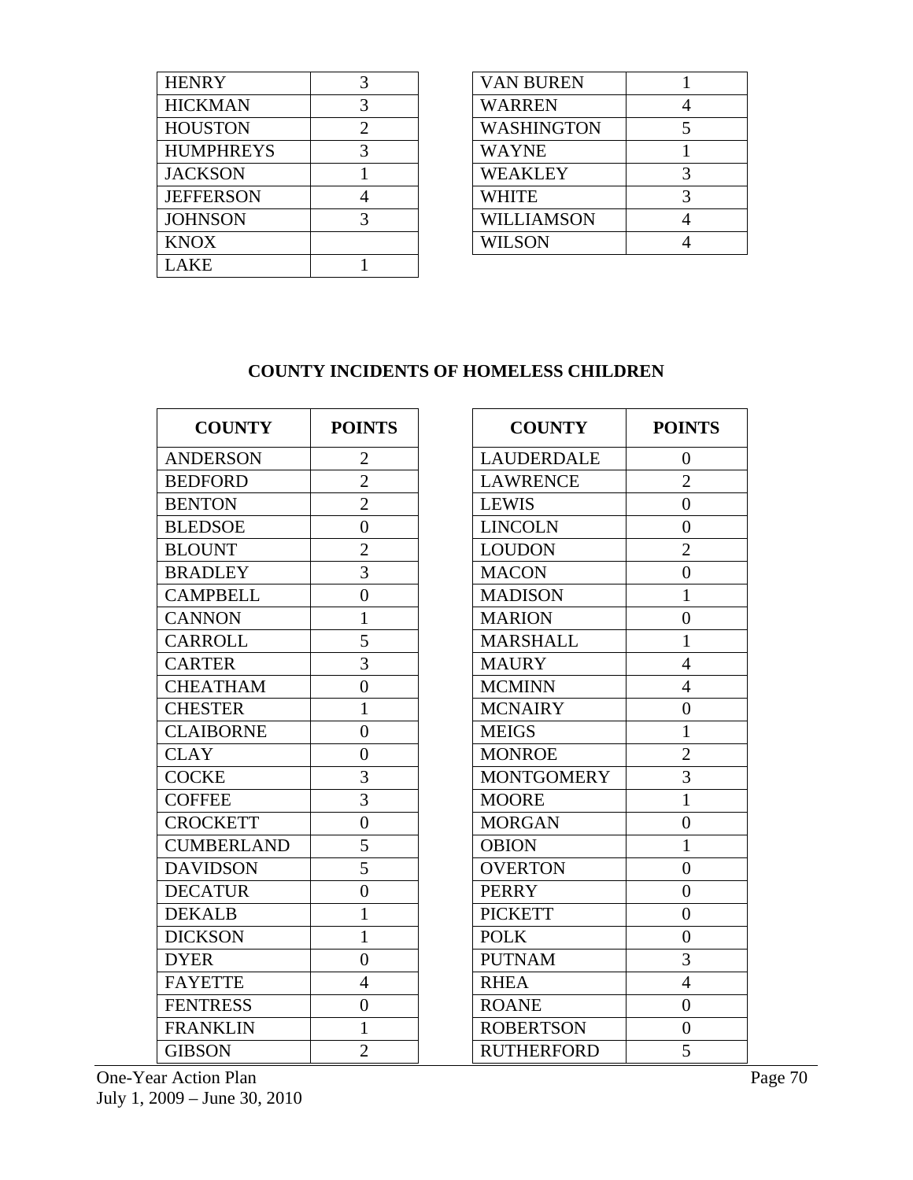| <b>HENRY</b>     | <b>VAN BUREN</b>  |   |
|------------------|-------------------|---|
| <b>HICKMAN</b>   | <b>WARREN</b>     | 4 |
| <b>HOUSTON</b>   | <b>WASHINGTON</b> |   |
| <b>HUMPHREYS</b> | <b>WAYNE</b>      |   |
| <b>JACKSON</b>   | WEAKLEY           | 3 |
| <b>JEFFERSON</b> | WHITE             | 3 |
| <b>JOHNSON</b>   | <b>WILLIAMSON</b> | 4 |
| <b>KNOX</b>      | <b>WILSON</b>     |   |
| AKE              |                   |   |

| <b>VAN BUREN</b>  |   |
|-------------------|---|
| <b>WARREN</b>     |   |
| <b>WASHINGTON</b> | 5 |
| <b>WAYNE</b>      |   |
| <b>WEAKLEY</b>    | 3 |
| <b>WHITE</b>      |   |
| <b>WILLIAMSON</b> |   |
| <b>WILSON</b>     |   |
|                   |   |

### **COUNTY INCIDENTS OF HOMELESS CHILDREN**

| <b>COUNTY</b>     | <b>POINTS</b>  | <b>COUNTY</b>     | <b>POIN</b>      |
|-------------------|----------------|-------------------|------------------|
| <b>ANDERSON</b>   | $\mathfrak{2}$ | <b>LAUDERDALE</b> | $\boldsymbol{0}$ |
| <b>BEDFORD</b>    | $\overline{2}$ | <b>LAWRENCE</b>   | $\overline{2}$   |
| <b>BENTON</b>     | $\overline{2}$ | <b>LEWIS</b>      | $\boldsymbol{0}$ |
| <b>BLEDSOE</b>    | $\overline{0}$ | <b>LINCOLN</b>    | $\overline{0}$   |
| <b>BLOUNT</b>     | $\overline{2}$ | <b>LOUDON</b>     | $\overline{2}$   |
| <b>BRADLEY</b>    | $\overline{3}$ | <b>MACON</b>      | $\overline{0}$   |
| <b>CAMPBELL</b>   | $\overline{0}$ | <b>MADISON</b>    | $\mathbf{1}$     |
| <b>CANNON</b>     | $\mathbf{1}$   | <b>MARION</b>     | $\overline{0}$   |
| <b>CARROLL</b>    | 5              | <b>MARSHALL</b>   | $\mathbf{1}$     |
| <b>CARTER</b>     | 3              | <b>MAURY</b>      | $\overline{4}$   |
| <b>CHEATHAM</b>   | $\overline{0}$ | <b>MCMINN</b>     | $\overline{4}$   |
| <b>CHESTER</b>    | $\mathbf{1}$   | <b>MCNAIRY</b>    | $\boldsymbol{0}$ |
| <b>CLAIBORNE</b>  | $\overline{0}$ | <b>MEIGS</b>      | $\mathbf{1}$     |
| <b>CLAY</b>       | $\overline{0}$ | <b>MONROE</b>     | $\overline{c}$   |
| <b>COCKE</b>      | 3              | <b>MONTGOMERY</b> | $\overline{3}$   |
| <b>COFFEE</b>     | $\overline{3}$ | <b>MOORE</b>      | $\overline{1}$   |
| <b>CROCKETT</b>   | $\overline{0}$ | <b>MORGAN</b>     | $\overline{0}$   |
| <b>CUMBERLAND</b> | 5              | <b>OBION</b>      | $\mathbf{1}$     |
| <b>DAVIDSON</b>   | 5              | <b>OVERTON</b>    | $\overline{0}$   |
| <b>DECATUR</b>    | $\overline{0}$ | <b>PERRY</b>      | $\overline{0}$   |
| <b>DEKALB</b>     | $\mathbf{1}$   | <b>PICKETT</b>    | $\overline{0}$   |
| <b>DICKSON</b>    | $\mathbf{1}$   | <b>POLK</b>       | $\overline{0}$   |
| <b>DYER</b>       | $\overline{0}$ | <b>PUTNAM</b>     | $\overline{3}$   |
| <b>FAYETTE</b>    | $\overline{4}$ | <b>RHEA</b>       | $\overline{4}$   |
| <b>FENTRESS</b>   | $\overline{0}$ | <b>ROANE</b>      | $\overline{0}$   |
| <b>FRANKLIN</b>   | $\mathbf{1}$   | <b>ROBERTSON</b>  | $\overline{0}$   |
| <b>GIBSON</b>     | $\overline{2}$ | <b>RUTHERFORD</b> | 5                |

| <b>COUNTY</b>           | <b>POINTS</b>  | <b>COUNTY</b>     | <b>POINTS</b>    |
|-------------------------|----------------|-------------------|------------------|
| <b>DERSON</b>           | $\overline{2}$ | <b>LAUDERDALE</b> | $\boldsymbol{0}$ |
| <b>PORD</b>             | $\overline{2}$ | <b>LAWRENCE</b>   | $\overline{2}$   |
| <b>NOTV</b>             | $\overline{2}$ | <b>LEWIS</b>      | $\overline{0}$   |
| EDSOE                   | $\overline{0}$ | <b>LINCOLN</b>    | $\boldsymbol{0}$ |
| <b>JUNT</b>             | $\overline{2}$ | <b>LOUDON</b>     | $\overline{2}$   |
| <b>ADLEY</b>            | 3              | <b>MACON</b>      | $\overline{0}$   |
| <b>MPBELL</b>           | $\overline{0}$ | <b>MADISON</b>    | $\mathbf{1}$     |
| <b>NNON</b>             | $\mathbf{1}$   | <b>MARION</b>     | $\overline{0}$   |
| ROLL                    | 5              | <b>MARSHALL</b>   | $\mathbf{1}$     |
| RTER                    | $\overline{3}$ | <b>MAURY</b>      | $\overline{4}$   |
| <b>EATHAM</b>           | $\overline{0}$ | <b>MCMINN</b>     | $\overline{4}$   |
| <b>ESTER</b>            | $\mathbf{1}$   | <b>MCNAIRY</b>    | $\overline{0}$   |
| <b>MBORNE</b>           | $\overline{0}$ | <b>MEIGS</b>      | $\mathbf{1}$     |
| $\overline{Y}$          | $\overline{0}$ | <b>MONROE</b>     | $\overline{c}$   |
| $\overline{\text{CKE}}$ | 3              | <b>MONTGOMERY</b> | $\overline{3}$   |
| FFEE                    | $\overline{3}$ | <b>MOORE</b>      | $\mathbf{1}$     |
| <b>CKETT</b>            | $\overline{0}$ | <b>MORGAN</b>     | $\overline{0}$   |
| <b>MBERLAND</b>         | 5              | <b>OBION</b>      | $\mathbf{1}$     |
| <b>VIDSON</b>           | 5              | <b>OVERTON</b>    | $\overline{0}$   |
| CATUR                   | $\overline{0}$ | <b>PERRY</b>      | $\overline{0}$   |
| <b>SALB</b>             | $\mathbf{1}$   | <b>PICKETT</b>    | $\overline{0}$   |
| <b>KSON</b>             | $\mathbf{1}$   | <b>POLK</b>       | $\overline{0}$   |
| $\overline{\mathbb{R}}$ | $\overline{0}$ | <b>PUTNAM</b>     | 3                |
| <b>ETTE</b>             | $\overline{4}$ | <b>RHEA</b>       | $\overline{4}$   |
| <b>TRESS</b>            | $\overline{0}$ | <b>ROANE</b>      | $\overline{0}$   |
| <b>NKLIN</b>            | 1              | <b>ROBERTSON</b>  | $\overline{0}$   |
| SON                     | $\overline{2}$ | <b>RUTHERFORD</b> | 5                |

One-Year Action Plan Page 70 July 1, 2009 – June 30, 2010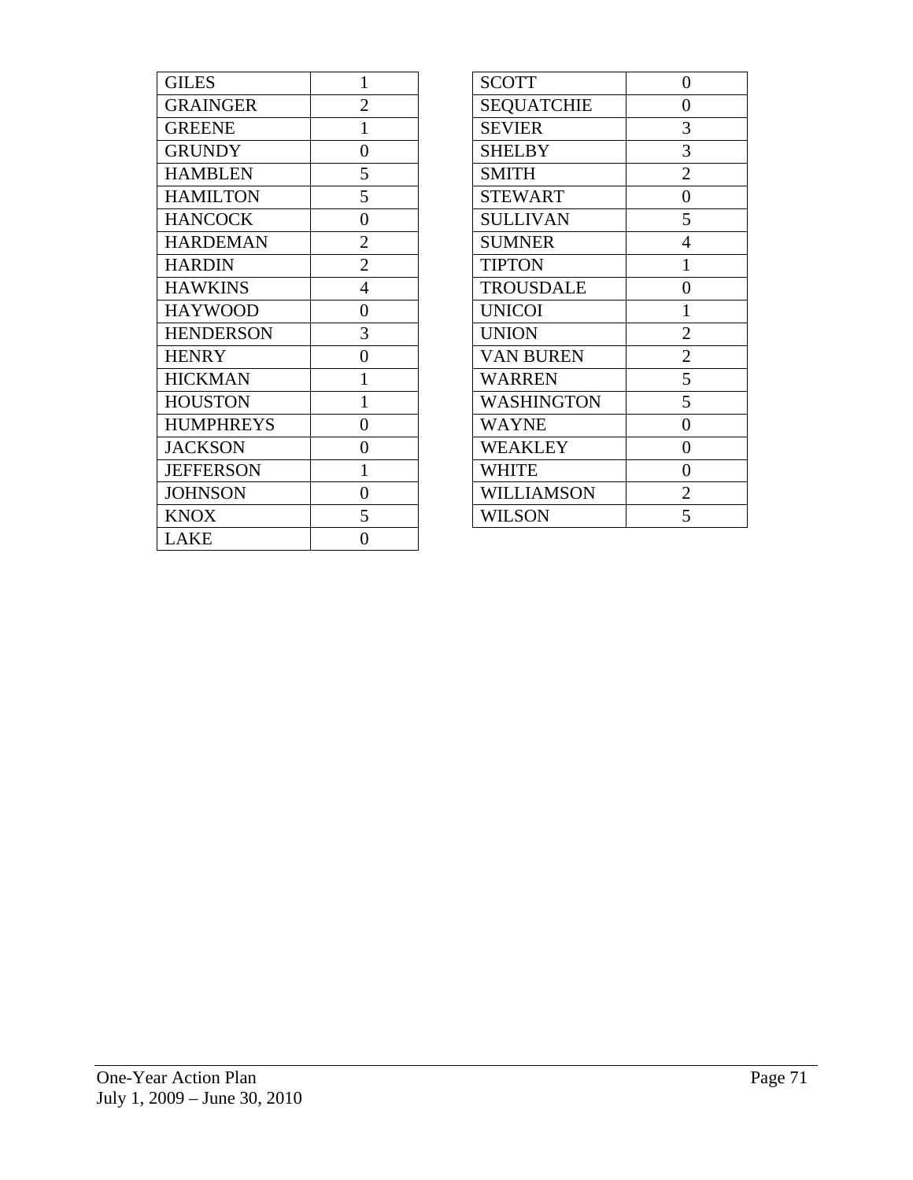| 1              | <b>SCOTT</b>      | $\overline{0}$   |
|----------------|-------------------|------------------|
| $\overline{2}$ | <b>SEQUATCHIE</b> | $\boldsymbol{0}$ |
| 1              | <b>SEVIER</b>     | 3                |
| $\overline{0}$ | <b>SHELBY</b>     | 3                |
| 5              | <b>SMITH</b>      | $\overline{2}$   |
| 5              | <b>STEWART</b>    | $\overline{0}$   |
| $\theta$       | <b>SULLIVAN</b>   | 5                |
| $\overline{2}$ | <b>SUMNER</b>     | $\overline{4}$   |
| $\overline{2}$ | <b>TIPTON</b>     | $\mathbf{1}$     |
| $\overline{4}$ | <b>TROUSDALE</b>  | $\overline{0}$   |
| $\overline{0}$ | <b>UNICOI</b>     | $\mathbf{1}$     |
| 3              | <b>UNION</b>      | $\overline{2}$   |
| $\overline{0}$ | <b>VAN BUREN</b>  | $\overline{2}$   |
| $\mathbf{1}$   | <b>WARREN</b>     | 5                |
| 1              | WASHINGTON        | 5                |
| $\theta$       | <b>WAYNE</b>      | $\overline{0}$   |
| $\overline{0}$ | WEAKLEY           | $\boldsymbol{0}$ |
| 1              | <b>WHITE</b>      | $\overline{0}$   |
| $\overline{0}$ | <b>WILLIAMSON</b> | $\overline{2}$   |
| 5              | <b>WILSON</b>     | 5                |
| 0              |                   |                  |
|                |                   |                  |

| <b>SCOTT</b>      | 0              |
|-------------------|----------------|
| <b>SEQUATCHIE</b> | $\overline{0}$ |
| <b>SEVIER</b>     | 3              |
| <b>SHELBY</b>     | 3              |
| <b>SMITH</b>      | $\overline{2}$ |
| <b>STEWART</b>    | $\overline{0}$ |
| <b>SULLIVAN</b>   | 5              |
| <b>SUMNER</b>     | $\overline{4}$ |
| <b>TIPTON</b>     | $\mathbf{1}$   |
| <b>TROUSDALE</b>  | $\overline{0}$ |
| <b>UNICOI</b>     | $\mathbf{1}$   |
| <b>UNION</b>      | $\overline{2}$ |
| <b>VAN BUREN</b>  | $\overline{2}$ |
| <b>WARREN</b>     | 5              |
| <b>WASHINGTON</b> | 5              |
| <b>WAYNE</b>      | 0              |
| <b>WEAKLEY</b>    | $\overline{0}$ |
| <b>WHITE</b>      | $\overline{0}$ |
| <b>WILLIAMSON</b> | $\overline{2}$ |
| WILSON            | 5              |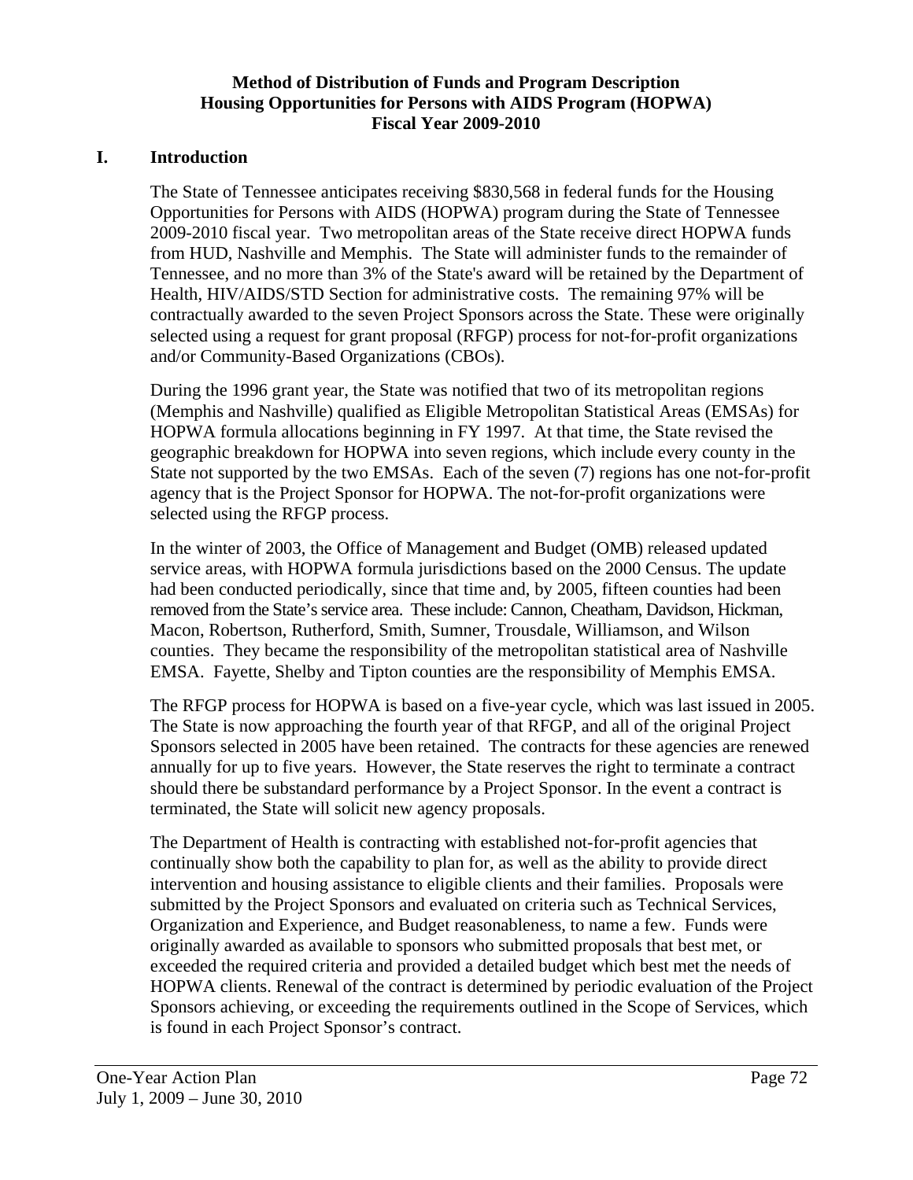## **Method of Distribution of Funds and Program Description Housing Opportunities for Persons with AIDS Program (HOPWA) Fiscal Year 2009-2010**

#### **I. Introduction**

The State of Tennessee anticipates receiving \$830,568 in federal funds for the Housing Opportunities for Persons with AIDS (HOPWA) program during the State of Tennessee 2009-2010 fiscal year. Two metropolitan areas of the State receive direct HOPWA funds from HUD, Nashville and Memphis. The State will administer funds to the remainder of Tennessee, and no more than 3% of the State's award will be retained by the Department of Health, HIV/AIDS/STD Section for administrative costs. The remaining 97% will be contractually awarded to the seven Project Sponsors across the State. These were originally selected using a request for grant proposal (RFGP) process for not-for-profit organizations and/or Community-Based Organizations (CBOs).

During the 1996 grant year, the State was notified that two of its metropolitan regions (Memphis and Nashville) qualified as Eligible Metropolitan Statistical Areas (EMSAs) for HOPWA formula allocations beginning in FY 1997. At that time, the State revised the geographic breakdown for HOPWA into seven regions, which include every county in the State not supported by the two EMSAs. Each of the seven (7) regions has one not-for-profit agency that is the Project Sponsor for HOPWA. The not-for-profit organizations were selected using the RFGP process.

In the winter of 2003, the Office of Management and Budget (OMB) released updated service areas, with HOPWA formula jurisdictions based on the 2000 Census. The update had been conducted periodically, since that time and, by 2005, fifteen counties had been removed from the State's service area. These include: Cannon, Cheatham, Davidson, Hickman, Macon, Robertson, Rutherford, Smith, Sumner, Trousdale, Williamson, and Wilson counties. They became the responsibility of the metropolitan statistical area of Nashville EMSA. Fayette, Shelby and Tipton counties are the responsibility of Memphis EMSA.

The RFGP process for HOPWA is based on a five-year cycle, which was last issued in 2005. The State is now approaching the fourth year of that RFGP, and all of the original Project Sponsors selected in 2005 have been retained. The contracts for these agencies are renewed annually for up to five years. However, the State reserves the right to terminate a contract should there be substandard performance by a Project Sponsor. In the event a contract is terminated, the State will solicit new agency proposals.

The Department of Health is contracting with established not-for-profit agencies that continually show both the capability to plan for, as well as the ability to provide direct intervention and housing assistance to eligible clients and their families. Proposals were submitted by the Project Sponsors and evaluated on criteria such as Technical Services, Organization and Experience, and Budget reasonableness, to name a few. Funds were originally awarded as available to sponsors who submitted proposals that best met, or exceeded the required criteria and provided a detailed budget which best met the needs of HOPWA clients. Renewal of the contract is determined by periodic evaluation of the Project Sponsors achieving, or exceeding the requirements outlined in the Scope of Services, which is found in each Project Sponsor's contract.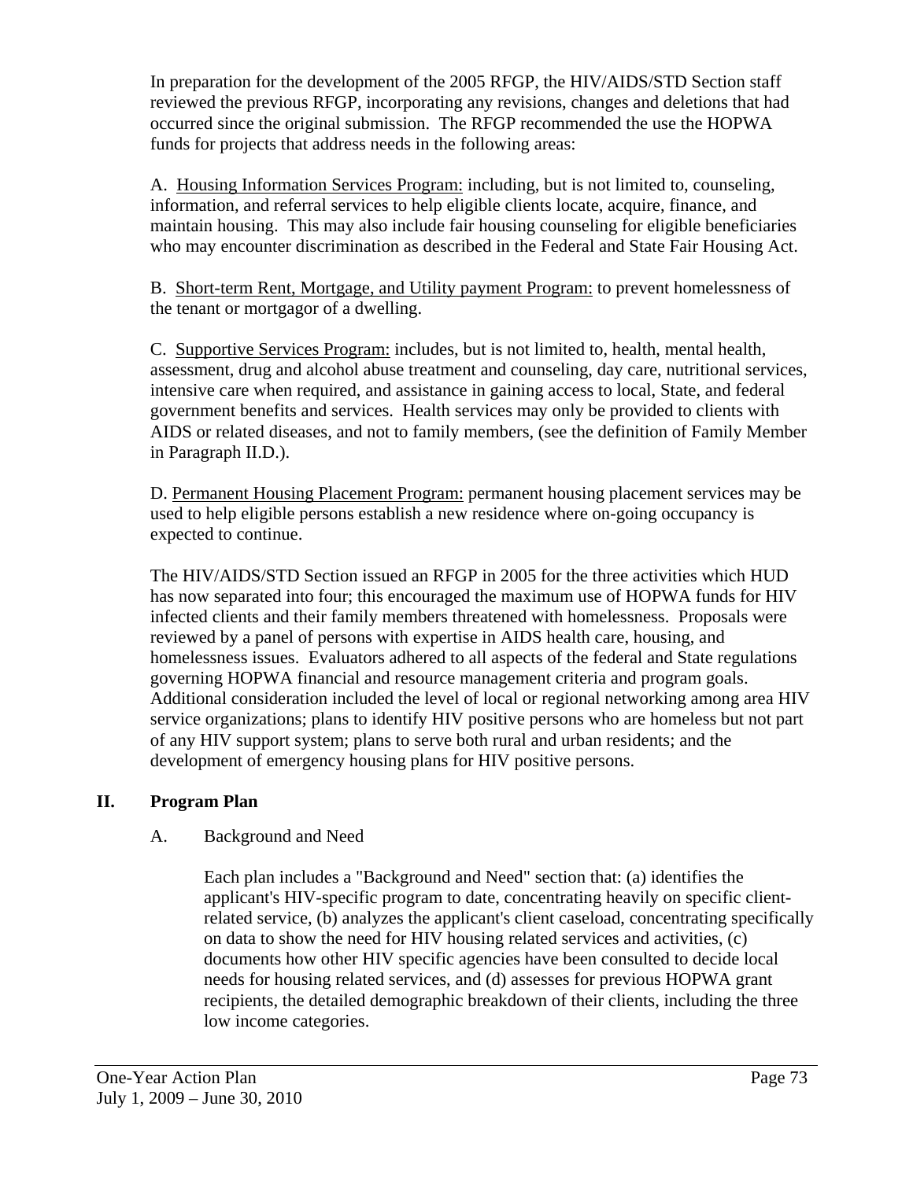In preparation for the development of the 2005 RFGP, the HIV/AIDS/STD Section staff reviewed the previous RFGP, incorporating any revisions, changes and deletions that had occurred since the original submission. The RFGP recommended the use the HOPWA funds for projects that address needs in the following areas:

A. Housing Information Services Program: including, but is not limited to, counseling, information, and referral services to help eligible clients locate, acquire, finance, and maintain housing. This may also include fair housing counseling for eligible beneficiaries who may encounter discrimination as described in the Federal and State Fair Housing Act.

B. Short-term Rent, Mortgage, and Utility payment Program: to prevent homelessness of the tenant or mortgagor of a dwelling.

C. Supportive Services Program: includes, but is not limited to, health, mental health, assessment, drug and alcohol abuse treatment and counseling, day care, nutritional services, intensive care when required, and assistance in gaining access to local, State, and federal government benefits and services. Health services may only be provided to clients with AIDS or related diseases, and not to family members, (see the definition of Family Member in Paragraph II.D.).

D. Permanent Housing Placement Program: permanent housing placement services may be used to help eligible persons establish a new residence where on-going occupancy is expected to continue.

The HIV/AIDS/STD Section issued an RFGP in 2005 for the three activities which HUD has now separated into four; this encouraged the maximum use of HOPWA funds for HIV infected clients and their family members threatened with homelessness. Proposals were reviewed by a panel of persons with expertise in AIDS health care, housing, and homelessness issues. Evaluators adhered to all aspects of the federal and State regulations governing HOPWA financial and resource management criteria and program goals. Additional consideration included the level of local or regional networking among area HIV service organizations; plans to identify HIV positive persons who are homeless but not part of any HIV support system; plans to serve both rural and urban residents; and the development of emergency housing plans for HIV positive persons.

# **II. Program Plan**

# A. Background and Need

Each plan includes a "Background and Need" section that: (a) identifies the applicant's HIV-specific program to date, concentrating heavily on specific clientrelated service, (b) analyzes the applicant's client caseload, concentrating specifically on data to show the need for HIV housing related services and activities, (c) documents how other HIV specific agencies have been consulted to decide local needs for housing related services, and (d) assesses for previous HOPWA grant recipients, the detailed demographic breakdown of their clients, including the three low income categories.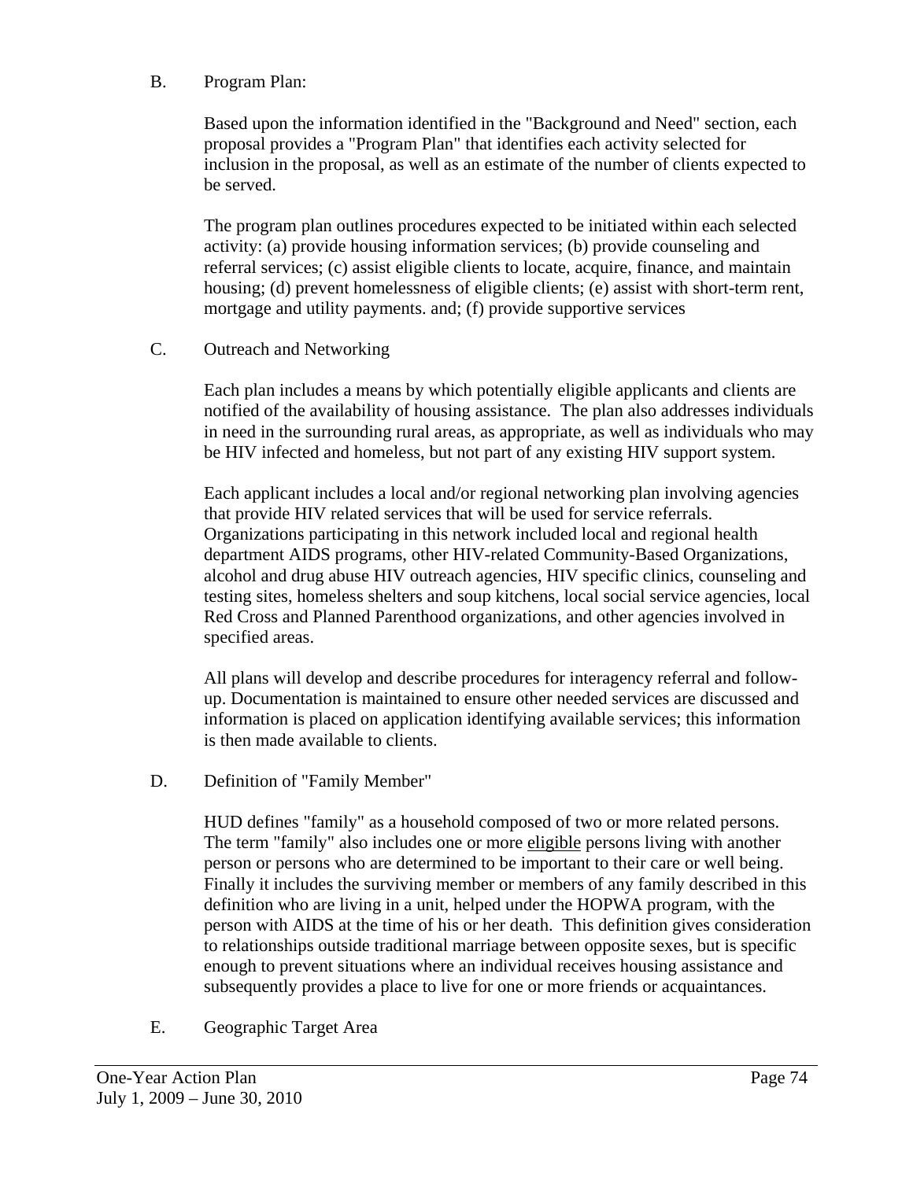#### B. Program Plan:

Based upon the information identified in the "Background and Need" section, each proposal provides a "Program Plan" that identifies each activity selected for inclusion in the proposal, as well as an estimate of the number of clients expected to be served.

The program plan outlines procedures expected to be initiated within each selected activity: (a) provide housing information services; (b) provide counseling and referral services; (c) assist eligible clients to locate, acquire, finance, and maintain housing; (d) prevent homelessness of eligible clients; (e) assist with short-term rent, mortgage and utility payments. and; (f) provide supportive services

#### C. Outreach and Networking

Each plan includes a means by which potentially eligible applicants and clients are notified of the availability of housing assistance. The plan also addresses individuals in need in the surrounding rural areas, as appropriate, as well as individuals who may be HIV infected and homeless, but not part of any existing HIV support system.

Each applicant includes a local and/or regional networking plan involving agencies that provide HIV related services that will be used for service referrals. Organizations participating in this network included local and regional health department AIDS programs, other HIV-related Community-Based Organizations, alcohol and drug abuse HIV outreach agencies, HIV specific clinics, counseling and testing sites, homeless shelters and soup kitchens, local social service agencies, local Red Cross and Planned Parenthood organizations, and other agencies involved in specified areas.

All plans will develop and describe procedures for interagency referral and followup. Documentation is maintained to ensure other needed services are discussed and information is placed on application identifying available services; this information is then made available to clients.

D. Definition of "Family Member"

HUD defines "family" as a household composed of two or more related persons. The term "family" also includes one or more eligible persons living with another person or persons who are determined to be important to their care or well being. Finally it includes the surviving member or members of any family described in this definition who are living in a unit, helped under the HOPWA program, with the person with AIDS at the time of his or her death. This definition gives consideration to relationships outside traditional marriage between opposite sexes, but is specific enough to prevent situations where an individual receives housing assistance and subsequently provides a place to live for one or more friends or acquaintances.

E. Geographic Target Area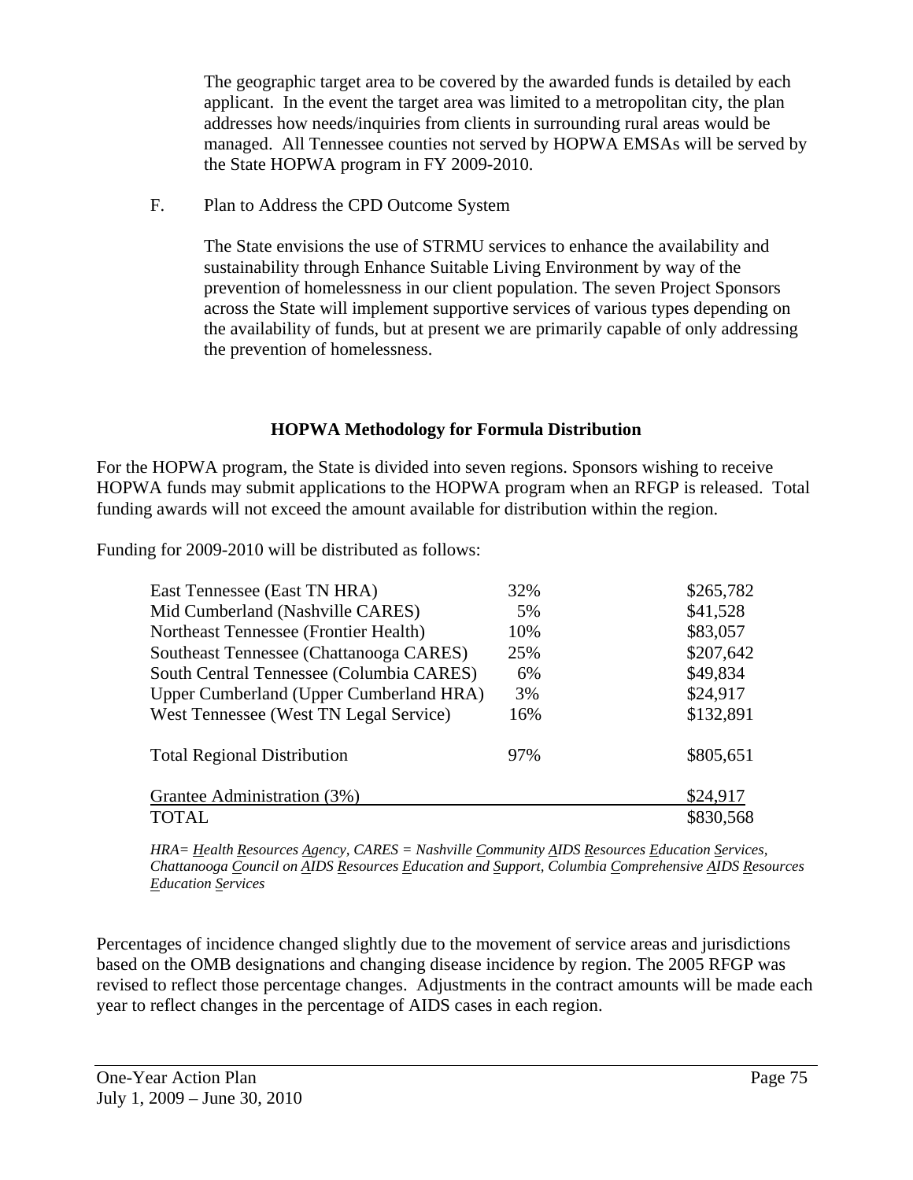The geographic target area to be covered by the awarded funds is detailed by each applicant. In the event the target area was limited to a metropolitan city, the plan addresses how needs/inquiries from clients in surrounding rural areas would be managed. All Tennessee counties not served by HOPWA EMSAs will be served by the State HOPWA program in FY 2009-2010.

F. Plan to Address the CPD Outcome System

The State envisions the use of STRMU services to enhance the availability and sustainability through Enhance Suitable Living Environment by way of the prevention of homelessness in our client population. The seven Project Sponsors across the State will implement supportive services of various types depending on the availability of funds, but at present we are primarily capable of only addressing the prevention of homelessness.

#### **HOPWA Methodology for Formula Distribution**

For the HOPWA program, the State is divided into seven regions. Sponsors wishing to receive HOPWA funds may submit applications to the HOPWA program when an RFGP is released. Total funding awards will not exceed the amount available for distribution within the region.

Funding for 2009-2010 will be distributed as follows:

| East Tennessee (East TN HRA)             | 32% | \$265,782 |
|------------------------------------------|-----|-----------|
| Mid Cumberland (Nashville CARES)         | 5%  | \$41,528  |
| Northeast Tennessee (Frontier Health)    | 10% | \$83,057  |
| Southeast Tennessee (Chattanooga CARES)  | 25% | \$207,642 |
| South Central Tennessee (Columbia CARES) | 6%  | \$49,834  |
| Upper Cumberland (Upper Cumberland HRA)  | 3%  | \$24,917  |
| West Tennessee (West TN Legal Service)   | 16% | \$132,891 |
| <b>Total Regional Distribution</b>       | 97% | \$805,651 |
| Grantee Administration (3%)              |     | \$24,917  |
| <b>TOTAL</b>                             |     | \$830,568 |

*HRA= Health Resources Agency, CARES = Nashville Community AIDS Resources Education Services, Chattanooga Council on AIDS Resources Education and Support, Columbia Comprehensive AIDS Resources Education Services*

Percentages of incidence changed slightly due to the movement of service areas and jurisdictions based on the OMB designations and changing disease incidence by region. The 2005 RFGP was revised to reflect those percentage changes. Adjustments in the contract amounts will be made each year to reflect changes in the percentage of AIDS cases in each region.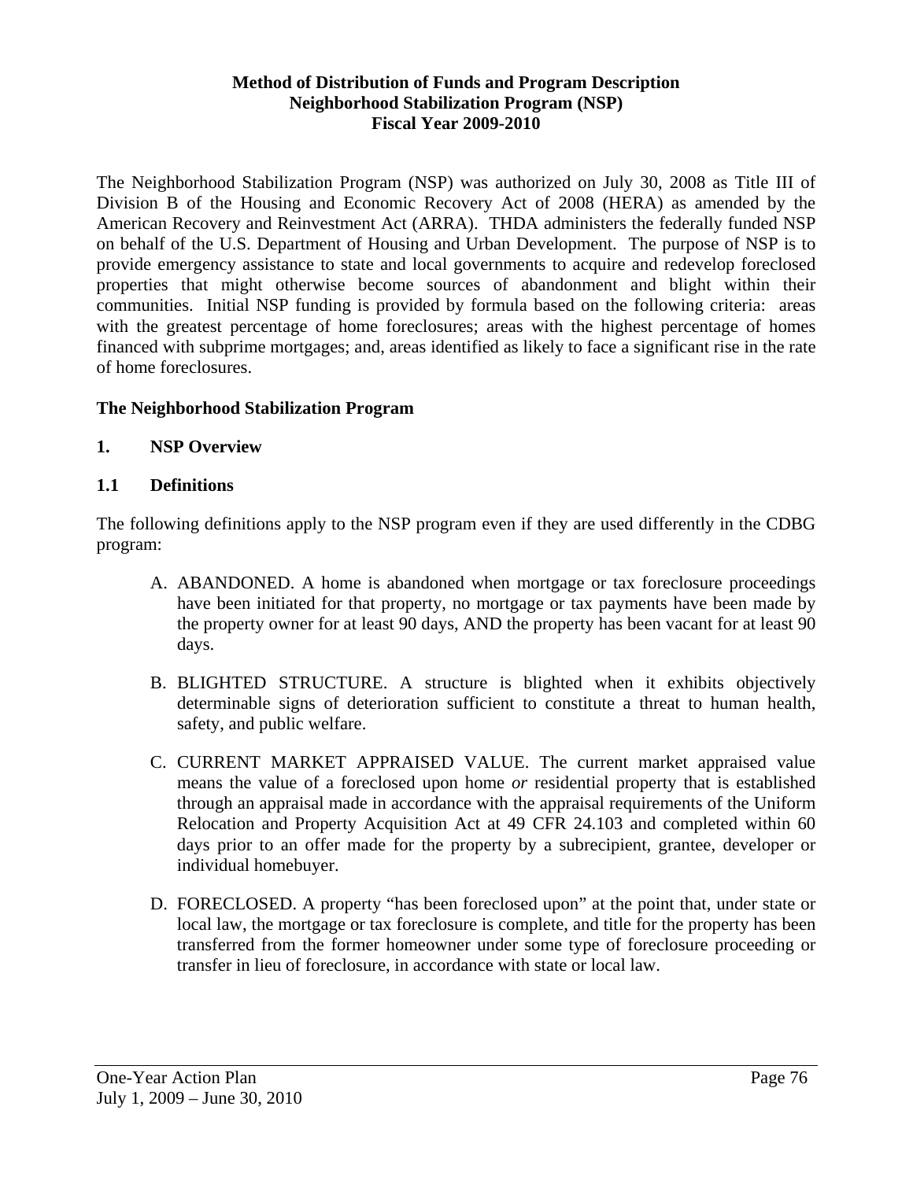#### **Method of Distribution of Funds and Program Description Neighborhood Stabilization Program (NSP) Fiscal Year 2009-2010**

The Neighborhood Stabilization Program (NSP) was authorized on July 30, 2008 as Title III of Division B of the Housing and Economic Recovery Act of 2008 (HERA) as amended by the American Recovery and Reinvestment Act (ARRA). THDA administers the federally funded NSP on behalf of the U.S. Department of Housing and Urban Development. The purpose of NSP is to provide emergency assistance to state and local governments to acquire and redevelop foreclosed properties that might otherwise become sources of abandonment and blight within their communities. Initial NSP funding is provided by formula based on the following criteria: areas with the greatest percentage of home foreclosures; areas with the highest percentage of homes financed with subprime mortgages; and, areas identified as likely to face a significant rise in the rate of home foreclosures.

# **The Neighborhood Stabilization Program**

#### **1. NSP Overview**

#### **1.1 Definitions**

The following definitions apply to the NSP program even if they are used differently in the CDBG program:

- A. ABANDONED. A home is abandoned when mortgage or tax foreclosure proceedings have been initiated for that property, no mortgage or tax payments have been made by the property owner for at least 90 days, AND the property has been vacant for at least 90 days.
- B. BLIGHTED STRUCTURE. A structure is blighted when it exhibits objectively determinable signs of deterioration sufficient to constitute a threat to human health, safety, and public welfare.
- C. CURRENT MARKET APPRAISED VALUE. The current market appraised value means the value of a foreclosed upon home *or* residential property that is established through an appraisal made in accordance with the appraisal requirements of the Uniform Relocation and Property Acquisition Act at 49 CFR 24.103 and completed within 60 days prior to an offer made for the property by a subrecipient, grantee, developer or individual homebuyer.
- D. FORECLOSED. A property "has been foreclosed upon" at the point that, under state or local law, the mortgage or tax foreclosure is complete, and title for the property has been transferred from the former homeowner under some type of foreclosure proceeding or transfer in lieu of foreclosure, in accordance with state or local law.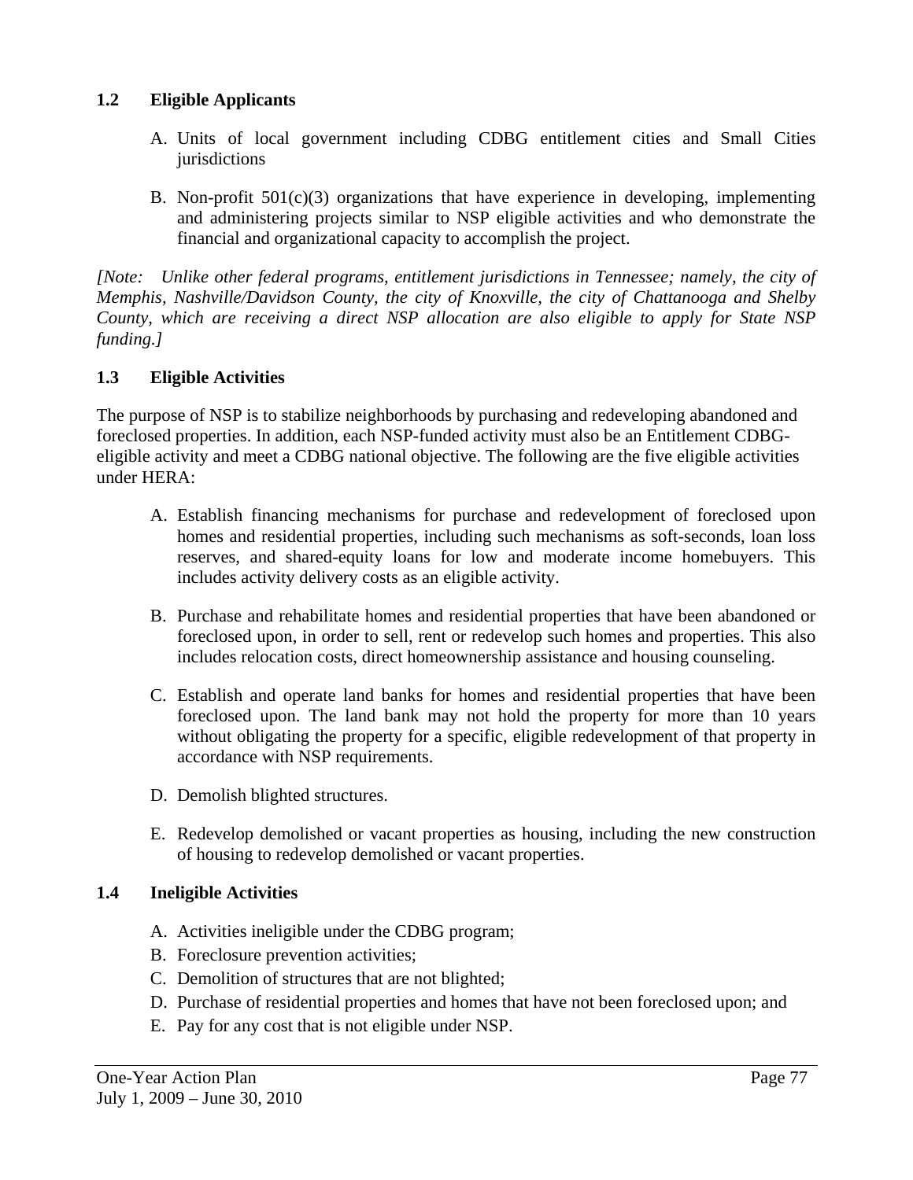#### **1.2 Eligible Applicants**

- A. Units of local government including CDBG entitlement cities and Small Cities jurisdictions
- B. Non-profit  $501(c)(3)$  organizations that have experience in developing, implementing and administering projects similar to NSP eligible activities and who demonstrate the financial and organizational capacity to accomplish the project.

*[Note: Unlike other federal programs, entitlement jurisdictions in Tennessee; namely, the city of Memphis, Nashville/Davidson County, the city of Knoxville, the city of Chattanooga and Shelby County, which are receiving a direct NSP allocation are also eligible to apply for State NSP funding.]* 

# **1.3 Eligible Activities**

The purpose of NSP is to stabilize neighborhoods by purchasing and redeveloping abandoned and foreclosed properties. In addition, each NSP-funded activity must also be an Entitlement CDBGeligible activity and meet a CDBG national objective. The following are the five eligible activities under HERA:

- A. Establish financing mechanisms for purchase and redevelopment of foreclosed upon homes and residential properties, including such mechanisms as soft-seconds, loan loss reserves, and shared-equity loans for low and moderate income homebuyers. This includes activity delivery costs as an eligible activity.
- B. Purchase and rehabilitate homes and residential properties that have been abandoned or foreclosed upon, in order to sell, rent or redevelop such homes and properties. This also includes relocation costs, direct homeownership assistance and housing counseling.
- C. Establish and operate land banks for homes and residential properties that have been foreclosed upon. The land bank may not hold the property for more than 10 years without obligating the property for a specific, eligible redevelopment of that property in accordance with NSP requirements.
- D. Demolish blighted structures.
- E. Redevelop demolished or vacant properties as housing, including the new construction of housing to redevelop demolished or vacant properties.

#### **1.4 Ineligible Activities**

- A. Activities ineligible under the CDBG program;
- B. Foreclosure prevention activities;
- C. Demolition of structures that are not blighted;
- D. Purchase of residential properties and homes that have not been foreclosed upon; and
- E. Pay for any cost that is not eligible under NSP.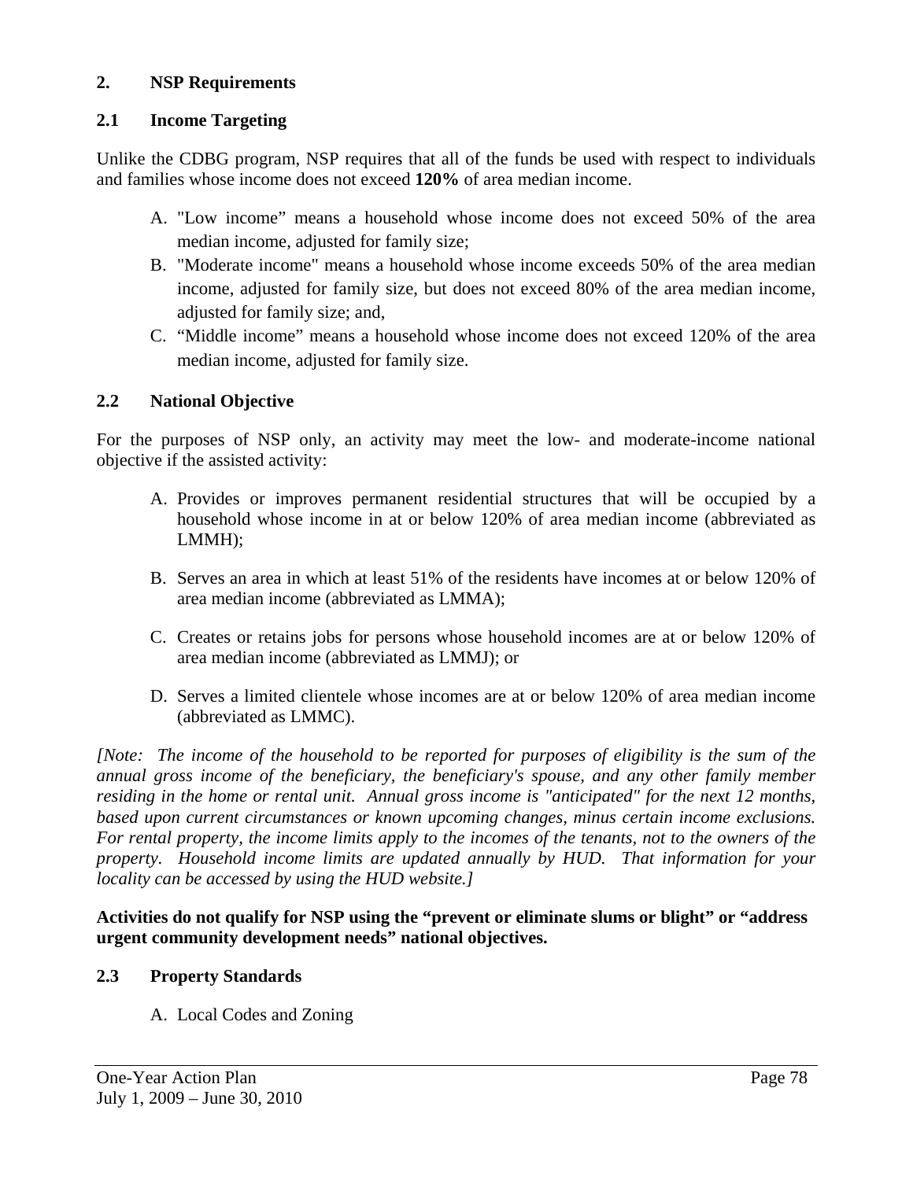## **2. NSP Requirements**

#### **2.1 Income Targeting**

Unlike the CDBG program, NSP requires that all of the funds be used with respect to individuals and families whose income does not exceed **120%** of area median income.

- A. "Low income" means a household whose income does not exceed 50% of the area median income, adjusted for family size;
- B. "Moderate income" means a household whose income exceeds 50% of the area median income, adjusted for family size, but does not exceed 80% of the area median income, adjusted for family size; and,
- C. "Middle income" means a household whose income does not exceed 120% of the area median income, adjusted for family size.

#### **2.2 National Objective**

For the purposes of NSP only, an activity may meet the low- and moderate-income national objective if the assisted activity:

- A. Provides or improves permanent residential structures that will be occupied by a household whose income in at or below 120% of area median income (abbreviated as LMMH);
- B. Serves an area in which at least 51% of the residents have incomes at or below 120% of area median income (abbreviated as LMMA);
- C. Creates or retains jobs for persons whose household incomes are at or below 120% of area median income (abbreviated as LMMJ); or
- D. Serves a limited clientele whose incomes are at or below 120% of area median income (abbreviated as LMMC).

*[Note: The income of the household to be reported for purposes of eligibility is the sum of the annual gross income of the beneficiary, the beneficiary's spouse, and any other family member residing in the home or rental unit. Annual gross income is "anticipated" for the next 12 months, based upon current circumstances or known upcoming changes, minus certain income exclusions. For rental property, the income limits apply to the incomes of the tenants, not to the owners of the property. Household income limits are updated annually by HUD. That information for your locality can be accessed by using the HUD website.]* 

**Activities do not qualify for NSP using the "prevent or eliminate slums or blight" or "address urgent community development needs" national objectives.** 

#### **2.3 Property Standards**

A. Local Codes and Zoning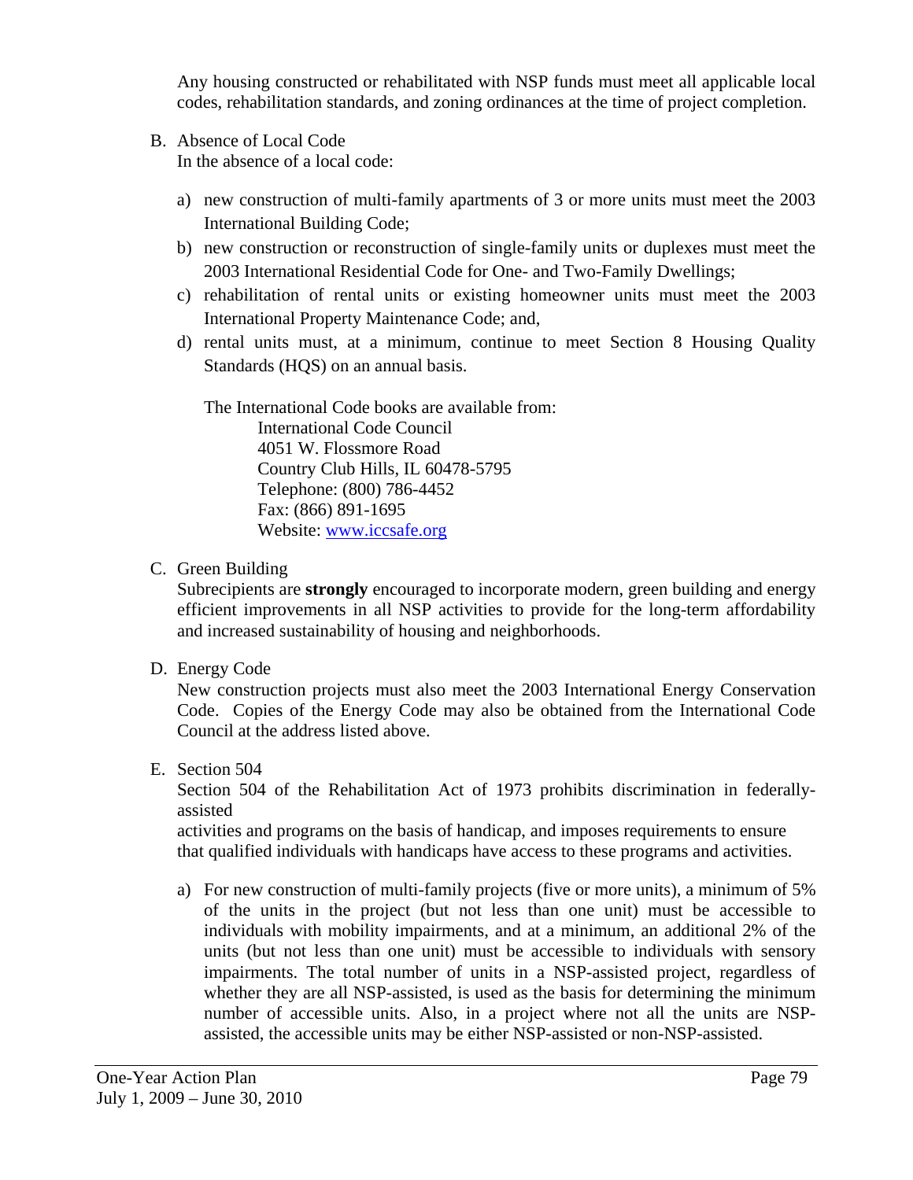Any housing constructed or rehabilitated with NSP funds must meet all applicable local codes, rehabilitation standards, and zoning ordinances at the time of project completion.

- B. Absence of Local Code In the absence of a local code:
	- a) new construction of multi-family apartments of 3 or more units must meet the 2003 International Building Code;
	- b) new construction or reconstruction of single-family units or duplexes must meet the 2003 International Residential Code for One- and Two-Family Dwellings;
	- c) rehabilitation of rental units or existing homeowner units must meet the 2003 International Property Maintenance Code; and,
	- d) rental units must, at a minimum, continue to meet Section 8 Housing Quality Standards (HQS) on an annual basis.

The International Code books are available from: International Code Council 4051 W. Flossmore Road Country Club Hills, IL 60478-5795 Telephone: (800) 786-4452 Fax: (866) 891-1695 Website: www.iccsafe.org

C. Green Building

Subrecipients are **strongly** encouraged to incorporate modern, green building and energy efficient improvements in all NSP activities to provide for the long-term affordability and increased sustainability of housing and neighborhoods.

D. Energy Code

New construction projects must also meet the 2003 International Energy Conservation Code. Copies of the Energy Code may also be obtained from the International Code Council at the address listed above.

E. Section 504

Section 504 of the Rehabilitation Act of 1973 prohibits discrimination in federallyassisted

activities and programs on the basis of handicap, and imposes requirements to ensure that qualified individuals with handicaps have access to these programs and activities.

a) For new construction of multi-family projects (five or more units), a minimum of 5% of the units in the project (but not less than one unit) must be accessible to individuals with mobility impairments, and at a minimum, an additional 2% of the units (but not less than one unit) must be accessible to individuals with sensory impairments. The total number of units in a NSP-assisted project, regardless of whether they are all NSP-assisted, is used as the basis for determining the minimum number of accessible units. Also, in a project where not all the units are NSPassisted, the accessible units may be either NSP-assisted or non-NSP-assisted.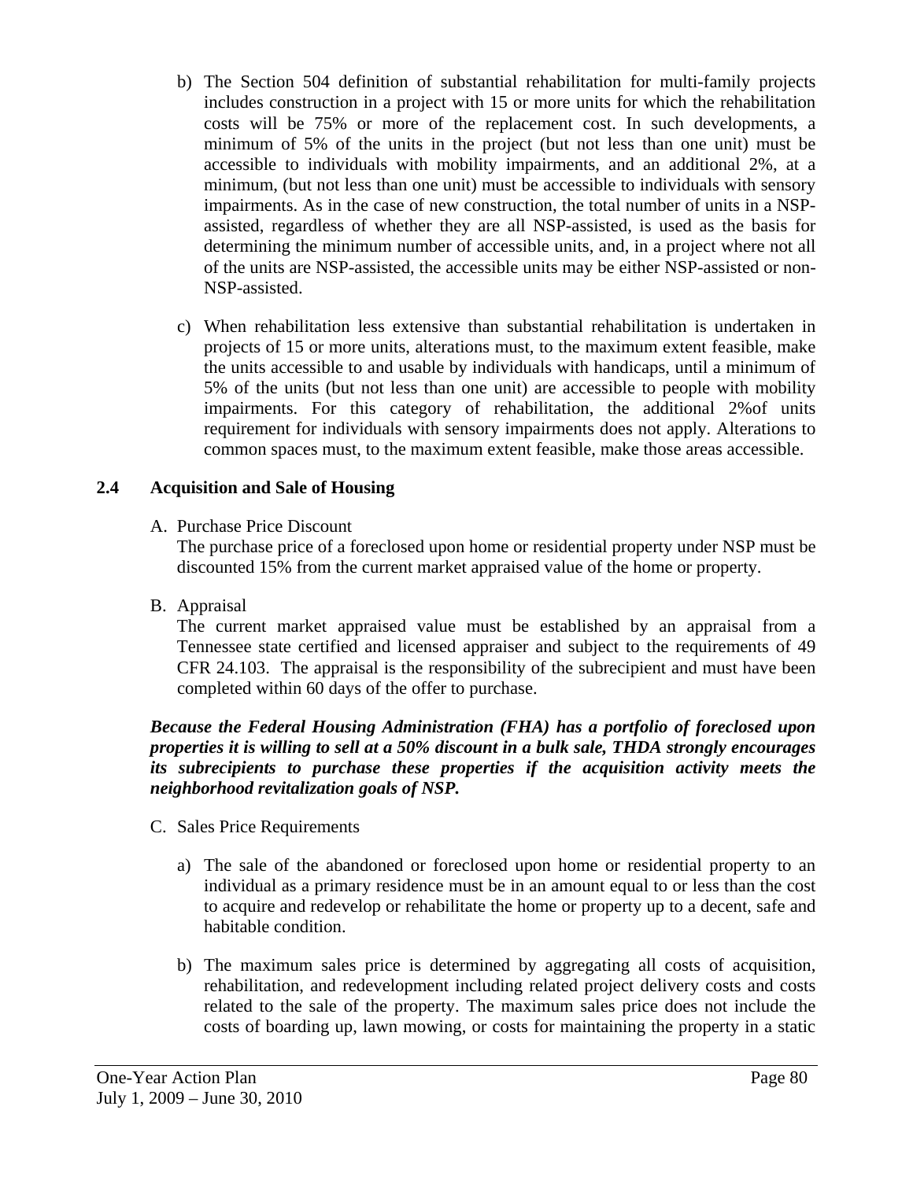- b) The Section 504 definition of substantial rehabilitation for multi-family projects includes construction in a project with 15 or more units for which the rehabilitation costs will be 75% or more of the replacement cost. In such developments, a minimum of 5% of the units in the project (but not less than one unit) must be accessible to individuals with mobility impairments, and an additional 2%, at a minimum, (but not less than one unit) must be accessible to individuals with sensory impairments. As in the case of new construction, the total number of units in a NSPassisted, regardless of whether they are all NSP-assisted, is used as the basis for determining the minimum number of accessible units, and, in a project where not all of the units are NSP-assisted, the accessible units may be either NSP-assisted or non-NSP-assisted.
- c) When rehabilitation less extensive than substantial rehabilitation is undertaken in projects of 15 or more units, alterations must, to the maximum extent feasible, make the units accessible to and usable by individuals with handicaps, until a minimum of 5% of the units (but not less than one unit) are accessible to people with mobility impairments. For this category of rehabilitation, the additional 2%of units requirement for individuals with sensory impairments does not apply. Alterations to common spaces must, to the maximum extent feasible, make those areas accessible.

## **2.4 Acquisition and Sale of Housing**

A. Purchase Price Discount

The purchase price of a foreclosed upon home or residential property under NSP must be discounted 15% from the current market appraised value of the home or property.

B. Appraisal

The current market appraised value must be established by an appraisal from a Tennessee state certified and licensed appraiser and subject to the requirements of 49 CFR 24.103. The appraisal is the responsibility of the subrecipient and must have been completed within 60 days of the offer to purchase.

#### *Because the Federal Housing Administration (FHA) has a portfolio of foreclosed upon properties it is willing to sell at a 50% discount in a bulk sale, THDA strongly encourages its subrecipients to purchase these properties if the acquisition activity meets the neighborhood revitalization goals of NSP.*

- C. Sales Price Requirements
	- a) The sale of the abandoned or foreclosed upon home or residential property to an individual as a primary residence must be in an amount equal to or less than the cost to acquire and redevelop or rehabilitate the home or property up to a decent, safe and habitable condition.
	- b) The maximum sales price is determined by aggregating all costs of acquisition, rehabilitation, and redevelopment including related project delivery costs and costs related to the sale of the property. The maximum sales price does not include the costs of boarding up, lawn mowing, or costs for maintaining the property in a static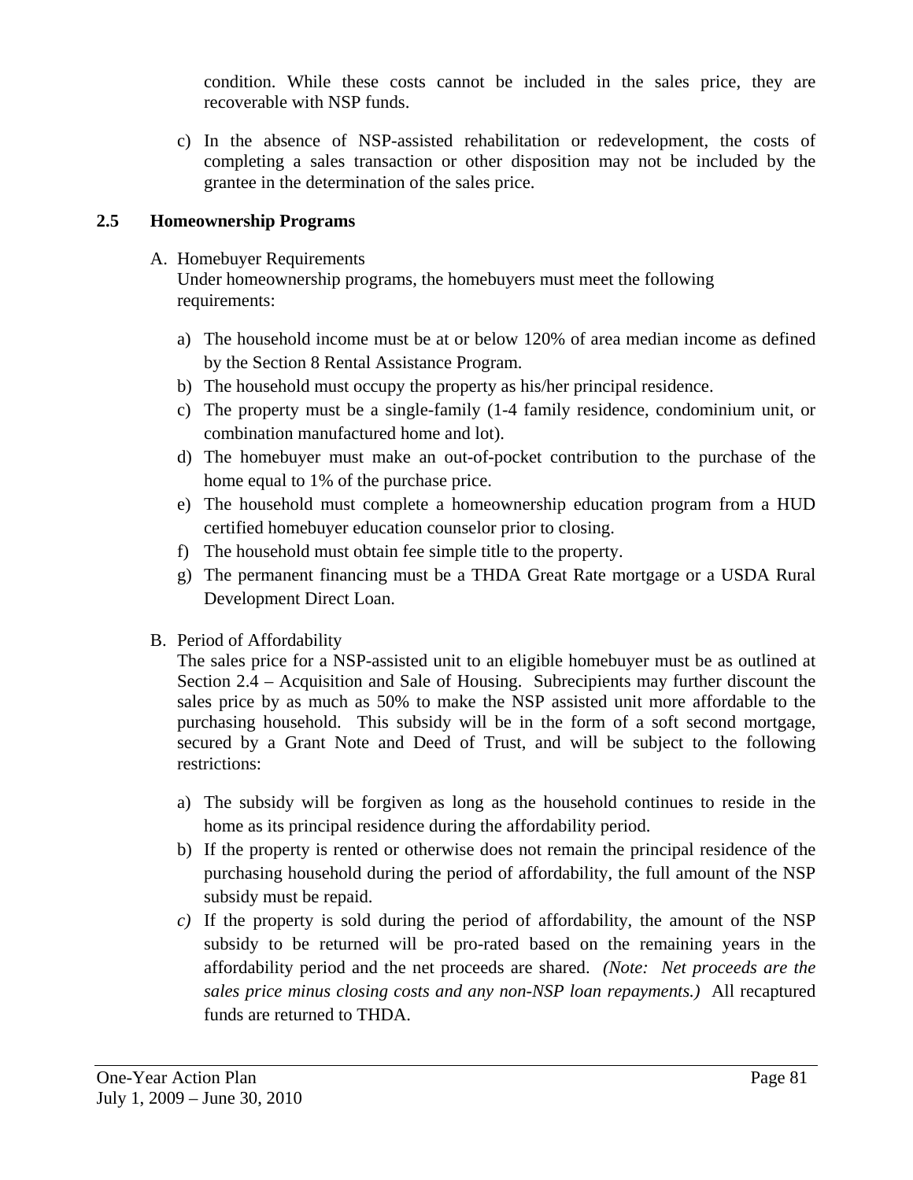condition. While these costs cannot be included in the sales price, they are recoverable with NSP funds.

c) In the absence of NSP-assisted rehabilitation or redevelopment, the costs of completing a sales transaction or other disposition may not be included by the grantee in the determination of the sales price.

# **2.5 Homeownership Programs**

A. Homebuyer Requirements

Under homeownership programs, the homebuyers must meet the following requirements:

- a) The household income must be at or below 120% of area median income as defined by the Section 8 Rental Assistance Program.
- b) The household must occupy the property as his/her principal residence.
- c) The property must be a single-family (1-4 family residence, condominium unit, or combination manufactured home and lot).
- d) The homebuyer must make an out-of-pocket contribution to the purchase of the home equal to 1% of the purchase price.
- e) The household must complete a homeownership education program from a HUD certified homebuyer education counselor prior to closing.
- f) The household must obtain fee simple title to the property.
- g) The permanent financing must be a THDA Great Rate mortgage or a USDA Rural Development Direct Loan.
- B. Period of Affordability

The sales price for a NSP-assisted unit to an eligible homebuyer must be as outlined at Section 2.4 – Acquisition and Sale of Housing. Subrecipients may further discount the sales price by as much as 50% to make the NSP assisted unit more affordable to the purchasing household. This subsidy will be in the form of a soft second mortgage, secured by a Grant Note and Deed of Trust, and will be subject to the following restrictions:

- a) The subsidy will be forgiven as long as the household continues to reside in the home as its principal residence during the affordability period.
- b) If the property is rented or otherwise does not remain the principal residence of the purchasing household during the period of affordability, the full amount of the NSP subsidy must be repaid.
- *c)* If the property is sold during the period of affordability, the amount of the NSP subsidy to be returned will be pro-rated based on the remaining years in the affordability period and the net proceeds are shared. *(Note: Net proceeds are the sales price minus closing costs and any non-NSP loan repayments.)* All recaptured funds are returned to THDA.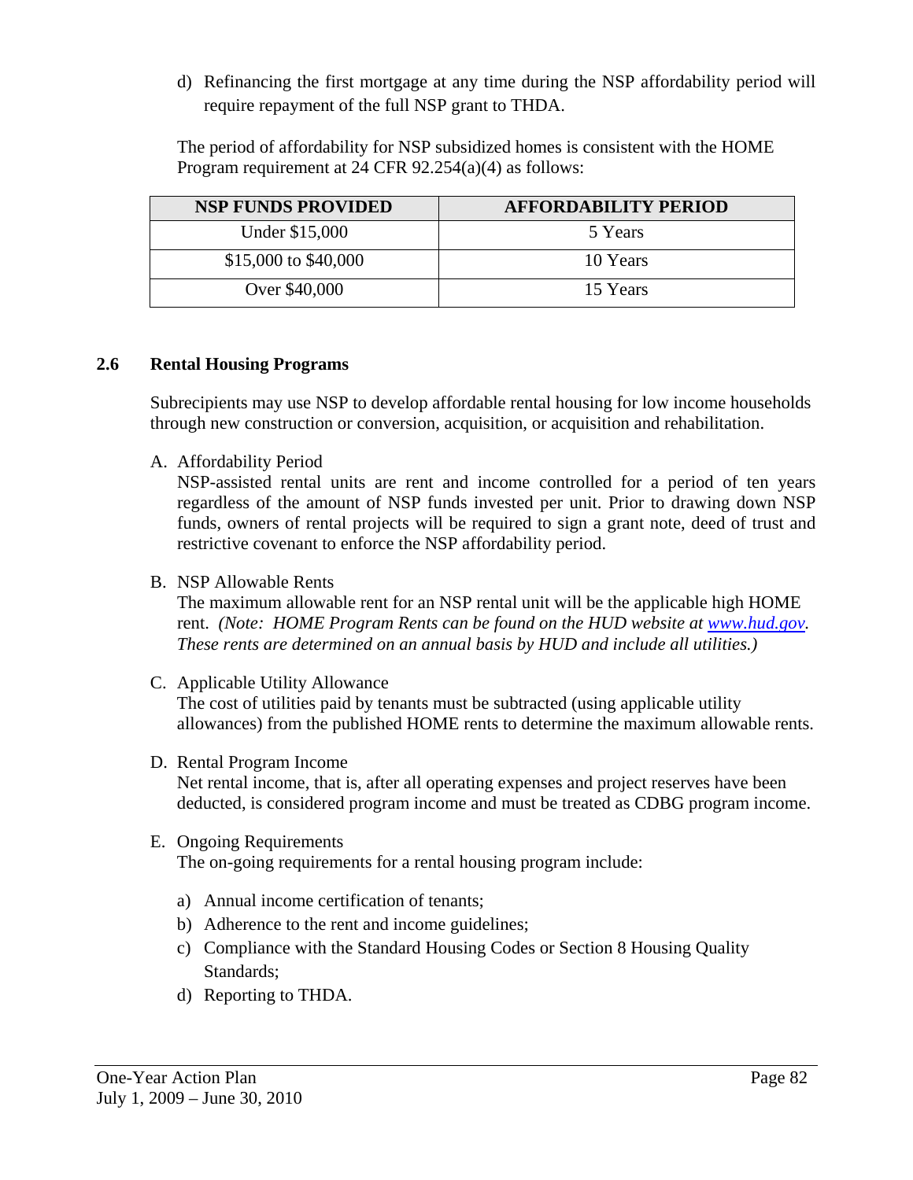d) Refinancing the first mortgage at any time during the NSP affordability period will require repayment of the full NSP grant to THDA.

The period of affordability for NSP subsidized homes is consistent with the HOME Program requirement at 24 CFR 92.254(a)(4) as follows:

| <b>NSP FUNDS PROVIDED</b> | <b>AFFORDABILITY PERIOD</b> |
|---------------------------|-----------------------------|
| Under \$15,000            | 5 Years                     |
| \$15,000 to \$40,000      | 10 Years                    |
| Over \$40,000             | 15 Years                    |

#### **2.6 Rental Housing Programs**

Subrecipients may use NSP to develop affordable rental housing for low income households through new construction or conversion, acquisition, or acquisition and rehabilitation.

#### A. Affordability Period

NSP-assisted rental units are rent and income controlled for a period of ten years regardless of the amount of NSP funds invested per unit. Prior to drawing down NSP funds, owners of rental projects will be required to sign a grant note, deed of trust and restrictive covenant to enforce the NSP affordability period.

#### B. NSP Allowable Rents

The maximum allowable rent for an NSP rental unit will be the applicable high HOME rent. *(Note: HOME Program Rents can be found on the HUD website at www.hud.gov. These rents are determined on an annual basis by HUD and include all utilities.)* 

C. Applicable Utility Allowance

The cost of utilities paid by tenants must be subtracted (using applicable utility allowances) from the published HOME rents to determine the maximum allowable rents.

D. Rental Program Income Net rental income, that is, after all operating expenses and project reserves have been

deducted, is considered program income and must be treated as CDBG program income.

#### E. Ongoing Requirements

The on-going requirements for a rental housing program include:

- a) Annual income certification of tenants;
- b) Adherence to the rent and income guidelines;
- c) Compliance with the Standard Housing Codes or Section 8 Housing Quality Standards;
- d) Reporting to THDA.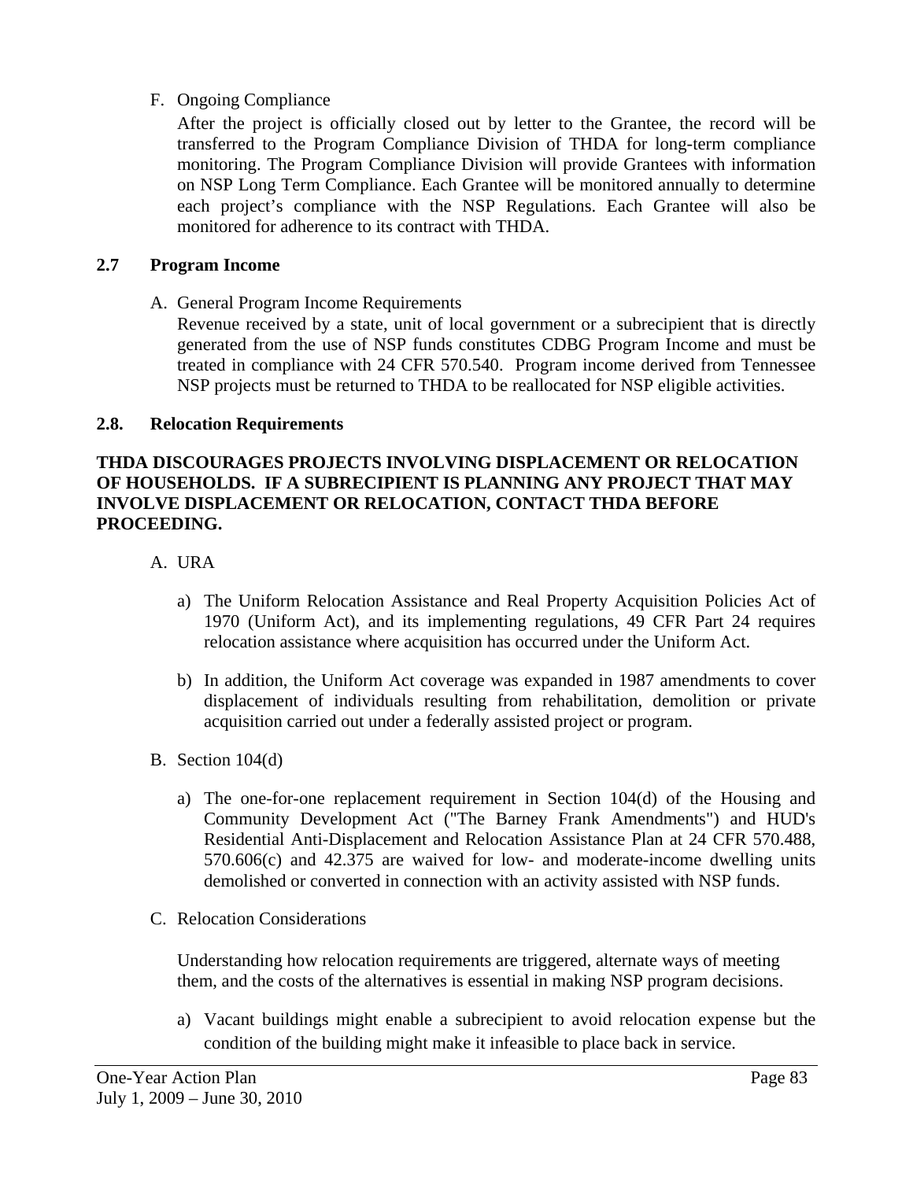#### F. Ongoing Compliance

After the project is officially closed out by letter to the Grantee, the record will be transferred to the Program Compliance Division of THDA for long-term compliance monitoring. The Program Compliance Division will provide Grantees with information on NSP Long Term Compliance. Each Grantee will be monitored annually to determine each project's compliance with the NSP Regulations. Each Grantee will also be monitored for adherence to its contract with THDA.

#### **2.7 Program Income**

A. General Program Income Requirements

Revenue received by a state, unit of local government or a subrecipient that is directly generated from the use of NSP funds constitutes CDBG Program Income and must be treated in compliance with 24 CFR 570.540. Program income derived from Tennessee NSP projects must be returned to THDA to be reallocated for NSP eligible activities.

## **2.8. Relocation Requirements**

#### **THDA DISCOURAGES PROJECTS INVOLVING DISPLACEMENT OR RELOCATION OF HOUSEHOLDS. IF A SUBRECIPIENT IS PLANNING ANY PROJECT THAT MAY INVOLVE DISPLACEMENT OR RELOCATION, CONTACT THDA BEFORE PROCEEDING.**

- A. URA
	- a) The Uniform Relocation Assistance and Real Property Acquisition Policies Act of 1970 (Uniform Act), and its implementing regulations, 49 CFR Part 24 requires relocation assistance where acquisition has occurred under the Uniform Act.
	- b) In addition, the Uniform Act coverage was expanded in 1987 amendments to cover displacement of individuals resulting from rehabilitation, demolition or private acquisition carried out under a federally assisted project or program.
- B. Section 104(d)
	- a) The one-for-one replacement requirement in Section 104(d) of the Housing and Community Development Act ("The Barney Frank Amendments") and HUD's Residential Anti-Displacement and Relocation Assistance Plan at 24 CFR 570.488, 570.606(c) and 42.375 are waived for low- and moderate-income dwelling units demolished or converted in connection with an activity assisted with NSP funds.
- C. Relocation Considerations

Understanding how relocation requirements are triggered, alternate ways of meeting them, and the costs of the alternatives is essential in making NSP program decisions.

a) Vacant buildings might enable a subrecipient to avoid relocation expense but the condition of the building might make it infeasible to place back in service.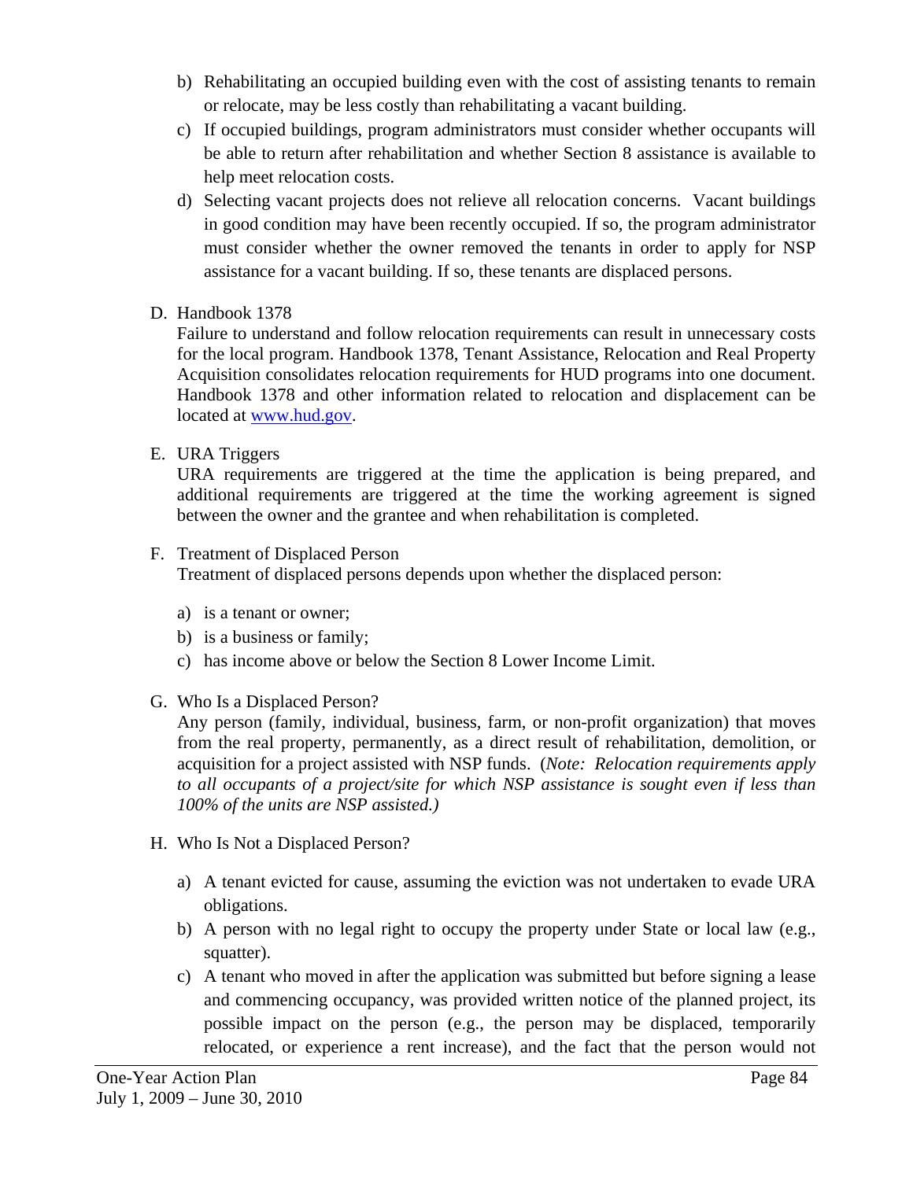- b) Rehabilitating an occupied building even with the cost of assisting tenants to remain or relocate, may be less costly than rehabilitating a vacant building.
- c) If occupied buildings, program administrators must consider whether occupants will be able to return after rehabilitation and whether Section 8 assistance is available to help meet relocation costs.
- d) Selecting vacant projects does not relieve all relocation concerns. Vacant buildings in good condition may have been recently occupied. If so, the program administrator must consider whether the owner removed the tenants in order to apply for NSP assistance for a vacant building. If so, these tenants are displaced persons.
- D. Handbook 1378

Failure to understand and follow relocation requirements can result in unnecessary costs for the local program. Handbook 1378, Tenant Assistance, Relocation and Real Property Acquisition consolidates relocation requirements for HUD programs into one document. Handbook 1378 and other information related to relocation and displacement can be located at www.hud.gov.

E. URA Triggers

URA requirements are triggered at the time the application is being prepared, and additional requirements are triggered at the time the working agreement is signed between the owner and the grantee and when rehabilitation is completed.

## F. Treatment of Displaced Person

Treatment of displaced persons depends upon whether the displaced person:

- a) is a tenant or owner;
- b) is a business or family;
- c) has income above or below the Section 8 Lower Income Limit.
- G. Who Is a Displaced Person?

Any person (family, individual, business, farm, or non-profit organization) that moves from the real property, permanently, as a direct result of rehabilitation, demolition, or acquisition for a project assisted with NSP funds. (*Note: Relocation requirements apply to all occupants of a project/site for which NSP assistance is sought even if less than 100% of the units are NSP assisted.)* 

- H. Who Is Not a Displaced Person?
	- a) A tenant evicted for cause, assuming the eviction was not undertaken to evade URA obligations.
	- b) A person with no legal right to occupy the property under State or local law (e.g., squatter).
	- c) A tenant who moved in after the application was submitted but before signing a lease and commencing occupancy, was provided written notice of the planned project, its possible impact on the person (e.g., the person may be displaced, temporarily relocated, or experience a rent increase), and the fact that the person would not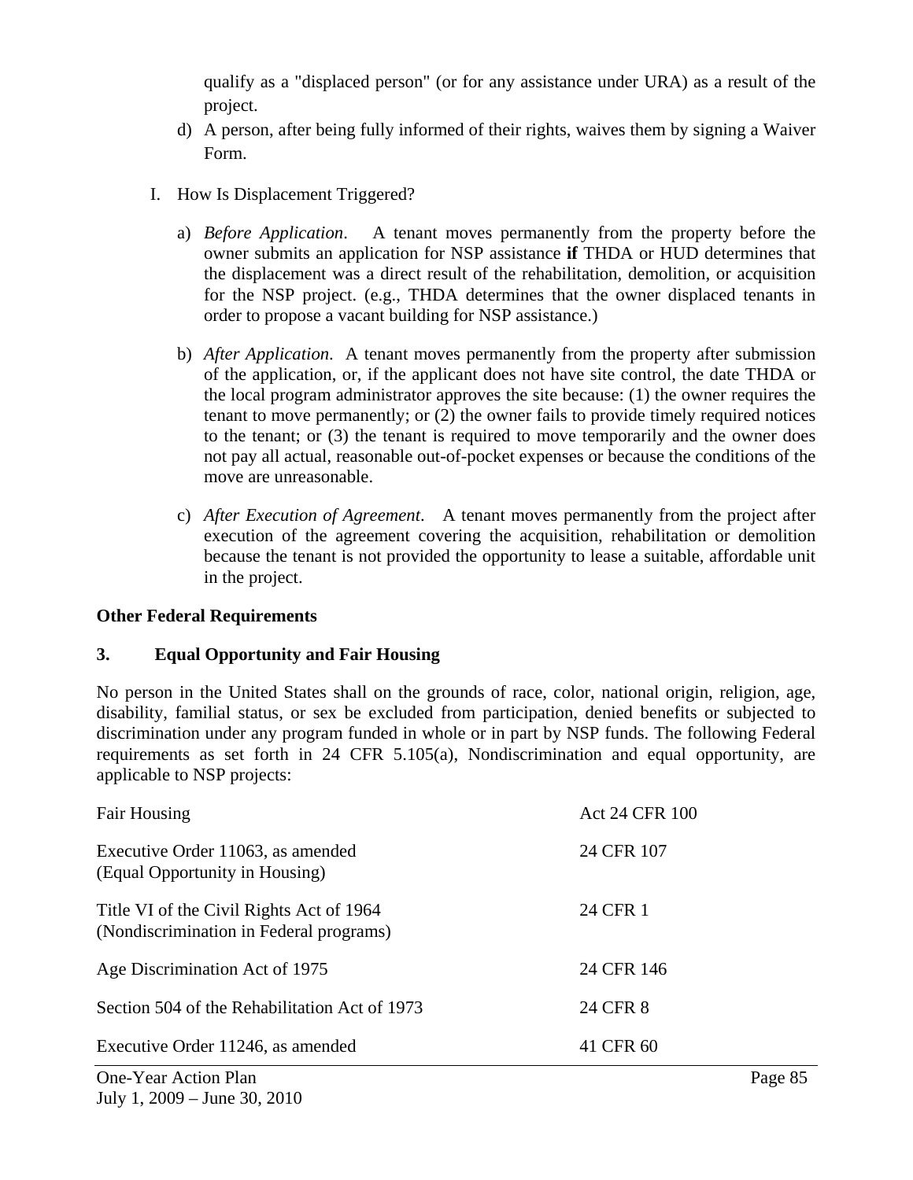qualify as a "displaced person" (or for any assistance under URA) as a result of the project.

- d) A person, after being fully informed of their rights, waives them by signing a Waiver Form.
- I. How Is Displacement Triggered?
	- a) *Before Application*. A tenant moves permanently from the property before the owner submits an application for NSP assistance **if** THDA or HUD determines that the displacement was a direct result of the rehabilitation, demolition, or acquisition for the NSP project. (e.g., THDA determines that the owner displaced tenants in order to propose a vacant building for NSP assistance.)
	- b) *After Application*. A tenant moves permanently from the property after submission of the application, or, if the applicant does not have site control, the date THDA or the local program administrator approves the site because: (1) the owner requires the tenant to move permanently; or (2) the owner fails to provide timely required notices to the tenant; or (3) the tenant is required to move temporarily and the owner does not pay all actual, reasonable out-of-pocket expenses or because the conditions of the move are unreasonable.
	- c) *After Execution of Agreement*. A tenant moves permanently from the project after execution of the agreement covering the acquisition, rehabilitation or demolition because the tenant is not provided the opportunity to lease a suitable, affordable unit in the project.

#### **Other Federal Requirements**

#### **3. Equal Opportunity and Fair Housing**

No person in the United States shall on the grounds of race, color, national origin, religion, age, disability, familial status, or sex be excluded from participation, denied benefits or subjected to discrimination under any program funded in whole or in part by NSP funds. The following Federal requirements as set forth in 24 CFR 5.105(a), Nondiscrimination and equal opportunity, are applicable to NSP projects:

| <b>Fair Housing</b>                                                                 | <b>Act 24 CFR 100</b> |
|-------------------------------------------------------------------------------------|-----------------------|
| Executive Order 11063, as amended<br>(Equal Opportunity in Housing)                 | 24 CFR 107            |
| Title VI of the Civil Rights Act of 1964<br>(Nondiscrimination in Federal programs) | 24 CFR 1              |
| Age Discrimination Act of 1975                                                      | 24 CFR 146            |
| Section 504 of the Rehabilitation Act of 1973                                       | 24 CFR 8              |
| Executive Order 11246, as amended                                                   | 41 CFR 60             |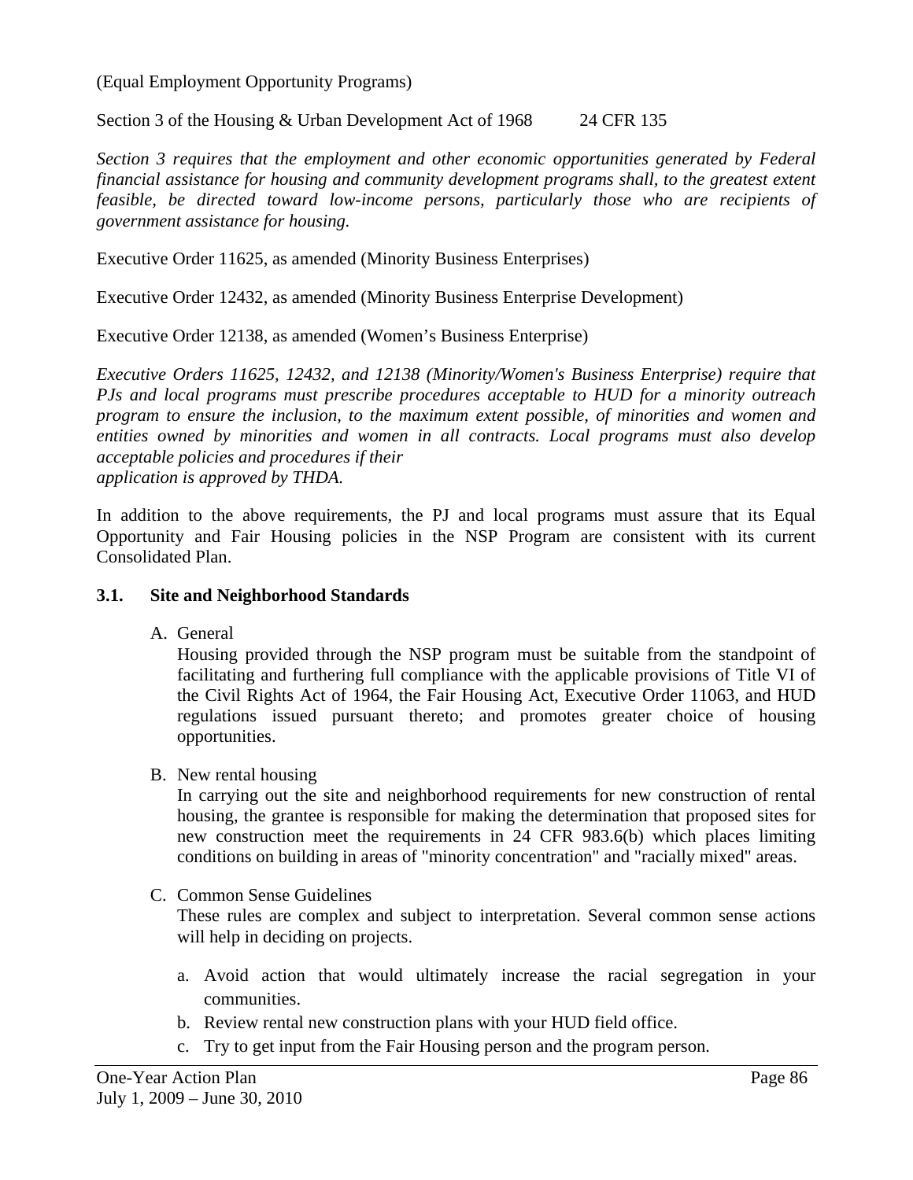(Equal Employment Opportunity Programs)

Section 3 of the Housing & Urban Development Act of 1968 24 CFR 135

*Section 3 requires that the employment and other economic opportunities generated by Federal financial assistance for housing and community development programs shall, to the greatest extent feasible, be directed toward low-income persons, particularly those who are recipients of government assistance for housing.* 

Executive Order 11625, as amended (Minority Business Enterprises)

Executive Order 12432, as amended (Minority Business Enterprise Development)

Executive Order 12138, as amended (Women's Business Enterprise)

*Executive Orders 11625, 12432, and 12138 (Minority/Women's Business Enterprise) require that PJs and local programs must prescribe procedures acceptable to HUD for a minority outreach program to ensure the inclusion, to the maximum extent possible, of minorities and women and entities owned by minorities and women in all contracts. Local programs must also develop acceptable policies and procedures if their application is approved by THDA.* 

In addition to the above requirements, the PJ and local programs must assure that its Equal Opportunity and Fair Housing policies in the NSP Program are consistent with its current Consolidated Plan.

#### **3.1. Site and Neighborhood Standards**

A. General

Housing provided through the NSP program must be suitable from the standpoint of facilitating and furthering full compliance with the applicable provisions of Title VI of the Civil Rights Act of 1964, the Fair Housing Act, Executive Order 11063, and HUD regulations issued pursuant thereto; and promotes greater choice of housing opportunities.

B. New rental housing

In carrying out the site and neighborhood requirements for new construction of rental housing, the grantee is responsible for making the determination that proposed sites for new construction meet the requirements in 24 CFR 983.6(b) which places limiting conditions on building in areas of "minority concentration" and "racially mixed" areas.

C. Common Sense Guidelines

These rules are complex and subject to interpretation. Several common sense actions will help in deciding on projects.

- a. Avoid action that would ultimately increase the racial segregation in your communities.
- b. Review rental new construction plans with your HUD field office.
- c. Try to get input from the Fair Housing person and the program person.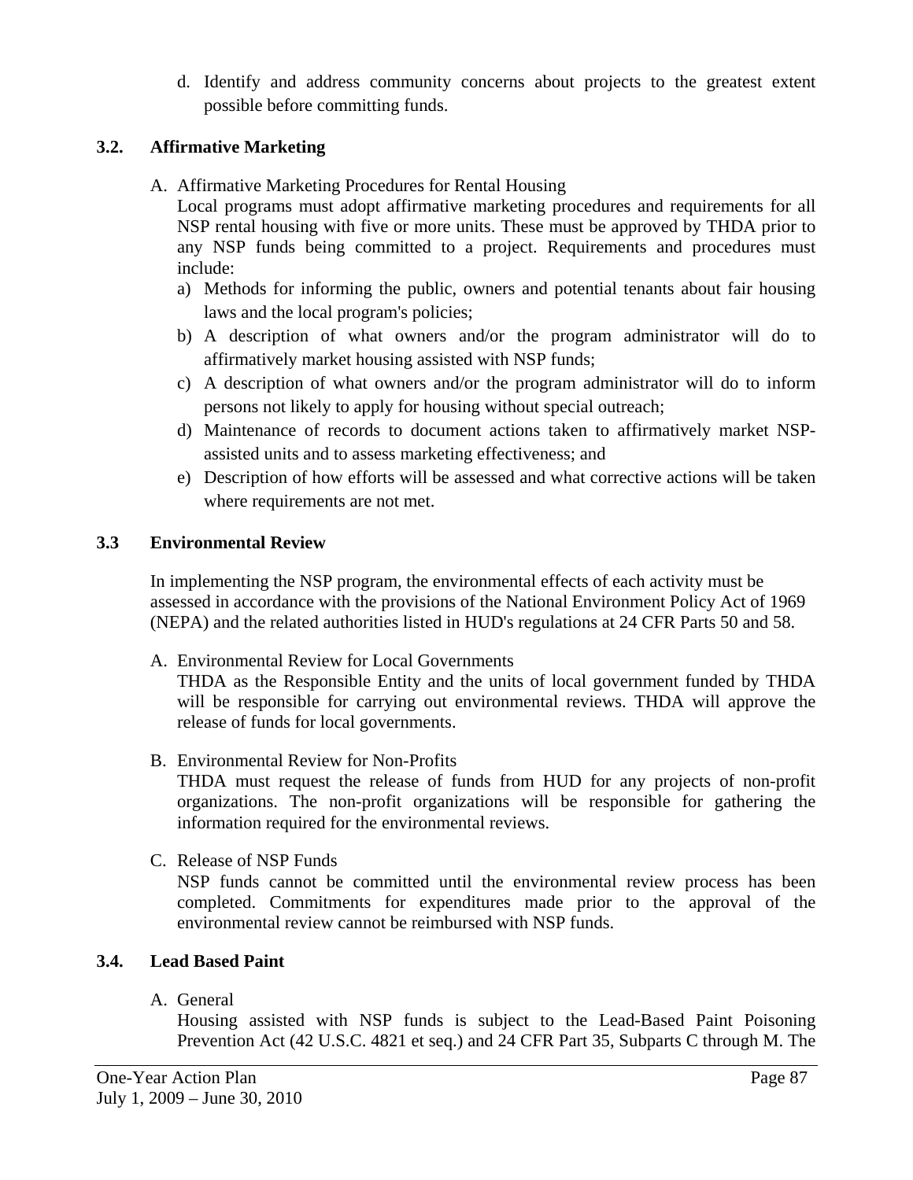d. Identify and address community concerns about projects to the greatest extent possible before committing funds.

# **3.2. Affirmative Marketing**

A. Affirmative Marketing Procedures for Rental Housing

Local programs must adopt affirmative marketing procedures and requirements for all NSP rental housing with five or more units. These must be approved by THDA prior to any NSP funds being committed to a project. Requirements and procedures must include:

- a) Methods for informing the public, owners and potential tenants about fair housing laws and the local program's policies;
- b) A description of what owners and/or the program administrator will do to affirmatively market housing assisted with NSP funds;
- c) A description of what owners and/or the program administrator will do to inform persons not likely to apply for housing without special outreach;
- d) Maintenance of records to document actions taken to affirmatively market NSPassisted units and to assess marketing effectiveness; and
- e) Description of how efforts will be assessed and what corrective actions will be taken where requirements are not met.

# **3.3 Environmental Review**

In implementing the NSP program, the environmental effects of each activity must be assessed in accordance with the provisions of the National Environment Policy Act of 1969 (NEPA) and the related authorities listed in HUD's regulations at 24 CFR Parts 50 and 58.

A. Environmental Review for Local Governments

THDA as the Responsible Entity and the units of local government funded by THDA will be responsible for carrying out environmental reviews. THDA will approve the release of funds for local governments.

# B. Environmental Review for Non-Profits

THDA must request the release of funds from HUD for any projects of non-profit organizations. The non-profit organizations will be responsible for gathering the information required for the environmental reviews.

C. Release of NSP Funds

NSP funds cannot be committed until the environmental review process has been completed. Commitments for expenditures made prior to the approval of the environmental review cannot be reimbursed with NSP funds.

# **3.4. Lead Based Paint**

# A. General

Housing assisted with NSP funds is subject to the Lead-Based Paint Poisoning Prevention Act (42 U.S.C. 4821 et seq.) and 24 CFR Part 35, Subparts C through M. The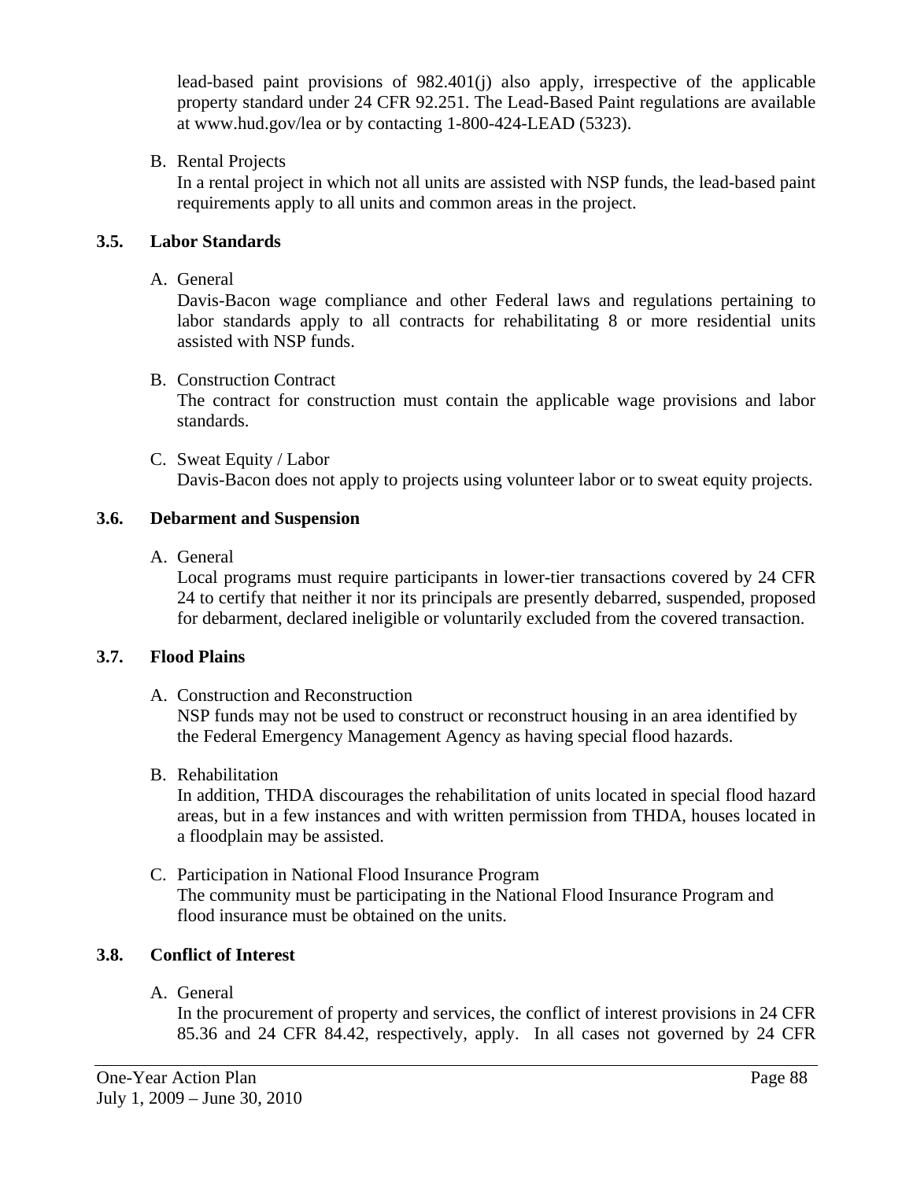lead-based paint provisions of 982.401(j) also apply, irrespective of the applicable property standard under 24 CFR 92.251. The Lead-Based Paint regulations are available at www.hud.gov/lea or by contacting 1-800-424-LEAD (5323).

## B. Rental Projects

In a rental project in which not all units are assisted with NSP funds, the lead-based paint requirements apply to all units and common areas in the project.

#### **3.5. Labor Standards**

A. General

Davis-Bacon wage compliance and other Federal laws and regulations pertaining to labor standards apply to all contracts for rehabilitating 8 or more residential units assisted with NSP funds.

#### B. Construction Contract

The contract for construction must contain the applicable wage provisions and labor standards.

C. Sweat Equity / Labor

Davis-Bacon does not apply to projects using volunteer labor or to sweat equity projects.

#### **3.6. Debarment and Suspension**

A. General

Local programs must require participants in lower-tier transactions covered by 24 CFR 24 to certify that neither it nor its principals are presently debarred, suspended, proposed for debarment, declared ineligible or voluntarily excluded from the covered transaction.

#### **3.7. Flood Plains**

A. Construction and Reconstruction

NSP funds may not be used to construct or reconstruct housing in an area identified by the Federal Emergency Management Agency as having special flood hazards.

B. Rehabilitation

In addition, THDA discourages the rehabilitation of units located in special flood hazard areas, but in a few instances and with written permission from THDA, houses located in a floodplain may be assisted.

C. Participation in National Flood Insurance Program The community must be participating in the National Flood Insurance Program and flood insurance must be obtained on the units.

#### **3.8. Conflict of Interest**

A. General

In the procurement of property and services, the conflict of interest provisions in 24 CFR 85.36 and 24 CFR 84.42, respectively, apply. In all cases not governed by 24 CFR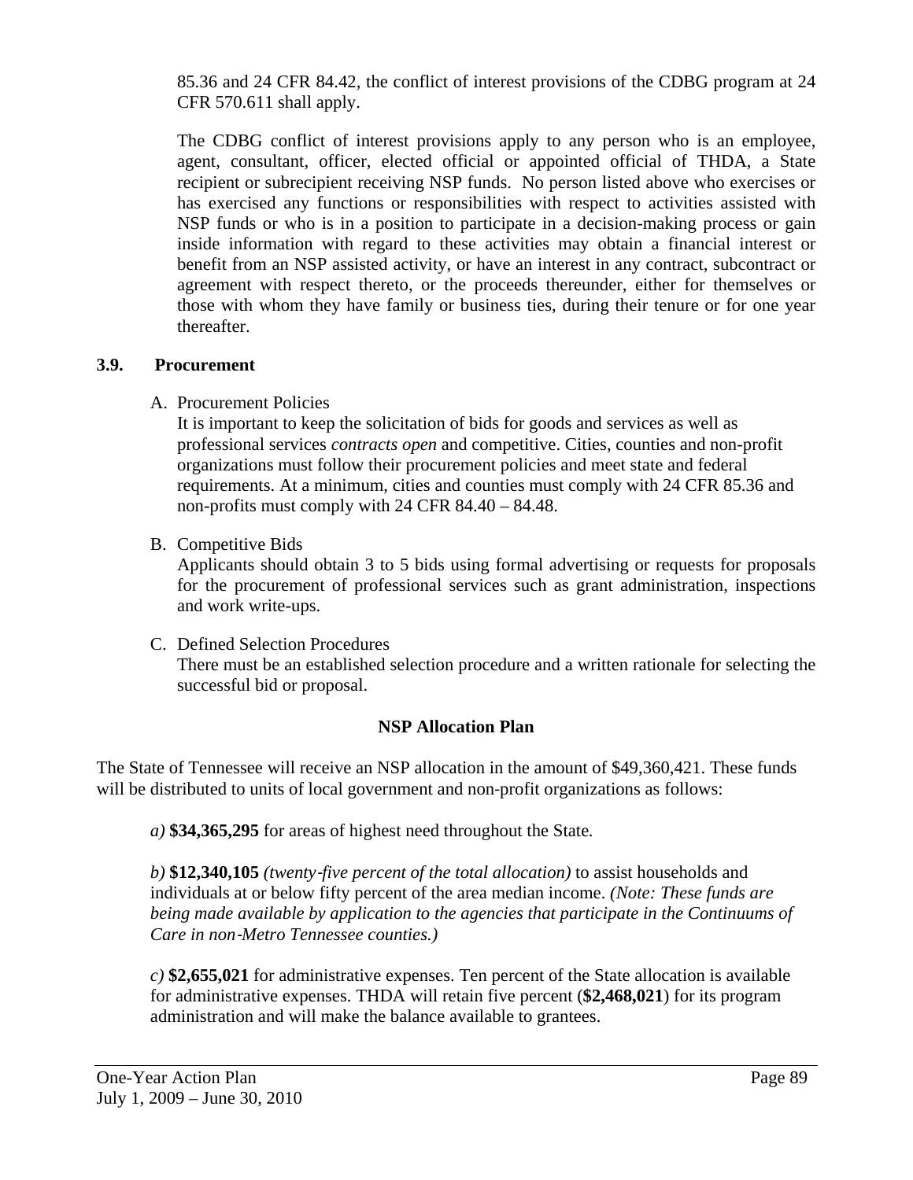85.36 and 24 CFR 84.42, the conflict of interest provisions of the CDBG program at 24 CFR 570.611 shall apply.

The CDBG conflict of interest provisions apply to any person who is an employee, agent, consultant, officer, elected official or appointed official of THDA, a State recipient or subrecipient receiving NSP funds. No person listed above who exercises or has exercised any functions or responsibilities with respect to activities assisted with NSP funds or who is in a position to participate in a decision-making process or gain inside information with regard to these activities may obtain a financial interest or benefit from an NSP assisted activity, or have an interest in any contract, subcontract or agreement with respect thereto, or the proceeds thereunder, either for themselves or those with whom they have family or business ties, during their tenure or for one year thereafter.

#### **3.9. Procurement**

A. Procurement Policies

It is important to keep the solicitation of bids for goods and services as well as professional services *contracts open* and competitive. Cities, counties and non-profit organizations must follow their procurement policies and meet state and federal requirements. At a minimum, cities and counties must comply with 24 CFR 85.36 and non-profits must comply with 24 CFR 84.40 – 84.48.

B. Competitive Bids

Applicants should obtain 3 to 5 bids using formal advertising or requests for proposals for the procurement of professional services such as grant administration, inspections and work write-ups.

C. Defined Selection Procedures

There must be an established selection procedure and a written rationale for selecting the successful bid or proposal.

# **NSP Allocation Plan**

The State of Tennessee will receive an NSP allocation in the amount of \$49,360,421. These funds will be distributed to units of local government and non-profit organizations as follows:

*a)* **\$34,365,295** for areas of highest need throughout the State*.* 

*b)* **\$12,340,105** *(twenty*‐*five percent of the total allocation)* to assist households and individuals at or below fifty percent of the area median income. *(Note: These funds are being made available by application to the agencies that participate in the Continuums of Care in non*‐*Metro Tennessee counties.)*

*c)* **\$2,655,021** for administrative expenses. Ten percent of the State allocation is available for administrative expenses. THDA will retain five percent (**\$2,468,021**) for its program administration and will make the balance available to grantees.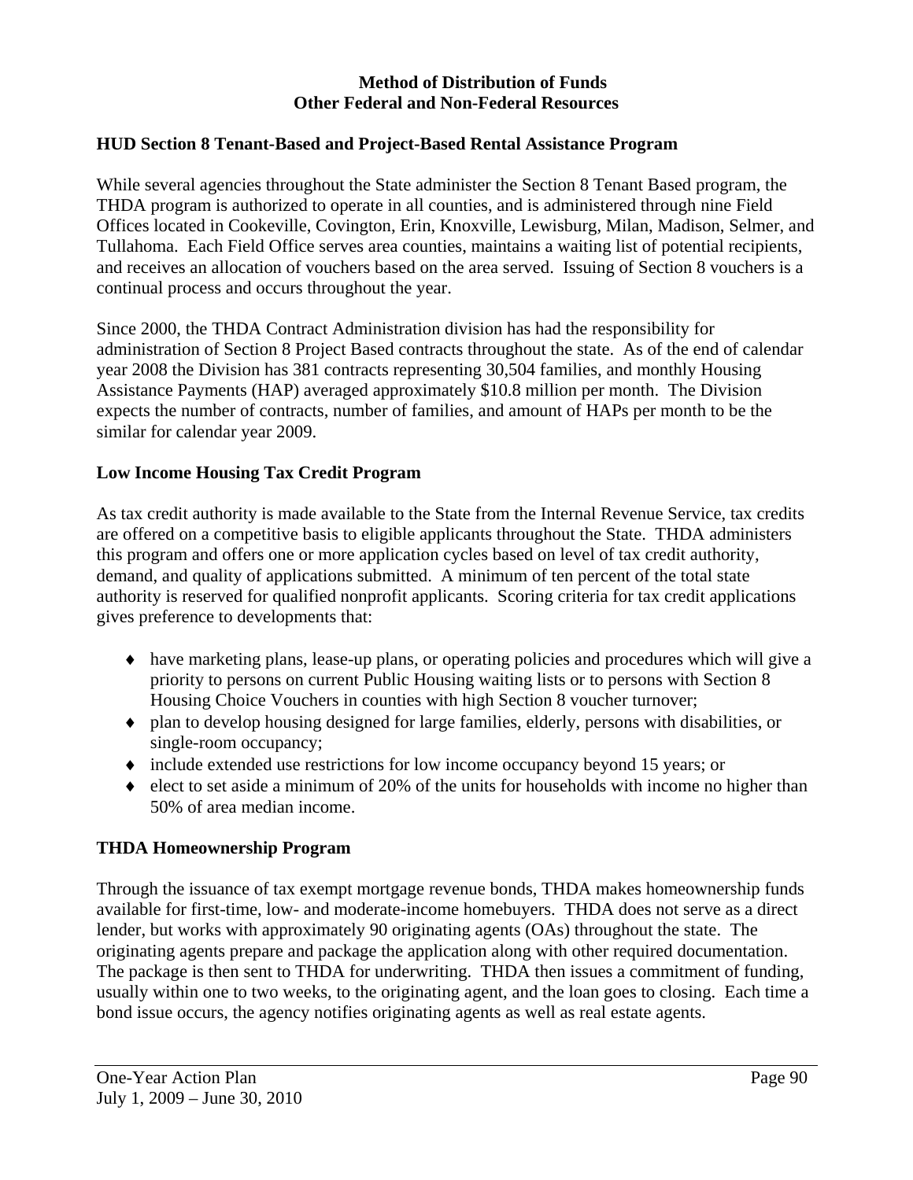#### **Method of Distribution of Funds Other Federal and Non-Federal Resources**

#### **HUD Section 8 Tenant-Based and Project-Based Rental Assistance Program**

While several agencies throughout the State administer the Section 8 Tenant Based program, the THDA program is authorized to operate in all counties, and is administered through nine Field Offices located in Cookeville, Covington, Erin, Knoxville, Lewisburg, Milan, Madison, Selmer, and Tullahoma. Each Field Office serves area counties, maintains a waiting list of potential recipients, and receives an allocation of vouchers based on the area served. Issuing of Section 8 vouchers is a continual process and occurs throughout the year.

Since 2000, the THDA Contract Administration division has had the responsibility for administration of Section 8 Project Based contracts throughout the state. As of the end of calendar year 2008 the Division has 381 contracts representing 30,504 families, and monthly Housing Assistance Payments (HAP) averaged approximately \$10.8 million per month. The Division expects the number of contracts, number of families, and amount of HAPs per month to be the similar for calendar year 2009.

# **Low Income Housing Tax Credit Program**

As tax credit authority is made available to the State from the Internal Revenue Service, tax credits are offered on a competitive basis to eligible applicants throughout the State. THDA administers this program and offers one or more application cycles based on level of tax credit authority, demand, and quality of applications submitted. A minimum of ten percent of the total state authority is reserved for qualified nonprofit applicants. Scoring criteria for tax credit applications gives preference to developments that:

- ♦ have marketing plans, lease-up plans, or operating policies and procedures which will give a priority to persons on current Public Housing waiting lists or to persons with Section 8 Housing Choice Vouchers in counties with high Section 8 voucher turnover;
- ♦ plan to develop housing designed for large families, elderly, persons with disabilities, or single-room occupancy;
- ♦ include extended use restrictions for low income occupancy beyond 15 years; or
- ♦ elect to set aside a minimum of 20% of the units for households with income no higher than 50% of area median income.

# **THDA Homeownership Program**

Through the issuance of tax exempt mortgage revenue bonds, THDA makes homeownership funds available for first-time, low- and moderate-income homebuyers. THDA does not serve as a direct lender, but works with approximately 90 originating agents (OAs) throughout the state. The originating agents prepare and package the application along with other required documentation. The package is then sent to THDA for underwriting. THDA then issues a commitment of funding, usually within one to two weeks, to the originating agent, and the loan goes to closing. Each time a bond issue occurs, the agency notifies originating agents as well as real estate agents.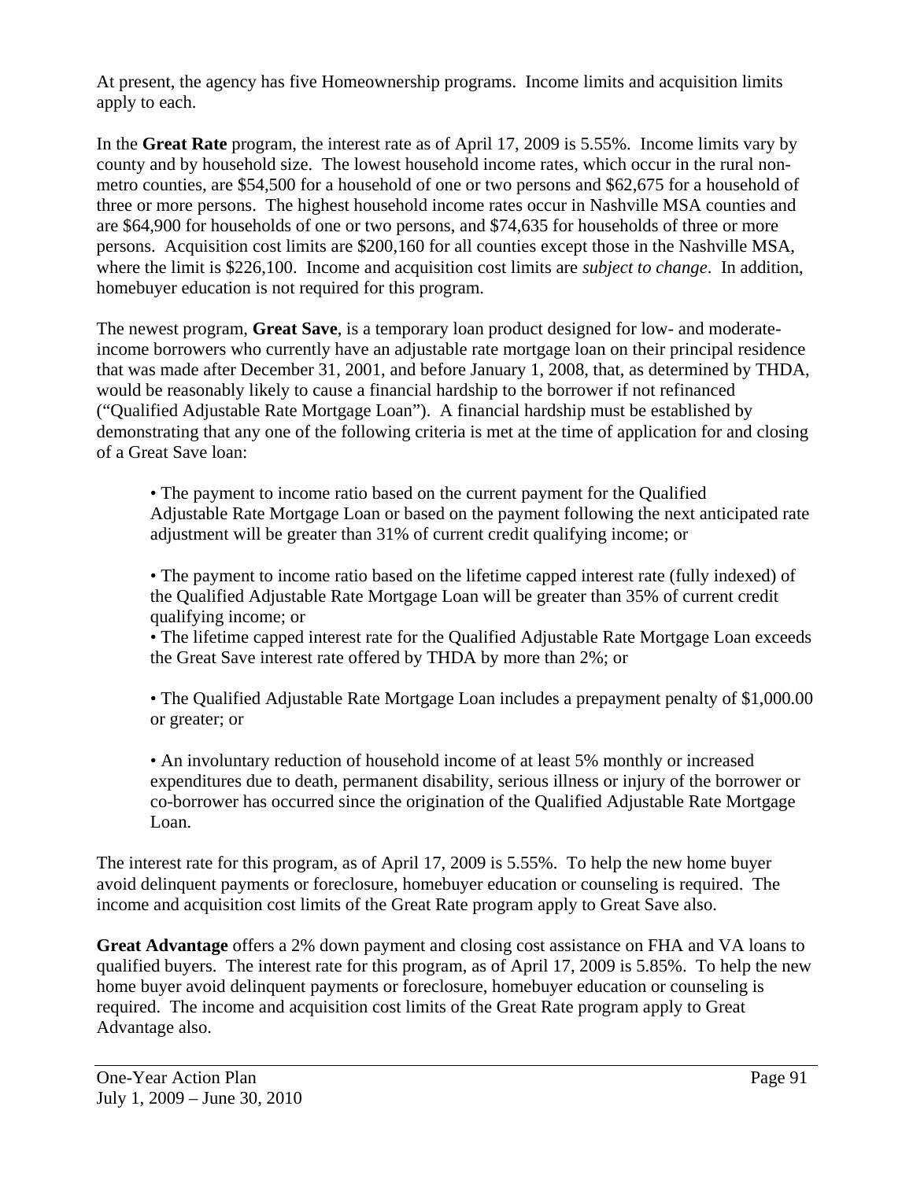At present, the agency has five Homeownership programs. Income limits and acquisition limits apply to each.

In the **Great Rate** program, the interest rate as of April 17, 2009 is 5.55%. Income limits vary by county and by household size. The lowest household income rates, which occur in the rural nonmetro counties, are \$54,500 for a household of one or two persons and \$62,675 for a household of three or more persons. The highest household income rates occur in Nashville MSA counties and are \$64,900 for households of one or two persons, and \$74,635 for households of three or more persons. Acquisition cost limits are \$200,160 for all counties except those in the Nashville MSA, where the limit is \$226,100. Income and acquisition cost limits are *subject to change*. In addition, homebuyer education is not required for this program.

The newest program, **Great Save**, is a temporary loan product designed for low- and moderateincome borrowers who currently have an adjustable rate mortgage loan on their principal residence that was made after December 31, 2001, and before January 1, 2008, that, as determined by THDA, would be reasonably likely to cause a financial hardship to the borrower if not refinanced ("Qualified Adjustable Rate Mortgage Loan"). A financial hardship must be established by demonstrating that any one of the following criteria is met at the time of application for and closing of a Great Save loan:

• The payment to income ratio based on the current payment for the Qualified Adjustable Rate Mortgage Loan or based on the payment following the next anticipated rate adjustment will be greater than 31% of current credit qualifying income; or

• The payment to income ratio based on the lifetime capped interest rate (fully indexed) of the Qualified Adjustable Rate Mortgage Loan will be greater than 35% of current credit qualifying income; or

• The lifetime capped interest rate for the Qualified Adjustable Rate Mortgage Loan exceeds the Great Save interest rate offered by THDA by more than 2%; or

• The Qualified Adjustable Rate Mortgage Loan includes a prepayment penalty of \$1,000.00 or greater; or

• An involuntary reduction of household income of at least 5% monthly or increased expenditures due to death, permanent disability, serious illness or injury of the borrower or co-borrower has occurred since the origination of the Qualified Adjustable Rate Mortgage Loan.

The interest rate for this program, as of April 17, 2009 is 5.55%. To help the new home buyer avoid delinquent payments or foreclosure, homebuyer education or counseling is required. The income and acquisition cost limits of the Great Rate program apply to Great Save also.

**Great Advantage** offers a 2% down payment and closing cost assistance on FHA and VA loans to qualified buyers. The interest rate for this program, as of April 17, 2009 is 5.85%. To help the new home buyer avoid delinquent payments or foreclosure, homebuyer education or counseling is required. The income and acquisition cost limits of the Great Rate program apply to Great Advantage also.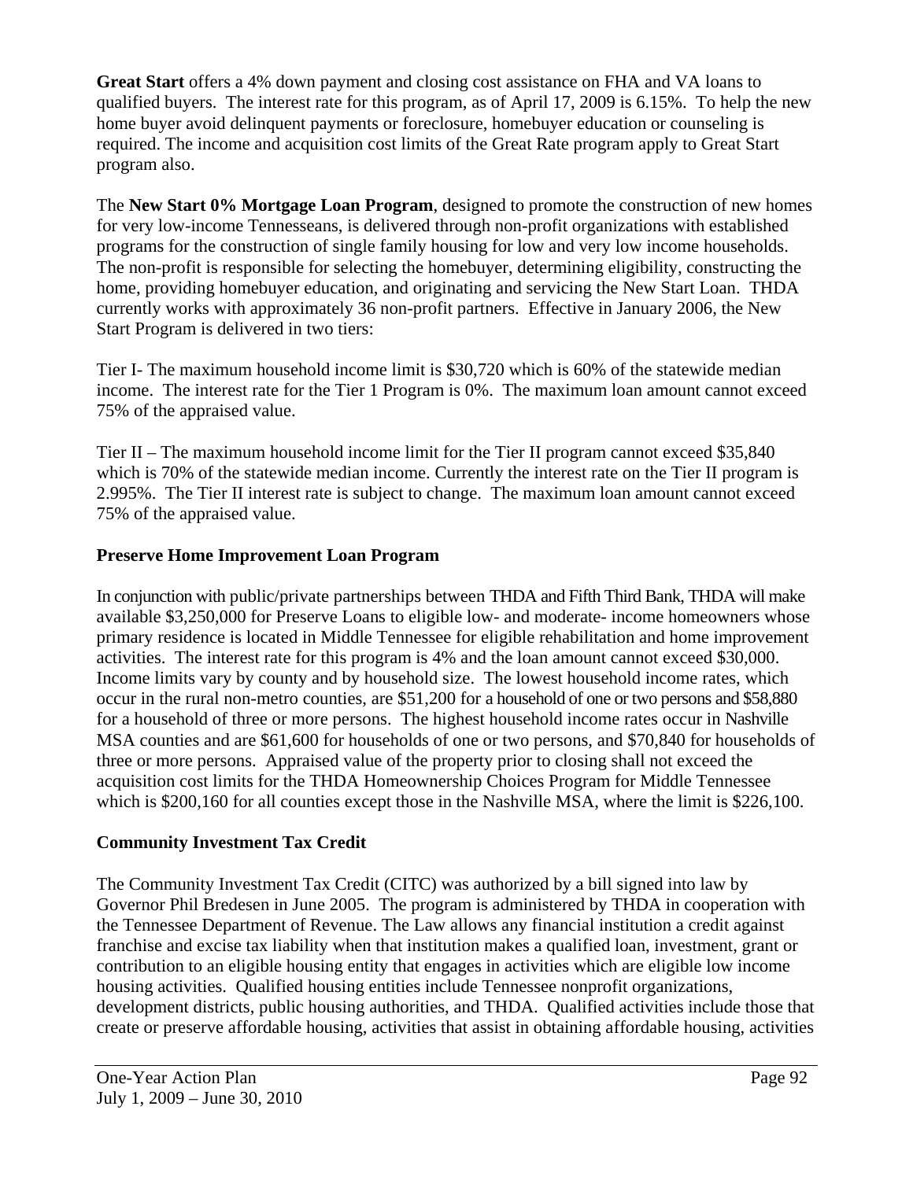**Great Start** offers a 4% down payment and closing cost assistance on FHA and VA loans to qualified buyers. The interest rate for this program, as of April 17, 2009 is 6.15%. To help the new home buyer avoid delinquent payments or foreclosure, homebuyer education or counseling is required. The income and acquisition cost limits of the Great Rate program apply to Great Start program also.

The **New Start 0% Mortgage Loan Program**, designed to promote the construction of new homes for very low-income Tennesseans, is delivered through non-profit organizations with established programs for the construction of single family housing for low and very low income households. The non-profit is responsible for selecting the homebuyer, determining eligibility, constructing the home, providing homebuyer education, and originating and servicing the New Start Loan. THDA currently works with approximately 36 non-profit partners. Effective in January 2006, the New Start Program is delivered in two tiers:

Tier I- The maximum household income limit is \$30,720 which is 60% of the statewide median income. The interest rate for the Tier 1 Program is 0%. The maximum loan amount cannot exceed 75% of the appraised value.

Tier II – The maximum household income limit for the Tier II program cannot exceed \$35,840 which is 70% of the statewide median income. Currently the interest rate on the Tier II program is 2.995%. The Tier II interest rate is subject to change. The maximum loan amount cannot exceed 75% of the appraised value.

## **Preserve Home Improvement Loan Program**

In conjunction with public/private partnerships between THDA and Fifth Third Bank, THDA will make available \$3,250,000 for Preserve Loans to eligible low- and moderate- income homeowners whose primary residence is located in Middle Tennessee for eligible rehabilitation and home improvement activities. The interest rate for this program is 4% and the loan amount cannot exceed \$30,000. Income limits vary by county and by household size. The lowest household income rates, which occur in the rural non-metro counties, are \$51,200 for a household of one or two persons and \$58,880 for a household of three or more persons. The highest household income rates occur in Nashville MSA counties and are \$61,600 for households of one or two persons, and \$70,840 for households of three or more persons. Appraised value of the property prior to closing shall not exceed the acquisition cost limits for the THDA Homeownership Choices Program for Middle Tennessee which is \$200,160 for all counties except those in the Nashville MSA, where the limit is \$226,100.

#### **Community Investment Tax Credit**

The Community Investment Tax Credit (CITC) was authorized by a bill signed into law by Governor Phil Bredesen in June 2005. The program is administered by THDA in cooperation with the Tennessee Department of Revenue. The Law allows any financial institution a credit against franchise and excise tax liability when that institution makes a qualified loan, investment, grant or contribution to an eligible housing entity that engages in activities which are eligible low income housing activities. Qualified housing entities include Tennessee nonprofit organizations, development districts, public housing authorities, and THDA. Qualified activities include those that create or preserve affordable housing, activities that assist in obtaining affordable housing, activities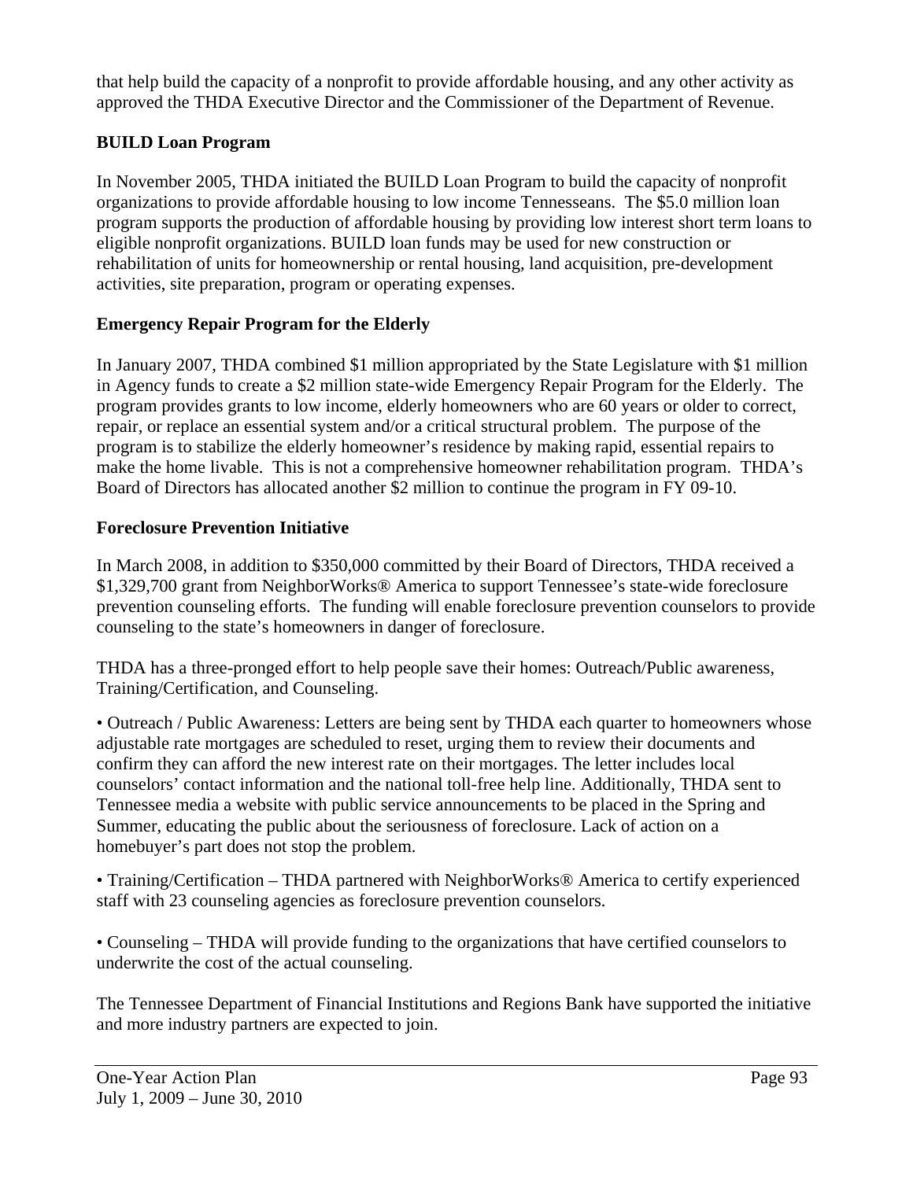that help build the capacity of a nonprofit to provide affordable housing, and any other activity as approved the THDA Executive Director and the Commissioner of the Department of Revenue.

# **BUILD Loan Program**

In November 2005, THDA initiated the BUILD Loan Program to build the capacity of nonprofit organizations to provide affordable housing to low income Tennesseans. The \$5.0 million loan program supports the production of affordable housing by providing low interest short term loans to eligible nonprofit organizations. BUILD loan funds may be used for new construction or rehabilitation of units for homeownership or rental housing, land acquisition, pre-development activities, site preparation, program or operating expenses.

# **Emergency Repair Program for the Elderly**

In January 2007, THDA combined \$1 million appropriated by the State Legislature with \$1 million in Agency funds to create a \$2 million state-wide Emergency Repair Program for the Elderly. The program provides grants to low income, elderly homeowners who are 60 years or older to correct, repair, or replace an essential system and/or a critical structural problem. The purpose of the program is to stabilize the elderly homeowner's residence by making rapid, essential repairs to make the home livable. This is not a comprehensive homeowner rehabilitation program. THDA's Board of Directors has allocated another \$2 million to continue the program in FY 09-10.

# **Foreclosure Prevention Initiative**

In March 2008, in addition to \$350,000 committed by their Board of Directors, THDA received a \$1,329,700 grant from NeighborWorks® America to support Tennessee's state-wide foreclosure prevention counseling efforts. The funding will enable foreclosure prevention counselors to provide counseling to the state's homeowners in danger of foreclosure.

THDA has a three-pronged effort to help people save their homes: Outreach/Public awareness, Training/Certification, and Counseling.

• Outreach / Public Awareness: Letters are being sent by THDA each quarter to homeowners whose adjustable rate mortgages are scheduled to reset, urging them to review their documents and confirm they can afford the new interest rate on their mortgages. The letter includes local counselors' contact information and the national toll-free help line. Additionally, THDA sent to Tennessee media a website with public service announcements to be placed in the Spring and Summer, educating the public about the seriousness of foreclosure. Lack of action on a homebuyer's part does not stop the problem.

• Training/Certification – THDA partnered with NeighborWorks® America to certify experienced staff with 23 counseling agencies as foreclosure prevention counselors.

• Counseling – THDA will provide funding to the organizations that have certified counselors to underwrite the cost of the actual counseling.

The Tennessee Department of Financial Institutions and Regions Bank have supported the initiative and more industry partners are expected to join.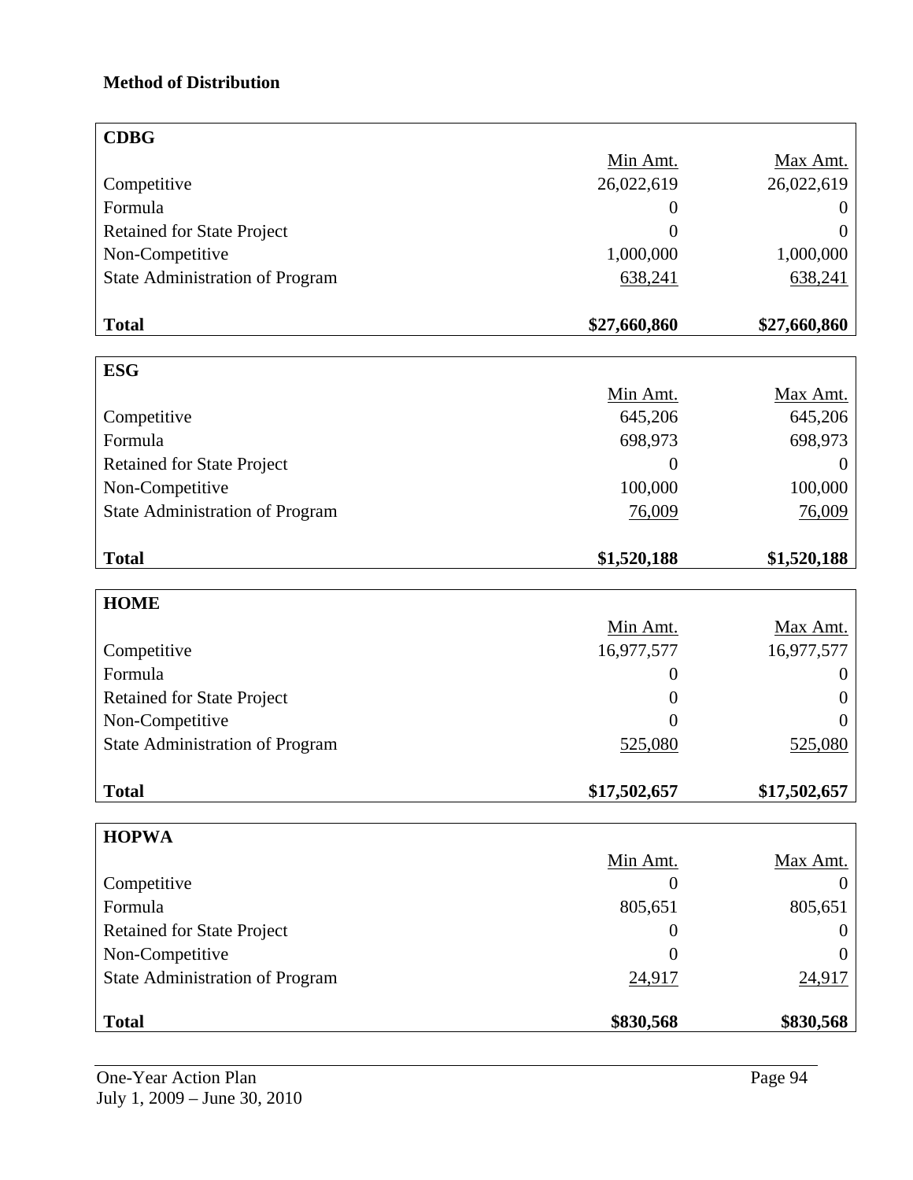# **Method of Distribution**

| <b>CDBG</b>                            |                |                  |
|----------------------------------------|----------------|------------------|
|                                        | Min Amt.       | Max Amt.         |
| Competitive                            | 26,022,619     | 26,022,619       |
| Formula                                | $\theta$       | 0                |
| <b>Retained for State Project</b>      | 0              | $\mathbf{0}$     |
| Non-Competitive                        | 1,000,000      | 1,000,000        |
| <b>State Administration of Program</b> | 638,241        | 638,241          |
|                                        |                |                  |
| <b>Total</b>                           | \$27,660,860   | \$27,660,860     |
|                                        |                |                  |
| <b>ESG</b>                             |                |                  |
|                                        | Min Amt.       | Max Amt.         |
| Competitive                            | 645,206        | 645,206          |
| Formula                                | 698,973        | 698,973          |
| <b>Retained for State Project</b>      | 0              | $\Omega$         |
| Non-Competitive                        | 100,000        | 100,000          |
| <b>State Administration of Program</b> | 76,009         | 76,009           |
|                                        |                |                  |
| <b>Total</b>                           | \$1,520,188    | \$1,520,188      |
|                                        |                |                  |
| <b>HOME</b>                            |                |                  |
|                                        | Min Amt.       | Max Amt.         |
| Competitive                            | 16,977,577     | 16,977,577       |
| Formula                                | $\overline{0}$ | $\theta$         |
| <b>Retained for State Project</b>      | $\theta$       | $\theta$         |
| Non-Competitive                        | $\theta$       |                  |
| <b>State Administration of Program</b> | 525,080        | 525,080          |
| <b>Total</b>                           | \$17,502,657   | \$17,502,657     |
|                                        |                |                  |
| <b>HOPWA</b>                           |                |                  |
|                                        | Min Amt.       | Max Amt.         |
| Competitive                            | $\theta$       | $\left( \right)$ |
| Formula                                | 805,651        | 805,651          |
| Retained for State Project             | $\theta$       | $\theta$         |
| Non-Competitive                        | $\overline{0}$ | $\theta$         |
| <b>State Administration of Program</b> | 24,917         | <u>24,917</u>    |
|                                        |                |                  |
| <b>Total</b>                           | \$830,568      | \$830,568        |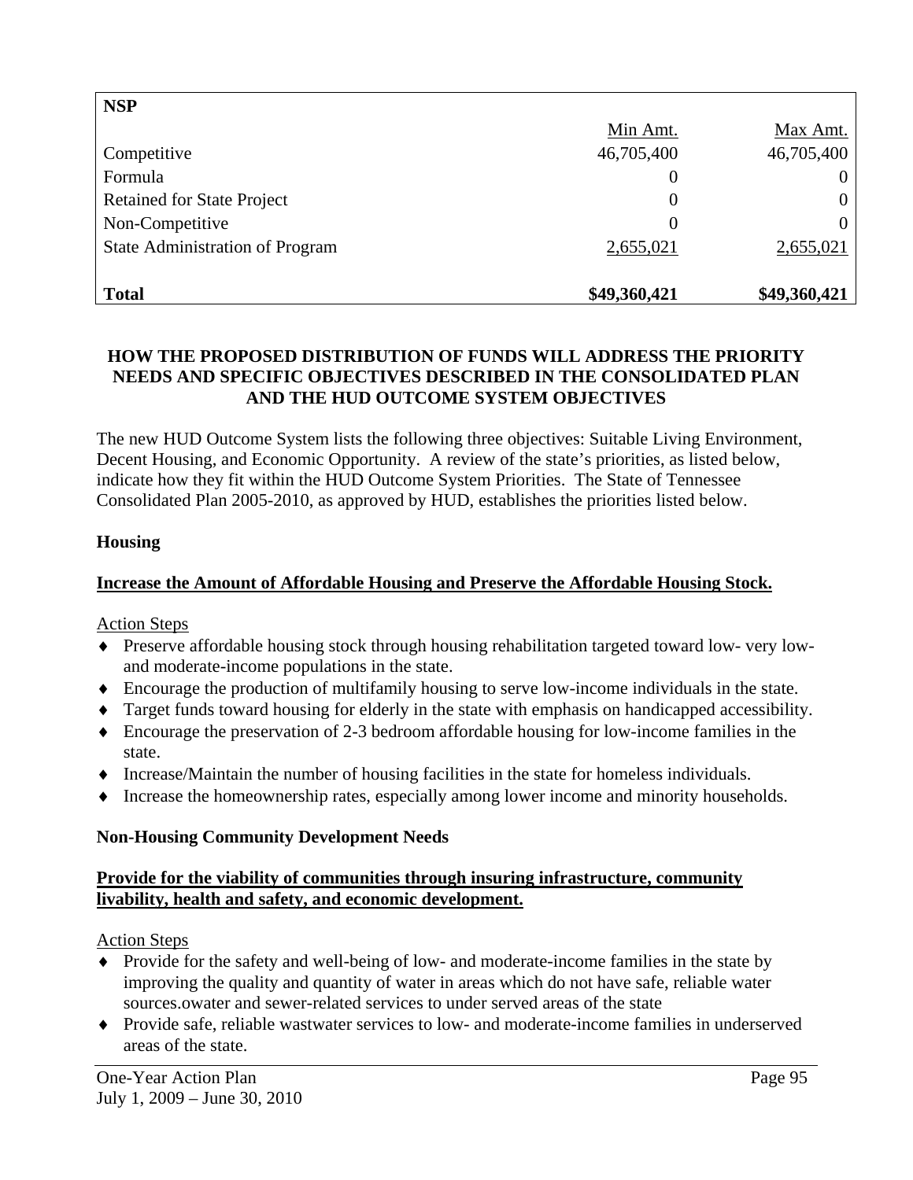| <b>NSP</b>                             |              |              |
|----------------------------------------|--------------|--------------|
|                                        | Min Amt.     | Max Amt.     |
| Competitive                            | 46,705,400   | 46,705,400   |
| Formula                                | 0            | 0            |
| <b>Retained for State Project</b>      | 0            | 0            |
| Non-Competitive                        | 0            | 0            |
| <b>State Administration of Program</b> | 2,655,021    | 2,655,021    |
| <b>Total</b>                           | \$49,360,421 | \$49,360,421 |

# **HOW THE PROPOSED DISTRIBUTION OF FUNDS WILL ADDRESS THE PRIORITY NEEDS AND SPECIFIC OBJECTIVES DESCRIBED IN THE CONSOLIDATED PLAN AND THE HUD OUTCOME SYSTEM OBJECTIVES**

The new HUD Outcome System lists the following three objectives: Suitable Living Environment, Decent Housing, and Economic Opportunity. A review of the state's priorities, as listed below, indicate how they fit within the HUD Outcome System Priorities. The State of Tennessee Consolidated Plan 2005-2010, as approved by HUD, establishes the priorities listed below.

## **Housing**

## **Increase the Amount of Affordable Housing and Preserve the Affordable Housing Stock.**

Action Steps

- ♦ Preserve affordable housing stock through housing rehabilitation targeted toward low- very lowand moderate-income populations in the state.
- ♦ Encourage the production of multifamily housing to serve low-income individuals in the state.
- ♦ Target funds toward housing for elderly in the state with emphasis on handicapped accessibility.
- ♦ Encourage the preservation of 2-3 bedroom affordable housing for low-income families in the state.
- ♦ Increase/Maintain the number of housing facilities in the state for homeless individuals.
- ♦ Increase the homeownership rates, especially among lower income and minority households.

#### **Non-Housing Community Development Needs**

## **Provide for the viability of communities through insuring infrastructure, community livability, health and safety, and economic development.**

Action Steps

- ♦ Provide for the safety and well-being of low- and moderate-income families in the state by improving the quality and quantity of water in areas which do not have safe, reliable water sources.owater and sewer-related services to under served areas of the state
- ♦ Provide safe, reliable wastwater services to low- and moderate-income families in underserved areas of the state.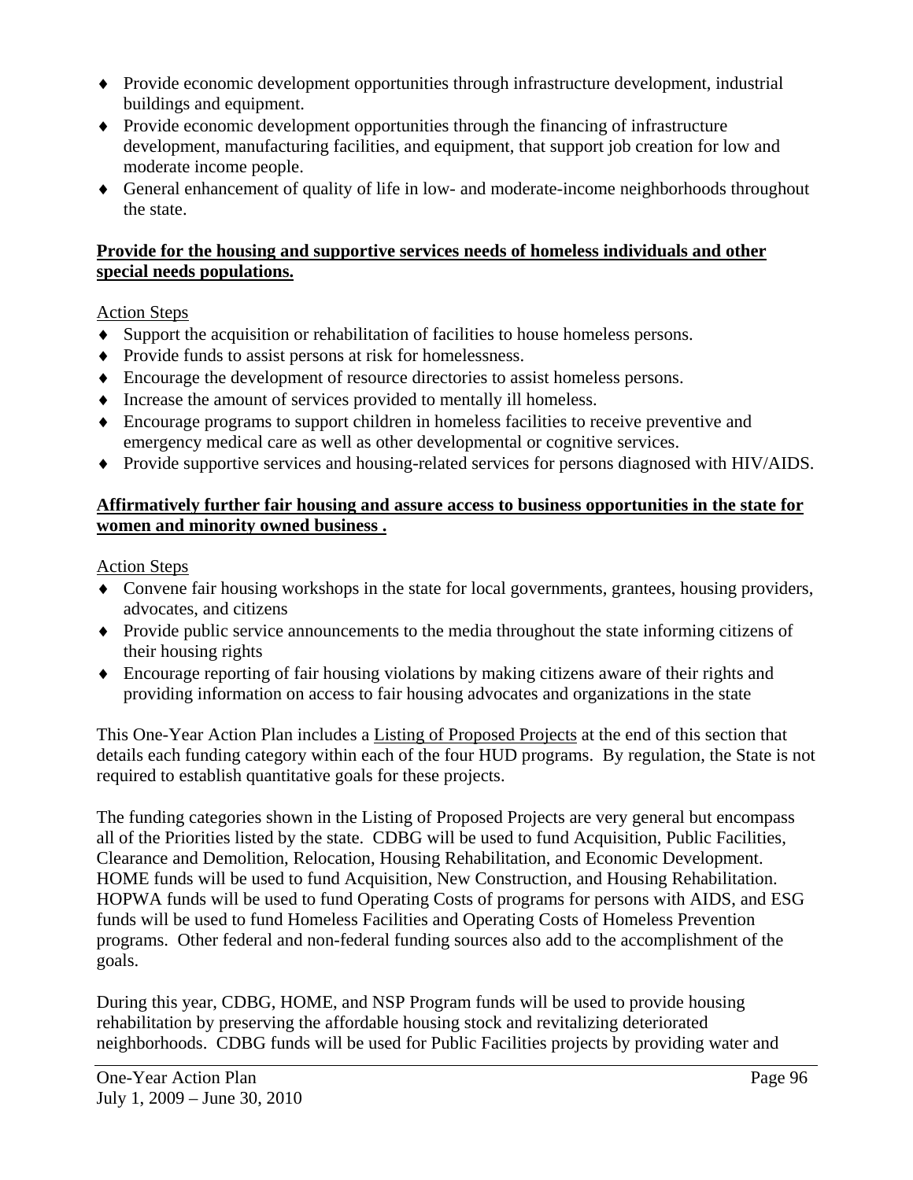- ♦ Provide economic development opportunities through infrastructure development, industrial buildings and equipment.
- ♦ Provide economic development opportunities through the financing of infrastructure development, manufacturing facilities, and equipment, that support job creation for low and moderate income people.
- ♦ General enhancement of quality of life in low- and moderate-income neighborhoods throughout the state.

#### **Provide for the housing and supportive services needs of homeless individuals and other special needs populations.**

## Action Steps

- ♦ Support the acquisition or rehabilitation of facilities to house homeless persons.
- ♦ Provide funds to assist persons at risk for homelessness.
- ♦ Encourage the development of resource directories to assist homeless persons.
- ♦ Increase the amount of services provided to mentally ill homeless.
- ♦ Encourage programs to support children in homeless facilities to receive preventive and emergency medical care as well as other developmental or cognitive services.
- ♦ Provide supportive services and housing-related services for persons diagnosed with HIV/AIDS.

## **Affirmatively further fair housing and assure access to business opportunities in the state for women and minority owned business .**

Action Steps

- ♦ Convene fair housing workshops in the state for local governments, grantees, housing providers, advocates, and citizens
- ♦ Provide public service announcements to the media throughout the state informing citizens of their housing rights
- ♦ Encourage reporting of fair housing violations by making citizens aware of their rights and providing information on access to fair housing advocates and organizations in the state

This One-Year Action Plan includes a Listing of Proposed Projects at the end of this section that details each funding category within each of the four HUD programs. By regulation, the State is not required to establish quantitative goals for these projects.

The funding categories shown in the Listing of Proposed Projects are very general but encompass all of the Priorities listed by the state. CDBG will be used to fund Acquisition, Public Facilities, Clearance and Demolition, Relocation, Housing Rehabilitation, and Economic Development. HOME funds will be used to fund Acquisition, New Construction, and Housing Rehabilitation. HOPWA funds will be used to fund Operating Costs of programs for persons with AIDS, and ESG funds will be used to fund Homeless Facilities and Operating Costs of Homeless Prevention programs. Other federal and non-federal funding sources also add to the accomplishment of the goals.

During this year, CDBG, HOME, and NSP Program funds will be used to provide housing rehabilitation by preserving the affordable housing stock and revitalizing deteriorated neighborhoods. CDBG funds will be used for Public Facilities projects by providing water and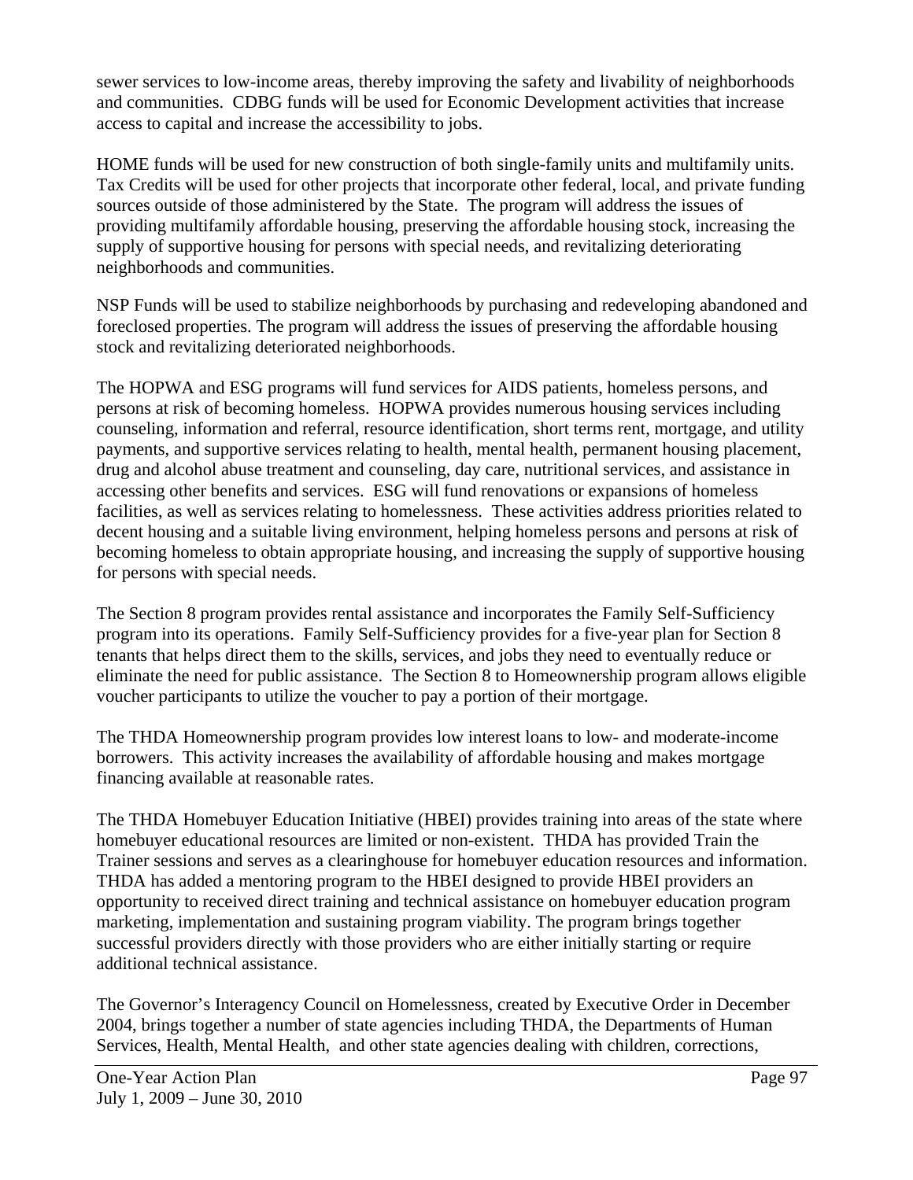sewer services to low-income areas, thereby improving the safety and livability of neighborhoods and communities. CDBG funds will be used for Economic Development activities that increase access to capital and increase the accessibility to jobs.

HOME funds will be used for new construction of both single-family units and multifamily units. Tax Credits will be used for other projects that incorporate other federal, local, and private funding sources outside of those administered by the State. The program will address the issues of providing multifamily affordable housing, preserving the affordable housing stock, increasing the supply of supportive housing for persons with special needs, and revitalizing deteriorating neighborhoods and communities.

NSP Funds will be used to stabilize neighborhoods by purchasing and redeveloping abandoned and foreclosed properties. The program will address the issues of preserving the affordable housing stock and revitalizing deteriorated neighborhoods.

The HOPWA and ESG programs will fund services for AIDS patients, homeless persons, and persons at risk of becoming homeless. HOPWA provides numerous housing services including counseling, information and referral, resource identification, short terms rent, mortgage, and utility payments, and supportive services relating to health, mental health, permanent housing placement, drug and alcohol abuse treatment and counseling, day care, nutritional services, and assistance in accessing other benefits and services. ESG will fund renovations or expansions of homeless facilities, as well as services relating to homelessness. These activities address priorities related to decent housing and a suitable living environment, helping homeless persons and persons at risk of becoming homeless to obtain appropriate housing, and increasing the supply of supportive housing for persons with special needs.

The Section 8 program provides rental assistance and incorporates the Family Self-Sufficiency program into its operations. Family Self-Sufficiency provides for a five-year plan for Section 8 tenants that helps direct them to the skills, services, and jobs they need to eventually reduce or eliminate the need for public assistance. The Section 8 to Homeownership program allows eligible voucher participants to utilize the voucher to pay a portion of their mortgage.

The THDA Homeownership program provides low interest loans to low- and moderate-income borrowers. This activity increases the availability of affordable housing and makes mortgage financing available at reasonable rates.

The THDA Homebuyer Education Initiative (HBEI) provides training into areas of the state where homebuyer educational resources are limited or non-existent. THDA has provided Train the Trainer sessions and serves as a clearinghouse for homebuyer education resources and information. THDA has added a mentoring program to the HBEI designed to provide HBEI providers an opportunity to received direct training and technical assistance on homebuyer education program marketing, implementation and sustaining program viability. The program brings together successful providers directly with those providers who are either initially starting or require additional technical assistance.

The Governor's Interagency Council on Homelessness, created by Executive Order in December 2004, brings together a number of state agencies including THDA, the Departments of Human Services, Health, Mental Health, and other state agencies dealing with children, corrections,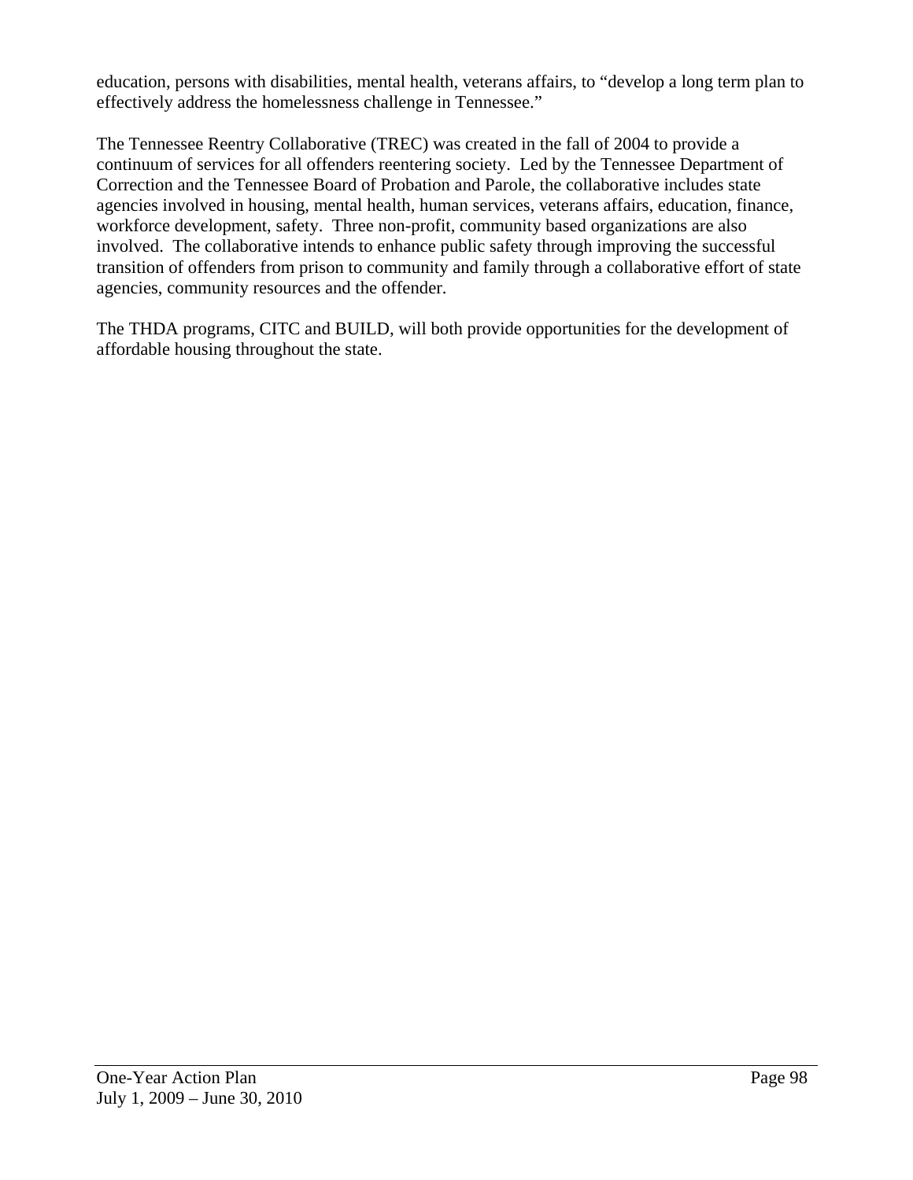education, persons with disabilities, mental health, veterans affairs, to "develop a long term plan to effectively address the homelessness challenge in Tennessee."

The Tennessee Reentry Collaborative (TREC) was created in the fall of 2004 to provide a continuum of services for all offenders reentering society. Led by the Tennessee Department of Correction and the Tennessee Board of Probation and Parole, the collaborative includes state agencies involved in housing, mental health, human services, veterans affairs, education, finance, workforce development, safety. Three non-profit, community based organizations are also involved. The collaborative intends to enhance public safety through improving the successful transition of offenders from prison to community and family through a collaborative effort of state agencies, community resources and the offender.

The THDA programs, CITC and BUILD, will both provide opportunities for the development of affordable housing throughout the state.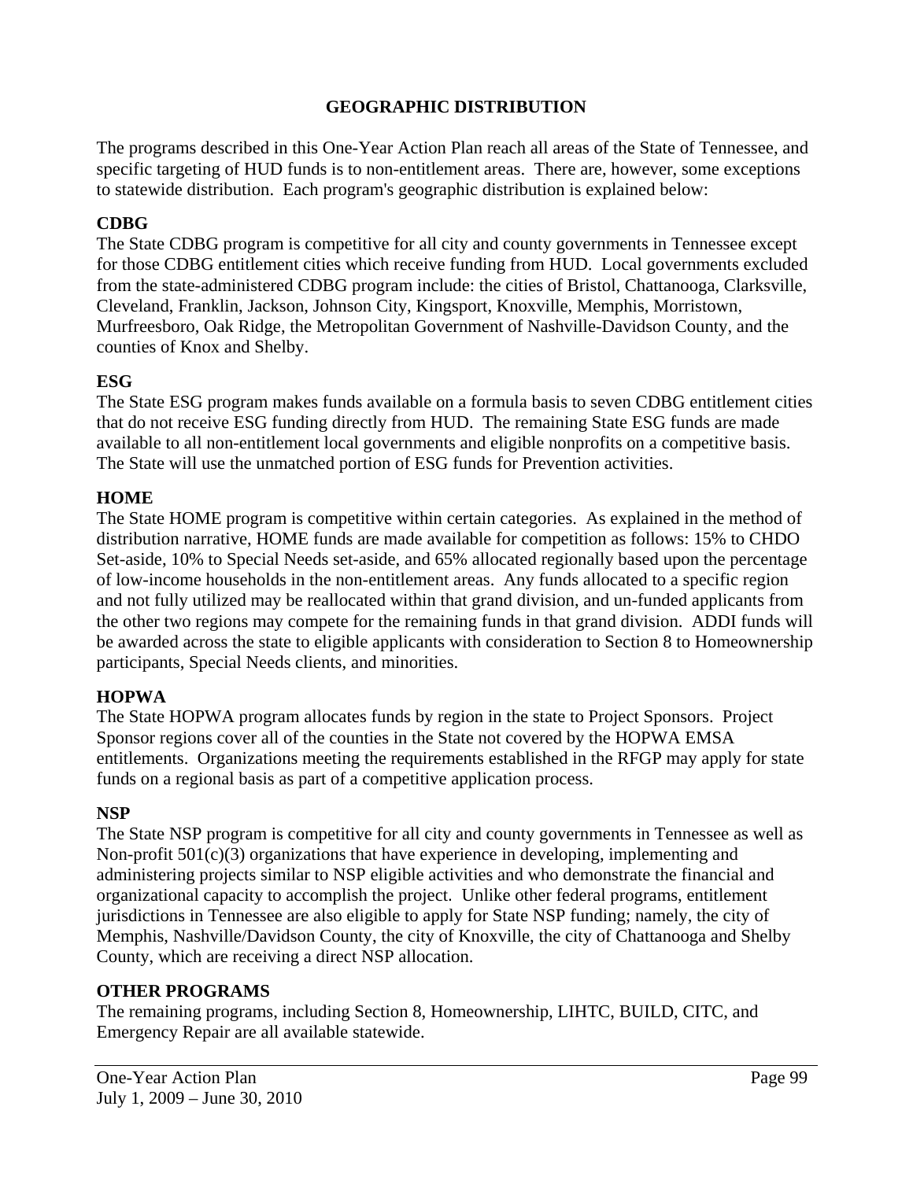## **GEOGRAPHIC DISTRIBUTION**

The programs described in this One-Year Action Plan reach all areas of the State of Tennessee, and specific targeting of HUD funds is to non-entitlement areas. There are, however, some exceptions to statewide distribution. Each program's geographic distribution is explained below:

#### **CDBG**

The State CDBG program is competitive for all city and county governments in Tennessee except for those CDBG entitlement cities which receive funding from HUD. Local governments excluded from the state-administered CDBG program include: the cities of Bristol, Chattanooga, Clarksville, Cleveland, Franklin, Jackson, Johnson City, Kingsport, Knoxville, Memphis, Morristown, Murfreesboro, Oak Ridge, the Metropolitan Government of Nashville-Davidson County, and the counties of Knox and Shelby.

#### **ESG**

The State ESG program makes funds available on a formula basis to seven CDBG entitlement cities that do not receive ESG funding directly from HUD. The remaining State ESG funds are made available to all non-entitlement local governments and eligible nonprofits on a competitive basis. The State will use the unmatched portion of ESG funds for Prevention activities.

#### **HOME**

The State HOME program is competitive within certain categories. As explained in the method of distribution narrative, HOME funds are made available for competition as follows: 15% to CHDO Set-aside, 10% to Special Needs set-aside, and 65% allocated regionally based upon the percentage of low-income households in the non-entitlement areas. Any funds allocated to a specific region and not fully utilized may be reallocated within that grand division, and un-funded applicants from the other two regions may compete for the remaining funds in that grand division. ADDI funds will be awarded across the state to eligible applicants with consideration to Section 8 to Homeownership participants, Special Needs clients, and minorities.

#### **HOPWA**

The State HOPWA program allocates funds by region in the state to Project Sponsors. Project Sponsor regions cover all of the counties in the State not covered by the HOPWA EMSA entitlements. Organizations meeting the requirements established in the RFGP may apply for state funds on a regional basis as part of a competitive application process.

#### **NSP**

The State NSP program is competitive for all city and county governments in Tennessee as well as Non-profit 501(c)(3) organizations that have experience in developing, implementing and administering projects similar to NSP eligible activities and who demonstrate the financial and organizational capacity to accomplish the project.Unlike other federal programs, entitlement jurisdictions in Tennessee are also eligible to apply for State NSP funding; namely, the city of Memphis, Nashville/Davidson County, the city of Knoxville, the city of Chattanooga and Shelby County, which are receiving a direct NSP allocation.

#### **OTHER PROGRAMS**

The remaining programs, including Section 8, Homeownership, LIHTC, BUILD, CITC, and Emergency Repair are all available statewide.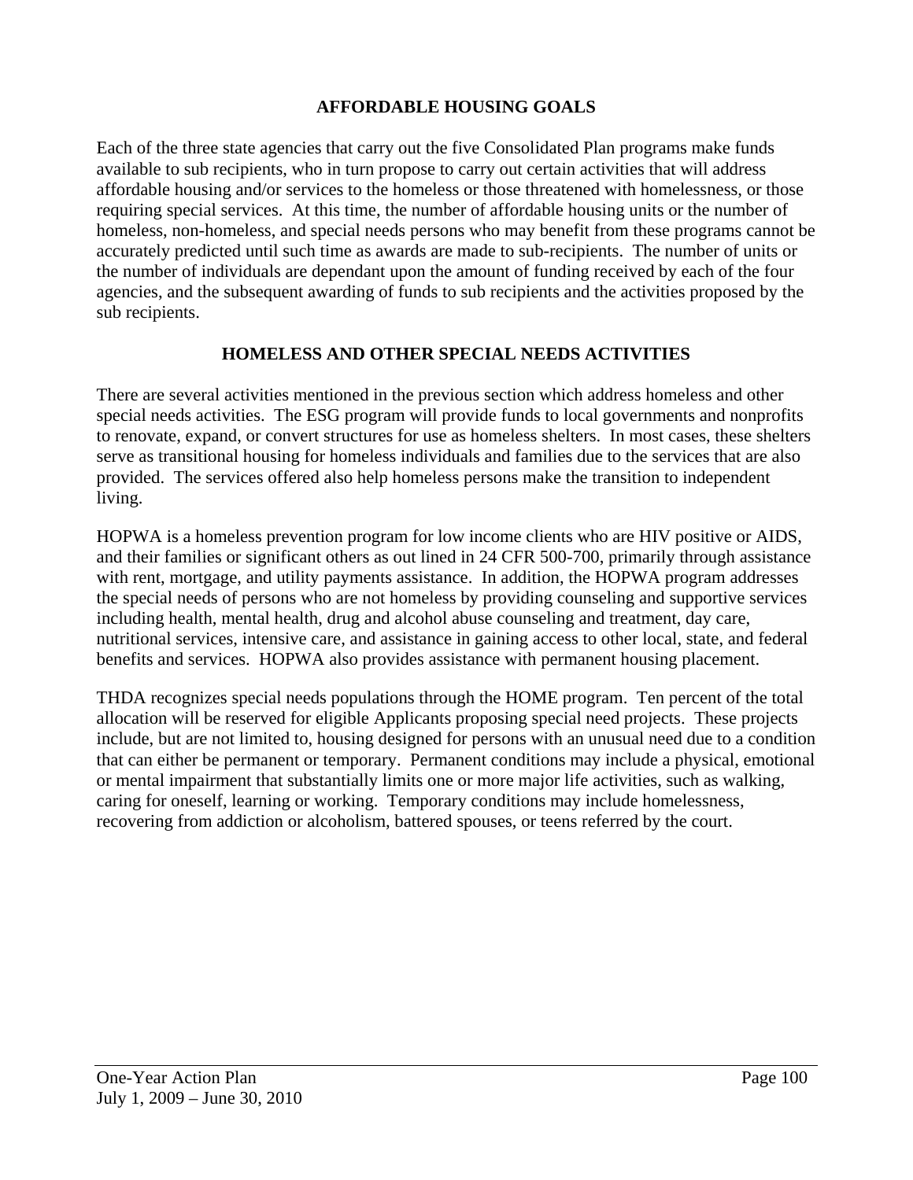#### **AFFORDABLE HOUSING GOALS**

Each of the three state agencies that carry out the five Consolidated Plan programs make funds available to sub recipients, who in turn propose to carry out certain activities that will address affordable housing and/or services to the homeless or those threatened with homelessness, or those requiring special services. At this time, the number of affordable housing units or the number of homeless, non-homeless, and special needs persons who may benefit from these programs cannot be accurately predicted until such time as awards are made to sub-recipients. The number of units or the number of individuals are dependant upon the amount of funding received by each of the four agencies, and the subsequent awarding of funds to sub recipients and the activities proposed by the sub recipients.

#### **HOMELESS AND OTHER SPECIAL NEEDS ACTIVITIES**

There are several activities mentioned in the previous section which address homeless and other special needs activities. The ESG program will provide funds to local governments and nonprofits to renovate, expand, or convert structures for use as homeless shelters. In most cases, these shelters serve as transitional housing for homeless individuals and families due to the services that are also provided. The services offered also help homeless persons make the transition to independent living.

HOPWA is a homeless prevention program for low income clients who are HIV positive or AIDS, and their families or significant others as out lined in 24 CFR 500-700, primarily through assistance with rent, mortgage, and utility payments assistance. In addition, the HOPWA program addresses the special needs of persons who are not homeless by providing counseling and supportive services including health, mental health, drug and alcohol abuse counseling and treatment, day care, nutritional services, intensive care, and assistance in gaining access to other local, state, and federal benefits and services. HOPWA also provides assistance with permanent housing placement.

THDA recognizes special needs populations through the HOME program. Ten percent of the total allocation will be reserved for eligible Applicants proposing special need projects. These projects include, but are not limited to, housing designed for persons with an unusual need due to a condition that can either be permanent or temporary. Permanent conditions may include a physical, emotional or mental impairment that substantially limits one or more major life activities, such as walking, caring for oneself, learning or working. Temporary conditions may include homelessness, recovering from addiction or alcoholism, battered spouses, or teens referred by the court.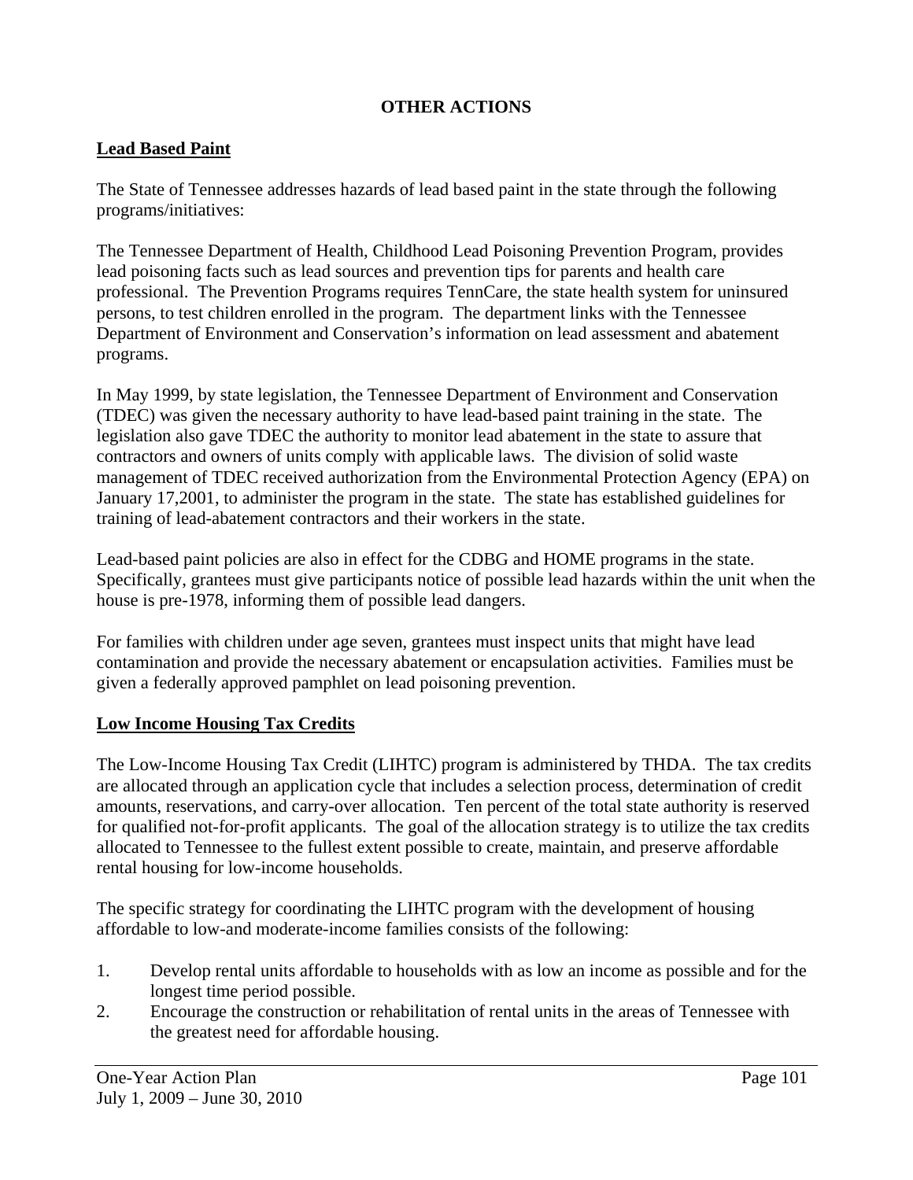# **OTHER ACTIONS**

## **Lead Based Paint**

The State of Tennessee addresses hazards of lead based paint in the state through the following programs/initiatives:

The Tennessee Department of Health, Childhood Lead Poisoning Prevention Program, provides lead poisoning facts such as lead sources and prevention tips for parents and health care professional. The Prevention Programs requires TennCare, the state health system for uninsured persons, to test children enrolled in the program. The department links with the Tennessee Department of Environment and Conservation's information on lead assessment and abatement programs.

In May 1999, by state legislation, the Tennessee Department of Environment and Conservation (TDEC) was given the necessary authority to have lead-based paint training in the state. The legislation also gave TDEC the authority to monitor lead abatement in the state to assure that contractors and owners of units comply with applicable laws. The division of solid waste management of TDEC received authorization from the Environmental Protection Agency (EPA) on January 17,2001, to administer the program in the state. The state has established guidelines for training of lead-abatement contractors and their workers in the state.

Lead-based paint policies are also in effect for the CDBG and HOME programs in the state. Specifically, grantees must give participants notice of possible lead hazards within the unit when the house is pre-1978, informing them of possible lead dangers.

For families with children under age seven, grantees must inspect units that might have lead contamination and provide the necessary abatement or encapsulation activities. Families must be given a federally approved pamphlet on lead poisoning prevention.

#### **Low Income Housing Tax Credits**

The Low-Income Housing Tax Credit (LIHTC) program is administered by THDA. The tax credits are allocated through an application cycle that includes a selection process, determination of credit amounts, reservations, and carry-over allocation. Ten percent of the total state authority is reserved for qualified not-for-profit applicants. The goal of the allocation strategy is to utilize the tax credits allocated to Tennessee to the fullest extent possible to create, maintain, and preserve affordable rental housing for low-income households.

The specific strategy for coordinating the LIHTC program with the development of housing affordable to low-and moderate-income families consists of the following:

- 1. Develop rental units affordable to households with as low an income as possible and for the longest time period possible.
- 2. Encourage the construction or rehabilitation of rental units in the areas of Tennessee with the greatest need for affordable housing.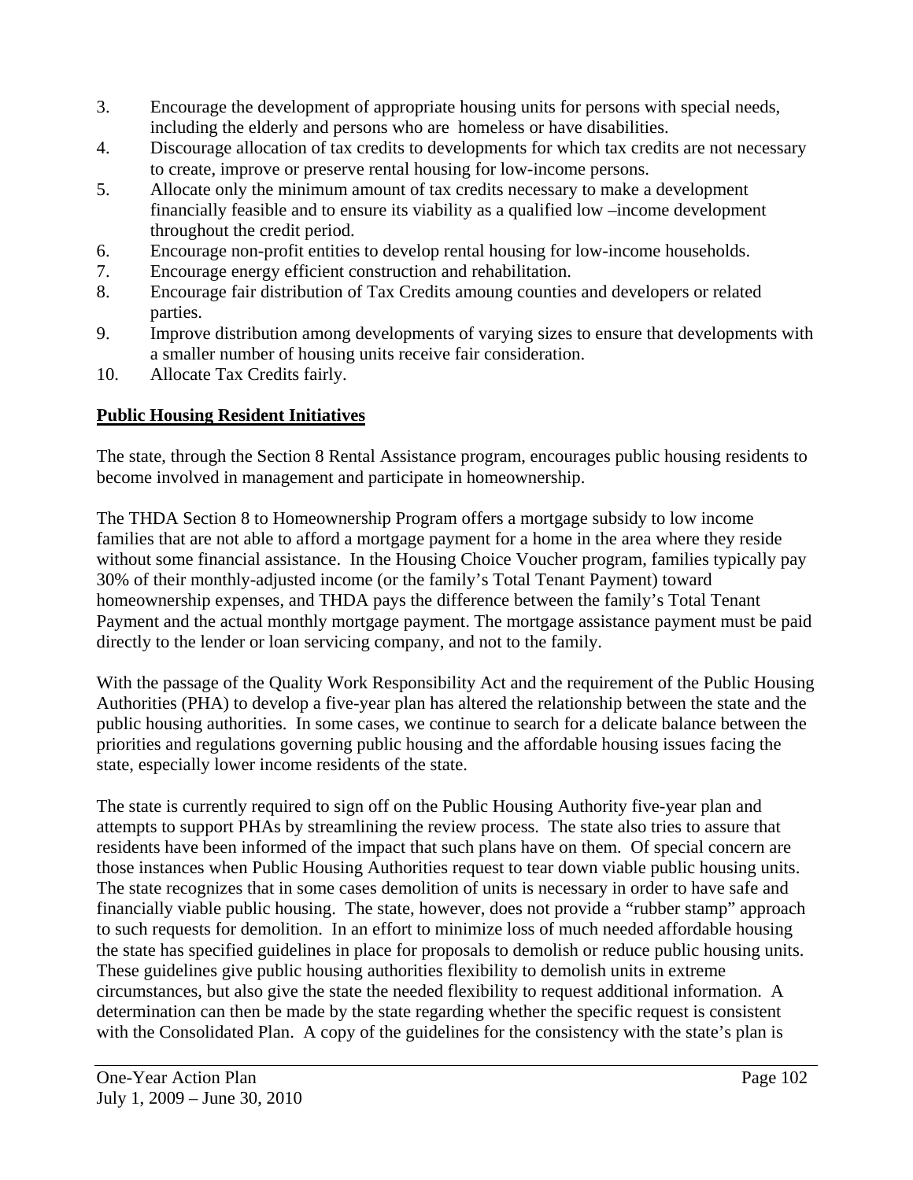- 3. Encourage the development of appropriate housing units for persons with special needs, including the elderly and persons who are homeless or have disabilities.
- 4. Discourage allocation of tax credits to developments for which tax credits are not necessary to create, improve or preserve rental housing for low-income persons.
- 5. Allocate only the minimum amount of tax credits necessary to make a development financially feasible and to ensure its viability as a qualified low –income development throughout the credit period.
- 6. Encourage non-profit entities to develop rental housing for low-income households.
- 7. Encourage energy efficient construction and rehabilitation.
- 8. Encourage fair distribution of Tax Credits amoung counties and developers or related parties.
- 9. Improve distribution among developments of varying sizes to ensure that developments with a smaller number of housing units receive fair consideration.
- 10. Allocate Tax Credits fairly.

# **Public Housing Resident Initiatives**

The state, through the Section 8 Rental Assistance program, encourages public housing residents to become involved in management and participate in homeownership.

The THDA Section 8 to Homeownership Program offers a mortgage subsidy to low income families that are not able to afford a mortgage payment for a home in the area where they reside without some financial assistance. In the Housing Choice Voucher program, families typically pay 30% of their monthly-adjusted income (or the family's Total Tenant Payment) toward homeownership expenses, and THDA pays the difference between the family's Total Tenant Payment and the actual monthly mortgage payment. The mortgage assistance payment must be paid directly to the lender or loan servicing company, and not to the family.

With the passage of the Quality Work Responsibility Act and the requirement of the Public Housing Authorities (PHA) to develop a five-year plan has altered the relationship between the state and the public housing authorities. In some cases, we continue to search for a delicate balance between the priorities and regulations governing public housing and the affordable housing issues facing the state, especially lower income residents of the state.

The state is currently required to sign off on the Public Housing Authority five-year plan and attempts to support PHAs by streamlining the review process. The state also tries to assure that residents have been informed of the impact that such plans have on them. Of special concern are those instances when Public Housing Authorities request to tear down viable public housing units. The state recognizes that in some cases demolition of units is necessary in order to have safe and financially viable public housing. The state, however, does not provide a "rubber stamp" approach to such requests for demolition. In an effort to minimize loss of much needed affordable housing the state has specified guidelines in place for proposals to demolish or reduce public housing units. These guidelines give public housing authorities flexibility to demolish units in extreme circumstances, but also give the state the needed flexibility to request additional information. A determination can then be made by the state regarding whether the specific request is consistent with the Consolidated Plan. A copy of the guidelines for the consistency with the state's plan is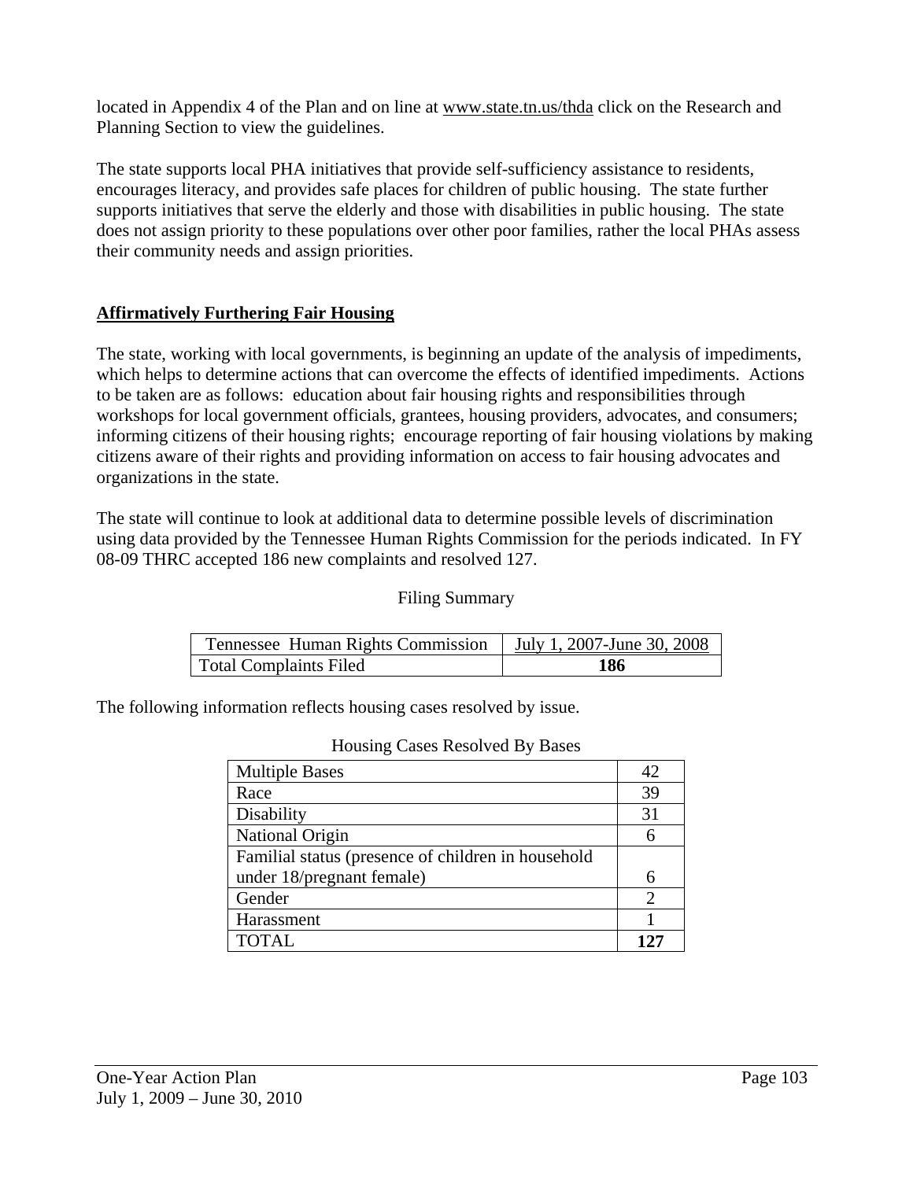located in Appendix 4 of the Plan and on line at www.state.tn.us/thda click on the Research and Planning Section to view the guidelines.

The state supports local PHA initiatives that provide self-sufficiency assistance to residents, encourages literacy, and provides safe places for children of public housing. The state further supports initiatives that serve the elderly and those with disabilities in public housing. The state does not assign priority to these populations over other poor families, rather the local PHAs assess their community needs and assign priorities.

# **Affirmatively Furthering Fair Housing**

The state, working with local governments, is beginning an update of the analysis of impediments, which helps to determine actions that can overcome the effects of identified impediments. Actions to be taken are as follows: education about fair housing rights and responsibilities through workshops for local government officials, grantees, housing providers, advocates, and consumers; informing citizens of their housing rights; encourage reporting of fair housing violations by making citizens aware of their rights and providing information on access to fair housing advocates and organizations in the state.

The state will continue to look at additional data to determine possible levels of discrimination using data provided by the Tennessee Human Rights Commission for the periods indicated. In FY 08-09 THRC accepted 186 new complaints and resolved 127.

#### Filing Summary

| Tennessee Human Rights Commission | July 1, 2007-June 30, 2008 |
|-----------------------------------|----------------------------|
| Total Complaints Filed            | 186                        |

The following information reflects housing cases resolved by issue.

| <b>Multiple Bases</b>                              | 42 |
|----------------------------------------------------|----|
| Race                                               | 39 |
| Disability                                         | 31 |
| National Origin                                    |    |
| Familial status (presence of children in household |    |
| under 18/pregnant female)                          |    |
| Gender                                             |    |
| Harassment                                         |    |
| <b>TOTAL</b>                                       |    |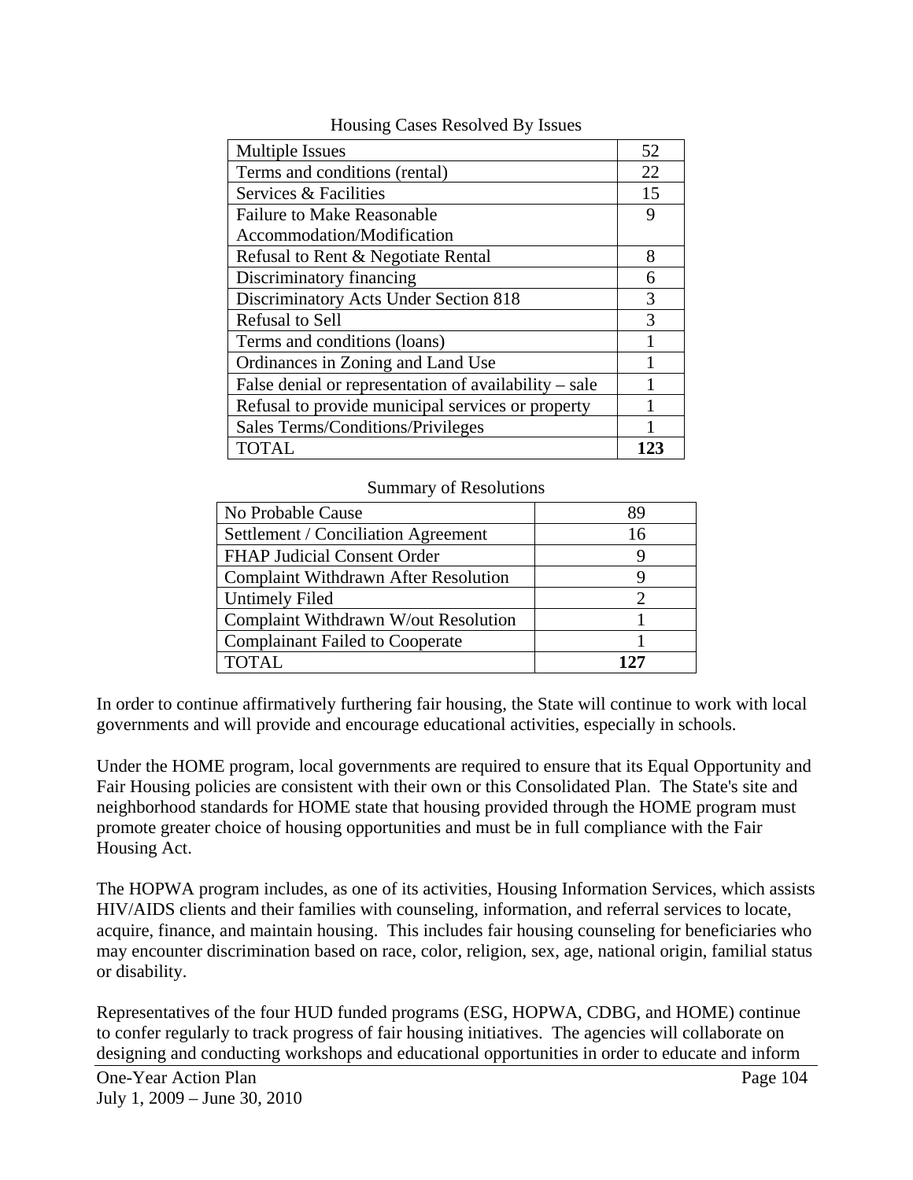| <b>Multiple Issues</b>                                | 52  |
|-------------------------------------------------------|-----|
| Terms and conditions (rental)                         | 22  |
| Services & Facilities                                 | 15  |
| <b>Failure to Make Reasonable</b>                     | 9   |
| Accommodation/Modification                            |     |
| Refusal to Rent & Negotiate Rental                    | 8   |
| Discriminatory financing                              | 6   |
| Discriminatory Acts Under Section 818                 | 3   |
| Refusal to Sell                                       | 3   |
| Terms and conditions (loans)                          |     |
| Ordinances in Zoning and Land Use                     |     |
| False denial or representation of availability – sale |     |
| Refusal to provide municipal services or property     |     |
| Sales Terms/Conditions/Privileges                     |     |
| <b>TOTAL</b>                                          | 123 |

Housing Cases Resolved By Issues

#### Summary of Resolutions

| No Probable Cause                           |    |
|---------------------------------------------|----|
| Settlement / Conciliation Agreement         | 16 |
| <b>FHAP Judicial Consent Order</b>          |    |
| <b>Complaint Withdrawn After Resolution</b> |    |
| <b>Untimely Filed</b>                       |    |
| Complaint Withdrawn W/out Resolution        |    |
| <b>Complainant Failed to Cooperate</b>      |    |
| TOTAL.                                      |    |

In order to continue affirmatively furthering fair housing, the State will continue to work with local governments and will provide and encourage educational activities, especially in schools.

Under the HOME program, local governments are required to ensure that its Equal Opportunity and Fair Housing policies are consistent with their own or this Consolidated Plan. The State's site and neighborhood standards for HOME state that housing provided through the HOME program must promote greater choice of housing opportunities and must be in full compliance with the Fair Housing Act.

The HOPWA program includes, as one of its activities, Housing Information Services, which assists HIV/AIDS clients and their families with counseling, information, and referral services to locate, acquire, finance, and maintain housing. This includes fair housing counseling for beneficiaries who may encounter discrimination based on race, color, religion, sex, age, national origin, familial status or disability.

Representatives of the four HUD funded programs (ESG, HOPWA, CDBG, and HOME) continue to confer regularly to track progress of fair housing initiatives. The agencies will collaborate on designing and conducting workshops and educational opportunities in order to educate and inform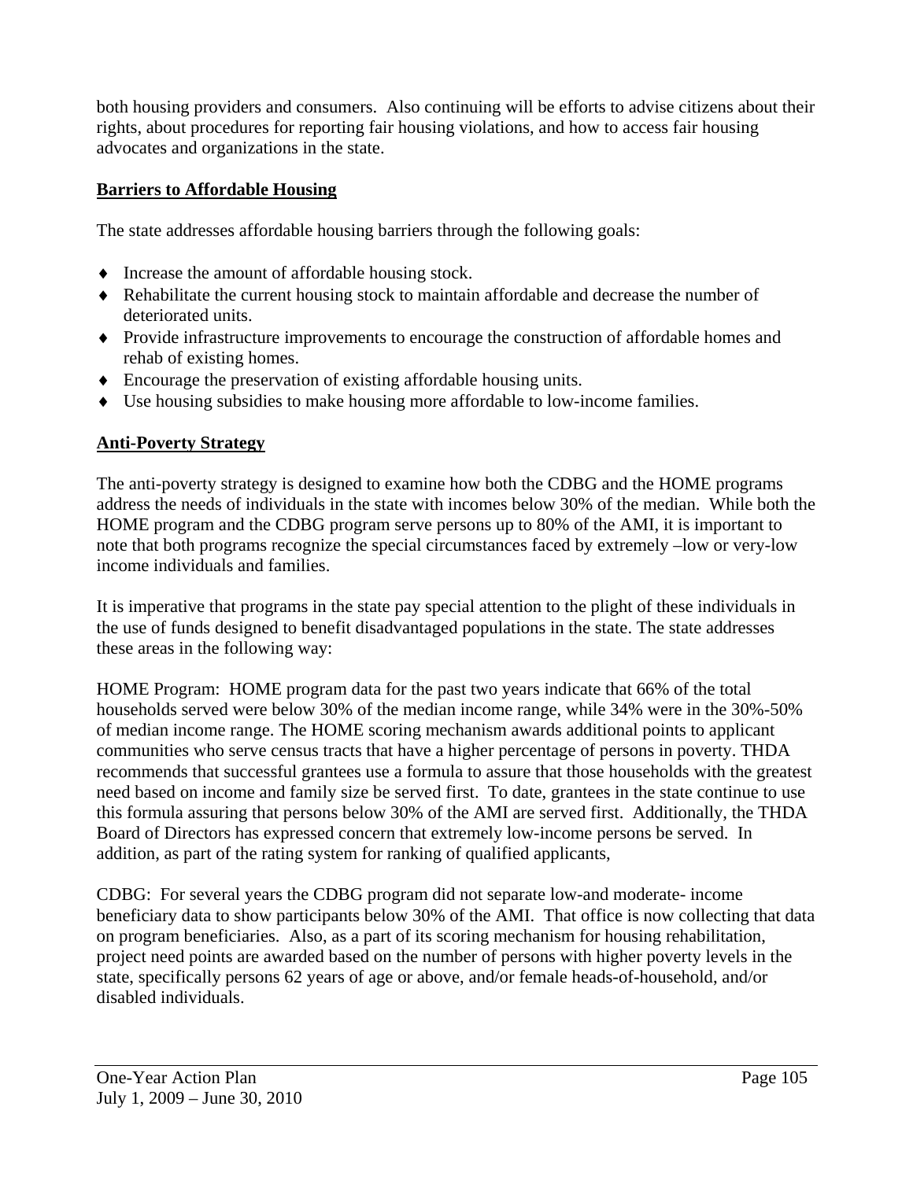both housing providers and consumers. Also continuing will be efforts to advise citizens about their rights, about procedures for reporting fair housing violations, and how to access fair housing advocates and organizations in the state.

## **Barriers to Affordable Housing**

The state addresses affordable housing barriers through the following goals:

- ♦ Increase the amount of affordable housing stock.
- ♦ Rehabilitate the current housing stock to maintain affordable and decrease the number of deteriorated units.
- ♦ Provide infrastructure improvements to encourage the construction of affordable homes and rehab of existing homes.
- ♦ Encourage the preservation of existing affordable housing units.
- ♦ Use housing subsidies to make housing more affordable to low-income families.

## **Anti-Poverty Strategy**

The anti-poverty strategy is designed to examine how both the CDBG and the HOME programs address the needs of individuals in the state with incomes below 30% of the median. While both the HOME program and the CDBG program serve persons up to 80% of the AMI, it is important to note that both programs recognize the special circumstances faced by extremely –low or very-low income individuals and families.

It is imperative that programs in the state pay special attention to the plight of these individuals in the use of funds designed to benefit disadvantaged populations in the state. The state addresses these areas in the following way:

HOME Program: HOME program data for the past two years indicate that 66% of the total households served were below 30% of the median income range, while 34% were in the 30%-50% of median income range. The HOME scoring mechanism awards additional points to applicant communities who serve census tracts that have a higher percentage of persons in poverty. THDA recommends that successful grantees use a formula to assure that those households with the greatest need based on income and family size be served first. To date, grantees in the state continue to use this formula assuring that persons below 30% of the AMI are served first. Additionally, the THDA Board of Directors has expressed concern that extremely low-income persons be served. In addition, as part of the rating system for ranking of qualified applicants,

CDBG: For several years the CDBG program did not separate low-and moderate- income beneficiary data to show participants below 30% of the AMI. That office is now collecting that data on program beneficiaries. Also, as a part of its scoring mechanism for housing rehabilitation, project need points are awarded based on the number of persons with higher poverty levels in the state, specifically persons 62 years of age or above, and/or female heads-of-household, and/or disabled individuals.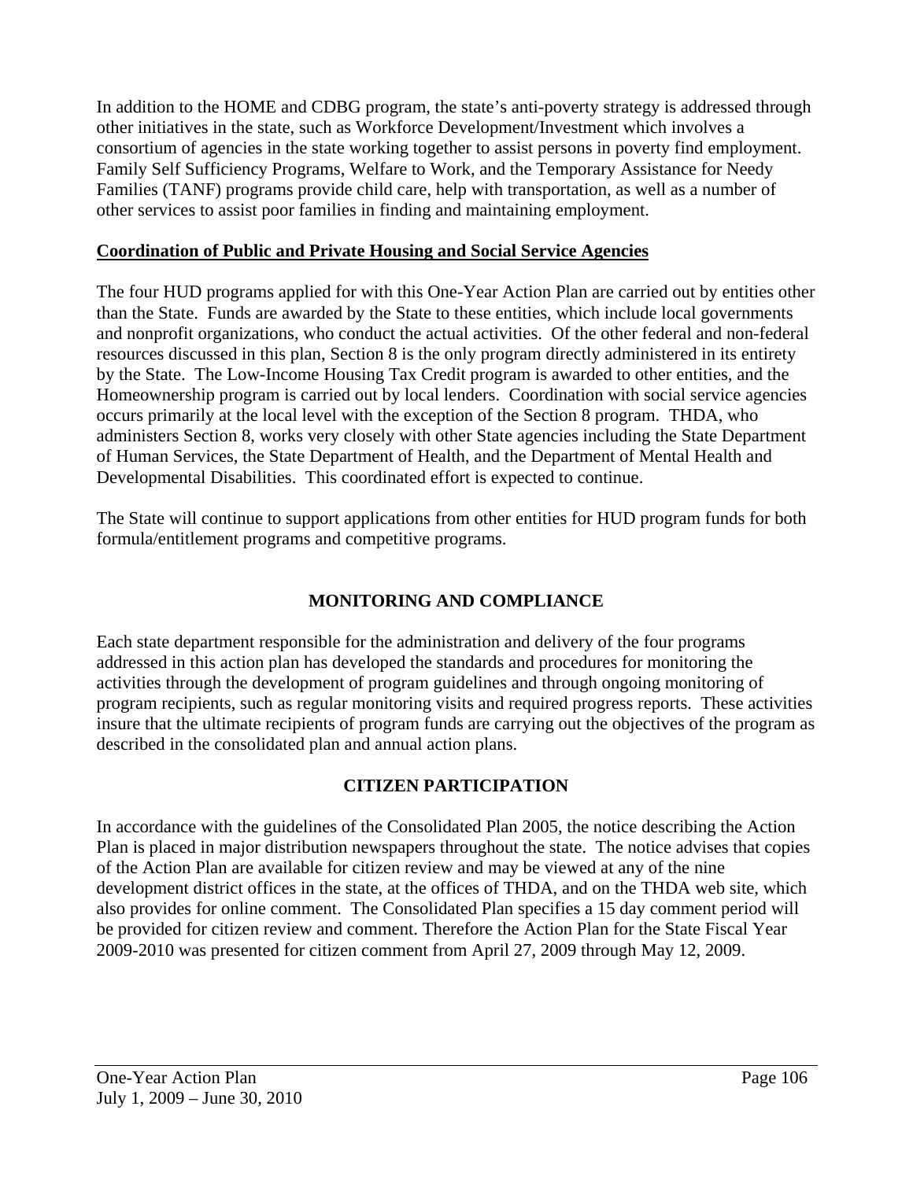In addition to the HOME and CDBG program, the state's anti-poverty strategy is addressed through other initiatives in the state, such as Workforce Development/Investment which involves a consortium of agencies in the state working together to assist persons in poverty find employment. Family Self Sufficiency Programs, Welfare to Work, and the Temporary Assistance for Needy Families (TANF) programs provide child care, help with transportation, as well as a number of other services to assist poor families in finding and maintaining employment.

## **Coordination of Public and Private Housing and Social Service Agencies**

The four HUD programs applied for with this One-Year Action Plan are carried out by entities other than the State. Funds are awarded by the State to these entities, which include local governments and nonprofit organizations, who conduct the actual activities. Of the other federal and non-federal resources discussed in this plan, Section 8 is the only program directly administered in its entirety by the State. The Low-Income Housing Tax Credit program is awarded to other entities, and the Homeownership program is carried out by local lenders. Coordination with social service agencies occurs primarily at the local level with the exception of the Section 8 program. THDA, who administers Section 8, works very closely with other State agencies including the State Department of Human Services, the State Department of Health, and the Department of Mental Health and Developmental Disabilities. This coordinated effort is expected to continue.

The State will continue to support applications from other entities for HUD program funds for both formula/entitlement programs and competitive programs.

# **MONITORING AND COMPLIANCE**

Each state department responsible for the administration and delivery of the four programs addressed in this action plan has developed the standards and procedures for monitoring the activities through the development of program guidelines and through ongoing monitoring of program recipients, such as regular monitoring visits and required progress reports. These activities insure that the ultimate recipients of program funds are carrying out the objectives of the program as described in the consolidated plan and annual action plans.

# **CITIZEN PARTICIPATION**

In accordance with the guidelines of the Consolidated Plan 2005, the notice describing the Action Plan is placed in major distribution newspapers throughout the state. The notice advises that copies of the Action Plan are available for citizen review and may be viewed at any of the nine development district offices in the state, at the offices of THDA, and on the THDA web site, which also provides for online comment. The Consolidated Plan specifies a 15 day comment period will be provided for citizen review and comment. Therefore the Action Plan for the State Fiscal Year 2009-2010 was presented for citizen comment from April 27, 2009 through May 12, 2009.